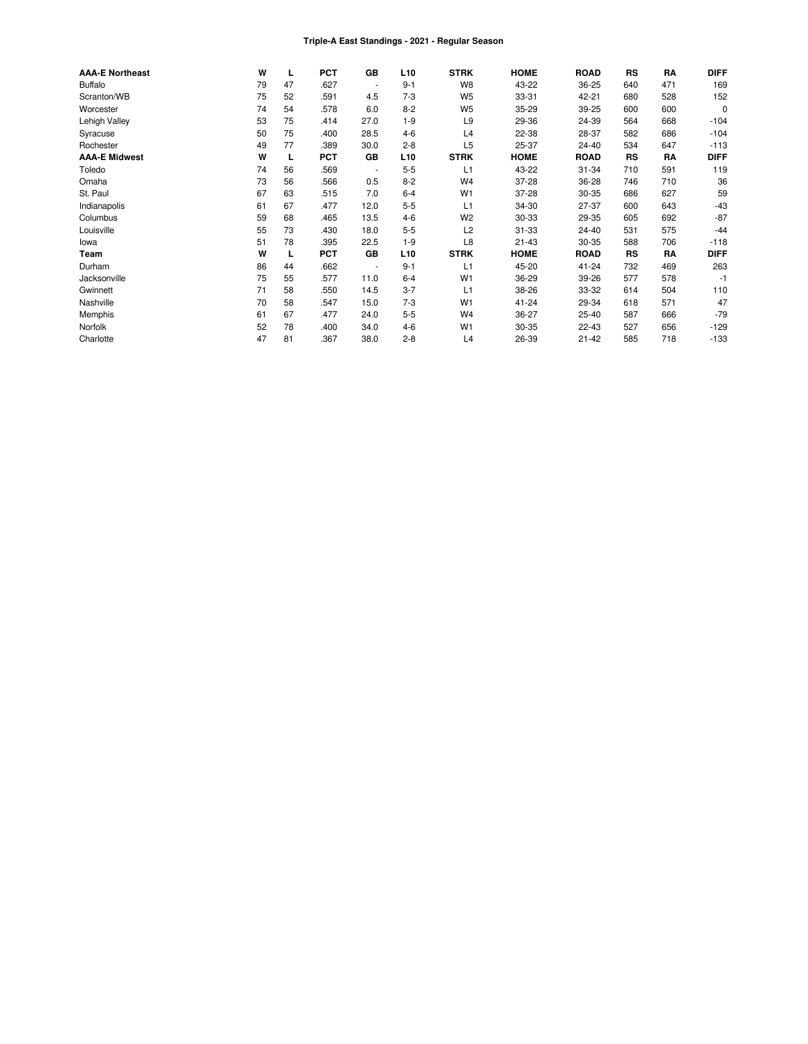## Triple-A East Standings - 2021 - Regular Season

| <b>AAA-E Northeast</b> | W  | L  | <b>PCT</b> | GB                       | L <sub>10</sub> | <b>STRK</b>    | <b>HOME</b> | <b>ROAD</b> | <b>RS</b> | RA  | <b>DIFF</b> |
|------------------------|----|----|------------|--------------------------|-----------------|----------------|-------------|-------------|-----------|-----|-------------|
| <b>Buffalo</b>         | 79 | 47 | .627       | $\overline{\phantom{a}}$ | $9 - 1$         | W <sub>8</sub> | 43-22       | 36-25       | 640       | 471 | 169         |
| Scranton/WB            | 75 | 52 | .591       | 4.5                      | $7 - 3$         | W <sub>5</sub> | 33-31       | 42-21       | 680       | 528 | 152         |
| Worcester              | 74 | 54 | .578       | 6.0                      | $8 - 2$         | W <sub>5</sub> | 35-29       | 39-25       | 600       | 600 | $\mathbf 0$ |
| Lehigh Valley          | 53 | 75 | .414       | 27.0                     | $1 - 9$         | L <sub>9</sub> | 29-36       | 24-39       | 564       | 668 | $-104$      |
| Syracuse               | 50 | 75 | .400       | 28.5                     | $4-6$           | L4             | 22-38       | 28-37       | 582       | 686 | $-104$      |
| Rochester              | 49 | 77 | .389       | 30.0                     | $2 - 8$         | L <sub>5</sub> | 25-37       | 24-40       | 534       | 647 | $-113$      |
| <b>AAA-E Midwest</b>   | W  | L  | <b>PCT</b> | GB                       | L <sub>10</sub> | <b>STRK</b>    | <b>HOME</b> | <b>ROAD</b> | RS        | RA  | <b>DIFF</b> |
| Toledo                 | 74 | 56 | .569       | $\overline{\phantom{a}}$ | $5-5$           | L1             | 43-22       | $31 - 34$   | 710       | 591 | 119         |
| Omaha                  | 73 | 56 | .566       | 0.5                      | $8 - 2$         | W <sub>4</sub> | 37-28       | 36-28       | 746       | 710 | 36          |
| St. Paul               | 67 | 63 | .515       | 7.0                      | $6 - 4$         | W <sub>1</sub> | 37-28       | 30-35       | 686       | 627 | 59          |
| Indianapolis           | 61 | 67 | .477       | 12.0                     | $5-5$           | L1             | 34-30       | 27-37       | 600       | 643 | $-43$       |
| Columbus               | 59 | 68 | .465       | 13.5                     | $4-6$           | W <sub>2</sub> | 30-33       | 29-35       | 605       | 692 | $-87$       |
| Louisville             | 55 | 73 | .430       | 18.0                     | $5-5$           | L <sub>2</sub> | $31 - 33$   | 24-40       | 531       | 575 | $-44$       |
| lowa                   | 51 | 78 | .395       | 22.5                     | $1 - 9$         | L8             | $21 - 43$   | 30-35       | 588       | 706 | $-118$      |
| Team                   | W  | L  | <b>PCT</b> | GB                       | L <sub>10</sub> | <b>STRK</b>    | <b>HOME</b> | <b>ROAD</b> | <b>RS</b> | RA  | <b>DIFF</b> |
| Durham                 | 86 | 44 | .662       | $\overline{\phantom{a}}$ | $9 - 1$         | L1             | 45-20       | 41-24       | 732       | 469 | 263         |
| Jacksonville           | 75 | 55 | .577       | 11.0                     | $6 - 4$         | W <sub>1</sub> | 36-29       | 39-26       | 577       | 578 | $-1$        |
| Gwinnett               | 71 | 58 | .550       | 14.5                     | $3 - 7$         | L1             | 38-26       | 33-32       | 614       | 504 | 110         |
| Nashville              | 70 | 58 | .547       | 15.0                     | $7 - 3$         | W <sub>1</sub> | 41-24       | 29-34       | 618       | 571 | 47          |
| Memphis                | 61 | 67 | .477       | 24.0                     | $5-5$           | W <sub>4</sub> | 36-27       | $25 - 40$   | 587       | 666 | $-79$       |
| Norfolk                | 52 | 78 | .400       | 34.0                     | $4-6$           | W <sub>1</sub> | 30-35       | 22-43       | 527       | 656 | $-129$      |
| Charlotte              | 47 | 81 | .367       | 38.0                     | $2 - 8$         | L4             | 26-39       | 21-42       | 585       | 718 | $-133$      |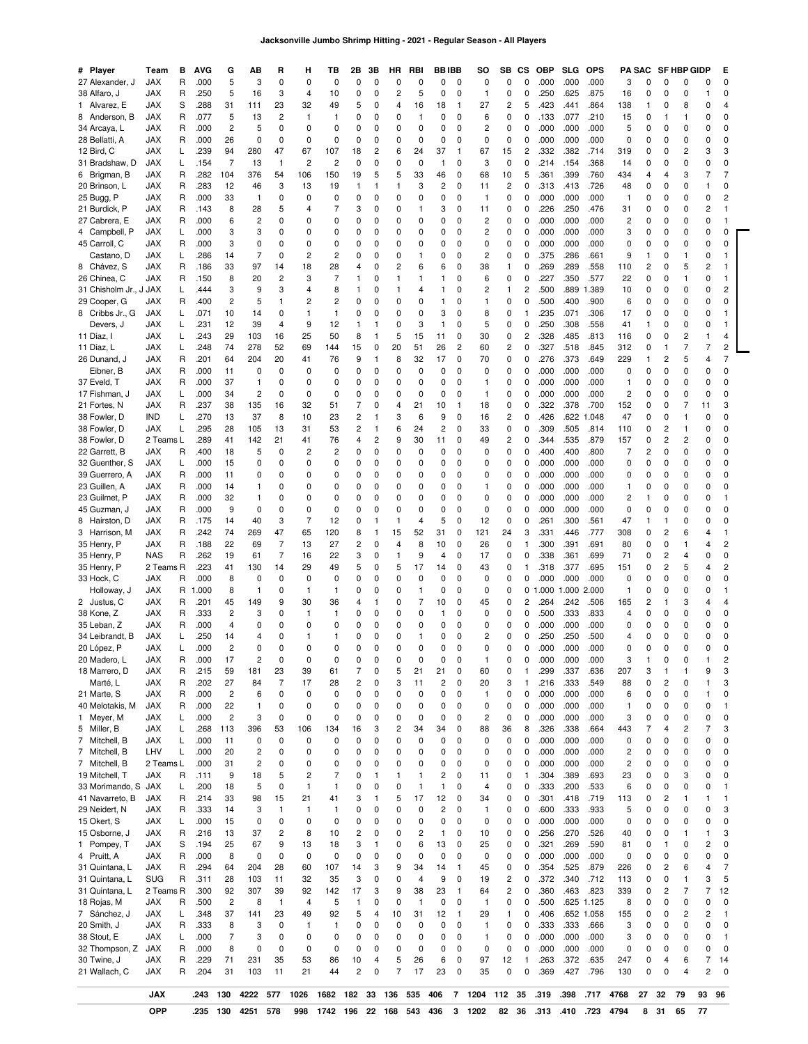| # Player                           | Team                     | в      | AVG          | G                    | АB                      | R                            | н                    | ΤВ                | 2Β                            | 3В                | HR                  | RBI                          | <b>BBIBB</b>  |         | so             | SВ                      | СS            | <b>OBP</b>        | <b>SLG</b>   | <b>OPS</b>     |                | PA SAC |        | <b>SF HBP GIDP</b> |         | Е                   |
|------------------------------------|--------------------------|--------|--------------|----------------------|-------------------------|------------------------------|----------------------|-------------------|-------------------------------|-------------------|---------------------|------------------------------|---------------|---------|----------------|-------------------------|---------------|-------------------|--------------|----------------|----------------|--------|--------|--------------------|---------|---------------------|
| 27 Alexander, J                    | <b>JAX</b>               | R      | .000         | 5                    | 3                       | 0                            | 0                    | 0                 | 0                             | 0                 | 0                   | 0                            | 0             | 0       | 0              | 0                       | 0             | .000              | .000         | .000           | 3              |        | 0      | 0                  | 0       | 0                   |
| 38 Alfaro, J<br>1 Alvarez, E       | <b>JAX</b><br><b>JAX</b> | R<br>S | .250<br>.288 | 5<br>31              | 16<br>111               | 3<br>23                      | $\overline{4}$<br>32 | 10<br>49          | 0<br>5                        | 0<br>0            | $\overline{c}$<br>4 | 5<br>16                      | 0<br>18       | 0<br>-1 | 1<br>27        | 0<br>2                  | 0<br>5        | .250<br>.423      | .625<br>.441 | .875<br>.864   | 16<br>138      | 0<br>1 | 0<br>0 | 0<br>8             | 1<br>0  | 0<br>4              |
| 8 Anderson, B                      | <b>JAX</b>               | R      | .077         | 5                    | 13                      | $\overline{2}$               | -1                   | 1                 | 0                             | 0                 | 0                   | 1                            | 0             | 0       | 6              | 0                       | 0             | .133              | .077         | .210           | 15             | 0      | 1      | 1                  | 0       | 0                   |
| 34 Arcaya, L                       | <b>JAX</b>               | R      | .000         | 2                    | 5                       | 0                            | 0                    | 0                 | 0                             | 0                 | 0                   | 0                            | 0             | 0       | 2              | 0                       | 0             | .000              | .000         | .000           | 5              | 0      | 0      | 0                  | 0       | 0                   |
| 28 Bellatti, A                     | <b>JAX</b>               | R      | .000         | 26                   | 0                       | 0                            | 0                    | 0                 | 0                             | 0                 | 0                   | 0                            | 0             | 0       | 0              | 0                       | 0             | .000              | .000         | .000           | 0              | 0      | 0      | 0                  | 0       | 0                   |
| 12 Bird, C<br>31 Bradshaw, D       | JAX<br>JAX               | L<br>L | .239<br>.154 | 94<br>7              | 280<br>13               | 47<br>1                      | 67<br>$\overline{c}$ | 107<br>2          | 18<br>0                       | 2<br>0            | 6<br>0              | 24<br>0                      | 37<br>1       | -1<br>0 | 67<br>3        | 15<br>0                 | 2<br>0        | .332<br>.214      | .382<br>.154 | .714<br>.368   | 319<br>14      | 0<br>0 | 0<br>0 | 2<br>0             | 3<br>0  | 3<br>0              |
| 6 Brigman, B                       | <b>JAX</b>               | R      | .282         | 104                  | 376                     | 54                           | 106                  | 150               | 19                            | 5                 | 5                   | 33                           | 46            | 0       | 68             | 10                      | 5             | .361              | .399         | .760           | 434            | 4      | 4      | 3                  | 7       | 7                   |
| 20 Brinson, L                      | <b>JAX</b>               | R      | .283         | 12                   | 46                      | 3                            | 13                   | 19                | 1                             | 1                 | $\mathbf{1}$        | 3                            | 2             | 0       | 11             | 2                       | 0             | .313              | .413         | .726           | 48             | 0      | 0      | 0                  | 1       | 0                   |
| 25 Bugg, P                         | <b>JAX</b>               | R      | .000         | 33                   | 1                       | 0                            | 0                    | 0                 | 0                             | 0                 | 0                   | 0                            | 0             | 0       | -1             | 0                       | 0             | .000              | .000         | .000           | -1             | 0      | 0      | 0                  | 0       | 2                   |
| 21 Burdick, P<br>27 Cabrera, E     | JAX<br><b>JAX</b>        | R      | .143         | 8                    | 28                      | 5                            | 4                    | 7                 | 3                             | 0                 | 0                   | 1                            | 3<br>0        | 0       | 11             | 0                       | 0<br>0        | .226              | .250<br>.000 | .476<br>.000   | 31             | 0      | 0      | 0                  | 2       | 1                   |
| 4 Campbell, P                      | JAX                      | R<br>L | .000<br>.000 | 6<br>3               | 2<br>3                  | 0<br>0                       | 0<br>0               | 0<br>0            | 0<br>0                        | 0<br>0            | 0<br>0              | 0<br>0                       | 0             | 0<br>0  | 2<br>2         | 0<br>0                  | 0             | .000<br>.000      | .000         | .000           | 2<br>3         | 0<br>0 | 0<br>0 | 0<br>0             | 0<br>0  | 1<br>0              |
| 45 Carroll, C                      | <b>JAX</b>               | R      | .000         | 3                    | 0                       | 0                            | 0                    | 0                 | 0                             | 0                 | 0                   | 0                            | 0             | 0       | 0              | 0                       | 0             | .000              | .000         | .000           | 0              | 0      | 0      | 0                  | 0       | 0                   |
| Castano, D                         | <b>JAX</b>               | L      | .286         | 14                   | 7                       | 0                            | $\overline{c}$       | 2                 | 0                             | 0                 | 0                   | 1                            | 0             | 0       | $\overline{c}$ | 0                       | 0             | .375              | .286         | .661           | 9              | 1      | 0      | 1                  | 0       | 1                   |
| 8 Chávez, S                        | <b>JAX</b>               | R      | .186         | 33                   | 97                      | 14                           | 18                   | 28                | 4                             | 0                 | $\overline{c}$      | 6                            | 6             | 0       | 38             | 1                       | O             | .269              | .289         | .558           | 110            | 2      | 0      | 5                  | 2       | 1                   |
| 26 Chinea, C<br>31 Chisholm Jr., J | <b>JAX</b><br><b>JAX</b> | R<br>L | .150<br>.444 | 8<br>3               | 20<br>9                 | $\overline{c}$<br>3          | 3<br>4               | 7<br>8            | 1<br>1                        | 0<br>0            | -1<br>-1            | 1<br>4                       | 1<br>1        | 0<br>0  | 6<br>2         | 0<br>-1                 | $\Omega$<br>2 | .227<br>.500      | .350<br>.889 | .577<br>1.389  | 22<br>10       | 0<br>0 | 0<br>0 | 1<br>0             | 0<br>0  | ı<br>2              |
| 29 Cooper, G                       | JAX                      | R      | .400         | $\overline{c}$       | 5                       | 1                            | 2                    | 2                 | 0                             | 0                 | 0                   | 0                            | 1             | 0       | -1             | 0                       | 0             | .500              | .400         | .900           | 6              | 0      | 0      | 0                  | 0       | 0                   |
| 8 Cribbs Jr., G                    | <b>JAX</b>               | L      | .071         | 10                   | 14                      | 0                            | $\mathbf{1}$         | -1                | 0                             | 0                 | 0                   | 0                            | 3             | 0       | 8              | 0                       |               | 235               | .071         | .306           | 17             | 0      | 0      | 0                  | 0       | 1                   |
| Devers, J                          | <b>JAX</b>               | L      | .231         | 12                   | 39                      | 4                            | 9                    | 12                | 1                             | 1                 | 0                   | 3                            | 1             | 0       | 5              | 0                       | 0             | .250              | .308         | .558           | 41             |        | 0      | 0                  | 0       | 1                   |
| 11 Díaz, I<br>11 Díaz. L           | JAX<br><b>JAX</b>        | L<br>L | .243<br>.248 | 29<br>74             | 103<br>278              | 16<br>52                     | 25<br>69             | 50<br>144         | 8<br>15                       | 1<br>0            | 5<br>20             | 15<br>51                     | 11<br>26      | 0<br>2  | 30<br>60       | 0<br>2                  | 2<br>0        | .328<br>.327      | .485<br>.518 | .813<br>.845   | 116<br>312     | 0<br>0 | 0<br>1 | 2<br>7             | 1<br>7  | 4<br>2              |
| 26 Dunand, J                       | JAX                      | R      | .201         | 64                   | 204                     | 20                           | 41                   | 76                | 9                             | -1                | 8                   | 32                           | 17            | 0       | 70             | 0                       | 0             | .276              | .373         | .649           | 229            | -1     | 2      | 5                  | 4       | 7                   |
| Eibner, B                          | JAX                      | R      | .000         | 11                   | 0                       | 0                            | 0                    | 0                 | 0                             | 0                 | 0                   | 0                            | 0             | 0       | 0              | 0                       | 0             | .000              | .000         | .000           | 0              | 0      | 0      | 0                  | 0       | 0                   |
| 37 Eveld, T                        | JAX                      | R      | .000         | 37                   | $\mathbf{1}$            | 0                            | 0                    | 0                 | 0                             | 0                 | 0                   | 0                            | 0             | 0       | -1             | 0                       | 0             | .000              | .000         | .000           | 1              | 0      | 0      | 0                  | 0       | 0                   |
| 17 Fishman, J<br>21 Fortes, N      | <b>JAX</b>               | L<br>R | .000         | 34<br>38             | $\overline{c}$          | 0                            | 0<br>32              | 0                 | 0                             | 0<br>0            | 0<br>4              | 0                            | 0             | 0       | 1<br>18        | 0                       | 0<br>0        | .000<br>.322      | .000<br>.378 | .000<br>.700   | 2<br>152       | 0<br>0 | 0<br>0 | 0<br>7             | 0       | 0<br>3              |
| 38 Fowler, D                       | JAX<br><b>IND</b>        | L      | .237<br>.270 | 13                   | 135<br>37               | 16<br>8                      | 10                   | 51<br>23          | 7<br>2                        | 1                 | 3                   | 21<br>6                      | 10<br>9       | -1<br>0 | 16             | 0<br>2                  | 0             | .426              | .622         | 1.048          | 47             | 0      | 0      | 1                  | 11<br>0 | 0                   |
| 38 Fowler, D                       | <b>JAX</b>               | L      | .295         | 28                   | 105                     | 13                           | 31                   | 53                | 2                             | -1                | 6                   | 24                           | 2             | 0       | 33             | 0                       | 0             | .309              | .505         | .814           | 110            | 0      | 2      | 1                  | 0       | 0                   |
| 38 Fowler, D                       | 2 Teams L                |        | .289         | 41                   | 142                     | 21                           | 41                   | 76                | 4                             | 2                 | 9                   | 30                           | 11            | 0       | 49             | 2                       | O             | .344              | .535         | .879           | 157            | O      | 2      | 2                  | 0       | 0                   |
| 22 Garrett, B                      | JAX                      | R      | .400         | 18                   | 5                       | 0                            | 2                    | 2                 | 0                             | 0                 | 0                   | 0                            | 0             | 0       | 0              | 0                       | 0             | .400              | .400         | .800           | 7              | 2      | 0      | 0                  | 0       | 0                   |
| 32 Guenther, S<br>39 Guerrero, A   | <b>JAX</b><br><b>JAX</b> | L<br>R | .000<br>.000 | 15<br>11             | 0<br>0                  | 0<br>0                       | 0<br>0               | 0<br>0            | 0<br>0                        | 0<br>0            | 0<br>0              | 0<br>0                       | 0<br>0        | 0<br>0  | 0<br>0         | 0<br>0                  | 0<br>0        | .000<br>.000      | .000<br>.000 | .000<br>.000   | 0<br>0         | 0<br>0 | 0<br>0 | 0<br>0             | 0<br>0  | 0<br>0              |
| 23 Guillen, A                      | <b>JAX</b>               | R      | .000         | 14                   | 1                       | 0                            | 0                    | 0                 | 0                             | 0                 | 0                   | 0                            | 0             | 0       | 1              | 0                       | 0             | .000              | .000         | .000           | 1              | 0      | 0      | 0                  | 0       | 0                   |
| 23 Guilmet, P                      | <b>JAX</b>               | R      | .000         | 32                   | 1                       | 0                            | 0                    | 0                 | 0                             | 0                 | 0                   | 0                            | 0             | 0       | 0              | 0                       | 0             | .000              | .000         | .000           | 2              | 1      | 0      | 0                  | 0       | 1                   |
| 45 Guzman, J                       | <b>JAX</b>               | R      | .000         | g                    | 0                       | 0                            | 0                    | 0                 | 0                             | 0                 | 0                   | 0                            | 0             | 0       | 0              | 0                       | 0             | .000              | .000         | .000           | 0              | 0      | 0      | 0                  | 0       | 0                   |
| 8 Hairston, D                      | JAX                      | R      | .175         | 14                   | 40                      | 3                            | $\overline{7}$       | 12                | 0                             | -1                | $\mathbf{1}$        | 4                            | 5             | 0       | 12             | 0                       | 0             | .261              | .300         | .561           | 47             | 1      | 1      | 0                  | 0       | 0                   |
| 3 Harrison, M<br>35 Henry, P       | <b>JAX</b><br><b>JAX</b> | R<br>R | .242<br>.188 | 74<br>22             | 269<br>69               | 47<br>7                      | 65<br>13             | 120<br>27         | 8<br>2                        | -1<br>0           | 15<br>4             | 52<br>8                      | 31<br>10      | 0<br>0  | 121<br>26      | 24<br>0                 | 3<br>1        | .331<br>.300      | .446<br>.391 | .777<br>.691   | 308<br>80      | 0<br>0 | 2<br>0 | 6<br>1             | 4<br>4  | 1<br>$\overline{c}$ |
| 35 Henry, P                        | <b>NAS</b>               | R      | .262         | 19                   | 61                      | 7                            | 16                   | 22                | 3                             | 0                 | -1                  | 9                            | 4             | 0       | 17             | 0                       | 0             | .338              | .361         | .699           | 71             | 0      | 2      | 4                  | 0       | 0                   |
| 35 Henry, P                        | 2 Teams R                |        | .223         | 41                   | 130                     | 14                           | 29                   | 49                | 5                             | 0                 | 5                   | 17                           | 14            | 0       | 43             | 0                       |               | .318              | .377         | .695           | 151            | 0      | 2      | 5                  | 4       | 2                   |
| 33 Hock, C                         | JAX                      | R      | .000         | 8                    | C                       | 0                            | 0                    | 0                 | 0                             | 0                 | 0                   | 0                            | 0             | 0       | 0              | 0                       | 0             | .000              | .000         | .000           | 0              | 0      | 0      | 0                  | 0       | 0                   |
| Holloway, J<br>2 Justus, C         | JAX<br><b>JAX</b>        | R<br>R | .000<br>.201 | 8<br>45              | 1<br>149                | 0<br>9                       | -1<br>30             | -1<br>36          | 0<br>4                        | 0<br>1            | 0<br>0              | 1<br>7                       | 0<br>10       | 0<br>0  | 0<br>45        | 0<br>0                  | 0<br>2        | .000<br>1<br>.264 | .000<br>.242 | 2.000<br>.506  | -1<br>165      | 0<br>2 | 0<br>1 | 0<br>3             | 0<br>4  | 1<br>4              |
| 38 Kone, Z                         | <b>JAX</b>               | R      | .333         | 2                    | 3                       | 0                            | -1                   | 1                 | 0                             | 0                 | 0                   | 0                            | 1             | 0       | 0              | 0                       | 0             | .500              | .333         | .833           | 4              | 0      | 0      | 0                  | 0       | 0                   |
| 35 Leban, Z                        | JAX                      | R      | .000         | 4                    | 0                       | 0                            | 0                    | 0                 | 0                             | 0                 | 0                   | 0                            | 0             | 0       | 0              | 0                       | 0             | .000              | .000         | .000           | 0              | 0      | 0      | 0                  | 0       | 0                   |
| 34 Leibrandt, B                    | JAX                      | L      | .250         | 14                   | 4                       | 0                            | -1                   | 1                 | 0                             | 0                 | 0                   | 1                            | 0             | 0       | 2              | 0                       | 0             | .250              | .250         | .500           | 4              | O      | 0      | 0                  | 0       | 0                   |
| 20 López, P                        | JAX<br>JAX               | L<br>R | .000<br>.000 | $\overline{2}$<br>17 | $\Omega$<br>2           | $\Omega$<br>0                | $\Omega$<br>0        | O<br>0            | O                             | $\Omega$<br>0     | $\Omega$            | $\Omega$<br>0                | $\Omega$<br>0 | n<br>0  | ი<br>1         | 0                       | $\Omega$<br>0 | .000<br>.000      | .000<br>.000 | .000<br>.000   | O<br>3         | ŋ<br>1 | O<br>0 | 0<br>0             | 0<br>1  | 0<br>2              |
| 20 Madero, L<br>18 Marrero, D      | <b>JAX</b>               | R      | .215         | 59                   | 181                     | 23                           | 39                   | 61                | 0<br>7                        | 0                 | 0<br>5              | 21                           | 21            | 0       | 60             | 0<br>0                  | 1             | .299              | .337         | .636           | 207            | 3      | 1      | 1                  | 9       | 3                   |
| Marté, L                           | <b>JAX</b>               | R      | .202         | 27                   | 84                      | 7                            | 17                   | 28                | $\overline{c}$                | 0                 | 3                   | 11                           | 2             | 0       | 20             | 3                       | 1             | .216              | .333         | .549           | 88             | 0      | 2      | 0                  | 1       | 3                   |
| 21 Marte, S                        | <b>JAX</b>               | R      | .000         | 2                    | 6                       | 0                            | 0                    | 0                 | 0                             | 0                 | 0                   | 0                            | 0             | 0       | 1              | 0                       | 0             | .000              | .000         | .000           | 6              | 0      | 0      | 0                  | 1       | 0                   |
| 40 Melotakis, M<br>1 Meyer, M      | JAX<br><b>JAX</b>        | R<br>L | .000<br>.000 | 22<br>2              | $\mathbf{1}$<br>3       | 0<br>0                       | 0<br>0               | 0<br>0            | 0<br>0                        | 0<br>0            | 0<br>0              | 0<br>0                       | 0<br>0        | 0<br>0  | 0<br>2         | 0<br>0                  | 0<br>0        | .000<br>.000      | .000<br>.000 | .000<br>.000   | -1<br>3        | 0<br>0 | 0<br>0 | 0<br>0             | 0<br>0  | 1<br>0              |
| 5 Miller, B                        | JAX                      | L      | .268         | 113                  | 396                     | 53                           | 106                  | 134               | 16                            | 3                 | $\overline{c}$      | 34                           | 34            | 0       | 88             | 36                      | 8             | .326              | .338         | .664           | 443            | 7      | 4      | 2                  | 7       | 3                   |
| 7 Mitchell, B                      | JAX                      | L      | .000         | 11                   | 0                       | 0                            | 0                    | 0                 | 0                             | 0                 | 0                   | 0                            | 0             | 0       | 0              | 0                       | 0             | .000              | .000         | .000           | 0              | 0      | 0      | 0                  | 0       | 0                   |
| 7 Mitchell, B                      | LHV                      | L      | .000         | 20                   | 2                       | 0                            | 0                    | 0                 | 0                             | 0                 | 0                   | 0                            | 0             | 0       | 0              | 0                       | 0             | .000              | .000         | .000           | 2              | 0      | 0      | 0                  | 0       | 0                   |
| 7 Mitchell, B                      | 2 Teams L                |        | .000         | 31                   | $\overline{\mathbf{c}}$ | 0                            | 0                    | 0                 | 0                             | 0                 | 0                   | 0                            | 0             | 0       | 0              | 0                       | 0             | .000              | .000         | .000           | $\overline{c}$ | 0      | 0      | 0                  | 0       | 0                   |
| 19 Mitchell, T<br>33 Morimando, S  | JAX<br><b>JAX</b>        | R<br>L | .111<br>.200 | g<br>18              | 18<br>5                 | 5<br>0                       | 2<br>$\mathbf{1}$    | 7<br>$\mathbf{1}$ | 0<br>0                        | $\mathbf{1}$<br>0 | $\mathbf{1}$<br>0   | $\mathbf{1}$<br>$\mathbf{1}$ | 2<br>1        | 0<br>0  | 11<br>4        | 0<br>0                  | 1<br>0        | .304<br>.333      | .389<br>.200 | .693<br>.533   | 23<br>6        | 0<br>0 | 0<br>0 | 3<br>0             | 0<br>0  | 0<br>1              |
| 41 Navarreto, B                    | JAX                      | R      | .214         | 33                   | 98                      | 15                           | 21                   | 41                | 3                             | $\mathbf{1}$      | 5                   | 17                           | 12            | 0       | 34             | 0                       | 0             | .301              | .418         | .719           | 113            | 0      | 2      | 1                  | 1       | 1                   |
| 29 Neidert, N                      | JAX                      | R      | .333         | 14                   | 3                       | 1                            | $\mathbf{1}$         | $\mathbf{1}$      | 0                             | 0                 | 0                   | 0                            | 2             | 0       | 1              | 0                       | 0             | .600              | .333         | .933           | 5              | 0      | 0      | 0                  | 0       | 3                   |
| 15 Okert, S                        | JAX                      | L      | .000         | 15                   | 0                       | 0                            | 0                    | 0                 | 0                             | 0                 | 0                   | 0                            | 0             | 0       | 0              | 0                       | 0             | .000              | .000         | .000           | 0              | 0      | 0      | 0                  | 0       | 0                   |
| 15 Osborne, J<br>1 Pompey, T       | <b>JAX</b><br><b>JAX</b> | R<br>S | .216<br>.194 | 13<br>25             | 37<br>67                | $\overline{\mathbf{c}}$<br>9 | 8<br>13              | 10<br>18          | 2<br>3                        | O<br>1            | 0<br>0              | 2<br>6                       | 1<br>13       | 0<br>0  | 10<br>25       | 0<br>0                  | 0<br>0        | .256<br>.321      | .270<br>.269 | .526<br>.590   | 40<br>81       | 0<br>0 | 0<br>1 | 1<br>0             | 1<br>2  | 3<br>0              |
| 4 Pruitt, A                        | <b>JAX</b>               | R      | .000         | 8                    | 0                       | 0                            | 0                    | 0                 | 0                             | 0                 | 0                   | 0                            | 0             | 0       | 0              | 0                       | 0             | .000              | .000         | .000           | 0              | 0      | 0      | 0                  | 0       | 0                   |
| 31 Quintana, L                     | <b>JAX</b>               | R      | .294         | 64                   | 204                     | 28                           | 60                   | 107               | 14                            | 3                 | 9                   | 34                           | 14            | -1      | 45             | 0                       | 0             | .354              | .525         | .879           | 226            | 0      | 2      | 6                  | 4       | 7                   |
| 31 Quintana, L                     | <b>SUG</b>               | R      | .311         | 28                   | 103                     | 11                           | 32                   | 35                | 3                             | 0                 | 0                   | 4                            | 9             | 0       | 19             | 2                       | 0             | .372              | .340         | .712           | 113            | 0      | 0      | 1                  | 3       | 5                   |
| 31 Quintana, L                     | 2 Teams R                |        | .300         | 92                   | 307                     | 39                           | 92                   | 142               | 17                            | 3                 | 9                   | 38                           | 23            | -1      | 64             | $\overline{\mathbf{c}}$ | 0             | .360              | .463         | .823           | 339            | 0      | 2      | 7                  | 7       | 12                  |
| 18 Rojas, M<br>7 Sánchez, J        | JAX<br><b>JAX</b>        | R<br>L | .500<br>.348 | 2<br>37              | 8<br>141                | $\mathbf{1}$<br>23           | 4<br>49              | 5<br>92           | 1<br>5                        | 0<br>4            | 0<br>10             | 1<br>31                      | 0<br>12       | 0<br>-1 | 1<br>29        | 0<br>1                  | 0<br>0        | .500<br>.406      | .625<br>.652 | 1.125<br>1.058 | 8<br>155       | 0<br>0 | 0<br>0 | 0<br>2             | 0<br>2  | 0<br>1              |
| 20 Smith, J                        | JAX                      | R      | .333         | 8                    | 3                       | 0                            | -1                   | -1                | 0                             | 0                 | 0                   | 0                            | 0             | 0       | 1              | 0                       | 0             | .333              | .333         | .666           | 3              | 0      | 0      | 0                  | 0       | 0                   |
| 38 Stout, E                        | JAX                      | L      | .000         | 7                    | 3                       | 0                            | 0                    | 0                 | 0                             | 0                 | 0                   | 0                            | 0             | 0       | 1              | 0                       | 0             | .000              | .000         | .000           | 3              | 0      | 0      | 0                  | 0       | $\mathbf{1}$        |
| 32 Thompson, Z                     | JAX                      | R      | .000         | 8                    | 0                       | 0                            | 0                    | 0                 | 0                             | 0                 | 0                   | 0                            | 0             | 0       | 0              | 0                       | 0             | .000              | .000         | .000           | 0              | 0      | 0      | 0                  | 0       | 0                   |
| 30 Twine, J                        | JAX                      | R<br>R | .229         | 71                   | 231                     | 35                           | 53<br>21             | 86                | 10<br>$\overline{\mathbf{c}}$ | 4<br>0            | 5<br>7              | 26                           | 6             | 0       | 97             | 12<br>0                 | 1<br>0        | .263              | .372         | .635           | 247            | 0<br>0 | 4<br>0 | 6<br>4             | 7<br>2  | 14<br>0             |
| 21 Wallach, C                      | JAX                      |        | .204         | 31                   | 103                     | 11                           |                      | 44                |                               |                   |                     | 17                           | 23            | 0       | 35             |                         |               | .369              | .427         | .796           | 130            |        |        |                    |         |                     |
|                                    | <b>JAX</b>               |        | .243         | 130                  | 4222                    | 577                          | 1026                 | 1682              | 182                           | 33                | 136                 | 535                          | 406           | 7       | 1204           | 112                     | 35            | .319              | .398         | .717           | 4768           | 27     | 32     | 79                 | 93      | 96                  |
|                                    | <b>OPP</b>               |        | .235         | 130                  | 4251                    | 578                          | 998                  | 1742 196          |                               | 22                | 168                 | 543                          | 436           | 3       | 1202           | 82                      | 36            | .313              | .410         | .723           | 4794           | 8      | 31     | 65                 | 77      |                     |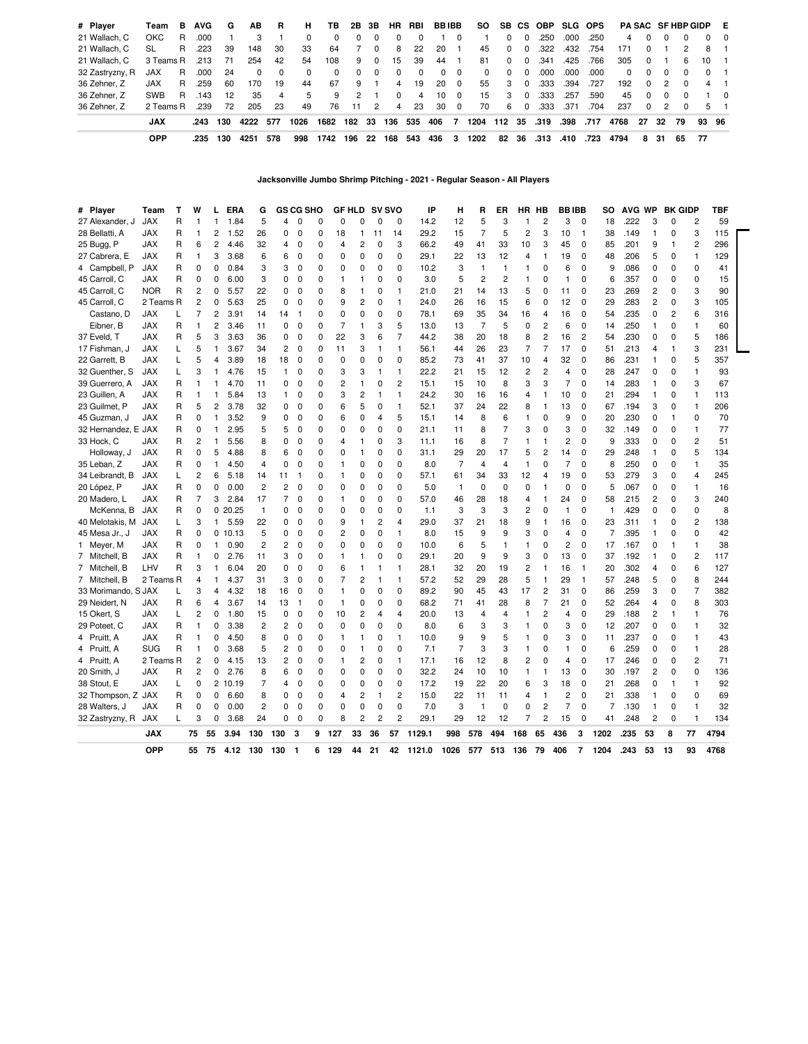| # Player        | Team       | в. | <b>AVG</b> | G   | AВ       | <b>R</b> | н        | тв       | 2B            | 3B            | HR.      | RBI      |            | <b>BBIBB</b>   | <b>SO</b> |          |          | SB CS OBP |      | SLG OPS |          |          |          |          | PA SAC SF HBP GIDP E |              |
|-----------------|------------|----|------------|-----|----------|----------|----------|----------|---------------|---------------|----------|----------|------------|----------------|-----------|----------|----------|-----------|------|---------|----------|----------|----------|----------|----------------------|--------------|
|                 |            |    |            |     |          |          |          |          |               |               |          |          |            |                |           |          |          |           |      |         |          |          |          |          |                      |              |
| 21 Wallach, C   | <b>OKC</b> | R. | .000       |     |          |          | 0        | $\Omega$ | $\Omega$      | $\Omega$      | $\Omega$ | $\Omega$ |            | - 0            |           | 0        | $\Omega$ | .250      | .000 | .250    | 4        | $\Omega$ |          |          |                      | $0\quad 0$   |
| 21 Wallach, C   | -SL        | R. | .223       | 39  | 148      | 30       | 33       | 64       |               | $\Omega$      | 8        | 22       | 20         |                | 45        | $\Omega$ | $\Omega$ | .322      | .432 | .754    | 171      | $\Omega$ |          | 2        | 8                    |              |
| 21 Wallach. C   | 3 Teams R  |    | .213       | 71  | 254      | 42       | 54       | 108      | 9             | $\Omega$      | 15       | 39       | 44         |                | 81        | $\Omega$ | $\Omega$ | .341      | .425 | .766    | 305      | $\Omega$ |          | 6        |                      | $10 \quad 1$ |
| 32 Zastryzny, R | JAX        | R. | .000       | 24  | $\Omega$ | $\Omega$ | $\Omega$ | $\Omega$ | $\Omega$      | $\Omega$      | $\Omega$ | $\Omega$ | $^{\circ}$ | $\Omega$       | $\Omega$  | $\Omega$ | $\Omega$ | .000      | .000 | .000    | $\Omega$ | $\Omega$ | $\Omega$ | $\Omega$ |                      | $0 \quad 1$  |
| 36 Zehner, Z    | <b>JAX</b> | R. | .259       | 60  | 170      | 19       | 44       | 67       | 9             |               | 4        | 19       | 20         | $\Omega$       | 55        | -3       | $\Omega$ | .333      | .394 | .727    | 192      | $\Omega$ | 2        |          |                      | 4 1          |
| 36 Zehner, Z    | <b>SWB</b> | R. | .143       | 12  | 35       | 4        | 5        | 9        | $\mathcal{P}$ |               | $\Omega$ | 4        | 10         | $\Omega$       | 15        | 3        | $\Omega$ | .333      | .257 | .590    | 45       | $\Omega$ | $\Omega$ |          |                      | 10           |
| 36 Zehner, Z    | 2 Teams R  |    | .239       | 72  | 205      | 23       | 49       | 76       | 11            | $\mathcal{P}$ | 4        | 23       | 30         | $\overline{0}$ | 70        | 6        | $\Omega$ | .333      | .371 | .704    | 237      | $\Omega$ | 2        |          |                      | $5 \quad 1$  |
|                 | <b>JAX</b> |    | .243       | 130 | 4222     | 577      | 1026     | 1682     | 182 33        |               | 136      | 535      | 406        | 7              | 1204      | 112      | -35      | .319      | .398 | .717    | 4768     | 27       | -32      | 79       | 93 96                |              |
|                 | <b>OPP</b> |    | .235       | 130 | 4251     | 578      | 998      | 1742     | 196           | -22           | 168      | 543      | 436        | з.             | 1202      | 82       | -36      | .313      | .410 | .723    | 4794     | 8        | -31      | 65       | -77                  |              |

**Jacksonville Jumbo Shrimp Pitching - 2021 - Regular Season - All Players**

| # Player            | Team       | т            | w              |                | <b>ERA</b> | G              |                | <b>GS CG SHO</b> |          |                | <b>GF HLD</b>  |                | <b>SV SVO</b>  | IP     | н            | R              | ER             | HR           | HB             | <b>BBIBB</b> |              | so   | AVG WP |                | <b>BK GIDP</b> |                | <b>TBF</b> |  |
|---------------------|------------|--------------|----------------|----------------|------------|----------------|----------------|------------------|----------|----------------|----------------|----------------|----------------|--------|--------------|----------------|----------------|--------------|----------------|--------------|--------------|------|--------|----------------|----------------|----------------|------------|--|
| 27 Alexander, J     | <b>JAX</b> | R            | 1              | 1              | 1.84       | 5              | 4              | 0                | 0        | 0              | 0              | $\Omega$       | 0              | 14.2   | 12           | 5              | 3              | 1            | $\overline{c}$ | 3            | $\mathbf 0$  | 18   | .222   | 3              | $\Omega$       | $\overline{c}$ | 59         |  |
| 28 Bellatti, A      | JAX        | R            | 1              | 2              | 1.52       | 26             | 0              | 0                | 0        | 18             | 1              | 11             | 14             | 29.2   | 15           | 7              | 5              | 2            | 3              | 10           | $\mathbf{1}$ | 38   | .149   | 1              | 0              | 3              | 115        |  |
| 25 Bugg, P          | JAX        | R            | 6              | 2              | 4.46       | 32             | 4              | 0                | 0        | 4              | $\overline{c}$ | $\Omega$       | 3              | 66.2   | 49           | 41             | 33             | 10           | 3              | 45           | 0            | 85   | .201   | 9              | $\mathbf{1}$   | 2              | 296        |  |
| 27 Cabrera, E       | JAX        | R            | $\mathbf{1}$   | 3              | 3.68       | 6              | 6              | 0                | 0        | 0              | 0              | 0              | 0              | 29.1   | 22           | 13             | 12             | 4            | $\mathbf{1}$   | 19           | 0            | 48   | .206   | 5              | 0              | -1             | 129        |  |
| 4 Campbell, P       | <b>JAX</b> | R            | $\Omega$       | 0              | 0.84       | 3              | 3              | 0                | $\Omega$ | 0              | $\mathbf C$    | $\Omega$       | 0              | 10.2   | 3            | 1              | 1              | 1            | $\Omega$       | 6            | $\mathbf 0$  | 9    | .086   | 0              | 0              | 0              | 41         |  |
| 45 Carroll, C       | JAX        | R            | 0              | 0              | 6.00       | 3              | 0              | O                | $\Omega$ | 1              | $\mathbf{1}$   | $\Omega$       | 0              | 3.0    | 5            | $\overline{c}$ | $\overline{c}$ | 1            | $\Omega$       | 1            | $\mathbf 0$  | 6    | .357   | 0              | 0              | $\Omega$       | 15         |  |
| 45 Carroll, C       | <b>NOR</b> | $\mathsf{R}$ | 2              | 0              | 5.57       | 22             | 0              | 0                | 0        | 8              | -1             | 0              | 1              | 21.0   | 21           | 14             | 13             | 5            | $\Omega$       | 11           | 0            | 23   | .269   | 2              | 0              | 3              | 90         |  |
| 45 Carroll. C       | 2 Teams R  |              | 2              | 0              | 5.63       | 25             | 0              | $\mathbf 0$      | 0        | 9              | 2              | 0              | 1              | 24.0   | 26           | 16             | 15             | 6            | 0              | 12           | $\mathbf 0$  | 29   | .283   | $\overline{2}$ | $\mathbf 0$    | 3              | 105        |  |
| Castano, D          | JAX        | L            | 7              | 2              | 3.91       | 14             | 14             | -1               | 0        | 0              | 0              | 0              | 0              | 78.1   | 69           | 35             | 34             | 16           | 4              | 16           | 0            | 54   | .235   | 0              | 2              | 6              | 316        |  |
| Eibner, B           | <b>JAX</b> | R            | 1              | 2              | 3.46       | 11             | 0              | 0                | $\Omega$ | $\overline{7}$ | $\mathbf{1}$   | 3              | 5              | 13.0   | 13           | 7              | 5              | 0            | $\overline{c}$ | 6            | $\mathbf 0$  | 14   | .250   | $\mathbf{1}$   | 0              | $\mathbf{1}$   | 60         |  |
| 37 Eveld, T         | <b>JAX</b> | R            | 5              | 3              | 3.63       | 36             | 0              | 0                | 0        | 22             | 3              | 6              | $\overline{7}$ | 44.2   | 38           | 20             | 18             | 8            | 2              | 16           | 2            | 54   | .230   | 0              | 0              | 5              | 186        |  |
| 17 Fishman, J       | <b>JAX</b> | L            | 5              | 1              | 3.67       | 34             | $\overline{c}$ | 0                | 0        | 11             | 3              | 1              | $\mathbf{1}$   | 56.1   | 44           | 26             | 23             | 7            | $\overline{7}$ | 17           | $\mathbf 0$  | 51   | .213   | 4              | $\mathbf{1}$   | 3              | 231        |  |
| 22 Garrett, B       | JAX        | L            | 5              | 4              | 3.89       | 18             | 18             | 0                | 0        | 0              | 0              | $\Omega$       | 0              | 85.2   | 73           | 41             | 37             | 10           | 4              | 32           | 0            | 86   | .231   | 1              | 0              | 5              | 357        |  |
| 32 Guenther, S      | <b>JAX</b> | L            | 3              | 1              | 4.76       | 15             | 1              | 0                | $\Omega$ | 3              | 3              | 1              | $\mathbf{1}$   | 22.2   | 21           | 15             | 12             | 2            | $\overline{c}$ | 4            | $\mathbf 0$  | 28   | .247   | 0              | 0              | 1              | 93         |  |
| 39 Guerrero, A      | <b>JAX</b> | R            | 1              | 1              | 4.70       | 11             | 0              | O                | $\Omega$ | 2              | $\mathbf{1}$   | $\Omega$       | 2              | 15.1   | 15           | 10             | 8              | 3            | 3              | 7            | 0            | 14   | .283   | 1              | 0              | 3              | 67         |  |
| 23 Guillen, A       | JAX        | R            | $\mathbf{1}$   | 1              | 5.84       | 13             | 1              | 0                | $\Omega$ | 3              | 2              | 1              | 1              | 24.2   | 30           | 16             | 16             | 4            | -1             | 10           | $\mathbf 0$  | 21   | .294   | 1              | 0              | -1             | 113        |  |
| 23 Guilmet, P       | JAX        | R            | 5              | $\overline{c}$ | 3.78       | 32             | 0              | 0                | $\Omega$ | 6              | 5              | 0              | 1              | 52.1   | 37           | 24             | 22             | 8            | 1              | 13           | $\mathbf 0$  | 67   | .194   | 3              | 0              | $\mathbf{1}$   | 206        |  |
| 45 Guzman, J        | JAX        | R            | 0              | 1              | 3.52       | 9              | 0              | 0                | 0        | 6              | O              | 4              | 5              | 15.1   | 14           | 8              | 6              | 1            | $\Omega$       | 9            | $\mathbf 0$  | 20   | .230   | 0              | $\mathbf{1}$   | 0              | 70         |  |
| 32 Hernandez, E JAX |            | R            | 0              | $\mathbf{1}$   | 2.95       | 5              | 5              | O                | 0        | 0              | $\mathbf C$    | $\Omega$       | $\Omega$       | 21.1   | 11           | 8              | $\overline{7}$ | 3            | $\Omega$       | 3            | $\mathbf 0$  | 32   | .149   | 0              | 0              | $\mathbf{1}$   | 77         |  |
| 33 Hock, C          | JAX        | R            | 2              | -1             | 5.56       | 8              | 0              | 0                | 0        | 4              | -1             | 0              | 3              | 11.1   | 16           | 8              | 7              | 1            | 1              | 2            | 0            | 9    | .333   | 0              | 0              | $\overline{c}$ | 51         |  |
| Holloway, J         | <b>JAX</b> | R            | 0              | 5              | 4.88       | 8              | 6              | 0                | 0        | 0              | $\mathbf{1}$   | $\Omega$       | 0              | 31.1   | 29           | 20             | 17             | 5            | $\overline{c}$ | 14           | 0            | 29   | .248   | 1              | 0              | 5              | 134        |  |
| 35 Leban, Z         | JAX        | R            | 0              | 1              | 4.50       | 4              | 0              | 0                | 0        | 1              | 0              | $\Omega$       | 0              | 8.0    | 7            | 4              | 4              | 1            | 0              | 7            | 0            | 8    | .250   | 0              | 0              | 1              | 35         |  |
| 34 Leibrandt, B     | <b>JAX</b> | L            | 2              | 6              | 5.18       | 14             | 11             | -1               | $\Omega$ | $\mathbf{1}$   | $\mathbf C$    | $\Omega$       | 0              | 57.1   | 61           | 34             | 33             | 12           | 4              | 19           | 0            | 53   | .279   | 3              | 0              | 4              | 245        |  |
| 20 López, P         | JAX        | R            | 0              | 0              | 0.00       | $\overline{c}$ | $\overline{c}$ | 0                | $\Omega$ | 0              | 0              | 0              | 0              | 5.0    | $\mathbf{1}$ | 0              | $\mathbf 0$    | 0            | 1              | 0            | 0            | 5    | .067   | 0              | 0              | $\mathbf 1$    | 16         |  |
| 20 Madero, L        | JAX        | R            | 7              | 3              | 2.84       | 17             | $\overline{7}$ | 0                | 0        | -1             | 0              | 0              | 0              | 57.0   | 46           | 28             | 18             | 4            | 1              | 24           | 0            | 58   | .215   | 2              | 0              | 3              | 240        |  |
| McKenna, B          | <b>JAX</b> | R            | 0              | 0              | 20.25      | $\mathbf{1}$   | 0              | 0                | 0        | 0              | 0              | $\Omega$       | $\Omega$       | 1.1    | 3            | 3              | 3              | 2            | 0              | 1            | $\mathbf 0$  | 1    | .429   | 0              | 0              | $\mathbf 0$    | 8          |  |
| 40 Melotakis, M     | JAX        | L            | 3              | -1             | 5.59       | 22             | 0              | 0                | 0        | 9              | $\mathbf{1}$   | 2              | 4              | 29.0   | 37           | 21             | 18             | 9            | $\mathbf{1}$   | 16           | 0            | 23   | .311   | 1              | 0              | $\overline{c}$ | 138        |  |
| 45 Mesa Jr., J      | <b>JAX</b> | R            | 0              | 0              | 10.13      | 5              | 0              | 0                | 0        | 2              | $\mathbf C$    | $\Omega$       | $\mathbf{1}$   | 8.0    | 15           | 9              | 9              | 3            | 0              | 4            | 0            | 7    | .395   | 1              | 0              | 0              | 42         |  |
| 1 Meyer, M          | JAX        | R            | 0              | 1              | 0.90       | 2              | 2              | 0                | 0        | 0              | 0              | 0              | 0              | 10.0   | 6            | 5              | 1              | 1            | 0              | 2            | 0            | 17   | .167   | 0              | $\mathbf{1}$   | $\mathbf 1$    | 38         |  |
| 7 Mitchell, B       | <b>JAX</b> | R            | $\mathbf{1}$   | 0              | 2.76       | 11             | 3              | 0                | 0        | $\mathbf{1}$   | $\mathbf{1}$   | $\Omega$       | 0              | 29.1   | 20           | 9              | 9              | 3            | $\Omega$       | 13           | $\mathbf 0$  | 37   | .192   | 1              | 0              | 2              | 117        |  |
| 7 Mitchell, B       | LHV        | R            | 3              | 1              | 6.04       | 20             | 0              | 0                | 0        | 6              | $\mathbf{1}$   | 1              | 1              | 28.1   | 32           | 20             | 19             | 2            | 1              | 16           | $\mathbf{1}$ | 20   | .302   | 4              | 0              | 6              | 127        |  |
| 7 Mitchell, B       | 2 Teams R  |              | 4              | 1              | 4.37       | 31             | 3              | 0                | $\Omega$ | 7              | $\overline{c}$ | 1              | 1              | 57.2   | 52           | 29             | 28             | 5            | $\mathbf{1}$   | 29           | $\mathbf{1}$ | 57   | .248   | 5              | 0              | 8              | 244        |  |
| 33 Morimando, S JAX |            | L            | 3              | 4              | 4.32       | 18             | 16             | 0                | $\Omega$ | 1              | 0              | 0              | 0              | 89.2   | 90           | 45             | 43             | 17           | 2              | 31           | 0            | 86   | .259   | 3              | 0              | 7              | 382        |  |
| 29 Neidert, N       | JAX        | R            | 6              | 4              | 3.67       | 14             | 13             | -1               | 0        | 1              | 0              | 0              | 0              | 68.2   | 71           | 41             | 28             | 8            | 7              | 21           | $\mathbf 0$  | 52   | .264   | 4              | 0              | 8              | 303        |  |
| 15 Okert, S         | JAX        | L            | $\overline{c}$ | 0              | 1.80       | 15             | 0              | 0                | 0        | 10             | $\overline{c}$ | 4              | 4              | 20.0   | 13           | 4              | 4              | 1            | $\overline{2}$ | 4            | $\mathbf 0$  | 29   | .188   | $\overline{c}$ | $\mathbf{1}$   | 1              | 76         |  |
| 29 Poteet, C        | JAX        | R            | 1              | 0              | 3.38       | $\overline{c}$ | $\overline{c}$ | 0                | 0        | 0              | 0              | $\Omega$       | 0              | 8.0    | 6            | 3              | 3              | $\mathbf{1}$ | $\Omega$       | 3            | 0            | 12   | .207   | 0              | 0              | $\mathbf{1}$   | 32         |  |
| 4 Pruitt, A         | JAX        | $\mathsf{R}$ | 1              | 0              | 4.50       | 8              | 0              | 0                | 0        | $\mathbf{1}$   | -1             | 0              | 1              | 10.0   | 9            | 9              | 5              | 1            | 0              | 3            | $\mathbf 0$  | 11   | .237   | 0              | 0              | 1              | 43         |  |
| 4 Pruitt, A         | SUG        | R            | 1              | 0              | 3.68       | 5              | 2              | 0                | 0        | 0              | $\mathbf{1}$   | 0              | 0              | 7.1    | 7            | 3              | 3              | 1            | 0              | 1            | 0            | 6    | .259   | 0              | 0              | 1              | 28         |  |
| 4 Pruitt, A         | 2 Teams R  |              | 2              | 0              | 4.15       | 13             | $\overline{c}$ | 0                | 0        | $\mathbf{1}$   | 2              | 0              | 1              | 17.1   | 16           | 12             | 8              | 2            | $\Omega$       | 4            | 0            | 17   | .246   | 0              | 0              | 2              | 71         |  |
| 20 Smith, J         | JAX        | R            | 2              | 0              | 2.76       | 8              | 6              | 0                | $\Omega$ | 0              | 0              | $\Omega$       | 0              | 32.2   | 24           | 10             | 10             | 1            | $\mathbf{1}$   | 13           | 0            | 30   | .197   | 2              | 0              | 0              | 136        |  |
| 38 Stout, E         | JAX        | L            | 0              | 2              | 10.19      | $\overline{7}$ | $\overline{4}$ | 0                | $\Omega$ | 0              | 0              | 0              | $\Omega$       | 17.2   | 19           | 22             | 20             | 6            | 3              | 18           | 0            | 21   | .268   | 0              | $\mathbf{1}$   | 1              | 92         |  |
| 32 Thompson, Z      | JAX        | R            | 0              | 0              | 6.60       | 8              | 0              | 0                | $\Omega$ | 4              | 2              | 1              | $\overline{c}$ | 15.0   | 22           | 11             | 11             | 4            | 1              | 2            | 0            | 21   | .338   | 1              | 0              | 0              | 69         |  |
| 28 Walters, J       | JAX        | R            | 0              | 0              | 0.00       | $\overline{c}$ | 0              | 0                | 0        | 0              | 0              | 0              | 0              | 7.0    | 3            | 1              | 0              | 0            | $\overline{c}$ | 7            | $\mathbf 0$  | 7    | .130   | 1              | $\Omega$       | 1              | 32         |  |
| 32 Zastryzny, R     | <b>JAX</b> | L            | 3              | 0              | 3.68       | 24             | $\mathbf 0$    | 0                | 0        | 8              | $\overline{c}$ | $\overline{2}$ | $\overline{c}$ | 29.1   | 29           | 12             | 12             | 7            | $\overline{c}$ | 15           | $\Omega$     | 41   | .248   | $\overline{2}$ | $\Omega$       | 1              | 134        |  |
|                     | <b>JAX</b> |              | 75             | 55             | 3.94       | 130            | 130            | 3                | 9        | 127            | 33             | 36             | 57             | 1129.1 | 998          | 578            | 494            | 168          | 65             | 436          | 3            | 1202 | .235   | 53             | 8              | 77             | 4794       |  |
|                     | <b>OPP</b> |              | 55             | 75             | 4.12       | 130            | 130            | 1                | 6        | 129            | 44             | 21             | 42             | 1121.0 | 1026         | 577            | 513            | 136          | 79             | 406          | 7            | 1204 | .243   | 53             | 13             | 93             | 4768       |  |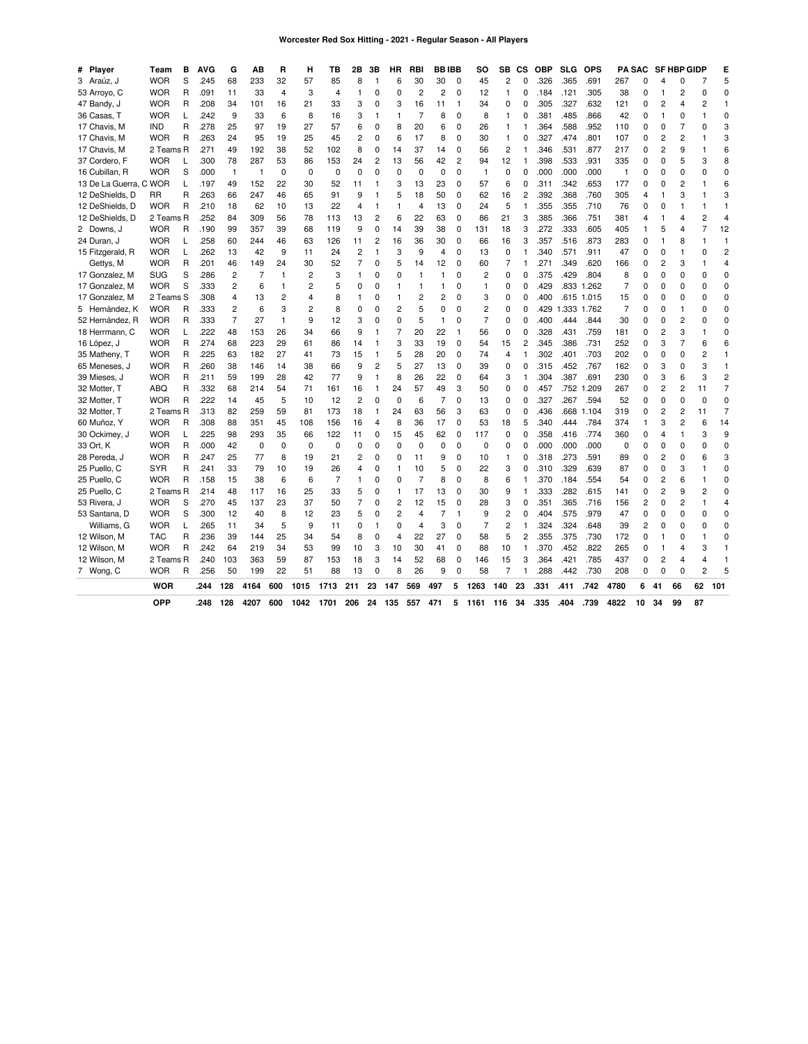| # | Player             | Team       | в | <b>AVG</b> | G              | AB           | R              | н           | ΤВ   | 2Β             | 3В           | ΗR             | RBI            | <b>BBIBB</b>   |                | so             | SB             | СS       | <b>OBP</b> | SLG  | <b>OPS</b> |                | <b>PA SAC</b>  |                | <b>SF HBP GIDP</b> |                | Е              |
|---|--------------------|------------|---|------------|----------------|--------------|----------------|-------------|------|----------------|--------------|----------------|----------------|----------------|----------------|----------------|----------------|----------|------------|------|------------|----------------|----------------|----------------|--------------------|----------------|----------------|
|   | 3 Araúz, J         | <b>WOR</b> | S | .245       | 68             | 233          | 32             | 57          | 85   | 8              |              | 6              | 30             | 30             | $\mathbf 0$    | 45             | 2              | O        | .326       | .365 | .691       | 267            | $\Omega$       | 4              | 0                  | 7              | 5              |
|   | 53 Arroyo, C       | <b>WOR</b> | R | .091       | 11             | 33           | $\overline{4}$ | 3           | 4    | 1              | 0            | $\Omega$       | 2              | $\overline{c}$ | 0              | 12             | 1              | O        | .184       | .121 | .305       | 38             | 0              | 1              | 2                  | 0              | 0              |
|   | 47 Bandy, J        | <b>WOR</b> | R | .208       | 34             | 101          | 16             | 21          | 33   | 3              | 0            | 3              | 16             | 11             | -1             | 34             | 0              | O        | .305       | 327  | .632       | 121            | 0              | 2              | 4                  | 2              | 1              |
|   | 36 Casas, T        | WOR        | L | 242        | 9              | 33           | 6              | 8           | 16   | 3              | -1           |                | 7              | 8              | 0              | 8              |                | O        | 381        | .485 | .866       | 42             | 0              | 1              | 0                  | 1              | $\Omega$       |
|   | 17 Chavis, M       | <b>IND</b> | R | .278       | 25             | 97           | 19             | 27          | 57   | 6              | 0            | 8              | 20             | 6              | 0              | 26             | 1              |          | .364       | .588 | .952       | 110            | $\Omega$       | $\Omega$       | 7                  | 0              | 3              |
|   | 17 Chavis, M       | <b>WOR</b> | R | 263        | 24             | 95           | 19             | 25          | 45   | $\overline{c}$ | 0            | 6              | 17             | 8              | 0              | 30             | 1              | O        | .327       | 474  | .801       | 107            | $\Omega$       | $\overline{c}$ | 2                  |                | 3              |
|   | 17 Chavis, M       | 2 Teams R  |   | 271        | 49             | 192          | 38             | 52          | 102  | 8              | 0            | 14             | 37             | 14             | 0              | 56             | 2              |          | .346       | 531  | .877       | 217            | 0              | 2              | 9                  |                | 6              |
|   | 37 Cordero, F      | <b>WOR</b> | L | 300        | 78             | 287          | 53             | 86          | 153  | 24             | 2            | 13             | 56             | 42             | $\overline{2}$ | 94             | 12             |          | .398       | 533  | .931       | 335            | $\Omega$       | $\Omega$       | 5                  | 3              | 8              |
|   | 16 Cubillan, R     | <b>WOR</b> | S | 000        | 1              | $\mathbf{1}$ | 0              | 0           | 0    | 0              | $\Omega$     | $\Omega$       | 0              | $\Omega$       | 0              | $\overline{1}$ | 0              | O        | .000       | .000 | .000       | $\overline{1}$ | $\Omega$       | $\Omega$       | 0                  | 0              | 0              |
|   | 13 De La Guerra, C | <b>WOR</b> | L | .197       | 49             | 152          | 22             | 30          | 52   | 11             |              | 3              | 13             | 23             | 0              | 57             | 6              | O        | .311       | .342 | .653       | 177            | $\Omega$       | $\Omega$       | 2                  |                | 6              |
|   | 12 DeShields, D    | RR         | R | .263       | 66             | 247          | 46             | 65          | 91   | 9              |              | 5              | 18             | 50             | 0              | 62             | 16             | 2        | .392       | .368 | .760       | 305            | 4              | 1              | 3                  |                | 3              |
|   | 12 DeShields, D    | <b>WOR</b> | R | .210       | 18             | 62           | 10             | 13          | 22   | 4              | $\mathbf{1}$ | 1              | 4              | 13             | 0              | 24             | 5              | 1        | .355       | .355 | .710       | 76             | 0              | 0              |                    |                | 1              |
|   | 12 DeShields, D    | 2 Teams R  |   | 252        | 84             | 309          | 56             | 78          | 113  | 13             | 2            | 6              | 22             | 63             | 0              | 86             | 21             | 3        | .385       | .366 | .751       | 381            | $\overline{4}$ | 1              | 4                  | 2              | 4              |
|   | 2 Downs, J         | <b>WOR</b> | R | .190       | 99             | 357          | 39             | 68          | 119  | 9              | $\mathbf 0$  | 14             | 39             | 38             | 0              | 131            | 18             | 3        | .272       | 333  | .605       | 405            | 1              | 5              | 4                  | 7              | 12             |
|   | 24 Duran, J        | <b>WOR</b> | L | 258        | 60             | 244          | 46             | 63          | 126  | 11             | 2            | 16             | 36             | 30             | 0              | 66             | 16             | 3        | .357       | .516 | .873       | 283            | $\Omega$       | 1              | 8                  |                | 1              |
|   | 15 Fitzgerald, R   | <b>WOR</b> | Г | 262        | 13             | 42           | 9              | 11          | 24   | $\overline{2}$ | 1            | 3              | 9              | $\overline{4}$ | 0              | 13             | $\Omega$       |          | 340        | .571 | .911       | 47             | $\Omega$       | $\Omega$       | 1                  | O              | $\overline{c}$ |
|   | Gettys, M          | <b>WOR</b> | R | .201       | 46             | 149          | 24             | 30          | 52   | 7              | 0            | 5              | 14             | 12             | $\mathbf 0$    | 60             | 7              |          | .271       | .349 | .620       | 166            | $\Omega$       | $\overline{c}$ | 3                  |                | 4              |
|   | 17 Gonzalez, M     | <b>SUG</b> | S | 286        | 2              | 7            | $\mathbf{1}$   | 2           | 3    | 1              | 0            | $\Omega$       | $\mathbf{1}$   |                | 0              | 2              | O              | n        | .375       | .429 | .804       | 8              | $\Omega$       | $\Omega$       | 0                  | 0              | 0              |
|   |                    |            |   |            |                |              |                | 2           |      |                |              |                |                |                | 0              |                |                | O        | .429       |      |            |                | 0              | 0              | 0                  | 0              |                |
|   | 17 Gonzalez, M     | <b>WOR</b> | S | 333        | 2              | 6            | 1              |             | 5    | 0              | 0            |                | 1              | $\overline{c}$ |                | 1              | 0              | O        |            | .833 | 1.262      | 7              |                |                |                    |                | 0<br>O         |
|   | 17 Gonzalez, M     | 2 Teams S  |   | 308        | 4              | 13           | $\overline{c}$ | 4           | 8    | 1              | 0            |                | 2<br>5         |                | 0              | 3              | 0              |          | 400        | .615 | 1.015      | 15             | 0              | 0              | 0                  | 0              |                |
|   | 5 Hernández, K     | <b>WOR</b> | R | .333       | 2              | 6            | 3              | 2           | 8    | $\mathbf 0$    | 0            | 2              |                | 0              | 0              | 2              | 0              | O        | .429       | .333 | 1.762      | $\overline{7}$ | $\Omega$       | $\Omega$       | 1                  | 0              | 0              |
|   | 52 Hernández, R    | WOR        | R | .333       | $\overline{7}$ | 27           | $\mathbf{1}$   | 9           | 12   | 3              | $\Omega$     | $\Omega$       | 5              |                | 0              | 7              | 0              | O        | .400       | .444 | .844       | 30             | $\Omega$       | $\Omega$       | 2                  | 0              | $\Omega$       |
|   | 18 Herrmann, C     | <b>WOR</b> | Г | 222        | 48             | 153          | 26             | 34          | 66   | 9              | 1            | 7              | 20             | 22             | -1             | 56             | 0              | O        | .328       | .431 | .759       | 181            | $\Omega$       | $\overline{c}$ | 3                  |                | $\Omega$       |
|   | 16 López, J        | <b>WOR</b> | R | 274        | 68             | 223          | 29             | 61          | 86   | 14             | 1            | 3              | 33             | 19             | $\mathbf 0$    | 54             | 15             | 2        | .345       | 386  | .731       | 252            | $\Omega$       | 3              | 7                  | 6              | 6              |
|   | 35 Matheny, T      | <b>WOR</b> | R | 225        | 63             | 182          | 27             | 41          | 73   | 15             | -1           | 5              | 28             | 20             | 0              | 74             | 4              |          | 302        | .401 | .703       | 202            | $\Omega$       | $\Omega$       | 0                  | $\overline{c}$ |                |
|   | 65 Meneses, J      | <b>WOR</b> | R | .260       | 38             | 146          | 14             | 38          | 66   | 9              | 2            | 5              | 27             | 13             | 0              | 39             | 0              | O        | .315       | 452  | .767       | 162            | 0              | 3              | 0                  | 3              | 1              |
|   | 39 Mieses, J       | <b>WOR</b> | R | .211       | 59             | 199          | 28             | 42          | 77   | 9              | 1            | 8              | 26             | 22             | 0              | 64             | 3              | 1        | .304       | .387 | .691       | 230            | 0              | 3              | 6                  | 3              | 2              |
|   | 32 Motter, T       | ABQ        | R | .332       | 68             | 214          | 54             | 71          | 161  | 16             | 1            | 24             | 57             | 49             | 3              | 50             | 0              | O        | .457       | .752 | .209<br>-1 | 267            | 0              | 2              | 2                  | 11             | 7              |
|   | 32 Motter. T       | <b>WOR</b> | R | .222       | 14             | 45           | 5              | 10          | 12   | 2              | 0            | $\Omega$       | 6              | 7              | 0              | 13             | 0              | 0        | .327       | .267 | .594       | 52             | $\Omega$       | $\Omega$       | 0                  | 0              | $\Omega$       |
|   | 32 Motter. T       | 2 Teams R  |   | 313        | 82             | 259          | 59             | 81          | 173  | 18             | $\mathbf{1}$ | 24             | 63             | 56             | 3              | 63             | 0              | O        | .436       | .668 | 1.104      | 319            | $\Omega$       | $\overline{c}$ | 2                  | 11             | 7              |
|   | 60 Muñoz, Y        | <b>WOR</b> | R | 308        | 88             | 351          | 45             | 108         | 156  | 16             | 4            | 8              | 36             | 17             | $\mathbf 0$    | 53             | 18             | 5        | .340       | 444  | .784       | 374            | 1              | 3              | 2                  | 6              | 14             |
|   | 30 Ockimey, J      | <b>WOR</b> | L | 225        | 98             | 293          | 35             | 66          | 122  | 11             | 0            | 15             | 45             | 62             | 0              | 117            | 0              | O        | .358       | .416 | .774       | 360            | $\Omega$       | 4              | 1                  | 3              | 9              |
|   | 33 Ort, K          | <b>WOR</b> | R | .000       | 42             | 0            | 0              | $\mathbf 0$ | 0    | 0              | $\Omega$     | $\Omega$       | 0              | $\Omega$       | 0              | 0              | 0              | $\Omega$ | .000       | .000 | .000       | 0              | 0              | 0              | 0                  | O              | $\Omega$       |
|   | 28 Pereda, J       | <b>WOR</b> | R | .247       | 25             | 77           | 8              | 19          | 21   | 2              | 0            | 0              | 11             | 9              | 0              | 10             | 1              | O        | .318       | .273 | .591       | 89             | 0              | $\overline{c}$ | 0                  | 6              | 3              |
|   | 25 Puello, C       | <b>SYR</b> | R | .241       | 33             | 79           | 10             | 19          | 26   | 4              | 0            | 1              | 10             | 5              | 0              | 22             | 3              | O        | .310       | .329 | .639       | 87             | 0              | 0              | 3                  |                | 0              |
|   | 25 Puello, C       | <b>WOR</b> | R | .158       | 15             | 38           | 6              | 6           | 7    | 1              | 0            | 0              | 7              | 8              | 0              | 8              | 6              |          | .370       | .184 | .554       | 54             | 0              | 2              | 6                  |                | 0              |
|   | 25 Puello, C       | 2 Teams R  |   | 214        | 48             | 117          | 16             | 25          | 33   | 5              | 0            |                | 17             | 13             | 0              | 30             | 9              |          | 333        | 282  | .615       | 141            | 0              | $\overline{c}$ | 9                  | 2              | 0              |
|   | 53 Rivera, J       | WOR        | S | .270       | 45             | 137          | 23             | 37          | 50   | 7              | $\Omega$     | 2              | 12             | 15             | 0              | 28             | 3              | O        | .351       | .365 | .716       | 156            | 2              | $\Omega$       | 2                  |                | 4              |
|   | 53 Santana, D      | <b>WOR</b> | S | .300       | 12             | 40           | 8              | 12          | 23   | 5              | 0            | 2              | $\overline{4}$ | 7              | -1             | 9              | 2              | O        | .404       | .575 | .979       | 47             | $\Omega$       | $\Omega$       | 0                  | 0              | $\Omega$       |
|   | Williams, G        | <b>WOR</b> | Г | 265        | 11             | 34           | 5              | 9           | 11   | 0              | $\mathbf{1}$ | $\Omega$       | $\overline{4}$ | 3              | $\mathbf 0$    | 7              | $\overline{2}$ |          | .324       | 324  | .648       | 39             | $\overline{c}$ | $\Omega$       | O                  | O              | 0              |
|   | 12 Wilson, M       | <b>TAC</b> | R | .236       | 39             | 144          | 25             | 34          | 54   | 8              | 0            | $\overline{4}$ | 22             | 27             | 0              | 58             | 5              | 2        | .355       | .375 | .730       | 172            | $\Omega$       | 1              | 0                  |                | $\Omega$       |
|   | 12 Wilson, M       | <b>WOR</b> | R | 242        | 64             | 219          | 34             | 53          | 99   | 10             | 3            | 10             | 30             | 41             | 0              | 88             | 10             | 1        | .370       | .452 | .822       | 265            | $\Omega$       | 1              | 4                  | 3              | 1              |
|   | 12 Wilson, M       | 2 Teams R  |   | .240       | 103            | 363          | 59             | 87          | 153  | 18             | 3            | 14             | 52             | 68             | 0              | 146            | 15             | 3        | .364       | 421  | .785       | 437            | $\Omega$       | 2              | 4                  | 4              |                |
|   | 7 Wong, C          | <b>WOR</b> | R | .256       | 50             | 199          | 22             | 51          | 88   | 13             | $\Omega$     | 8              | 26             | 9              | 0              | 58             | 7              |          | .288       | .442 | .730       | 208            | $\Omega$       | $\Omega$       | O                  | $\overline{2}$ |                |
|   |                    | <b>WOR</b> |   | .244       | 128            | 4164         | 600            | 1015        | 1713 | 211            | 23           | 147            | 569            | 497            | 5              | 1263           | 140            | 23       | .331       | .411 | .742       | 4780           | 6              | 41             | 66                 | 62             | 101            |
|   |                    | <b>OPP</b> |   | .248       | 128            | 4207         | 600            | 1042        | 1701 | 206            | 24           | 135            | 557            | 471            | 5              | 1161           | 116            | 34       | .335       | .404 | .739       | 4822           | 10             | 34             | 99                 | 87             |                |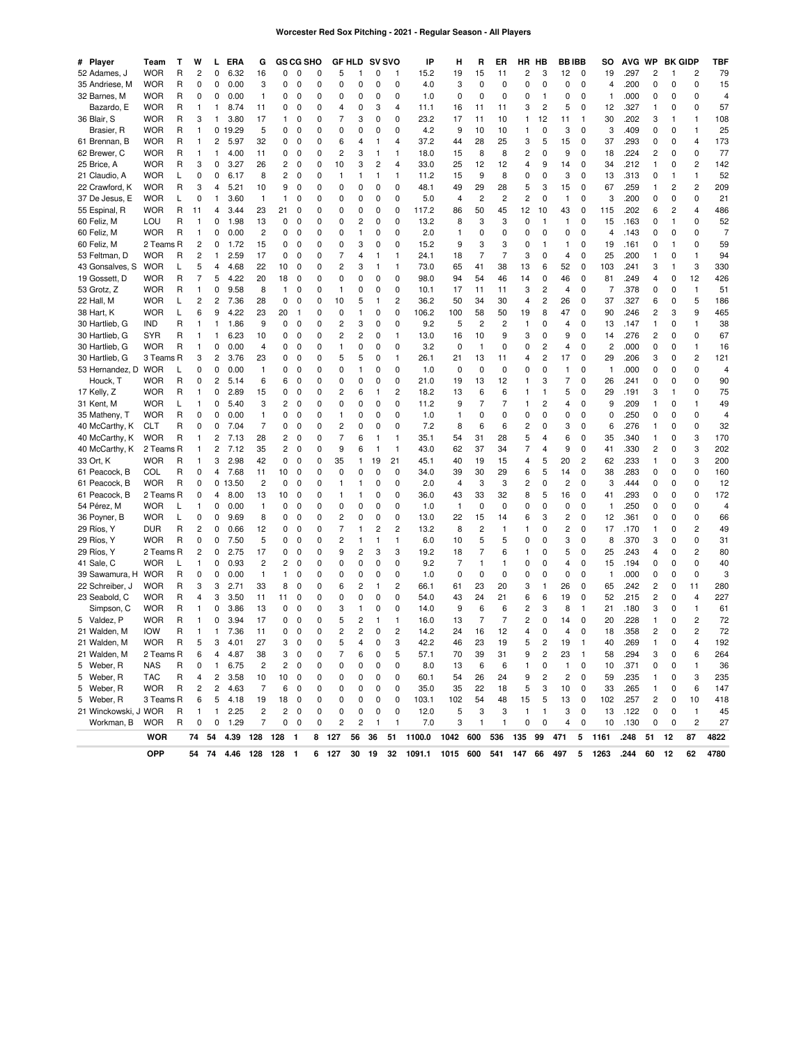## **Worcester Red Sox Pitching - 2021 - Regular Season - All Players**

| # Player             | Team       | ш | W                       | L                       | ERA            | G              | GS CG |   | SHO |       | GF HLD |    | <b>SV SVO</b>  | IP                 | н            | R                       | ER  | HR         | нв                      | BB IBB                  |              | so   | AVG  | WP                      |    | <b>BK GIDP</b> | TBF  |
|----------------------|------------|---|-------------------------|-------------------------|----------------|----------------|-------|---|-----|-------|--------|----|----------------|--------------------|--------------|-------------------------|-----|------------|-------------------------|-------------------------|--------------|------|------|-------------------------|----|----------------|------|
| 52 Adames, J         | <b>WOR</b> | R | $\overline{c}$          | 0                       | 6.32           | 16             | 0     | 0 | 0   | 5     | 1      | 0  | -1             | 15.2               | 19           | 15                      | 11  | 2          | 3                       | 12                      | 0            | 19   | .297 | 2                       | 1  | $\overline{c}$ | 79   |
| 35 Andriese, M       | <b>WOR</b> | R | 0                       | 0                       | 0.00           | 3              | 0     | 0 | 0   | 0     | 0      | 0  | 0              | 4.0                | 3            | 0                       | 0   | 0          | 0                       | 0                       | 0            | 4    | .200 | 0                       | 0  | 0              | 15   |
| 32 Barnes, M         | <b>WOR</b> | R | 0                       | 0                       | 0.00           | $\mathbf{1}$   | 0     | 0 | 0   | 0     | 0      | 0  | 0              | 1.0                | 0            | 0                       | 0   | 0          | 1                       | 0                       | 0            | 1    | .000 | 0                       | 0  | 0              | 4    |
| Bazardo. E           | <b>WOR</b> | R | 1                       | 1                       | 8.74           | 11             | 0     | 0 | 0   | 4     | 0      | 3  | 4              | 11.1               | 16           | 11                      | 11  | 3          | 2                       | 5                       | 0            | 12   | .327 | 1                       | 0  | 0              | 57   |
| 36 Blair, S          | <b>WOR</b> | R | 3                       | 1                       | 3.80           | 17             | 1     | 0 | 0   | 7     | 3      | 0  | 0              | 23.2               | 17           | 11                      | 10  | 1          | 12                      | 11                      | $\mathbf{1}$ | 30   | .202 | 3                       | 1  | 1              | 108  |
| Brasier, R           | <b>WOR</b> | R | 1                       | 0                       | 19.29          | 5              | 0     | 0 | 0   | 0     | 0      | 0  | 0              | 4.2                | 9            | 10                      | 10  | 1          | 0                       | 3                       | 0            | 3    | .409 | 0                       | 0  | 1              | 25   |
| 61 Brennan, B        | <b>WOR</b> | R | 1                       | 2                       | 5.97           | 32             | 0     | 0 | 0   | 6     | 4      | 1  | 4              | 37.2               | 44           | 28                      | 25  | 3          | 5                       | 15                      | 0            | 37   | .293 | 0                       | 0  | 4              | 173  |
| 62 Brewer, C         | <b>WOR</b> | R | 1                       | 1                       | 4.00           | 11             | 0     | 0 | 0   | 2     | 3      | 1  | 1              | 18.0               | 15           | 8                       | 8   | 2          | 0                       | 9                       | 0            | 18   | .224 | 2                       | 0  | 0              | 77   |
| 25 Brice, A          | <b>WOR</b> | R | 3                       | 0                       | 3.27           | 26             | 2     | 0 | 0   | 10    | 3      | 2  | 4              | 33.0               | 25           | 12                      | 12  | 4          | 9                       | 14                      | 0            | 34   | .212 | 1                       | 0  | 2              | 142  |
| 21 Claudio, A        | <b>WOR</b> | L | 0                       | 0                       | 6.17           | 8              | 2     | 0 | 0   | 1     | 1      | 1  | $\mathbf{1}$   | 11.2               | 15           | 9                       | 8   | 0          | 0                       | 3                       | 0            | 13   | .313 | 0                       | 1  | 1              | 52   |
| 22 Crawford, K       | <b>WOR</b> | R | 3                       | 4                       | 5.21           | 10             | 9     | 0 | 0   | 0     | 0      | 0  | 0              | 48.1               | 49           | 29                      | 28  | 5          | 3                       | 15                      | 0            | 67   | .259 | 1                       | 2  | 2              | 209  |
| 37 De Jesus, E       | <b>WOR</b> |   | 0                       | 1                       | 3.60           | 1              | 1     | 0 | 0   | 0     | 0      | 0  | 0              | 5.0                | 4            | 2                       | 2   | 2          | 0                       | 1                       | 0            | 3    | .200 | 0                       | 0  | 0              | 21   |
| 55 Espinal, R        | <b>WOR</b> | R | 11                      | 4                       | 3.44           | 23             | 21    | 0 | 0   | 0     | 0      | 0  | 0              | 117.2              | 86           | 50                      | 45  | 12         | 10                      | 43                      | 0            | 115  | .202 | 6                       | 2  | 4              | 486  |
| 60 Feliz, M          | LOU        | R | 1                       | 0                       | 1.98           | 13             | 0     | 0 | 0   | 0     | 2      | 0  | 0              | 13.2               | 8            | 3                       | 3   | 0          | 1                       | 1                       | 0            | 15   | .163 | 0                       | 1  | 0              | 52   |
| 60 Feliz, M          | <b>WOR</b> | R | 1                       | 0                       | 0.00           | $\overline{c}$ | 0     | 0 | 0   | 0     | 1      | 0  | 0              | 2.0                | 1            | 0                       | 0   | 0          | 0                       | 0                       | 0            | 4    | .143 | 0                       | 0  | 0              | 7    |
| 60 Feliz, M          | 2 Teams R  |   | 2                       | 0                       | 1.72           | 15             | 0     | 0 | 0   | 0     | 3      | 0  | 0              | 15.2               | 9            | 3                       | 3   | 0          | 1                       | 1                       | 0            | 19   | .161 | 0                       | 1  | 0              | 59   |
| 53 Feltman, D        | <b>WOR</b> | R | $\overline{c}$          | 1                       | 2.59           | 17             | 0     | 0 | 0   | 7     | 4      | 1  | 1              | 24.1               | 18           | 7                       | 7   | 3          | 0                       | 4                       | 0            | 25   | .200 | 1                       | 0  | 1              | 94   |
| 43 Gonsalves, S      | <b>WOR</b> | L | 5                       | 4                       | 4.68           | 22             | 10    | 0 | 0   | 2     | 3      | 1  | 1              | 73.0               | 65           | 41                      | 38  | 13         | 6                       | 52                      | 0            | 103  | .241 | 3                       | 1  | 3              | 330  |
| 19 Gossett, D        | <b>WOR</b> | R | 7                       | 5                       | 4.22           | 20             | 18    | 0 | 0   | 0     | 0      | 0  | 0              | 98.0               | 94           | 54                      | 46  | 14         | 0                       | 46                      | 0            | 81   | .249 | 4                       | 0  | 12             | 426  |
| 53 Grotz, Z          | WOR        | R | 1                       | 0                       | 9.58           | 8              | 1     | 0 | 0   | 1     | 0      | 0  | 0              | 10.1               | 17           | 11                      | 11  | 3          | 2                       | 4                       | 0            | 7    | .378 | 0                       | 0  | 1              | 51   |
| 22 Hall, M           | <b>WOR</b> |   | $\overline{\mathbf{c}}$ | $\overline{c}$          | 7.36           | 28             | 0     | 0 | 0   | 10    | 5      | 1  | $\overline{c}$ | 36.2               | 50           | 34                      | 30  | 4          | $\overline{\mathbf{c}}$ | 26                      | 0            | 37   | .327 | 6                       | 0  | 5              | 186  |
| 38 Hart, K           | <b>WOR</b> | L | 6                       | 9                       | 4.22           | 23             | 20    | 1 | 0   | 0     | 1      | 0  | 0              | 106.2              | 100          | 58                      | 50  | 19         | 8                       | 47                      | 0            | 90   | .246 | 2                       | 3  | 9              | 465  |
| 30 Hartlieb, G       | <b>IND</b> | R | 1                       | 1                       | 1.86           | 9              | 0     | 0 | 0   | 2     | 3      | 0  | $\mathbf 0$    | 9.2                | 5            | $\overline{\mathbf{c}}$ | 2   | 1          | 0                       | 4                       | 0            | 13   | .147 | 1                       | 0  | 1              | 38   |
| 30 Hartlieb, G       | SYR        | R | 1                       | 1                       | 6.23           | 10             | 0     | 0 | 0   | 2     | 2      | 0  | -1             | 13.0               | 16           | 10                      | 9   | 3          | 0                       | 9                       | 0            | 14   | .276 | 2                       | 0  | 0              | 67   |
| 30 Hartlieb, G       | <b>WOR</b> | R | 1                       | 0                       | 0.00           | 4              | 0     | 0 | 0   | 1     | 0      | 0  | 0              | 3.2                | 0            | 1                       | 0   | 0          | 2                       | 4                       | 0            | 2    | .000 | 0                       | 0  | 1              | 16   |
| 30 Hartlieb, G       | 3 Teams R  |   | 3                       | $\overline{c}$          | 3.76           | 23             | 0     | 0 | 0   | 5     | 5      | 0  | 1              | 26.1               | 21           | 13                      | 11  | 4          | 2                       | 17                      | 0            | 29   | .206 | 3                       | 0  | 2              | 121  |
| 53 Hernandez, D      | <b>WOR</b> | L | 0                       | 0                       | 0.00           | 1              | 0     | 0 | 0   | 0     | 1      | 0  | 0              | 1.0                | 0            | 0                       | 0   | 0          | 0                       | 1                       | 0            | 1    | .000 | 0                       | 0  | 0              | 4    |
| Houck. T             | <b>WOR</b> | R | 0                       | $\overline{c}$          | 5.14           | 6              | 6     | 0 | 0   | 0     | 0      | 0  | 0              | 21.0               | 19           | 13                      | 12  | 1          | 3                       | 7                       | 0            | 26   | .241 | 0                       | 0  | 0              | 90   |
| 17 Kelly, Z          | WOR        | R | 1                       | 0                       | 2.89           | 15             | 0     | 0 | 0   | 2     | 6      | 1  | 2              | 18.2               | 13           | 6                       | 6   | 1          | 1                       | 5                       | 0            | 29   | .191 | 3                       | 1  | 0              | 75   |
| 31 Kent, M           | <b>WOR</b> | L | 1                       | 0                       | 5.40           | 3              | 2     | 0 | 0   | 0     | 0      | 0  | 0              | 11.2               | 9            | 7                       | 7   | 1          | $\overline{c}$          | 4                       | 0            | 9    | .209 | 1                       | 0  | 1              | 49   |
| 35 Matheny, T        | <b>WOR</b> | R | 0                       | 0                       | 0.00           | 1              | 0     | 0 | 0   | 1     | 0      | 0  | 0              | 1.0                | 1            | 0                       | 0   | 0          | 0                       | 0                       | 0            | 0    | .250 | 0                       | 0  | 0              | 4    |
| 40 McCarthy, K       | <b>CLT</b> | R | 0                       | 0                       | 7.04           | 7              | 0     | 0 | 0   | 2     | 0      | 0  | $\mathbf 0$    | 7.2                | 8            | 6                       | 6   | 2          | 0                       | 3                       | 0            | 6    | .276 | 1                       | 0  | 0              | 32   |
| 40 McCarthy, K       | WOR        | R | 1                       | $\overline{c}$          | 7.13           | 28             | 2     | 0 | 0   | 7     | 6      | 1  | -1             | 35.1               | 54           | 31                      | 28  | 5          | 4                       | 6                       | 0            | 35   | .340 | 1                       | 0  | 3              | 170  |
| 40 McCarthy, K       | 2 Teams R  |   | 1                       | $\overline{c}$          | 7.12           | 35             | 2     | 0 | 0   | 9     | 6      | 1  | 1              | 43.0               | 62           | 37                      | 34  | 7          | 4                       | 9                       | 0            | 41   | .330 | 2                       | 0  | 3              | 202  |
| 33 Ort, K            | WOR        | R | 1                       | 3                       | 2.98           | 42             | 0     | 0 | 0   | 35    | 1      | 19 | 21             | 45.1               | 40           | 19                      | 15  | 4          | 5                       | 20                      | 2            | 62   | .233 | 1                       | 0  | 3              | 200  |
| 61 Peacock, B        | COL        | R | 0                       | 4                       | 7.68           | 11             | 10    | 0 | 0   | 0     | 0      | 0  | 0              | 34.0               | 39           | 30                      | 29  | 6          | 5                       | 14                      | 0            | 38   | .283 | 0                       | 0  | 0              | 160  |
| 61 Peacock, B        | WOR        | R | 0                       | 0                       | 13.50          | $\overline{c}$ | 0     | 0 | 0   | 1     | 1      | 0  | 0              | 2.0                | 4            | 3                       | 3   | 2          | 0                       | 2                       | 0            | 3    | .444 | 0                       | 0  | 0              | 12   |
| 61 Peacock, B        | 2 Teams R  |   | 0                       | 4                       | 8.00           | 13             | 10    | 0 | 0   | 1     | 1      | 0  | 0              | 36.0               | 43           | 33                      | 32  | 8          | 5                       | 16                      | 0            | 41   | .293 | 0                       | 0  | 0              | 172  |
| 54 Pérez, M          | <b>WOR</b> |   | 1                       | 0                       | 0.00           | 1              | 0     | 0 | 0   | 0     | 0      | 0  | $\mathbf 0$    | 1.0                | $\mathbf{1}$ | 0                       | 0   | 0          | 0                       | 0                       | 0            | 1    | .250 | 0                       | 0  | 0              | 4    |
| 36 Poyner, B         | <b>WOR</b> | L | 0                       | 0                       | 9.69           | 8              | 0     | 0 | 0   | 2     | 0      | 0  | 0              | 13.0               | 22           | 15                      | 14  | 6          | 3                       | 2                       | 0            | 12   | .361 | 0                       | 0  | 0              | 66   |
| 29 Ríos, Y           | DUR        | R | 2                       | 0                       | 0.66           | 12             | 0     | 0 | 0   | 7     | 1      | 2  | $\overline{c}$ | 13.2               | 8            | 2                       | 1   | 1          | 0                       | 2                       | 0            | 17   | .170 | 1                       | 0  | 2              | 49   |
| 29 Ríos, Y           | <b>WOR</b> | R | 0                       | 0                       | 7.50           | 5              | 0     | 0 | 0   | 2     | 1      | 1  | $\mathbf{1}$   | 6.0                | 10           | 5                       | 5   | 0          | 0                       | 3                       | 0            | 8    | .370 | 3                       | 0  | 0              | 31   |
| 29 Ríos, Y           | 2 Teams R  |   | 2                       | 0                       | 2.75           | 17             | 0     | 0 | 0   | 9     | 2      | 3  | 3              | 19.2               | 18           | 7                       | 6   | 1          | 0                       | 5                       | 0            | 25   | .243 | 4                       | 0  | 2              | 80   |
| 41 Sale, C           | <b>WOR</b> |   | 1                       | 0                       | 0.93           | 2              | 2     | 0 | 0   | 0     | 0      | 0  | 0              | 9.2                | 7            | 1                       | 1   | 0          | 0                       | 4                       | 0            | 15   | .194 | 0                       | 0  | 0              | 40   |
| 39 Sawamura, H       | <b>WOR</b> | R | 0                       | 0                       | 0.00           | $\mathbf{1}$   | 1     | 0 | 0   | 0     | 0      | 0  | 0              | 1.0                | 0            | 0                       | 0   | 0          | 0                       | 0                       | 0            | 1    | .000 | 0                       | 0  | 0              | 3    |
| 22 Schreiber, J      | <b>WOR</b> | R | 3                       | 3                       | 2.71           | 33             | 8     | 0 | 0   | 6     | 2      | 1  | $\overline{c}$ | 66.1               | 61           | 23                      | 20  | 3          | 1                       | 26                      | 0            | 65   | .242 | $\overline{\mathbf{c}}$ | 0  | 11             | 280  |
| 23 Seabold, C        | <b>WOR</b> | R | 4                       | 3                       | 3.50           | 11             | 11    | 0 | 0   | 0     | 0      | 0  | 0              | 54.0               | 43           | 24                      | 21  | 6          | 6                       | 19                      | 0            | 52   | .215 | 2                       | 0  | 4              | 227  |
| Simpson, C           | <b>WOR</b> | R | 1                       | 0                       | 3.86           | 13             | 0     | 0 | 0   | 3     | 1      | 0  | 0              | 14.0               | 9            | 6                       | 6   | 2          | 3                       | 8                       | -1           | 21   | .180 | 3                       | 0  | 1              | 61   |
| 5 Valdez, P          | WOR        | R | 1                       | 0                       | 3.94           | 17             | 0     | 0 | 0   | 5     | 2      | 1  | 1              | 16.0               | 13           | 7                       | 7   | 2          | 0                       | 14                      | 0            | 20   | .228 | 1                       | 0  | 2              | 72   |
| 21 Walden, M         | <b>IOW</b> | R | 1                       | 1                       | 7.36           | 11             | 0     | 0 | 0   | 2     | 2      | 0  | $\overline{c}$ | 14.2               | 24           | 16                      | 12  | 4          | 0                       | 4                       | 0            | 18   | .358 | 2                       | 0  | 2              | 72   |
| 21 Walden, M         | <b>WOR</b> | R | 5                       | 3                       | 4.01           | 27             | 3     | 0 | 0   | 5     | 4      | 0  | 3              | 42.2               | 46           | 23                      | 19  | 5          | $\overline{c}$          | 19                      | -1           | 40   | .269 | 1                       | 0  | 4              | 192  |
| 21 Walden, M         | 2 Teams R  |   | 6                       | 4                       | 4.87           | 38             | 3     | 0 | 0   |       | 6      | 0  | 5              | 57.1               | 70           | 39                      | 31  | 9          | 2                       | 23                      |              | 58   | .294 | 3                       | 0  | 6              | 264  |
| 5 Weber, R           | NAS        | R | 0                       | 1                       | 6.75           | 2              | 2     | 0 | 0   | 0     | 0      | 0  | 0              | 8.0                | 13           | 6                       | 6   | 1          | 0                       | 1                       | 0            | 10   | .371 | 0                       | 0  | 1              | 36   |
| 5 Weber, R           | TAC        | R | 4                       | 2                       | 3.58           | 10             | 10    | 0 | 0   | 0     | 0      | 0  | 0              | 60.1               | 54           | 26                      | 24  | 9          | 2                       | $\overline{\mathbf{c}}$ | 0            | 59   | .235 | 1                       | 0  | 3              | 235  |
| 5 Weber, R           | <b>WOR</b> | R | $\overline{\mathbf{c}}$ | $\overline{\mathbf{c}}$ | 4.63           | 7              | 6     | 0 | 0   | 0     | 0      | 0  | 0              | 35.0               | 35           | 22                      | 18  | 5          | 3                       | 10                      | 0            | 33   | .265 | 1                       | 0  | 6              | 147  |
| 5 Weber, R           | 3 Teams R  |   | 6                       | 5                       | 4.18           | 19             | 18    | 0 | 0   | 0     | 0      | 0  | 0              | 103.1              | 102          | 54                      | 48  | 15         | 5                       | 13                      | 0            | 102  | .257 | 2                       | 0  | 10             | 418  |
| 21 Winckowski, J WOR |            | R | 1                       | $\mathbf{1}$            | 2.25           | 2              | 2     | 0 | 0   | 0     | 0      | 0  | 0              | 12.0               | 5            | 3                       | 3   | 1          | 1                       | 3                       | 0            | 13   | .122 | 0                       | 0  | 1              | 45   |
| Workman, B           | <b>WOR</b> | R | 0                       | 0                       | 1.29           | 7              | 0     | 0 | 0   | 2     | 2      | 1  | $\mathbf{1}$   | 7.0                | 3            | -1                      | 1   | 0          | 0                       | 4                       | 0            | 10   | .130 | 0                       | 0  | $\overline{c}$ | 27   |
|                      | <b>WOR</b> |   | 74                      | 54                      | 4.39           | 128            | 128   | 1 | 8   | 127   | 56     | 36 | 51             | 1100.0             | 1042         | 600                     | 536 | 135        | 99                      | 471                     | 5            | 1161 | .248 | 51                      | 12 | 87             | 4822 |
|                      | <b>OPP</b> |   | 54                      | 74                      | 4.46 128 128 1 |                |       |   |     | 6 127 | 30 19  |    |                | 32 1091.1 1015 600 |              |                         |     | 541 147 66 |                         | 497                     | 5            | 1263 | .244 | 60 12                   |    | 62             | 4780 |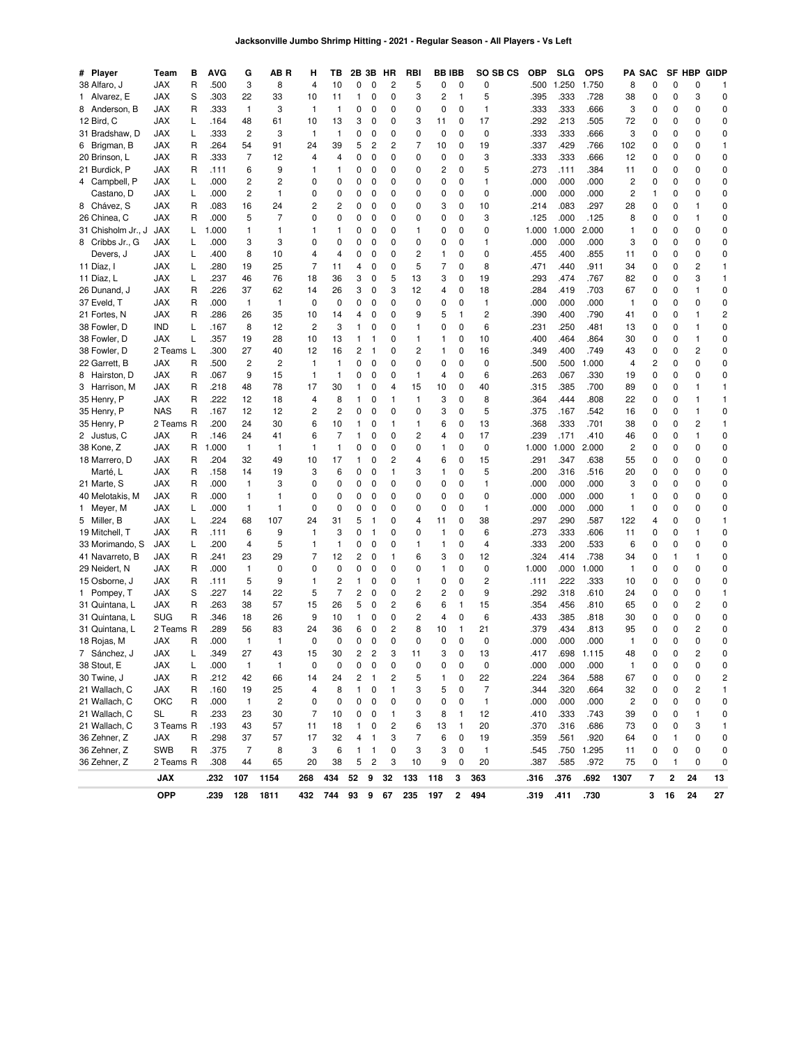| # Player           | Team       | в | AVG          | G            | AB R | н   | ΤВ             | 2В                      | 3В             | HR             | RBI    | <b>BB IBB</b>  |              | SO SB CS     | ОВР   | <b>SLG</b> | OPS   |                | PA SAC |    |    | SF HBP GIDP    |
|--------------------|------------|---|--------------|--------------|------|-----|----------------|-------------------------|----------------|----------------|--------|----------------|--------------|--------------|-------|------------|-------|----------------|--------|----|----|----------------|
| 38 Alfaro, J       | JAX        | R | .500         | 3            | 8    | 4   | 10             | 0                       | 0              | 2              | 5      | 0              | 0            | 0            | .500  | 1.250      | 1.750 | 8              | 0      | 0  | 0  | 1              |
| 1 Alvarez, E       | JAX        | S | .303         | 22           | 33   | 10  | 11             | 1                       | 0              | 0              | 3      | 2              | 1            | 5            | .395  | .333       | .728  | 38             | 0      | 0  | 3  | 0              |
| 8 Anderson, B      | JAX        | R | .333         | $\mathbf{1}$ | 3    | 1   | 1              | 0                       | 0              | 0              | 0      | 0              | 0            | 1            | .333  | .333       | .666  | 3              | 0      | 0  | 0  | 0              |
| 12 Bird, C         | JAX        | L | .164         | 48           | 61   | 10  | 13             | 3                       | 0              | 0              | 3      | 11             | 0            | 17           | .292  | .213       | .505  | 72             | 0      | 0  | 0  | 0              |
| 31 Bradshaw, D     | <b>JAX</b> | L | .333         | 2            | 3    | 1   | 1              | 0                       | 0              | 0              | 0      | 0              | 0            | 0            | .333  | .333       | .666  | 3              | 0      | 0  | 0  | 0              |
| 6 Brigman, B       | JAX        | R | .264         | 54           | 91   | 24  | 39             | 5                       | 2              | $\overline{c}$ | 7      | 10             | 0            | 19           | .337  | .429       | .766  | 102            | 0      | 0  | 0  | 1              |
| 20 Brinson, L      | <b>JAX</b> | R | .333         | 7            | 12   | 4   | 4              | 0                       | 0              | 0              | 0      | 0              | 0            | 3            | .333  | .333       | .666  | 12             | 0      | 0  | 0  | 0              |
| 21 Burdick, P      | JAX        | R | .111         | 6            | 9    | 1   | 1              | 0                       | 0              | 0              | 0      | 2              | 0            | 5            | .273  | .111       | .384  | 11             | 0      | 0  | 0  | 0              |
| 4 Campbell, P      | JAX        | L | .000         | 2            | 2    | 0   | 0              | 0                       | 0              | 0              | 0      | $\mathbf 0$    | 0            | 1            | .000  | .000       | .000  | 2              | 0      | 0  | 0  | 0              |
| Castano, D         | JAX        | L | .000         | 2            | 1    | 0   | 0              | 0                       | 0              | 0              | 0      | 0              | 0            | 0            | .000  | .000       | .000  | 2              | 1      | 0  | 0  | 0              |
| 8 Chávez, S        | JAX        | R | .083         | 16           | 24   | 2   | 2              | 0                       | 0              | 0              | 0      | 3              | $\pmb{0}$    | 10           | .214  | .083       | .297  | 28             | 0      | 0  | 1  | 0              |
| 26 Chinea, C       | JAX        | R | .000         | 5            | 7    | 0   | 0              | 0                       | 0              | 0              | 0      | 0              | 0            | 3            | .125  | .000       | .125  | 8              | 0      | 0  | 1  | 0              |
| 31 Chisholm Jr., J | <b>JAX</b> | L | 1.000        | 1            | 1    | 1   | 1              | 0                       | 0              | 0              | 1      | 0              | 0            | 0            | 1.000 | 1.000      | 2.000 | 1              | 0      | 0  | 0  | 0              |
| 8 Cribbs Jr., G    | JAX        | L | .000         | 3            | 3    | 0   | 0              | 0                       | 0              | 0              | 0      | $\mathbf 0$    | $\mathbf 0$  | 1            | .000  | .000       | .000  | 3              | 0      | 0  | 0  | 0              |
| Devers, J          | <b>JAX</b> | L | .400         | 8            | 10   | 4   | 4              | 0                       | 0              | 0              | 2      | 1              | 0            | 0            | .455  | .400       | .855  | 11             | 0      | 0  | 0  | 0              |
| 11 Díaz, I         | JAX        | L | .280         | 19           | 25   | 7   | 11             | 4                       | 0              | 0              | 5      | 7              | 0            | 8            | .471  | .440       | .911  | 34             | 0      | 0  | 2  | 1              |
| 11 Díaz, L         | <b>JAX</b> | L | .237         | 46           | 76   | 18  | 36             | 3                       | 0              | 5              | 13     | 3              | 0            | 19           | .293  | .474       | .767  | 82             | 0      | 0  | 3  | 1              |
| 26 Dunand, J       | <b>JAX</b> | R | .226         | 37           | 62   | 14  | 26             | 3                       | 0              | 3              | 12     | 4              | 0            | 18           | .284  | .419       | .703  | 67             | 0      | 0  | 1  | 0              |
| 37 Eveld, T        | JAX        | R | .000         | $\mathbf{1}$ | 1    | 0   | 0              | 0                       | 0              | 0              | 0      | 0              | 0            | 1            | .000  | .000       | .000  | $\mathbf{1}$   | 0      | 0  | 0  | 0              |
| 21 Fortes, N       | <b>JAX</b> | R | .286         | 26           | 35   | 10  | 14             | 4                       | 0              | 0              | 9      | 5              | 1            | 2            | .390  | .400       | .790  | 41             | 0      | 0  | 1  | 2              |
|                    |            |   |              | 8            |      | 2   | 3              |                         |                | 0              |        |                |              |              |       | .250       |       |                |        | 0  | 1  | 0              |
| 38 Fowler, D       | <b>IND</b> | L | .167<br>.357 |              | 12   |     |                | 1                       | 0              |                | 1      | 0              | 0            | 6            | .231  |            | .481  | 13             | 0      |    | 1  |                |
| 38 Fowler, D       | <b>JAX</b> | L | .300         | 19<br>27     | 28   | 10  | 13             | 1<br>$\overline{c}$     | 1              | 0<br>0         | 1<br>2 | 1              | 0            | 10           | .400  | .464       | .864  | 30             | 0      | 0  | 2  | 0<br>0         |
| 38 Fowler, D       | 2 Teams L  |   |              |              | 40   | 12  | 16             |                         | 1              |                |        | 1              | 0            | 16           | .349  | .400       | .749  | 43             | 0      | 0  |    |                |
| 22 Garrett, B      | JAX        | R | .500         | 2            | 2    | 1   | 1              | 0                       | 0              | 0              | 0      | 0              | 0            | $\mathbf 0$  | .500  | .500       | 1.000 | 4              | 2      | 0  | 0  | 0              |
| 8 Hairston, D      | JAX        | R | .067         | 9            | 15   | 1   | $\mathbf{1}$   | 0                       | 0              | 0              | 1      | $\overline{4}$ | 0            | 6            | .263  | .067       | .330  | 19             | 0      | 0  | 0  | 0              |
| 3 Harrison, M      | JAX        | R | .218         | 48           | 78   | 17  | 30             | 1                       | 0              | 4              | 15     | 10             | 0            | 40           | .315  | .385       | .700  | 89             | 0      | 0  | 1  | 1              |
| 35 Henry, P        | JAX        | R | .222         | 12           | 18   | 4   | 8              | 1                       | 0              | 1              | 1      | 3              | 0            | 8            | .364  | .444       | .808  | 22             | 0      | 0  | 1  | 1              |
| 35 Henry, P        | <b>NAS</b> | R | .167         | 12           | 12   | 2   | 2              | 0                       | 0              | 0              | 0      | 3              | 0            | 5            | .375  | .167       | .542  | 16             | 0      | 0  | 1  | 0              |
| 35 Henry, P        | 2 Teams R  |   | .200         | 24           | 30   | 6   | 10             | 1                       | 0              | 1              | 1      | 6              | 0            | 13           | .368  | .333       | .701  | 38             | 0      | 0  | 2  | 1              |
| 2 Justus, C        | <b>JAX</b> | R | .146         | 24           | 41   | 6   | 7              | 1                       | 0              | 0              | 2      | 4              | 0            | 17           | .239  | .171       | .410  | 46             | 0      | 0  | 1  | 0              |
| 38 Kone, Z         | JAX        | R | 1.000        | $\mathbf{1}$ | 1    | 1   | $\mathbf{1}$   | 0                       | 0              | 0              | 0      | $\mathbf{1}$   | 0            | 0            | 1.000 | 1.000      | 2.000 | $\overline{c}$ | 0      | 0  | 0  | 0              |
| 18 Marrero, D      | <b>JAX</b> | R | .204         | 32           | 49   | 10  | 17             | 1                       | 0              | $\overline{c}$ | 4      | 6              | 0            | 15           | .291  | .347       | .638  | 55             | 0      | 0  | 0  | 0              |
| Marté, L           | JAX        | R | .158         | 14           | 19   | 3   | 6              | 0                       | 0              | 1              | 3      | 1              | 0            | 5            | .200  | .316       | .516  | 20             | 0      | 0  | 0  | 0              |
| 21 Marte, S        | JAX        | R | .000         | 1            | 3    | 0   | 0              | 0                       | 0              | 0              | 0      | 0              | 0            | 1            | .000  | .000       | .000  | 3              | 0      | 0  | 0  | 0              |
| 40 Melotakis, M    | JAX        | R | .000         | 1            | 1    | 0   | 0              | 0                       | 0              | 0              | 0      | 0              | 0            | 0            | .000  | .000       | .000  | 1              | 0      | 0  | 0  | 0              |
| 1 Meyer, M         | JAX        | L | .000         | 1            | 1    | 0   | 0              | 0                       | 0              | 0              | 0      | 0              | 0            | 1            | .000  | .000       | .000  | 1              | 0      | 0  | 0  | 0              |
| 5 Miller, B        | JAX        | L | .224         | 68           | 107  | 24  | 31             | 5                       | 1              | 0              | 4      | 11             | 0            | 38           | .297  | .290       | .587  | 122            | 4      | 0  | 0  | 1              |
| 19 Mitchell, T     | JAX        | R | .111         | 6            | 9    | 1   | 3              | 0                       | 1              | 0              | 0      | -1             | 0            | 6            | .273  | .333       | .606  | 11             | 0      | 0  | 1  | 0              |
| 33 Morimando, S    | <b>JAX</b> | L | .200         | 4            | 5    | 1   | 1              | 0                       | 0              | 0              | 1      | 1              | 0            | 4            | .333  | .200       | .533  | 6              | 0      | 0  | 0  | 0              |
| 41 Navarreto, B    | <b>JAX</b> | R | .241         | 23           | 29   | 7   | 12             | $\overline{c}$          | 0              | 1              | 6      | 3              | 0            | 12           | .324  | .414       | .738  | 34             | 0      | 1  | 1  | 0              |
| 29 Neidert, N      | JAX        | R | .000         | 1            | 0    | 0   | 0              | 0                       | 0              | 0              | 0      | 1              | 0            | 0            | 1.000 | .000       | 1.000 | $\mathbf{1}$   | 0      | 0  | 0  | 0              |
| 15 Osborne, J      | JAX        | R | .111         | 5            | 9    | 1   | $\overline{c}$ | $\mathbf{1}$            | 0              | 0              | 1      | 0              | 0            | 2            | .111  | .222       | .333  | 10             | 0      | 0  | 0  | 0              |
| 1 Pompey, T        | <b>JAX</b> | S | .227         | 14           | 22   | 5   | 7              | 2                       | 0              | 0              | 2      | 2              | 0            | 9            | .292  | .318       | .610  | 24             | 0      | 0  | 0  | 1              |
| 31 Quintana, L     | JAX        | R | .263         | 38           | 57   | 15  | 26             | 5                       | 0              | 2              | 6      | 6              | 1            | 15           | .354  | .456       | .810  | 65             | 0      | 0  | 2  | 0              |
| 31 Quintana, L     | <b>SUG</b> | R | .346         | 18           | 26   | 9   | 10             | 1                       | 0              | 0              | 2      | 4              | 0            | 6            | .433  | .385       | .818  | 30             | 0      | 0  | 0  | 0              |
| 31 Quintana, L     | 2 Teams R  |   | .289         | 56           | 83   | 24  | 36             | 6                       | 0              | $\overline{c}$ | 8      | 10             | 1            | 21           | .379  | .434       | .813  | 95             | 0      | 0  | 2  | 0              |
| 18 Rojas, M        | JAX        | R | .000         | $\mathbf{1}$ | 1    | 0   | 0              | 0                       | 0              | 0              | 0      | $\mathbf 0$    | 0            | 0            | .000  | .000       | .000  | 1              | 0      | 0  | 0  | 0              |
| 7 Sánchez, J       | JAX        | L | 349          | 27           | 43   | 15  | 30             | $\overline{2}$          | $\overline{2}$ | 3              | 11     | 3              | $\mathbf 0$  | 13           | .417  | .698       | 1.115 | 48             | 0      | 0  | 2  | 0              |
| 38 Stout, E        | JAX        | L | .000         | $\mathbf{1}$ | 1    | 0   | 0              | $\pmb{0}$               | $\pmb{0}$      | 0              | 0      | 0              | 0            | 0            | .000  | .000       | .000  | $\mathbf{1}$   | 0      | 0  | 0  | 0              |
| 30 Twine, J        | <b>JAX</b> | R | .212         | 42           | 66   | 14  | 24             | $\overline{\mathbf{c}}$ | $\mathbf{1}$   | $\overline{c}$ | 5      | 1              | 0            | 22           | .224  | .364       | .588  | 67             | 0      | 0  | 0  | $\overline{c}$ |
| 21 Wallach, C      | JAX        | R | .160         | 19           | 25   | 4   | 8              | 1                       | 0              | $\mathbf{1}$   | 3      | 5              | 0            | 7            | .344  | .320       | .664  | 32             | 0      | 0  | 2  | 1              |
| 21 Wallach, C      | ОКС        | R | .000         | $\mathbf{1}$ | 2    | 0   | 0              | 0                       | 0              | 0              | 0      | 0              | 0            | $\mathbf{1}$ | .000  | .000       | .000  | 2              | 0      | 0  | 0  | 0              |
| 21 Wallach, C      | SL         | R | .233         | 23           | 30   | 7   | 10             | 0                       | 0              | 1              | 3      | 8              | 1            | 12           | .410  | .333       | .743  | 39             | 0      | 0  | 1  | 0              |
| 21 Wallach, C      | 3 Teams R  |   | .193         | 43           | 57   | 11  | 18             | 1                       | 0              | 2              | 6      | 13             | 1            | 20           | .370  | .316       | .686  | 73             | 0      | 0  | 3  | 1              |
| 36 Zehner, Z       | JAX        | R | .298         | 37           | 57   | 17  | 32             | 4                       | 1              | 3              | 7      | 6              | 0            | 19           | .359  | .561       | .920  | 64             | 0      | 1  | 0  | 0              |
| 36 Zehner, Z       | <b>SWB</b> | R | .375         | 7            | 8    | 3   | 6              | 1                       | 1              | 0              | 3      | 3              | 0            | $\mathbf{1}$ | .545  | .750       | 1.295 | 11             | 0      | 0  | 0  | 0              |
| 36 Zehner, Z       | 2 Teams R  |   | .308         | 44           | 65   | 20  | 38             | 5                       | $\overline{c}$ | 3              | 10     | 9              | 0            | 20           | .387  | .585       | .972  | 75             | 0      | 1  | 0  | 0              |
|                    | JAX        |   | .232         | 107          | 1154 | 268 | 434            | 52                      | 9              | 32             | 133    | 118            | 3            | 363          | .316  | .376       | .692  | 1307           | 7      | 2  | 24 | 13             |
|                    | <b>OPP</b> |   | .239         | 128          | 1811 | 432 | 744            | 93                      | 9              | 67             | 235    | 197            | $\mathbf{2}$ | 494          | .319  | .411       | .730  |                | 3      | 16 | 24 | 27             |
|                    |            |   |              |              |      |     |                |                         |                |                |        |                |              |              |       |            |       |                |        |    |    |                |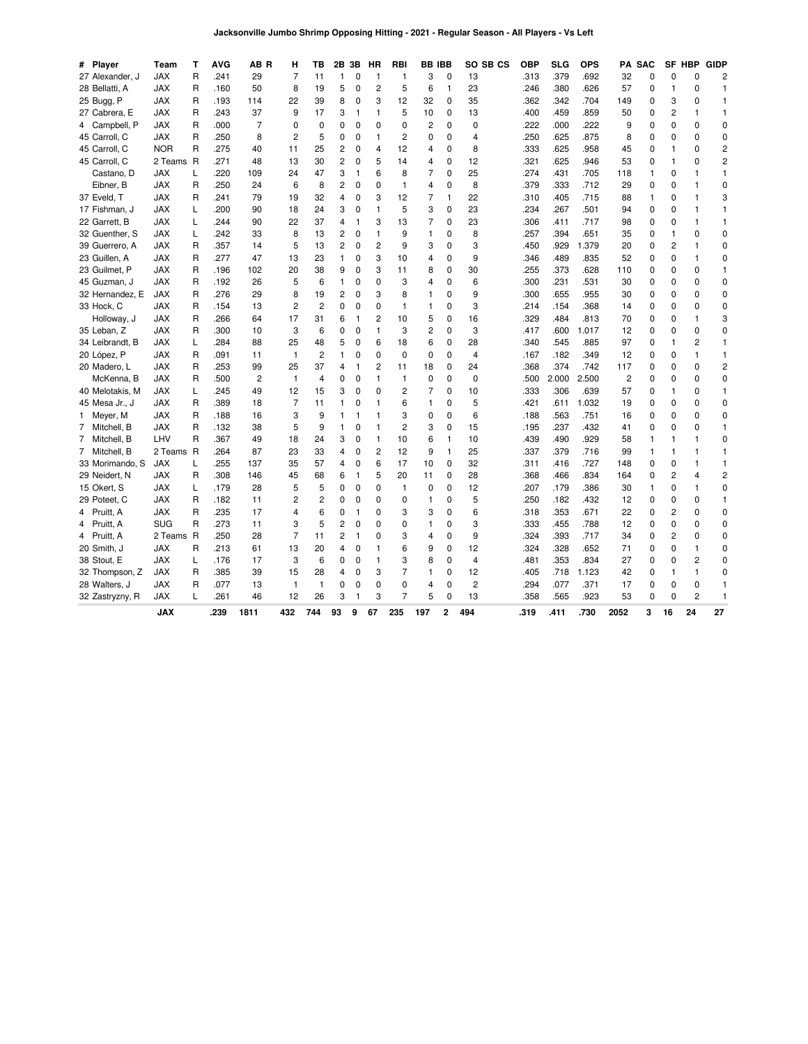| Player<br>#     | Team       | Т | <b>AVG</b> | AB R           | н              | ΤВ             | 2Β             | 3B           | HR             | RBI            |                         | <b>BB IBB</b>  |                | SO SB CS | <b>OBP</b> | SLG   | <b>OPS</b> |                | <b>PA SAC</b> |                | SF HBP         | GIDP           |
|-----------------|------------|---|------------|----------------|----------------|----------------|----------------|--------------|----------------|----------------|-------------------------|----------------|----------------|----------|------------|-------|------------|----------------|---------------|----------------|----------------|----------------|
| 27 Alexander, J | <b>JAX</b> | R | .241       | 29             | $\overline{7}$ | 11             | 1              | 0            | 1              | 1              | 3                       | 0              | 13             |          | .313       | .379  | .692       | 32             | 0             | 0              | $\Omega$       | 2              |
| 28 Bellatti, A  | <b>JAX</b> | R | .160       | 50             | 8              | 19             | 5              | 0            | $\overline{c}$ | 5              | 6                       | 1              | 23             |          | .246       | .380  | .626       | 57             | 0             | 1              | 0              | 1              |
| 25 Bugg, P      | <b>JAX</b> | R | .193       | 114            | 22             | 39             | 8              | $\mathbf 0$  | 3              | 12             | 32                      | 0              | 35             |          | .362       | .342  | .704       | 149            | 0             | 3              | 0              | 1              |
| 27 Cabrera, E   | JAX        | R | .243       | 37             | 9              | 17             | 3              | 1            | 1              | 5              | 10                      | 0              | 13             |          | .400       | .459  | .859       | 50             | 0             | $\overline{c}$ | 1              | 1              |
| 4 Campbell, P   | JAX        | R | .000       | $\overline{7}$ | 0              | $\mathbf 0$    | 0              | $\mathbf 0$  | 0              | $\mathbf 0$    | $\overline{\mathbf{c}}$ | $\mathbf 0$    | 0              |          | .222       | .000  | .222       | 9              | 0             | $\mathbf 0$    | 0              | 0              |
| 45 Carroll, C   | <b>JAX</b> | R | .250       | 8              | $\overline{2}$ | 5              | 0              | 0            | 1              | $\overline{2}$ | 0                       | $\mathbf 0$    | 4              |          | .250       | .625  | .875       | 8              | 0             | 0              | 0              | 0              |
| 45 Carroll, C   | <b>NOR</b> | R | .275       | 40             | 11             | 25             | 2              | 0            | 4              | 12             | 4                       | 0              | 8              |          | .333       | .625  | .958       | 45             | 0             | 1              | 0              | $\overline{c}$ |
| 45 Carroll, C   | 2 Teams R  |   | .271       | 48             | 13             | 30             | $\overline{c}$ | 0            | 5              | 14             | 4                       | 0              | 12             |          | .321       | .625  | .946       | 53             | 0             | $\mathbf{1}$   | 0              | $\overline{c}$ |
| Castano, D      | <b>JAX</b> | L | .220       | 109            | 24             | 47             | 3              | $\mathbf{1}$ | 6              | 8              | 7                       | $\Omega$       | 25             |          | .274       | .431  | .705       | 118            | 1             | 0              | 1              | 1              |
| Eibner, B       | JAX        | R | .250       | 24             | 6              | 8              | 2              | 0            | 0              | 1              | 4                       | 0              | 8              |          | .379       | .333  | .712       | 29             | 0             | 0              | 1              | $\mathbf 0$    |
| 37 Eveld, T     | <b>JAX</b> | R | .241       | 79             | 19             | 32             | 4              | 0            | 3              | 12             | 7                       | 1              | 22             |          | .310       | .405  | .715       | 88             | 1             | 0              | 1              | 3              |
| 17 Fishman, J   | <b>JAX</b> | L | .200       | 90             | 18             | 24             | 3              | $\mathbf 0$  | 1              | 5              | 3                       | 0              | 23             |          | .234       | .267  | .501       | 94             | 0             | 0              | 1              | 1              |
| 22 Garrett, B   | JAX        | L | .244       | 90             | 22             | 37             | 4              | 1            | 3              | 13             | 7                       | 0              | 23             |          | .306       | .411  | .717       | 98             | 0             | 0              | 1              | 1              |
| 32 Guenther, S  | <b>JAX</b> | Г | 242        | 33             | 8              | 13             | 2              | 0            | 1              | 9              | 1                       | 0              | 8              |          | .257       | .394  | .651       | 35             | 0             | 1              | 0              | $\mathbf 0$    |
| 39 Guerrero, A  | <b>JAX</b> | R | .357       | 14             | 5              | 13             | 2              | $\mathbf 0$  | 2              | 9              | 3                       | $\mathbf 0$    | 3              |          | .450       | .929  | 1.379      | 20             | 0             | $\overline{2}$ | 1              | 0              |
| 23 Guillen, A   | <b>JAX</b> | R | .277       | 47             | 13             | 23             | 1              | 0            | 3              | 10             | 4                       | 0              | 9              |          | .346       | .489  | .835       | 52             | 0             | 0              | 1              | 0              |
| 23 Guilmet, P   | JAX        | R | .196       | 102            | 20             | 38             | 9              | 0            | 3              | 11             | 8                       | 0              | 30             |          | .255       | .373  | .628       | 110            | 0             | 0              | 0              | 1              |
| 45 Guzman, J    | <b>JAX</b> | R | .192       | 26             | 5              | 6              | $\mathbf{1}$   | 0            | 0              | 3              | 4                       | $\Omega$       | 6              |          | .300       | .231  | .531       | 30             | 0             | 0              | $\Omega$       | $\mathbf 0$    |
| 32 Hernandez, E | <b>JAX</b> | R | .276       | 29             | 8              | 19             | 2              | 0            | 3              | 8              | 1                       | 0              | 9              |          | .300       | .655  | .955       | 30             | 0             | 0              | 0              | 0              |
| 33 Hock, C      | <b>JAX</b> | R | .154       | 13             | $\overline{c}$ | $\overline{c}$ | 0              | 0            | 0              | $\mathbf{1}$   | $\mathbf{1}$            | 0              | 3              |          | .214       | .154  | .368       | 14             | 0             | 0              | 0              | 0              |
| Holloway, J     | <b>JAX</b> | R | .266       | 64             | 17             | 31             | 6              | 1            | 2              | 10             | 5                       | 0              | 16             |          | .329       | .484  | .813       | 70             | 0             | 0              | 1              | 3              |
| 35 Leban, Z     | JAX        | R | .300       | 10             | 3              | 6              | 0              | 0            | 1              | 3              | $\overline{c}$          | 0              | 3              |          | .417       | .600  | 1.017      | 12             | 0             | 0              | 0              | 0              |
| 34 Leibrandt, B | <b>JAX</b> | Г | 284        | 88             | 25             | 48             | 5              | $\mathbf 0$  | 6              | 18             | 6                       | 0              | 28             |          | .340       | .545  | .885       | 97             | 0             | 1              | 2              | 1              |
| 20 López, P     | <b>JAX</b> | R | .091       | 11             | $\mathbf{1}$   | $\overline{2}$ | 1              | $\mathbf 0$  | 0              | $\mathbf 0$    | 0                       | $\mathbf 0$    | $\overline{4}$ |          | .167       | .182  | .349       | 12             | 0             | 0              | 1              | 1              |
| 20 Madero, L    | <b>JAX</b> | R | .253       | 99             | 25             | 37             | 4              | 1            | 2              | 11             | 18                      | $\mathbf 0$    | 24             |          | .368       | .374  | .742       | 117            | 0             | 0              | 0              | $\overline{c}$ |
| McKenna, B      | <b>JAX</b> | R | .500       | $\overline{c}$ | $\mathbf{1}$   | 4              | 0              | $\mathbf 0$  | 1              | 1              | 0                       | 0              | 0              |          | .500       | 2.000 | 2.500      | $\overline{c}$ | 0             | 0              | 0              | 0              |
| 40 Melotakis, M | <b>JAX</b> | L | .245       | 49             | 12             | 15             | 3              | $\mathbf 0$  | 0              | $\overline{c}$ | 7                       | $\Omega$       | 10             |          | .333       | .306  | .639       | 57             | 0             | 1              | 0              | 1              |
| 45 Mesa Jr., J  | JAX        | R | .389       | 18             | $\overline{7}$ | 11             | 1              | 0            | 1              | 6              | $\mathbf{1}$            | 0              | 5              |          | .421       | .611  | 1.032      | 19             | 0             | 0              | 0              | 0              |
| 1 Meyer, M      | <b>JAX</b> | R | .188       | 16             | 3              | 9              | 1              | 1            | 1              | 3              | 0                       | $\mathbf 0$    | 6              |          | .188       | .563  | .751       | 16             | 0             | 0              | 0              | 0              |
| 7 Mitchell, B   | <b>JAX</b> | R | .132       | 38             | 5              | 9              | 1              | 0            | 1              | 2              | 3                       | 0              | 15             |          | .195       | .237  | .432       | 41             | 0             | 0              | 0              | 1              |
| 7 Mitchell, B   | LHV        | R | .367       | 49             | 18             | 24             | 3              | 0            | 1              | 10             | 6                       | 1              | 10             |          | .439       | .490  | .929       | 58             | 1             | 1              | 1              | 0              |
| 7 Mitchell, B   | 2 Teams R  |   | 264        | 87             | 23             | 33             | 4              | 0            | $\overline{c}$ | 12             | 9                       | 1              | 25             |          | .337       | .379  | .716       | 99             | 1             | 1              | 1              | 1              |
| 33 Morimando, S | <b>JAX</b> | L | .255       | 137            | 35             | 57             | 4              | $\mathbf 0$  | 6              | 17             | 10                      | 0              | 32             |          | .311       | .416  | .727       | 148            | 0             | 0              | 1              | 1              |
| 29 Neidert, N   | <b>JAX</b> | R | .308       | 146            | 45             | 68             | 6              | 1            | 5              | 20             | 11                      | 0              | 28             |          | .368       | .466  | .834       | 164            | 0             | $\overline{c}$ | 4              | 2              |
| 15 Okert, S     | <b>JAX</b> | L | .179       | 28             | 5              | 5              | 0              | 0            | 0              | 1              | 0                       | 0              | 12             |          | .207       | .179  | .386       | 30             | 1             | 0              | 1              | 0              |
| 29 Poteet, C    | JAX        | R | .182       | 11             | 2              | $\overline{c}$ | 0              | 0            | $\Omega$       | $\mathbf 0$    | $\mathbf{1}$            | $\Omega$       | 5              |          | .250       | .182  | .432       | 12             | 0             | 0              | 0              | 1              |
| 4 Pruitt, A     | JAX        | R | .235       | 17             | 4              | 6              | 0              | 1            | 0              | 3              | 3                       | 0              | 6              |          | .318       | .353  | .671       | 22             | 0             | 2              | 0              | 0              |
| 4 Pruitt, A     | <b>SUG</b> | R | .273       | 11             | 3              | 5              | 2              | 0            | 0              | 0              | 1                       | $\mathbf 0$    | 3              |          | .333       | .455  | .788       | 12             | 0             | 0              | 0              | 0              |
| 4 Pruitt, A     | 2 Teams R  |   | .250       | 28             | $\overline{7}$ | 11             | 2              | $\mathbf{1}$ | 0              | 3              | 4                       | 0              | 9              |          | .324       | .393  | .717       | 34             | 0             | 2              | 0              | 0              |
| 20 Smith, J     | JAX        | R | .213       | 61             | 13             | 20             | 4              | 0            | 1              | 6              | 9                       | $\mathbf 0$    | 12             |          | .324       | .328  | .652       | 71             | 0             | 0              | 1              | 0              |
| 38 Stout, E     | <b>JAX</b> | L | .176       | 17             | 3              | 6              | 0              | $\mathbf 0$  | 1              | 3              | 8                       | 0              | 4              |          | .481       | .353  | .834       | 27             | 0             | 0              | 2              | $\mathbf 0$    |
| 32 Thompson, Z  | <b>JAX</b> | R | .385       | 39             | 15             | 28             | 4              | $\mathbf 0$  | 3              | 7              | 1                       | 0              | 12             |          | .405       | .718  | 1.123      | 42             | 0             | $\mathbf{1}$   | 1              | 0              |
| 28 Walters, J   | JAX        | R | .077       | 13             | $\mathbf{1}$   | $\mathbf{1}$   | 0              | 0            | 0              | 0              | 4                       | 0              | 2              |          | .294       | .077  | .371       | 17             | 0             | 0              | 0              | 1              |
| 32 Zastryzny, R | <b>JAX</b> | L | .261       | 46             | 12             | 26             | 3              | $\mathbf{1}$ | 3              | $\overline{7}$ | 5                       | 0              | 13             |          | .358       | .565  | .923       | 53             | $\mathbf 0$   | $\Omega$       | $\overline{c}$ | 1              |
|                 | <b>JAX</b> |   | .239       | 1811           | 432            | 744            | 93             | 9            | 67             | 235            | 197                     | $\overline{2}$ | 494            |          | .319       | .411  | .730       | 2052           | 3             | 16             | 24             | 27             |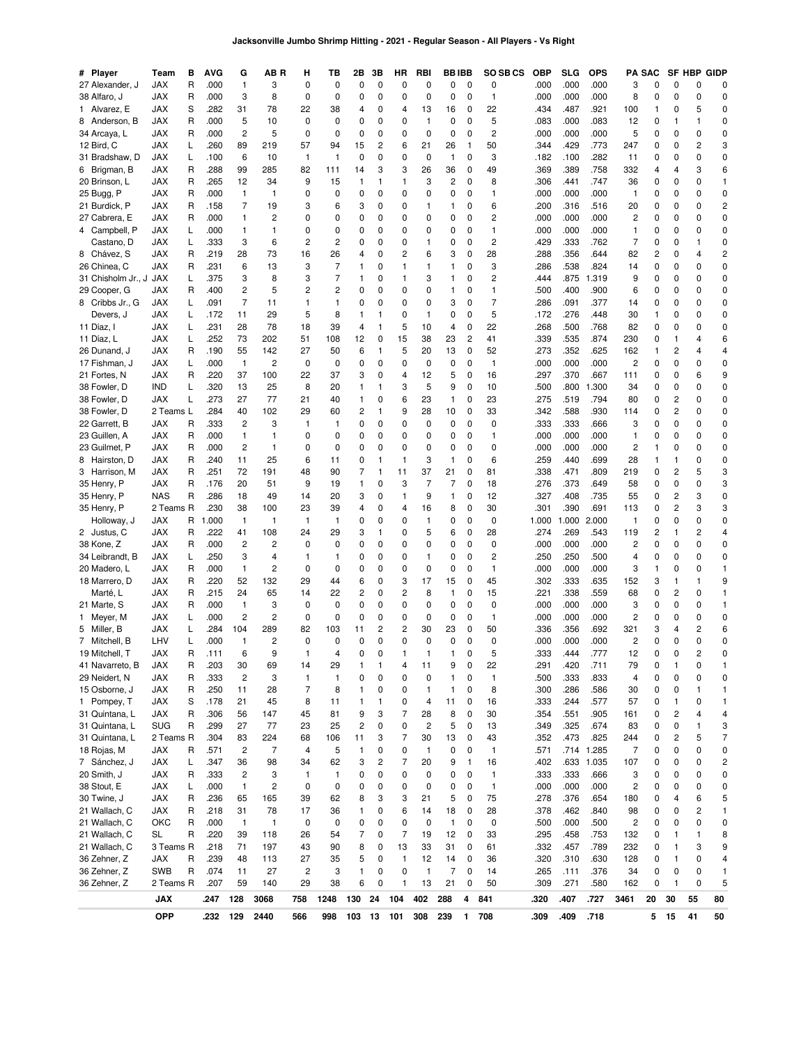| # Player                       | Team                    | в      | AVG           | G                  | AB R                    | н              | ΤВ                 | 2Β                      | 3Β             | HR             | RBI            | BB IBB    |                   | SO SB CS                | <b>OBP</b>    | SLG           | <b>OPS</b>    |                | <b>PA SAC</b> |                    | SF HBP                  | <b>GIDP</b>    |
|--------------------------------|-------------------------|--------|---------------|--------------------|-------------------------|----------------|--------------------|-------------------------|----------------|----------------|----------------|-----------|-------------------|-------------------------|---------------|---------------|---------------|----------------|---------------|--------------------|-------------------------|----------------|
| 27 Alexander, J                | <b>JAX</b>              | R      | .000          | $\mathbf{1}$       | 3                       | 0              | $\mathbf 0$        | 0                       | 0              | 0              | 0              | 0         | 0                 | 0                       | .000          | .000          | .000          | 3              | 0             | 0                  | 0                       | 0              |
| 38 Alfaro, J                   | <b>JAX</b>              | R      | .000          | 3                  | 8                       | 0              | 0                  | 0                       | 0              | 0              | 0              | 0         | 0                 | $\mathbf{1}$            | .000          | .000          | .000          | 8              | 0             | 0                  | 0                       | 0              |
| 1 Alvarez, E                   | <b>JAX</b>              | S      | .282          | 31                 | 78                      | 22             | 38                 | 4                       | 0              | 4              | 13             | 16        | 0                 | 22                      | .434          | .487          | .921          | 100            | 1             | 0                  | 5                       | 0              |
| 8 Anderson, B                  | <b>JAX</b>              | R      | .000          | 5                  | 10                      | 0              | 0                  | 0                       | 0              | 0              | $\mathbf{1}$   | 0         | 0                 | 5                       | .083          | .000          | .083          | 12             | 0             | 1                  | 1                       | 0              |
| 34 Arcaya, L<br>12 Bird. C     | <b>JAX</b>              | R      | .000          | 2                  | 5                       | 0              | 0                  | 0                       | 0              | 0              | 0              | 0         | 0                 | 2                       | .000          | .000          | .000          | 5              | 0             | 0                  | 0                       | 0              |
|                                | JAX<br><b>JAX</b>       | L<br>L | .260<br>.100  | 89<br>6            | 219<br>10               | 57<br>1        | 94<br>$\mathbf{1}$ | 15<br>0                 | 2<br>0         | 6<br>0         | 21<br>0        | 26<br>1   | $\mathbf{1}$<br>0 | 50<br>3                 | .344<br>.182  | .429<br>.100  | .773<br>.282  | 247            | 0             | 0<br>0             | $\overline{c}$<br>0     | 3<br>0         |
| 31 Bradshaw, D<br>6 Brigman, B | <b>JAX</b>              | R      | .288          | 99                 | 285                     | 82             | 111                | 14                      | 3              | 3              | 26             | 36        | 0                 | 49                      | .369          | .389          | .758          | 11<br>332      | 0<br>4        | 4                  | 3                       | 6              |
| 20 Brinson, L                  | <b>JAX</b>              | R      | .265          | 12                 | 34                      | 9              | 15                 | 1                       | 1              | 1              | 3              | 2         | 0                 | 8                       | .306          | .441          | .747          | 36             | 0             | 0                  | 0                       | 1              |
| 25 Bugg, P                     | <b>JAX</b>              | R      | .000          | $\mathbf{1}$       | 1                       | $\mathbf 0$    | 0                  | 0                       | 0              | 0              | 0              | 0         | 0                 | $\mathbf{1}$            | .000          | .000          | .000          | $\mathbf{1}$   | 0             | 0                  | $\mathbf 0$             | 0              |
| 21 Burdick, P                  | <b>JAX</b>              | R      | .158          | 7                  | 19                      | 3              | 6                  | 3                       | 0              | 0              | 1              | 1         | 0                 | 6                       | .200          | .316          | .516          | 20             | 0             | 0                  | 0                       | $\overline{c}$ |
| 27 Cabrera, E                  | JAX                     | R      | .000          | 1                  | 2                       | 0              | 0                  | 0                       | 0              | 0              | 0              | 0         | 0                 | 2                       | .000          | .000          | .000          | 2              | 0             | 0                  | 0                       | 0              |
| 4 Campbell, P                  | JAX                     | L      | .000          | 1                  | 1                       | 0              | 0                  | 0                       | 0              | 0              | 0              | 0         | 0                 | 1                       | .000          | .000          | .000          | 1              | 0             | 0                  | 0                       | 0              |
| Castano, D                     | JAX                     | L      | .333          | 3                  | 6                       | 2              | $\overline{c}$     | 0                       | 0              | 0              | 1              | 0         | 0                 | 2                       | .429          | .333          | .762          | 7              | 0             | 0                  | $\mathbf{1}$            | 0              |
| 8 Chávez, S                    | <b>JAX</b>              | R      | .219          | 28                 | 73                      | 16             | 26                 | 4                       | 0              | 2              | 6              | 3         | 0                 | 28                      | .288          | .356          | .644          | 82             | 2             | 0                  | 4                       | $\overline{c}$ |
| 26 Chinea, C                   | JAX                     | R      | .231          | 6                  | 13                      | 3              | 7                  | 1                       | 0              | 1              | 1              | 1         | 0                 | 3                       | .286          | .538          | .824          | 14             | 0             | 0                  | 0                       | 0              |
| 31 Chisholm Jr., J             | <b>JAX</b>              | L      | .375          | 3                  | 8                       | 3              | 7                  | 1                       | 0              | 1              | 3              | 1         | 0                 | $\overline{\mathbf{c}}$ | .444          | .875          | 1.319         | 9              | 0             | 0                  | 0                       | 0              |
| 29 Cooper, G                   | JAX                     | R      | .400          | $\overline{c}$     | 5                       | 2              | $\overline{c}$     | 0                       | 0              | 0              | 0              | 1         | 0                 | $\mathbf{1}$            | .500          | .400          | .900          | 6              | 0             | 0                  | 0                       | 0              |
| 8 Cribbs Jr., G                | <b>JAX</b>              | L      | .091          | $\overline{7}$     | 11                      | 1              | 1                  | 0                       | 0              | 0              | 0              | 3         | 0                 | 7                       | .286          | .091          | .377          | 14             | 0             | 0                  | $\mathbf 0$             | 0              |
| Devers, J                      | <b>JAX</b>              | L      | .172          | 11                 | 29                      | 5              | 8                  | 1                       | $\overline{1}$ | 0              | 1              | 0         | 0                 | 5                       | .172          | .276          | .448          | 30             | 1             | 0                  | 0                       | 0              |
| 11 Díaz, I                     | <b>JAX</b>              | L      | .231          | 28                 | 78                      | 18             | 39                 | 4                       | $\mathbf{1}$   | 5              | 10             | 4         | 0                 | 22                      | .268          | .500          | .768          | 82             | 0             | 0                  | 0                       | 0              |
| 11 Díaz, L                     | <b>JAX</b>              | L      | .252          | 73                 | 202                     | 51             | 108                | 12                      | 0              | 15             | 38             | 23        | 2                 | 41                      | .339          | .535          | .874          | 230            | 0             | 1                  | 4                       | 6              |
| 26 Dunand, J                   | JAX                     | R      | .190          | 55                 | 142                     | 27             | 50                 | 6                       | $\mathbf{1}$   | 5              | 20             | 13        | 0                 | 52                      | .273          | .352          | .625          | 162            | 1             | 2                  | 4                       | 4              |
| 17 Fishman, J                  | <b>JAX</b>              | L      | .000          | 1                  | $\overline{c}$          | 0              | 0                  | 0                       | 0              | 0              | 0              | 0         | 0                 | $\mathbf{1}$            | .000          | .000          | .000          | $\overline{c}$ | 0             | 0                  | 0                       | 0              |
| 21 Fortes, N                   | <b>JAX</b>              | R      | .220          | 37                 | 100                     | 22             | 37                 | 3                       | 0              | 4              | 12             | 5         | 0                 | 16                      | .297          | .370          | .667          | 111            | 0             | 0                  | 6                       | 9              |
| 38 Fowler, D                   | <b>IND</b>              | L      | .320          | 13                 | 25                      | 8              | 20                 | 1                       | -1             | 3              | 5              | 9         | 0                 | 10                      | .500          | .800          | 1.300         | 34             | 0             | 0                  | $\mathbf 0$             | 0              |
| 38 Fowler, D                   | JAX                     | L      | .273          | 27                 | 77                      | 21             | 40                 | 1                       | 0              | 6              | 23             | 1         | 0                 | 23                      | .275          | .519          | .794          | 80             | 0             | 2                  | 0                       | 0              |
| 38 Fowler, D                   | 2 Teams L               |        | .284          | 40                 | 102                     | 29             | 60                 | 2                       | 1              | 9              | 28             | 10        | 0                 | 33                      | .342          | .588          | .930          | 114            | 0             | 2                  | 0                       | 0              |
| 22 Garrett, B                  | JAX                     | R      | .333          | 2                  | 3                       | 1              | 1                  | 0                       | 0              | 0              | 0              | 0         | 0                 | 0                       | .333          | .333          | .666          | 3              | 0             | 0                  | 0                       | 0              |
| 23 Guillen, A                  | <b>JAX</b>              | R      | .000          | 1                  | 1                       | 0              | 0                  | 0                       | 0              | 0              | 0              | 0         | 0                 | $\mathbf{1}$            | .000          | .000          | .000          | 1              | 0             | 0                  | 0                       | 0              |
| 23 Guilmet, P                  | JAX                     | R      | .000          | 2                  | 1                       | 0              | 0                  | 0                       | 0              | 0              | 0              | 0         | 0                 | 0                       | .000          | .000          | .000          | 2              | 1             | 0                  | 0                       | 0              |
| 8 Hairston, D                  | <b>JAX</b>              | R      | .240          | 11                 | 25                      | 6              | 11                 | 0                       | -1             | 1              | 3              | 1         | 0                 | 6                       | .259          | .440          | .699          | 28             | 1             | 1                  | 0                       | 0              |
| 3 Harrison, M                  | <b>JAX</b>              | R      | .251          | 72                 | 191                     | 48             | 90                 | 7                       | $\mathbf{1}$   | 11             | 37             | 21        | 0                 | 81                      | .338          | .471          | .809          | 219            | 0             | 2                  | 5                       | 3              |
| 35 Henry, P                    | <b>JAX</b>              | R      | .176          | 20                 | 51                      | 9              | 19                 | 1                       | 0              | 3              | $\overline{7}$ | 7         | 0                 | 18                      | .276          | .373          | .649          | 58             | 0             | 0                  | 0                       | 3              |
| 35 Henry, P                    | <b>NAS</b>              | R      | .286          | 18                 | 49                      | 14             | 20                 | 3                       | 0              | 1              | 9              | 1         | 0                 | 12                      | .327          | .408          | .735          | 55             | 0             | 2                  | 3<br>3                  | 0<br>3         |
| 35 Henry, P<br>Holloway, J     | 2 Teams R<br><b>JAX</b> | R      | .230<br>1.000 | 38<br>$\mathbf{1}$ | 100<br>1                | 23<br>1        | 39<br>$\mathbf{1}$ | 4<br>0                  | 0<br>0         | 4<br>0         | 16<br>1        | 8<br>0    | 0<br>0            | 30<br>0                 | .301<br>1.000 | .390<br>1.000 | .691<br>2.000 | 113<br>1       | 0<br>0        | 2<br>0             | 0                       | 0              |
| 2 Justus, C                    | <b>JAX</b>              | R      | .222          | 41                 | 108                     | 24             | 29                 | 3                       | $\mathbf{1}$   | 0              | 5              | 6         | 0                 | 28                      | .274          | .269          | .543          | 119            | 2             | 1                  | $\overline{c}$          | 4              |
| 38 Kone, Z                     | <b>JAX</b>              | R      | .000          | 2                  | 2                       | 0              | 0                  | 0                       | 0              | 0              | 0              | 0         | 0                 | 0                       | .000          | .000          | .000          | 2              | 0             | 0                  | 0                       | 0              |
| 34 Leibrandt, B                | <b>JAX</b>              | L      | .250          | 3                  | 4                       | 1              | 1                  | 0                       | 0              | 0              | 1              | 0         | 0                 | 2                       | .250          | .250          | .500          | 4              | 0             | 0                  | 0                       | 0              |
| 20 Madero, L                   | JAX                     | R      | .000          | 1                  | 2                       | 0              | 0                  | 0                       | 0              | 0              | 0              | 0         | 0                 | 1                       | .000          | .000          | .000          | 3              | 1             | 0                  | 0                       | 1              |
| 18 Marrero, D                  | <b>JAX</b>              | R      | .220          | 52                 | 132                     | 29             | 44                 | 6                       | 0              | 3              | 17             | 15        | 0                 | 45                      | .302          | .333          | .635          | 152            | 3             | 1                  | $\mathbf{1}$            | 9              |
| Marté, L                       | <b>JAX</b>              | R      | .215          | 24                 | 65                      | 14             | 22                 | 2                       | 0              | 2              | 8              | 1         | 0                 | 15                      | .221          | .338          | .559          | 68             | 0             | 2                  | 0                       | $\mathbf{1}$   |
| 21 Marte, S                    | <b>JAX</b>              | R      | .000          | 1                  | 3                       | $\mathbf 0$    | 0                  | 0                       | 0              | 0              | 0              | 0         | 0                 | 0                       | .000          | .000          | .000          | 3              | 0             | 0                  | 0                       | $\mathbf{1}$   |
| 1 Meyer, M                     | <b>JAX</b>              | L      | .000          | $\overline{c}$     | $\overline{c}$          | 0              | 0                  | 0                       | $\mathbf 0$    | 0              | 0              | 0         | 0                 | $\mathbf{1}$            | .000          | .000          | .000          | 2              | 0             | 0                  | 0                       | 0              |
| 5 Miller, B                    | JAX                     | L      | .284          | 104                | 289                     | 82             | 103                | 11                      | 2              | 2              | 30             | 23        | 0                 | 50                      | .336          | .356          | .692          | 321            | 3             | 4                  | $\overline{\mathbf{c}}$ | 6              |
| 7 Mitchell, B                  | LHV                     | L      | .000          | $\mathbf{1}$       | 2                       | 0              | 0                  | 0                       | 0              | 0              | 0              | 0         | 0                 | 0                       | .000          | .000          | .000          | 2              | 0             | 0                  | 0                       | 0              |
| 19 Mitchell, T                 | JAX                     | R      | .111          | 6                  | 9                       | 1              | 4                  | 0                       | 0              | 1              | 1              | 1         | 0                 | 5                       | .333          | .444          | .777          | 12             | 0             | 0                  | 2                       | 0              |
| 41 Navarreto, B                | JAX                     | R      | .203          | 30                 | 69                      | 14             | 29                 | 1                       | 1              | 4              | 11             | 9         | 0                 | 22                      | .291          | .420          | .711          | 79             | 0             | $\mathbf{1}$       | 0                       | 1              |
| 29 Neidert, N                  | JAX                     | R      | .333          | $\overline{c}$     | 3                       | 1              | $\mathbf{1}$       | 0                       | 0              | 0              | 0              | 1         | 0                 | $\mathbf{1}$            | .500          | .333          | .833          | 4              | 0             | 0                  | 0                       | 0              |
| 15 Osborne, J                  | JAX                     | R      | .250          | 11                 | 28                      | $\overline{7}$ | 8                  | 1                       | 0              | 0              | 1              | 1         | 0                 | 8                       | .300          | .286          | .586          | 30             | 0             | 0                  | $\mathbf{1}$            | $\mathbf{1}$   |
| 1 Pompey, T                    | JAX                     | S      | .178          | 21                 | 45                      | 8              | 11                 | 1                       | $\mathbf{1}$   | 0              | 4              | 11        | 0                 | 16                      | .333          | .244          | .577          | 57             | 0             | 1                  | 0                       | $\mathbf{1}$   |
| 31 Quintana, L                 | JAX                     | R      | .306          | 56                 | 147                     | 45             | 81                 | 9                       | 3              | 7              | 28             | 8         | 0                 | 30                      | .354          | .551          | .905          | 161            | 0             | 2                  | 4                       | 4              |
| 31 Quintana, L                 | <b>SUG</b>              | R      | .299          | 27                 | 77                      | 23             | 25                 | $\overline{\mathbf{c}}$ | 0              | 0              | 2              | 5         | 0                 | 13                      | .349          | .325          | .674          | 83             | 0             | 0                  | 1                       | 3              |
| 31 Quintana, L                 | 2 Teams R               |        | .304          | 83                 | 224                     | 68             | 106                | 11                      | 3              | 7              | 30             | 13        | 0                 | 43                      | .352          | .473          | .825          | 244            | 0             | 2                  | 5                       | $\overline{7}$ |
| 18 Rojas, M                    | JAX                     | R      | .571          | 2                  | 7                       | 4              | 5                  | 1                       | 0              | 0              | 1              | 0         | 0                 | $\mathbf{1}$            | .571          |               | .714 1.285    | 7              | 0             | 0                  | 0                       | 0              |
| 7 Sánchez, J                   | JAX                     | L      | .347          | 36                 | 98                      | 34             | 62                 | 3                       | 2              | 7              | 20             | 9         | 1                 | 16                      | .402          | .633          | 1.035         | 107            | 0             | 0                  | 0                       | $\overline{c}$ |
| 20 Smith, J                    | JAX                     | R      | .333          | 2                  | 3                       | 1              | 1                  | 0                       | 0              | 0              | 0              | 0         | 0                 | $\mathbf{1}$            | .333          | .333          | .666          | 3              | 0             | 0                  | 0                       | 0              |
| 38 Stout, E                    | JAX                     | L      | .000          | $\mathbf{1}$       | $\overline{\mathbf{c}}$ | 0              | 0                  | 0                       | 0              | 0              | 0              | 0         | 0                 | $\mathbf{1}$            | .000          | .000          | .000          | 2              | 0             | 0                  | 0                       | 0              |
| 30 Twine, J                    | JAX                     | R      | .236          | 65                 | 165                     | 39             | 62                 | 8                       | 3              | 3              | 21             | 5         | 0                 | 75                      | .278          | .376          | .654          | 180            | 0             | 4                  | 6                       | 5              |
| 21 Wallach, C                  | JAX                     | R      | .218          | 31                 | 78                      | 17             | 36                 | 1                       | 0              | 6              | 14             | 18        | 0                 | 28                      | .378          | .462          | .840          | 98             | 0             | 0                  | $\overline{\mathbf{c}}$ | $\mathbf{1}$   |
| 21 Wallach, C                  | ОКС                     | R      | .000          | $\mathbf{1}$       | $\mathbf{1}$            | 0              | 0                  | 0                       | 0              | 0              | 0              | 1         | 0                 | 0                       | .500          | .000          | .500          | 2              | 0             | 0                  | 0                       | 0              |
| 21 Wallach, C                  | SL                      | R      | .220          | 39                 | 118                     | 26             | 54                 | 7                       | 0              | $\overline{7}$ | 19             | 12        | 0                 | 33                      | .295          | .458          | .753          | 132            | 0             | $\mathbf{1}$       | $\mathbf{1}$            | 8              |
| 21 Wallach, C                  | 3 Teams R               |        | .218          | 71                 | 197                     | 43             | 90                 | 8                       | 0              | 13             | 33             | 31        | 0                 | 61                      | .332          | .457          | .789          | 232            | 0             | 1                  | 3                       | 9              |
| 36 Zehner, Z                   | JAX                     | R      | .239          | 48                 | 113                     | 27             | 35                 | 5                       | 0              | 1              | 12             | 14        | 0                 | 36                      | .320          | .310          | .630          | 128            | 0             | $\mathbf{1}$       | 0                       | 4              |
| 36 Zehner, Z                   | <b>SWB</b>              | R      | .074          | 11                 | 27                      | 2              | 3                  | 1                       | 0              | 0              | $\mathbf{1}$   | 7         | 0                 | 14                      | .265          | .111          | .376          | 34             | 0             | 0                  | 0                       | $\mathbf{1}$   |
| 36 Zehner, Z                   | 2 Teams R<br><b>JAX</b> |        | .207<br>.247  | 59<br>128          | 140<br>3068             | 29<br>758      | 38<br>1248         | 6<br>130                | 0<br>24        | 1<br>104       | 13<br>402      | 21<br>288 | 0<br>4            | 50<br>841               | .309<br>.320  | .271<br>.407  | .580<br>.727  | 162<br>3461    | 0<br>20       | $\mathbf{1}$<br>30 | 0<br>55                 | 5<br>80        |
|                                | OPP                     |        | .232          | 129                | 2440                    | 566            | 998                | 103 13                  |                | 101            | 308            | 239       | $\mathbf{1}$      | 708                     | .309          | .409          | .718          |                |               | $5$ 15             | 41                      | 50             |
|                                |                         |        |               |                    |                         |                |                    |                         |                |                |                |           |                   |                         |               |               |               |                |               |                    |                         |                |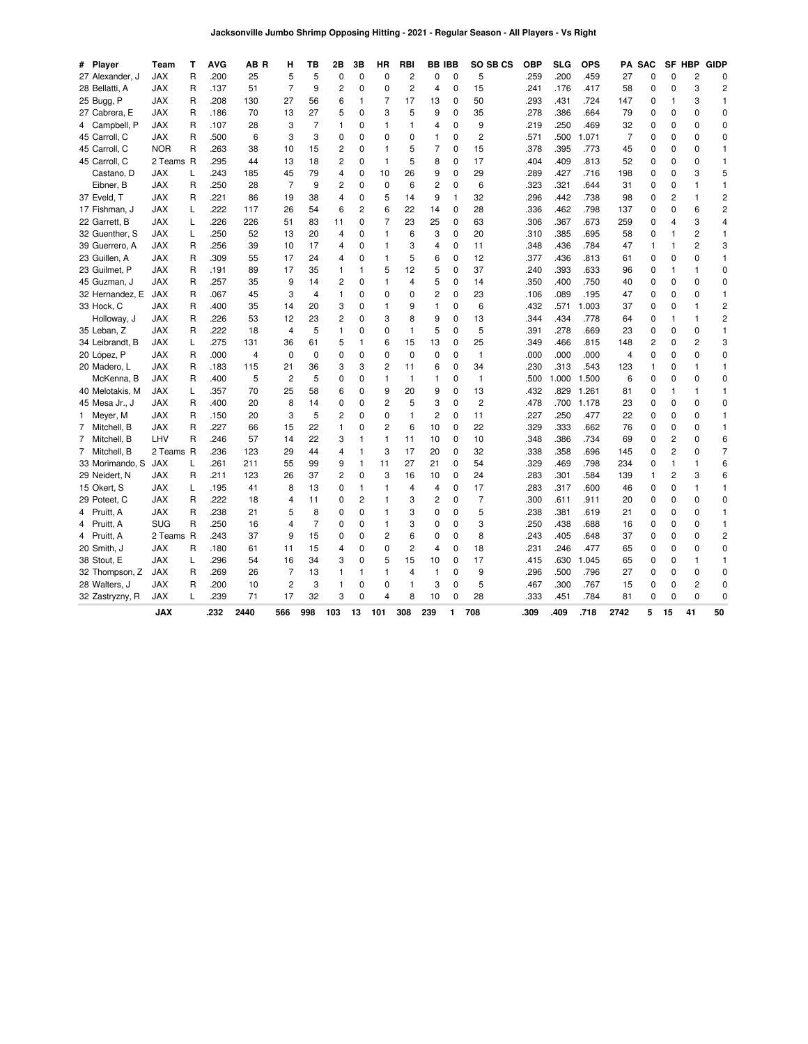|   | # Player        | Team       | т | <b>AVG</b> | AB R | н              | ΤВ             | 2Β             | 3B | HR             | RBI            | <b>BB IBB</b>  |              | SO SB CS | OBP  | <b>SLG</b> | <b>OPS</b> |      | <b>PA SAC</b> |             | SF HBP         | <b>GIDP</b>             |
|---|-----------------|------------|---|------------|------|----------------|----------------|----------------|----|----------------|----------------|----------------|--------------|----------|------|------------|------------|------|---------------|-------------|----------------|-------------------------|
|   | 27 Alexander, J | <b>JAX</b> | R | .200       | 25   | 5              | 5              | 0              | 0  | 0              | 2              | 0              | $\mathbf 0$  | 5        | .259 | .200       | .459       | 27   | 0             | 0           | 2              | 0                       |
|   | 28 Bellatti, A  | <b>JAX</b> | R | .137       | 51   | $\overline{7}$ | 9              | $\overline{c}$ | 0  | 0              | $\overline{c}$ | 4              | 0            | 15       | .241 | .176       | .417       | 58   | 0             | 0           | 3              | $\overline{c}$          |
|   | 25 Bugg, P      | <b>JAX</b> | R | .208       | 130  | 27             | 56             | 6              | 1  | 7              | 17             | 13             | 0            | 50       | .293 | .431       | .724       | 147  | 0             | 1           | 3              | 1                       |
|   | 27 Cabrera, E   | <b>JAX</b> | R | .186       | 70   | 13             | 27             | 5              | 0  | 3              | 5              | 9              | 0            | 35       | .278 | .386       | .664       | 79   | 0             | 0           | 0              | 0                       |
|   | 4 Campbell, P   | JAX        | R | .107       | 28   | 3              | $\overline{7}$ | $\mathbf{1}$   | 0  | 1              | $\mathbf{1}$   | 4              | $\Omega$     | 9        | .219 | .250       | .469       | 32   | 0             | 0           | 0              | 0                       |
|   | 45 Carroll, C   | <b>JAX</b> | R | .500       | 6    | 3              | 3              | 0              | 0  | 0              | 0              | 1              | 0            | 2        | .571 | .500       | 1.071      | 7    | 0             | 0           | 0              | 0                       |
|   | 45 Carroll, C   | <b>NOR</b> | R | .263       | 38   | 10             | 15             | 2              | 0  | 1              | 5              | $\overline{7}$ | 0            | 15       | .378 | .395       | .773       | 45   | 0             | 0           | 0              | 1                       |
|   | 45 Carroll, C   | 2 Teams R  |   | .295       | 44   | 13             | 18             | 2              | 0  | 1              | 5              | 8              | 0            | 17       | .404 | .409       | .813       | 52   | 0             | 0           | 0              | 1                       |
|   | Castano, D      | JAX        | L | .243       | 185  | 45             | 79             | 4              | 0  | 10             | 26             | 9              | 0            | 29       | .289 | .427       | .716       | 198  | 0             | 0           | 3              | 5                       |
|   | Eibner, B       | <b>JAX</b> | R | .250       | 28   | $\overline{7}$ | 9              | $\overline{2}$ | 0  | $\Omega$       | 6              | $\overline{c}$ | $\Omega$     | 6        | .323 | .321       | .644       | 31   | 0             | $\Omega$    | 1              | 1                       |
|   | 37 Eveld, T     | <b>JAX</b> | R | .221       | 86   | 19             | 38             | 4              | 0  | 5              | 14             | 9              | $\mathbf{1}$ | 32       | .296 | .442       | .738       | 98   | 0             | 2           | 1              | 2                       |
|   | 17 Fishman, J   | <b>JAX</b> | L | .222       | 117  | 26             | 54             | 6              | 2  | 6              | 22             | 14             | 0            | 28       | .336 | .462       | .798       | 137  | 0             | $\mathbf 0$ | 6              | $\overline{\mathbf{c}}$ |
|   | 22 Garrett, B   | <b>JAX</b> | L | .226       | 226  | 51             | 83             | 11             | 0  | 7              | 23             | 25             | 0            | 63       | .306 | .367       | .673       | 259  | 0             | 4           | 3              | 4                       |
|   | 32 Guenther, S  | <b>JAX</b> | L | .250       | 52   | 13             | 20             | 4              | 0  | 1              | 6              | 3              | 0            | 20       | .310 | .385       | .695       | 58   | 0             | 1           | 2              | 1                       |
|   | 39 Guerrero, A  | <b>JAX</b> | R | .256       | 39   | 10             | 17             | $\overline{4}$ | 0  | 1              | 3              | 4              | 0            | 11       | .348 | .436       | .784       | 47   | 1             | 1           | 2              | 3                       |
|   | 23 Guillen, A   | <b>JAX</b> | R | .309       | 55   | 17             | 24             | 4              | 0  | 1              | 5              | 6              | $\mathbf 0$  | 12       | .377 | .436       | .813       | 61   | 0             | 0           | 0              | 1                       |
|   | 23 Guilmet, P   | <b>JAX</b> | R | .191       | 89   | 17             | 35             | 1              | 1  | 5              | 12             | 5              | 0            | 37       | .240 | .393       | .633       | 96   | 0             | 1           | 1              | 0                       |
|   | 45 Guzman, J    | JAX        | R | .257       | 35   | 9              | 14             | 2              | 0  | 1              | 4              | 5              | $\mathbf 0$  | 14       | .350 | .400       | .750       | 40   | 0             | 0           | 0              | 0                       |
|   | 32 Hernandez, E | <b>JAX</b> | R | .067       | 45   | 3              | 4              | 1              | 0  | 0              | 0              | 2              | 0            | 23       | .106 | .089       | .195       | 47   | 0             | 0           | 0              | 1                       |
|   | 33 Hock, C      | JAX        | R | .400       | 35   | 14             | 20             | 3              | 0  | 1              | 9              | 1              | 0            | 6        | .432 | .571       | 1.003      | 37   | 0             | 0           | 1              | 2                       |
|   | Holloway, J     | <b>JAX</b> | R | .226       | 53   | 12             | 23             | 2              | 0  | 3              | 8              | 9              | 0            | 13       | .344 | .434       | .778       | 64   | 0             | 1           | 1              | 2                       |
|   | 35 Leban, Z     | JAX        | R | .222       | 18   | 4              | 5              | 1              | 0  | 0              | $\mathbf{1}$   | 5              | 0            | 5        | .391 | .278       | .669       | 23   | 0             | 0           | 0              | 1                       |
|   | 34 Leibrandt, B | JAX        | L | .275       | 131  | 36             | 61             | 5              | 1  | 6              | 15             | 13             | 0            | 25       | .349 | .466       | .815       | 148  | 2             | 0           | 2              | 3                       |
|   | 20 López, P     | <b>JAX</b> | R | .000       | 4    | 0              | 0              | 0              | 0  | 0              | 0              | 0              | 0            | 1        | .000 | .000       | .000       | 4    | 0             | 0           | 0              | 0                       |
|   | 20 Madero, L    | <b>JAX</b> | R | .183       | 115  | 21             | 36             | 3              | 3  | $\overline{2}$ | 11             | 6              | 0            | 34       | .230 | .313       | .543       | 123  | 1             | 0           | 1              | 1                       |
|   | McKenna, B      | <b>JAX</b> | R | .400       | 5    | 2              | 5              | 0              | 0  | 1              | $\mathbf{1}$   | 1              | 0            | 1        | .500 | 1.000      | 1.500      | 6    | 0             | 0           | 0              | 0                       |
|   | 40 Melotakis, M | <b>JAX</b> | L | .357       | 70   | 25             | 58             | 6              | 0  | 9              | 20             | 9              | 0            | 13       | .432 | .829       | 1.261      | 81   | 0             | 1           | 1              | 1                       |
|   | 45 Mesa Jr., J  | <b>JAX</b> | R | .400       | 20   | 8              | 14             | 0              | 0  | 2              | 5              | 3              | 0            | 2        | .478 | .700       | 1.178      | 23   | 0             | 0           | 0              | 0                       |
|   | 1 Meyer, M      | <b>JAX</b> | R | .150       | 20   | 3              | 5              | 2              | 0  | 0              | $\mathbf{1}$   | 2              | 0            | 11       | .227 | .250       | .477       | 22   | 0             | 0           | 0              | 1                       |
|   | 7 Mitchell, B   | <b>JAX</b> | R | .227       | 66   | 15             | 22             | 1              | 0  | 2              | 6              | 10             | 0            | 22       | .329 | .333       | .662       | 76   | 0             | 0           | 0              | 1                       |
|   | 7 Mitchell, B   | LHV        | R | .246       | 57   | 14             | 22             | 3              | 1  | 1              | 11             | 10             | $\mathbf 0$  | 10       | .348 | .386       | .734       | 69   | 0             | 2           | 0              | 6                       |
|   | 7 Mitchell, B   | 2 Teams R  |   | .236       | 123  | 29             | 44             | 4              | 1  | 3              | 17             | 20             | 0            | 32       | .338 | .358       | .696       | 145  | 0             | 2           | 0              | 7                       |
|   | 33 Morimando, S | JAX        | L | .261       | 211  | 55             | 99             | 9              | 1  | 11             | 27             | 21             | 0            | 54       | .329 | .469       | .798       | 234  | 0             | 1           | 1              | 6                       |
|   | 29 Neidert, N   | <b>JAX</b> | R | .211       | 123  | 26             | 37             | 2              | 0  | 3              | 16             | 10             | 0            | 24       | .283 | .301       | .584       | 139  | 1             | 2           | 3              | 6                       |
|   | 15 Okert, S     | <b>JAX</b> | L | .195       | 41   | 8              | 13             | 0              | 1  | 1              | 4              | 4              | 0            | 17       | .283 | .317       | .600       | 46   | 0             | 0           | 1              | 1                       |
|   |                 |            | R | .222       |      | 4              |                |                | 2  | 1              |                |                | 0            | 7        | .300 |            |            |      |               | 0           | 0              | 0                       |
|   | 29 Poteet, C    | <b>JAX</b> |   | .238       | 18   |                | 11             | 0              |    |                | 3              | 2              | 0            | 5        | .238 | .611       | .911       | 20   | 0             |             |                |                         |
|   | 4 Pruitt, A     | <b>JAX</b> | R |            | 21   | 5              | 8              | 0              | 0  | 1              | 3              | 0              |              |          |      | .381       | .619       | 21   | 0             | 0           | 0              | 1                       |
| 4 | Pruitt, A       | <b>SUG</b> | R | .250       | 16   | 4              | 7              | 0              | 0  | 1              | 3              | 0              | 0            | 3        | .250 | .438       | .688       | 16   | 0             | 0           | 0              | 1                       |
|   | 4 Pruitt, A     | 2 Teams R  |   | .243       | 37   | 9              | 15             | 0              | 0  | 2              | 6              | 0              | 0            | 8        | .243 | .405       | .648       | 37   | 0             | 0           | 0              | 2                       |
|   | 20 Smith, J     | <b>JAX</b> | R | .180       | 61   | 11             | 15             | 4              | 0  | 0              | $\overline{2}$ | 4              | 0            | 18       | .231 | .246       | .477       | 65   | 0             | $\Omega$    | $\Omega$       | 0                       |
|   | 38 Stout, E     | <b>JAX</b> | L | .296       | 54   | 16             | 34             | 3              | 0  | 5              | 15             | 10             | 0            | 17       | .415 | .630       | 1.045      | 65   | 0             | 0           | 1              | 1                       |
|   | 32 Thompson, Z  | <b>JAX</b> | R | .269       | 26   | 7              | 13             | 1              | 1  | 1              | 4              | 1              | 0            | 9        | .296 | .500       | .796       | 27   | 0             | 0           | 0              | $\mathbf 0$             |
|   | 28 Walters, J   | JAX        | R | .200       | 10   | 2              | 3              | 1              | 0  | 0              | $\mathbf{1}$   | 3              | $\mathbf 0$  | 5        | .467 | .300       | .767       | 15   | 0             | 0           | $\overline{2}$ | $\mathbf 0$             |
|   | 32 Zastryzny, R | JAX        | L | .239       | 71   | 17             | 32             | 3              | 0  | 4              | 8              | 10             | 0            | 28       | .333 | .451       | .784       | 81   | 0             | $\Omega$    | 0              | $\mathbf 0$             |
|   |                 | JAX        |   | .232       | 2440 | 566            | 998            | 103            | 13 | 101            | 308            | 239            | 1            | 708      | .309 | .409       | .718       | 2742 | 5             | 15          | 41             | 50                      |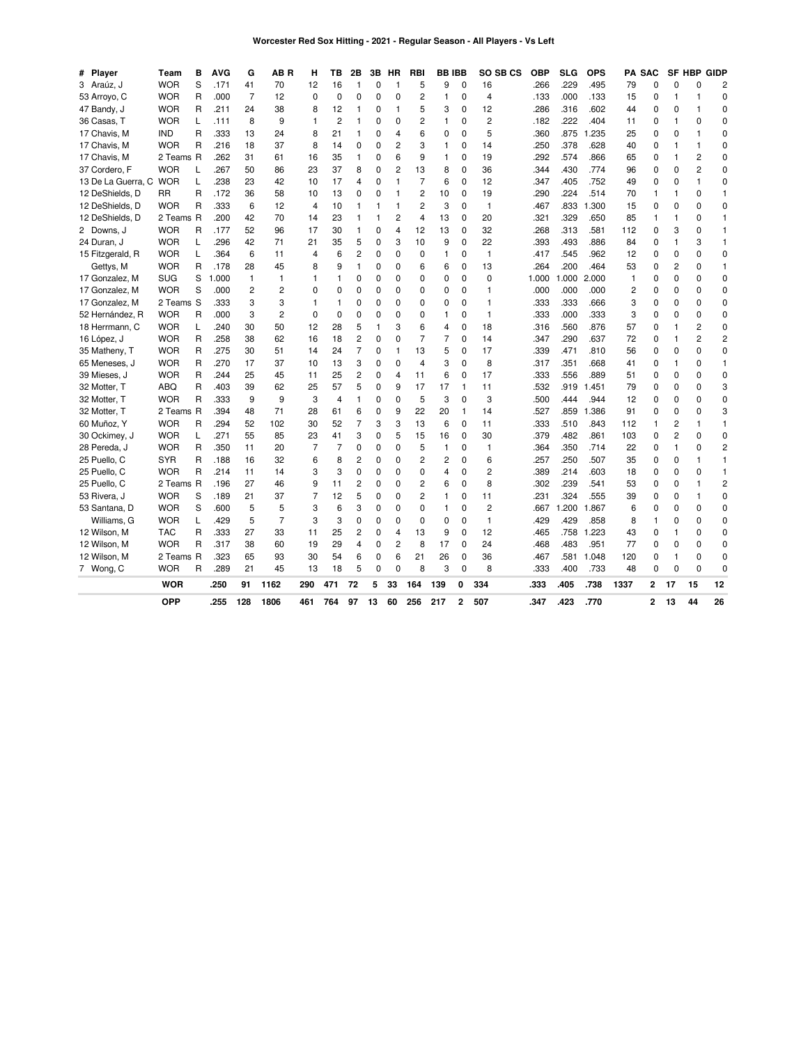| # | Player             | Team       | в              | <b>AVG</b> | G              | AB R           | н              | ΤВ             | 2Β             | 3В | HR             | RBI            | BB IBB         |              | SO SB CS       | <b>OBP</b> | <b>SLG</b> | <b>OPS</b> | РA           | <b>SAC</b>     |                | SF HBP         | <b>GIDP</b>    |
|---|--------------------|------------|----------------|------------|----------------|----------------|----------------|----------------|----------------|----|----------------|----------------|----------------|--------------|----------------|------------|------------|------------|--------------|----------------|----------------|----------------|----------------|
|   | 3 Araúz, J         | <b>WOR</b> | S              | .171       | 41             | 70             | 12             | 16             | 1              | 0  | 1              | 5              | 9              | $\Omega$     | 16             | .266       | .229       | .495       | 79           | 0              | $\Omega$       | $\Omega$       | $\overline{c}$ |
|   | 53 Arroyo, C       | <b>WOR</b> | R              | .000       | $\overline{7}$ | 12             | $\mathbf 0$    | $\mathbf 0$    | 0              | 0  | $\mathbf 0$    | $\overline{c}$ | 1              | 0            | $\overline{4}$ | .133       | .000       | .133       | 15           | 0              | 1              | 1              | $\mathbf 0$    |
|   | 47 Bandy, J        | <b>WOR</b> | R              | .211       | 24             | 38             | 8              | 12             | 1              | 0  | 1              | 5              | 3              | 0            | 12             | 286        | .316       | .602       | 44           | 0              | 0              | 1              | 0              |
|   | 36 Casas, T        | <b>WOR</b> | L              | .111       | 8              | 9              | $\mathbf{1}$   | 2              | 1              | 0  | $\mathbf 0$    | 2              | 1              | 0            | 2              | .182       | .222       | .404       | 11           | 0              | 1              | $\Omega$       | 0              |
|   | 17 Chavis, M       | <b>IND</b> | R              | .333       | 13             | 24             | 8              | 21             | 1              | 0  | $\overline{4}$ | 6              | 0              | 0            | 5              | .360       | .875       | 1.235      | 25           | 0              | 0              | $\mathbf{1}$   | 0              |
|   | 17 Chavis, M       | <b>WOR</b> | R              | .216       | 18             | 37             | 8              | 14             | 0              | 0  | $\overline{2}$ | 3              | 1              | 0            | 14             | 250        | .378       | .628       | 40           | 0              | 1              | $\mathbf{1}$   | $\Omega$       |
|   | 17 Chavis, M       | 2 Teams R  |                | 262        | 31             | 61             | 16             | 35             | 1              | 0  | 6              | 9              | 1              | $\mathbf 0$  | 19             | 292        | .574       | .866       | 65           | 0              | 1              | $\overline{c}$ | $\mathbf 0$    |
|   | 37 Cordero, F      | <b>WOR</b> | L              | .267       | 50             | 86             | 23             | 37             | 8              | 0  | $\overline{c}$ | 13             | 8              | 0            | 36             | .344       | .430       | .774       | 96           | 0              | 0              | $\overline{c}$ | 0              |
|   | 13 De La Guerra, C | <b>WOR</b> | L              | .238       | 23             | 42             | 10             | 17             | 4              | 0  | $\mathbf{1}$   | $\overline{7}$ | 6              | $\mathbf 0$  | 12             | 347        | .405       | .752       | 49           | 0              | 0              | $\mathbf{1}$   | $\Omega$       |
|   | 12 DeShields, D    | <b>RR</b>  | R              | .172       | 36             | 58             | 10             | 13             | 0              | 0  | $\mathbf{1}$   | $\overline{c}$ | 10             | $\mathbf 0$  | 19             | .290       | 224        | .514       | 70           | $\mathbf{1}$   | 1              | $\mathbf 0$    | 1              |
|   | 12 DeShields, D    | <b>WOR</b> | R              | .333       | 6              | 12             | 4              | 10             | 1              | 1  | 1              | 2              | 3              | 0            | 1              | .467       | .833       | 1.300      | 15           | 0              | 0              | $\mathbf 0$    | $\Omega$       |
|   | 12 DeShields, D    | 2 Teams R  |                | .200       | 42             | 70             | 14             | 23             | 1              | 1  | $\overline{c}$ | 4              | 13             | $\mathbf 0$  | 20             | 321        | .329       | .650       | 85           | $\mathbf{1}$   | 1              | $\mathbf 0$    | $\overline{1}$ |
|   | 2 Downs, J         | <b>WOR</b> | R              | .177       | 52             | 96             | 17             | 30             | 1              | 0  | 4              | 12             | 13             | 0            | 32             | .268       | .313       | .581       | 112          | 0              | 3              | $\mathbf 0$    | 1              |
|   | 24 Duran, J        | <b>WOR</b> | L              | .296       | 42             | 71             | 21             | 35             | 5              | 0  | 3              | 10             | 9              | 0            | 22             | 393        | .493       | .886       | 84           | 0              | 1              | 3              | 1              |
|   | 15 Fitzgerald, R   | <b>WOR</b> | L              | .364       | 6              | 11             | 4              | 6              | $\overline{c}$ | 0  | 0              | $\mathbf 0$    | 1              | 0            | 1              | .417       | .545       | .962       | 12           | 0              | 0              | 0              | 0              |
|   | Gettys, M          | <b>WOR</b> | R              | .178       | 28             | 45             | 8              | 9              | 1              | 0  | 0              | 6              | 6              | 0            | 13             | 264        | .200       | .464       | 53           | 0              | 2              | $\Omega$       | $\mathbf{1}$   |
|   | 17 Gonzalez, M     | <b>SUG</b> | S              | .000<br>-1 | $\mathbf{1}$   | 1              | $\mathbf{1}$   | 1              | 0              | 0  | $\mathbf 0$    | 0              | 0              | 0            | 0              | 1.000      | 1.000      | 2.000      | $\mathbf{1}$ | 0              | 0              | $\mathbf 0$    | 0              |
|   | 17 Gonzalez, M     | <b>WOR</b> | S              | .000       | $\overline{c}$ | 2              | $\mathbf C$    | 0              | 0              | 0  | 0              | 0              | 0              | 0            | 1              | .000       | .000       | .000       | 2            | 0              | 0              | $\mathbf 0$    | 0              |
|   | 17 Gonzalez, M     | 2 Teams S  |                | .333       | 3              | 3              | 1              | 1              | 0              | 0  | $\mathbf 0$    | 0              | 0              | $\Omega$     | $\mathbf{1}$   | .333       | .333       | .666       | 3            | 0              | 0              | $\mathbf 0$    | 0              |
|   | 52 Hernández, R    | <b>WOR</b> | R              | .000       | 3              | 2              | $\mathbf 0$    | 0              | 0              | 0  | $\mathbf 0$    | 0              | 1              | 0            | 1              | 333        | .000       | .333       | 3            | 0              | 0              | $\mathbf 0$    | 0              |
|   | 18 Herrmann, C     | <b>WOR</b> | L              | .240       | 30             | 50             | 12             | 28             | 5              | 1  | 3              | 6              | 4              | 0            | 18             | .316       | .560       | .876       | 57           | 0              | 1              | $\overline{c}$ | $\Omega$       |
|   | 16 López, J        | <b>WOR</b> | R              | .258       | 38             | 62             | 16             | 18             | $\overline{c}$ | 0  | $\Omega$       | $\overline{7}$ | $\overline{7}$ | $\mathbf 0$  | 14             | .347       | .290       | .637       | 72           | 0              | 1              | $\overline{2}$ | $\overline{c}$ |
|   | 35 Matheny, T      | <b>WOR</b> | R              | .275       | 30             | 51             | 14             | 24             | 7              | 0  | $\mathbf{1}$   | 13             | 5              | 0            | 17             | .339       | .471       | .810       | 56           | 0              | 0              | 0              | 0              |
|   | 65 Meneses, J      | <b>WOR</b> | R              | .270       | 17             | 37             | 10             | 13             | 3              | 0  | $\mathbf 0$    | 4              | 3              | 0            | 8              | .317       | 351        | .668       | 41           | 0              | 1              | $\mathbf 0$    | 1              |
|   | 39 Mieses, J       | <b>WOR</b> | R              | .244       | 25             | 45             | 11             | 25             | $\overline{c}$ | 0  | $\overline{4}$ | 11             | 6              | $\mathbf 0$  | 17             | .333       | 556        | .889       | 51           | 0              | 0              | $\mathbf 0$    | 0              |
|   | 32 Motter, T       | ABQ        | R              | .403       | 39             | 62             | 25             | 57             | 5              | 0  | 9              | 17             | 17             | 1            | 11             | .532       | .919       | 1.451      | 79           | 0              | 0              | $\Omega$       | 3              |
|   | 32 Motter, T       | <b>WOR</b> | $\overline{R}$ | .333       | 9              | 9              | 3              | $\overline{4}$ | 1              | 0  | $\mathbf 0$    | 5              | 3              | 0            | 3              | .500       | .444       | .944       | 12           | 0              | 0              | $\mathbf 0$    | $\mathbf 0$    |
|   | 32 Motter, T       | 2 Teams R  |                | .394       | 48             | 71             | 28             | 61             | 6              | 0  | 9              | 22             | 20             | $\mathbf{1}$ | 14             | .527       | .859       | 1.386      | 91           | 0              | 0              | $\mathbf 0$    | 3              |
|   | 60 Muñoz, Y        | <b>WOR</b> | R              | .294       | 52             | 102            | 30             | 52             | 7              | 3  | 3              | 13             | 6              | 0            | 11             | .333       | .510       | .843       | 112          | 1              | 2              | 1              | 1              |
|   | 30 Ockimey, J      | <b>WOR</b> | L              | .271       | 55             | 85             | 23             | 41             | 3              | 0  | 5              | 15             | 16             | $\mathbf 0$  | 30             | .379       | .482       | .861       | 103          | 0              | $\overline{c}$ | 0              | 0              |
|   | 28 Pereda, J       | <b>WOR</b> | R              | .350       | 11             | 20             | $\overline{7}$ | $\overline{7}$ | 0              | 0  | $\mathbf 0$    | 5              | $\mathbf{1}$   | 0            | 1              | 364        | .350       | .714       | 22           | 0              | 1              | $\mathbf 0$    | $\overline{2}$ |
|   | 25 Puello, C       | <b>SYR</b> | R              | .188       | 16             | 32             | 6              | 8              | 2              | 0  | $\mathbf 0$    | $\overline{c}$ | 2              | $\Omega$     | 6              | 257        | .250       | .507       | 35           | 0              | 0              | $\mathbf{1}$   | 1              |
|   | 25 Puello, C       | <b>WOR</b> | R              | .214       | 11             | 14             | 3              | 3              | 0              | 0  | 0              | $\mathbf 0$    | 4              | 0            | $\overline{2}$ | .389       | .214       | .603       | 18           | 0              | 0              | $\mathbf 0$    | 1              |
|   | 25 Puello, C       | 2 Teams R  |                | .196       | 27             | 46             | 9              | 11             | 2              | 0  | 0              | 2              | 6              | 0            | 8              | 302        | .239       | .541       | 53           | 0              | 0              | $\mathbf{1}$   | $\overline{c}$ |
|   | 53 Rivera, J       | <b>WOR</b> | S              | .189       | 21             | 37             | $\overline{7}$ | 12             | 5              | 0  | $\mathbf 0$    | $\overline{c}$ | 1              | 0            | 11             | 231        | .324       | .555       | 39           | 0              | 0              | $\mathbf{1}$   | $\mathbf 0$    |
|   | 53 Santana, D      | <b>WOR</b> | S              | .600       | 5              | 5              | 3              | 6              | 3              | 0  | $\mathbf 0$    | $\Omega$       | 1              | 0            | $\overline{c}$ | .667       | 1.200      | 1.867      | 6            | 0              | 0              | $\mathbf 0$    | 0              |
|   | Williams, G        | <b>WOR</b> | L              | .429       | 5              | $\overline{7}$ | 3              | 3              | 0              | 0  | $\mathbf 0$    | $\mathbf 0$    | 0              | $\Omega$     | $\mathbf{1}$   | .429       | .429       | .858       | 8            | $\mathbf{1}$   | 0              | $\mathbf 0$    | 0              |
|   | 12 Wilson, M       | <b>TAC</b> | R              | .333       | 27             | 33             | 11             | 25             | 2              | 0  | 4              | 13             | 9              | $\mathbf 0$  | 12             | .465       | .758       | 1.223      | 43           | 0              | 1              | $\mathbf 0$    | $\mathbf 0$    |
|   | 12 Wilson, M       | <b>WOR</b> | R              | .317       | 38             | 60             | 19             | 29             | 4              | 0  | $\overline{c}$ | 8              | 17             | 0            | 24             | .468       | .483       | .951       | 77           | 0              | 0              | $\mathbf 0$    | 0              |
|   | 12 Wilson, M       | 2 Teams R  |                | 323        | 65             | 93             | 30             | 54             | 6              | 0  | 6              | 21             | 26             | 0            | 36             | .467       | 581        | 1.048      | 120          | 0              | 1              | $\mathbf 0$    | $\mathbf 0$    |
|   | 7 Wong, C          | <b>WOR</b> | R              | .289       | 21             | 45             | 13             | 18             | 5              | 0  | 0              | 8              | 3              | 0            | 8              | .333       | .400       | .733       | 48           | 0              | 0              | $\mathbf 0$    | 0              |
|   |                    | <b>WOR</b> |                | .250       | 91             | 1162           | 290            | 471            | 72             | 5  | 33             | 164            | 139            | 0            | 334            | .333       | .405       | .738       | 1337         | 2              | 17             | 15             | 12             |
|   |                    | OPP        |                | .255       | 128            | 1806           | 461            | 764            | 97             | 13 | 60             | 256            | 217            | 2            | 507            | .347       | .423       | .770       |              | $\overline{2}$ | 13             | 44             | 26             |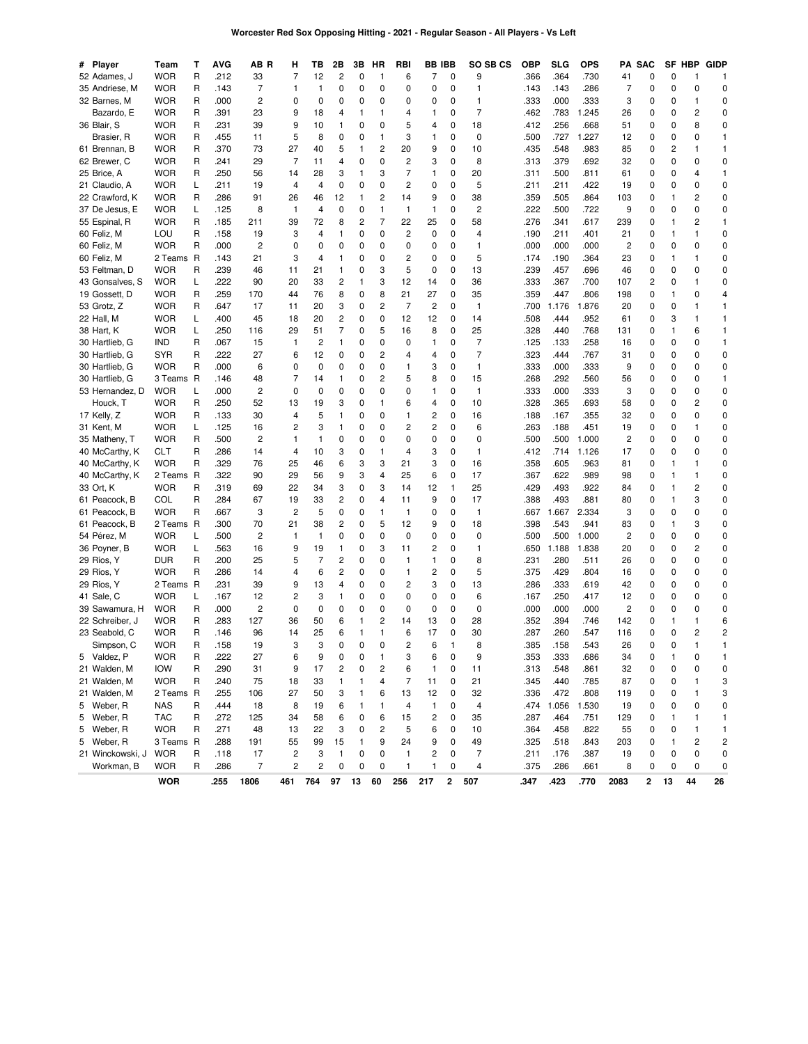| # Player                 | Team                     | т      | AVG          | AB R           | н              | тв       | 2Β                      | 3В             | HR             | RBI                     | BB IBB         |              | SO SB CS                | ОВР          | SLG           | OPS          |                | PA SAC |                | SF HBP            | <b>GIDP</b>    |
|--------------------------|--------------------------|--------|--------------|----------------|----------------|----------|-------------------------|----------------|----------------|-------------------------|----------------|--------------|-------------------------|--------------|---------------|--------------|----------------|--------|----------------|-------------------|----------------|
| 52 Adames, J             | <b>WOR</b>               | R      | .212         | 33             | 7              | 12       | 2                       | 0              | 1              | 6                       | 7              | 0            | 9                       | .366         | .364          | .730         | 41             | 0      | 0              | 1                 | 1              |
| 35 Andriese, M           | <b>WOR</b>               | R      | .143         | 7              | 1              | 1        | 0                       | 0              | 0              | 0                       | 0              | 0            | 1                       | .143         | .143          | .286         | 7              | 0      | 0              | 0                 | 0              |
| 32 Barnes, M             | <b>WOR</b>               | R      | .000         | 2              | 0              | 0        | 0                       | 0              | 0              | 0                       | 0              | 0            | 1                       | .333         | .000          | .333         | 3              | 0      | 0              | 1                 | 0              |
| Bazardo, E               | <b>WOR</b>               | R      | .391         | 23             | 9              | 18       | 4                       | 1              | 1              | 4                       | 1              | 0            | $\overline{7}$          | .462         | .783          | 1.245        | 26             | 0      | 0              | 2                 | 0              |
| 36 Blair, S              | <b>WOR</b>               | R      | .231         | 39             | 9              | 10       | 1                       | 0              | 0              | 5                       | 4              | 0            | 18                      | .412         | .256          | .668         | 51             | 0      | 0              | 8                 | 0              |
| Brasier, R               | <b>WOR</b>               | R      | .455         | 11             | 5              | 8        | 0                       | 0              | 1              | 3                       | 1              | 0            | 0                       | .500         | .727          | 1.227        | 12             | 0      | 0              | 0                 | 1              |
| 61 Brennan, B            | <b>WOR</b>               | R      | .370         | 73             | 27             | 40       | 5                       | 1              | 2              | 20                      | 9              | 0            | 10                      | .435         | .548          | .983         | 85             | 0      | $\overline{c}$ | 1                 | 1              |
| 62 Brewer, C             | <b>WOR</b>               | R      | .241         | 29             | 7              | 11       | 4                       | 0              | 0              | $\overline{\mathbf{c}}$ | 3              | 0            | 8                       | .313         | .379          | .692         | 32             | 0      | 0              | 0                 | 0              |
| 25 Brice, A              | <b>WOR</b>               | R      | .250         | 56             | 14             | 28       | 3                       | 1              | 3              | 7                       | 1              | 0            | 20                      | .311         | .500          | .811         | 61             | 0      | 0              | 4                 | 1              |
| 21 Claudio, A            | <b>WOR</b>               | L      | .211         | 19             | 4              | 4        | 0                       | 0              | 0              | $\overline{c}$          | 0              | 0            | 5                       | .211         | .211          | .422         | 19             | 0      | 0              | 0                 | 0              |
| 22 Crawford, K           | <b>WOR</b>               | R      | .286         | 91             | 26             | 46       | 12                      | 1              | 2              | 14                      | 9              | 0            | 38                      | .359         | .505          | .864         | 103            | 0      | 1              | 2                 | 0              |
| 37 De Jesus, E           | <b>WOR</b>               | Г      | .125         | 8              | 1              | 4        | 0                       | 0              | 1              | $\mathbf{1}$            | 1              | 0            | $\overline{\mathbf{c}}$ | .222         | .500          | .722         | 9              | 0      | 0              | 0                 | 0              |
| 55 Espinal, R            | WOR                      | R      | .185         | 211            | 39             | 72       | 8                       | $\overline{c}$ | $\overline{7}$ | 22                      | 25             | 0            | 58                      | .276         | .341          | .617         | 239            | 0      | 1              | 2                 | 1              |
| 60 Feliz, M              | LOU                      | R      | .158         | 19             | 3              | 4        | $\mathbf{1}$            | $\Omega$       | 0              | $\overline{c}$          | 0              | 0            | 4                       | .190         | .211          | .401         | 21             | 0      | 1              | 1                 | 0              |
| 60 Feliz, M              | <b>WOR</b>               | R      | .000         | 2              | 0              | 0        | 0                       | 0              | 0              | 0                       | 0              | 0            | 1                       | .000         | .000          | .000         | 2              | 0      | 0              | 0                 | 0              |
| 60 Feliz, M              | 2 Teams R                |        | .143         | 21             | 3              | 4        | $\mathbf{1}$            | 0              | 0              | 2                       | 0              | 0            | 5                       | .174         | .190          | .364         | 23             | 0      | 1              | 1                 | 0              |
| 53 Feltman, D            | <b>WOR</b>               | R      | .239         | 46             | 11             | 21       | 1                       | 0              | 3              | 5                       | 0              | 0            | 13                      | .239         | .457          | .696         | 46             | 0      | 0              | 0                 | 0              |
| 43 Gonsalves, S          | <b>WOR</b>               | L      | .222         | 90             | 20             | 33       | $\overline{c}$          | 1              | 3              | 12                      | 14             | 0            | 36                      | .333         | .367          | .700         | 107            | 2      | 0              | 1                 | 0              |
| 19 Gossett, D            | <b>WOR</b>               | R      | .259         | 170            | 44             | 76       | 8                       | 0              | 8              | 21                      | 27             | 0            | 35                      | .359         | .447          | .806         | 198            | 0      | 1              | 0                 | 4              |
| 53 Grotz, Z              | <b>WOR</b>               | R      | .647         | 17             | 11             | 20       | 3                       | 0              | $\overline{c}$ | 7                       | $\overline{c}$ | 0            | $\mathbf{1}$            | .700         | 1.176         | 1.876        | 20             | 0      | 0              | 1                 | 1              |
| 22 Hall, M               | <b>WOR</b>               | L      | .400         | 45             | 18             | 20       | $\overline{\mathbf{c}}$ | 0              | 0              | 12                      | 12             | 0            | 14                      | .508         | .444          | .952         | 61             | 0      | 3              | 1                 | 1              |
| 38 Hart, K               | <b>WOR</b>               | L      | .250         | 116            | 29             | 51       | 7                       | 0              | 5              | 16                      | 8              | 0            | 25                      | .328         | .440          | .768         | 131            | 0      | 1              | 6                 | 1              |
| 30 Hartlieb, G           | <b>IND</b>               | R      | .067         | 15             | 1              | 2        | $\mathbf{1}$            | 0              | 0              | 0                       | 1              | 0            | $\overline{7}$          | .125         | .133          | .258         | 16             | 0      | 0              | 0                 | 1              |
| 30 Hartlieb, G           | <b>SYR</b>               | R      | .222         | 27             | 6              | 12       | 0                       | 0              | 2              | 4                       | 4              | 0            | 7                       | .323         | .444          | .767         | 31             | 0      | 0              | 0                 | 0              |
| 30 Hartlieb, G           | <b>WOR</b>               | R      | .000         | 6              | 0              | 0        | 0                       | 0              | 0              | 1                       | 3              | 0            | $\mathbf{1}$            | .333         | .000          | .333         | 9              | 0      | 0              | 0                 | 0              |
| 30 Hartlieb, G           | 3 Teams R                |        | .146         | 48             | 7              | 14       | 1                       | 0              | 2              | 5                       | 8              | 0            | 15                      | .268         | .292          | .560         | 56             | 0      | 0              | 0                 | 1              |
| 53 Hernandez, D          | <b>WOR</b>               | L      | .000         | 2              | 0              | 0        | 0                       | 0              | 0              | 0                       | 1              | 0            | $\mathbf{1}$            | .333         | .000          | .333         | 3              | 0      | 0              | 0                 | 0              |
| Houck, T                 | <b>WOR</b>               | R      | .250         | 52             | 13             | 19       | 3                       | 0              | 1              | 6                       | 4              | 0            | 10                      | .328         | .365          | .693         | 58             | 0      | 0              | 2                 | 0              |
| 17 Kelly, Z              | <b>WOR</b>               | R      | .133         | 30             | 4              | 5        | $\mathbf{1}$            | 0              | 0              | 1                       | 2              | 0            | 16                      | .188         | .167          | .355         | 32             | 0      | 0              | 0                 | 0              |
| 31 Kent, M               | <b>WOR</b>               | L      | .125         | 16             | 2              | 3        | 1                       | 0              | 0              | $\overline{c}$          | 2              | 0            | 6                       | .263         | .188          | .451         | 19             | 0      | 0              | 1                 | 0              |
| 35 Matheny, T            | <b>WOR</b>               | R      | .500         | $\overline{c}$ | 1              | 1        | 0                       | 0              | 0              | 0                       | 0              | 0            | 0                       | .500         | .500          | 1.000        | 2              | 0      | 0              | 0                 | 0              |
| 40 McCarthy, K           | CLT                      | R      | .286         | 14             | 4              | 10       | 3                       | 0              | 1              | 4                       | 3              | 0            | $\mathbf{1}$            | .412         | .714          | 1.126        | 17             | 0      | 0              | 0                 | 0              |
| 40 McCarthy, K           | <b>WOR</b>               | R      | .329         | 76             | 25             | 46       | 6                       | 3              | 3              | 21                      | 3              | 0            | 16                      | .358         | .605          | .963         | 81             | 0      | 1              | 1                 | 0              |
| 40 McCarthy, K           | 2 Teams R                |        | .322         | 90             | 29             | 56       | 9                       | 3              | 4              | 25                      | 6              | 0            | 17                      | .367         | .622          | .989         | 98             | 0      | 1              | 1                 | 0              |
| 33 Ort, K                | <b>WOR</b>               | R      | .319         | 69             | 22             | 34       | 3                       | 0              | 3              | 14                      | 12             | $\mathbf{1}$ | 25                      | .429         | .493          | .922         | 84             | 0      | 1              | 2                 | 0              |
| 61 Peacock, B            | COL                      | R      | .284         | 67             | 19             | 33       | $\overline{c}$          | 0              | 4              | 11                      | 9              | 0            | 17                      | .388         | .493          | .881         | 80             | 0      | 1              | 3                 | 0              |
| 61 Peacock, B            | <b>WOR</b>               | R      | .667         | 3              | $\overline{c}$ | 5        | 0                       | 0              | 1              | $\mathbf{1}$            | 0              | 0            | $\mathbf{1}$            | .667         | 1.667         | 2.334        | 3              | 0      | 0              | 0                 | 0              |
| 61 Peacock, B            | 2 Teams R                |        | .300         | 70             | 21             | 38       | $\overline{\mathbf{c}}$ | 0              | 5              | 12                      | 9              | 0            | 18                      | .398         | .543          | .941         | 83             | 0      | 1              | 3                 | 0              |
| 54 Pérez, M              | <b>WOR</b>               | L      | .500         | $\overline{c}$ | 1              | 1        | 0                       | 0              | 0              | $\mathbf 0$             | 0              | 0            | 0                       | .500         | .500          | 1.000        | $\overline{c}$ | 0      | 0              | 0                 | 0              |
| 36 Poyner, B             | <b>WOR</b>               | L      | .563         | 16             | 9              | 19       | $\mathbf{1}$            | 0              | 3              | 11                      | 2              | 0            | $\mathbf{1}$            | .650         | 1.188         | 1.838        | 20             | 0      | 0              | 2                 | 0              |
| 29 Ríos, Y               | <b>DUR</b>               | R      | .200         | 25             | 5              | 7        | $\overline{\mathbf{c}}$ | 0              | 0              | 1                       | 1              | 0            | 8                       | .231         | .280          | .511         | 26             | 0      | 0              | 0                 | 0              |
| 29 Ríos, Y               | <b>WOR</b>               | R      | .286         | 14             | 4              | 6        | $\overline{c}$          | 0              | 0              | 1                       | 2              | 0            | 5                       | .375         | .429          | .804         | 16             | 0      | 0              | 0                 | 0              |
| 29 Ríos, Y               | 2 Teams R                |        | .231         | 39             | 9              | 13       | 4                       | 0              | 0              | 2                       | 3              | 0            | 13                      | .286         | .333          | .619         | 42             | 0      | 0              | 0                 | 0              |
| 41 Sale, C               | <b>WOR</b>               | L      | .167         | 12             | 2              | 3        | $\mathbf{1}$            | 0              | 0              | 0                       | 0              | 0            | 6                       | .167         | .250          | .417         | 12             | 0      | 0              | 0                 | 0              |
| 39 Sawamura, H           | <b>WOR</b>               | R      | .000         | 2              | 0              | 0        | 0                       | 0              | 0              | 0                       | 0              | 0            | 0                       | .000         | .000          | .000         | 2              | 0      | 0              | 0                 | 0              |
| 22 Schreiber, J          | <b>WOR</b>               | R      | .283         | 127            | 36             | 50       | 6                       | 1              | 2              | 14                      | 13             | 0            | 28                      | .352         | .394          | .746         | 142            | 0      | 1              | 1                 | 6              |
| 23 Seabold, C            | WOR                      | R      | .146         | 96             | 14             | 25       | 6                       | 1              | 1              | 6                       | 17             | 0            | 30                      | .287         | .260          | .547         | 116            | 0      | 0              | 2                 | 2              |
| Simpson, C               | WOR                      | R      | .158         | 19             | 3              | 3        | 0                       | $\Omega$       | 0              | $\overline{c}$          | 6              | 1            | 8                       | .385         | .158          | .543         | 26             | 0      | 0              | 1                 | 1              |
| 5 Valdez, P              | WOR                      | R      | .222         | 27             | 6              | 9        | 0                       | 0              | 1              | 3                       | 6              | 0            | 9                       | .353         | .333          | .686         | 34             | 0      | 1              | 0                 | 1              |
| 21 Walden, M             | <b>IOW</b>               | R      | .290         | 31             | 9              | 17       | $\overline{\mathbf{c}}$ | 0              | $\overline{c}$ | 6                       | $\mathbf{1}$   | 0            | 11                      | .313         | .548          | .861         | 32             | 0      | 0              | 0                 | 0              |
| 21 Walden, M             | <b>WOR</b>               | R      | .240         | 75             | 18             | 33       | 1                       | 1              | 4              | 7                       | 11             | 0            | 21                      | .345         | .440          | .785         | 87             | 0      | 0              | 1                 | 3              |
| 21 Walden, M             | 2 Teams R                |        | .255         | 106            | 27             | 50       | 3                       | 1              | 6              | 13                      | 12             | 0            | 32                      | .336         | .472          | .808         | 119            | 0      | 0              | 1                 | 3              |
| 5 Weber, R               | <b>NAS</b>               | R      | .444<br>.272 | 18             | 8              | 19       | 6                       | 1              | 1<br>6         | 4<br>15                 | 1              | 0<br>0       | 4                       | .474<br>.287 | 1.056<br>.464 | 1.530        | 19             | 0      | 0              | 0<br>$\mathbf{1}$ | 0<br>1         |
| 5 Weber, R<br>5 Weber, R | <b>TAC</b><br><b>WOR</b> | R<br>R | .271         | 125<br>48      | 34<br>13       | 58<br>22 | 6<br>3                  | 0<br>0         | 2              | 5                       | 2<br>6         | 0            | 35<br>10                | .364         | .458          | .751<br>.822 | 129<br>55      | 0<br>0 | 1<br>0         | 1                 | 1              |
| 5 Weber, R               | 3 Teams R                |        | .288         | 191            | 55             | 99       | 15                      | 1              | 9              | 24                      | 9              | 0            | 49                      | .325         | .518          | .843         | 203            | 0      | $\mathbf{1}$   | $\overline{c}$    | $\overline{c}$ |
| 21 Winckowski, J         | <b>WOR</b>               | R      | .118         | 17             | 2              | 3        | $\mathbf{1}$            | 0              | 0              | 1                       | 2              | 0            | 7                       | .211         | .176          | .387         | 19             | 0      | 0              | 0                 | 0              |
| Workman, B               | <b>WOR</b>               | R      | .286         | 7              | 2              | 2        | 0                       | 0              | 0              | $\mathbf{1}$            | 1              | 0            | 4                       | .375         | .286          | .661         | 8              | 0      | 0              | 0                 | 0              |
|                          | <b>WOR</b>               |        | .255         | 1806           | 461            | 764      | 97                      | 13             | 60             | 256                     | 217            | 2            | 507                     | .347         | .423          | .770         | 2083           | 2      | 13             | 44                | 26             |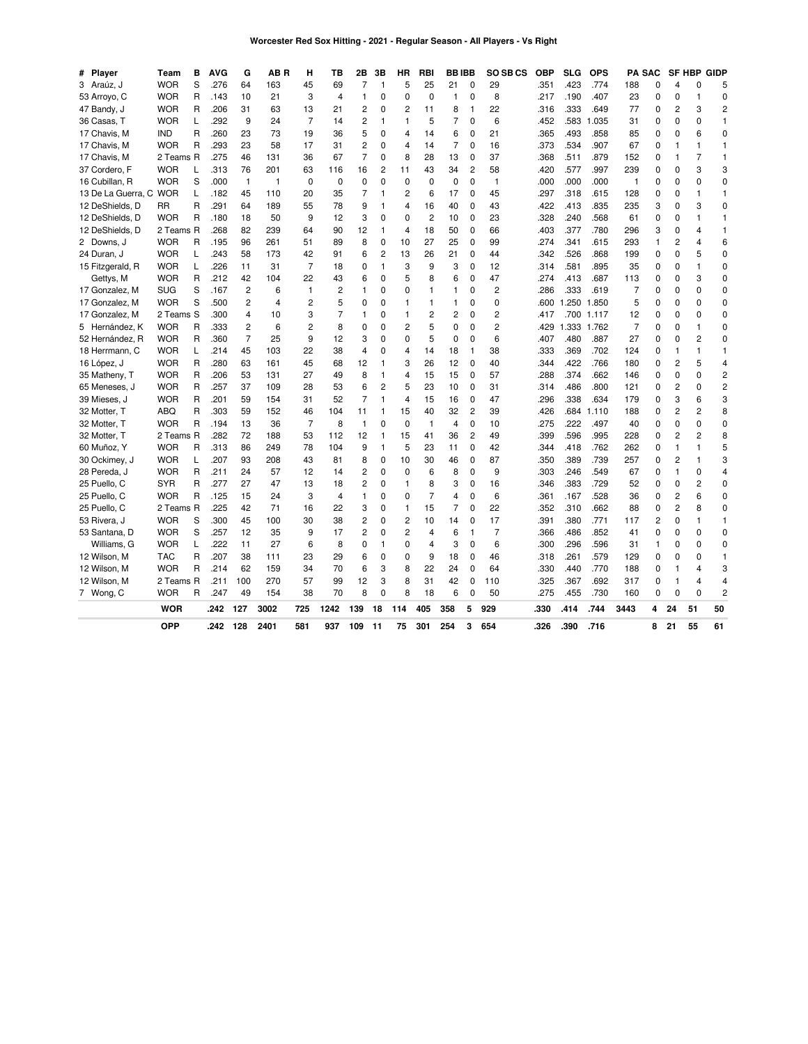| # | Player             | Team       | В              | AVG  | G              | AB R | н              | TВ             | 2Β             | 3B             | HR             | RBI            | <b>BBIBB</b>   |                |                | <b>SO SB CS</b> | <b>OBP</b> | SLG   | <b>OPS</b> |                | <b>PA SAC</b> |                |                | SF HBP GIDP    |
|---|--------------------|------------|----------------|------|----------------|------|----------------|----------------|----------------|----------------|----------------|----------------|----------------|----------------|----------------|-----------------|------------|-------|------------|----------------|---------------|----------------|----------------|----------------|
|   | 3 Araúz, J         | <b>WOR</b> | S              | 276  | 64             | 163  | 45             | 69             | 7              | $\mathbf{1}$   | 5              | 25             | 21             | 0              | 29             |                 | 351        | .423  | .774       | 188            | 0             | 4              | 0              | 5              |
|   | 53 Arroyo, C       | <b>WOR</b> | R              | .143 | 10             | 21   | 3              | $\overline{4}$ | 1              | 0              | $\Omega$       | $\mathbf 0$    | $\overline{1}$ | 0              | 8              |                 | .217       | .190  | .407       | 23             | 0             | 0              | 1              | $\mathbf 0$    |
|   | 47 Bandy, J        | <b>WOR</b> | R              | .206 | 31             | 63   | 13             | 21             | 2              | 0              | 2              | 11             | 8              | 1              | 22             |                 | .316       | .333  | .649       | 77             | 0             | 2              | 3              | 2              |
|   | 36 Casas, T        | <b>WOR</b> | L              | .292 | 9              | 24   | $\overline{7}$ | 14             | 2              | 1              | 1              | 5              | 7              | 0              | 6              |                 | .452       | .583  | 1.035      | 31             | 0             | 0              | 0              | 1              |
|   | 17 Chavis, M       | <b>IND</b> | R              | .260 | 23             | 73   | 19             | 36             | 5              | 0              | 4              | 14             | 6              | 0              | 21             |                 | 365        | .493  | .858       | 85             | 0             | 0              | 6              | 0              |
|   | 17 Chavis, M       | <b>WOR</b> | R              | .293 | 23             | 58   | 17             | 31             | 2              | 0              | 4              | 14             | 7              | $\mathbf 0$    | 16             |                 | .373       | .534  | .907       | 67             | 0             | 1              | 1              | 1              |
|   | 17 Chavis, M       | 2 Teams R  |                | .275 | 46             | 131  | 36             | 67             | $\overline{7}$ | 0              | 8              | 28             | 13             | 0              | 37             |                 | .368       | .511  | .879       | 152            | 0             | 1              | 7              | 1              |
|   | 37 Cordero, F      | <b>WOR</b> | L              | .313 | 76             | 201  | 63             | 116            | 16             | 2              | 11             | 43             | 34             | $\overline{c}$ | 58             |                 | .420       | .577  | .997       | 239            | 0             | 0              | 3              | 3              |
|   | 16 Cubillan, R     | <b>WOR</b> | S              | .000 | $\mathbf{1}$   | 1    | $\mathbf 0$    | 0              | 0              | 0              | $\mathbf 0$    | 0              | 0              | $\mathbf 0$    | $\mathbf{1}$   |                 | .000       | .000  | .000       | 1              | 0             | 0              | 0              | 0              |
|   | 13 De La Guerra, C | WOR        | L              | .182 | 45             | 110  | 20             | 35             | 7              | 1              | 2              | 6              | 17             | 0              | 45             |                 | .297       | .318  | .615       | 128            | 0             | 0              | 1              | 1              |
|   | 12 DeShields, D    | RR         | R              | .291 | 64             | 189  | 55             | 78             | 9              | 1              | 4              | 16             | 40             | $\mathbf 0$    | 43             |                 | .422       | .413  | .835       | 235            | 3             | 0              | 3              | 0              |
|   | 12 DeShields, D    | <b>WOR</b> | $\overline{R}$ | .180 | 18             | 50   | 9              | 12             | 3              | $\mathbf 0$    | $\mathbf 0$    | $\overline{c}$ | 10             | $\mathbf 0$    | 23             |                 | 328        | .240  | .568       | 61             | 0             | 0              | 1              | 1              |
|   | 12 DeShields, D    | 2 Teams R  |                | .268 | 82             | 239  | 64             | 90             | 12             | 1              | $\overline{4}$ | 18             | 50             | 0              | 66             |                 | .403       | .377  | .780       | 296            | 3             | 0              | 4              | 1              |
|   | 2 Downs. J         | <b>WOR</b> | R              | .195 | 96             | 261  | 51             | 89             | 8              | 0              | 10             | 27             | 25             | $\mathbf 0$    | 99             |                 | .274       | .341  | .615       | 293            | 1             | $\overline{c}$ | 4              | 6              |
|   | 24 Duran, J        | <b>WOR</b> | L              | .243 | 58             | 173  | 42             | 91             | 6              | 2              | 13             | 26             | 21             | 0              | 44             |                 | .342       | .526  | .868       | 199            | 0             | 0              | 5              | 0              |
|   | 15 Fitzgerald, R   | <b>WOR</b> | L              | .226 | 11             | 31   | $\overline{7}$ | 18             | 0              | 1              | 3              | 9              | 3              | $\mathbf 0$    | 12             |                 | .314       | .581  | .895       | 35             | 0             | 0              | 1              | 0              |
|   | Gettys, M          | <b>WOR</b> | R              | 212  | 42             | 104  | 22             | 43             | 6              | 0              | 5              | 8              | 6              | 0              | 47             |                 | 274        | .413  | .687       | 113            | 0             | 0              | 3              | 0              |
|   | 17 Gonzalez, M     | <b>SUG</b> | S              | .167 | $\overline{c}$ | 6    | 1              | 2              | 1              | 0              | 0              | 1              | $\mathbf{1}$   | $\mathbf 0$    | 2              |                 | .286       | .333  | .619       | 7              | 0             | 0              | 0              | 0              |
|   | 17 Gonzalez, M     | <b>WOR</b> | S              | .500 | $\overline{c}$ | 4    | $\overline{c}$ | 5              | 0              | 0              | 1              | $\mathbf{1}$   | $\mathbf{1}$   | 0              | 0              |                 | .600       | 1.250 | 1.850      | 5              | 0             | 0              | 0              | 0              |
|   | 17 Gonzalez, M     | 2 Teams S  |                | .300 | 4              | 10   | 3              | 7              | $\mathbf{1}$   | 0              | 1              | 2              | 2              | 0              | 2              |                 | .417       | .700  | 1.117      | 12             | 0             | 0              | 0              | 0              |
|   | 5 Hernández, K     | <b>WOR</b> | R              | .333 | $\overline{2}$ | 6    | $\overline{2}$ | 8              | $\Omega$       | 0              | 2              | 5              | $\Omega$       | $\Omega$       | 2              |                 | .429       | 1.333 | 1.762      | $\overline{7}$ | 0             | $\Omega$       | 1              | $\Omega$       |
|   | 52 Hernández, R    | <b>WOR</b> | R              | .360 | $\overline{7}$ | 25   | 9              | 12             | 3              | 0              | 0              | 5              | $\Omega$       | $\Omega$       | 6              |                 | .407       | .480  | .887       | 27             | 0             | 0              | $\overline{c}$ | $\Omega$       |
|   | 18 Herrmann, C     | <b>WOR</b> | L              | .214 | 45             | 103  | 22             | 38             | 4              | 0              | 4              | 14             | 18             | $\mathbf{1}$   | 38             |                 | .333       | .369  | .702       | 124            | 0             | 1              | 1              | 1              |
|   | 16 López, J        | <b>WOR</b> | R              | .280 | 63             | 161  | 45             | 68             | 12             | $\mathbf{1}$   | 3              | 26             | 12             | 0              | 40             |                 | .344       | .422  | .766       | 180            | 0             | 2              | 5              | 4              |
|   | 35 Matheny, T      | <b>WOR</b> | $\mathsf{R}$   | .206 | 53             | 131  | 27             | 49             | 8              | 1              | 4              | 15             | 15             | $\mathbf 0$    | 57             |                 | .288       | .374  | .662       | 146            | 0             | 0              | 0              | 2              |
|   | 65 Meneses, J      | <b>WOR</b> | R              | .257 | 37             | 109  | 28             | 53             | 6              | $\overline{c}$ | 5              | 23             | 10             | 0              | 31             |                 | .314       | .486  | .800       | 121            | 0             | 2              | $\overline{0}$ | $\overline{c}$ |
|   | 39 Mieses, J       | <b>WOR</b> | R              | .201 | 59             | 154  | 31             | 52             | $\overline{7}$ | 1              | $\overline{4}$ | 15             | 16             | $\mathbf 0$    | 47             |                 | .296       | .338  | .634       | 179            | 0             | 3              | 6              | 3              |
|   | 32 Motter, T       | ABQ        | R              | .303 | 59             | 152  | 46             | 104            | 11             | 1              | 15             | 40             | 32             | $\overline{c}$ | 39             |                 | .426       | .684  | 1.110      | 188            | 0             | 2              | 2              | 8              |
|   | 32 Motter, T       | <b>WOR</b> | R              | .194 | 13             | 36   | $\overline{7}$ | 8              | $\mathbf{1}$   | $\Omega$       | $\mathbf 0$    | $\mathbf{1}$   | 4              | $\mathbf 0$    | 10             |                 | .275       | .222  | .497       | 40             | 0             | 0              | 0              | 0              |
|   | 32 Motter, T       | 2 Teams R  |                | .282 | 72             | 188  | 53             | 112            | 12             | 1              | 15             | 41             | 36             | $\overline{c}$ | 49             |                 | .399       | .596  | .995       | 228            | 0             | 2              | 2              | 8              |
|   | 60 Muñoz, Y        | Wor        | R              | .313 | 86             | 249  | 78             | 104            | 9              | $\mathbf{1}$   | 5              | 23             | 11             | 0              | 42             |                 | .344       | .418  | .762       | 262            | 0             | 1              | 1              | 5              |
|   | 30 Ockimey, J      | <b>WOR</b> | L              | .207 | 93             | 208  | 43             | 81             | 8              | 0              | 10             | 30             | 46             | $\mathbf 0$    | 87             |                 | .350       | .389  | .739       | 257            | 0             | 2              | 1              | 3              |
|   | 28 Pereda, J       | <b>WOR</b> | R              | .211 | 24             | 57   | 12             | 14             | 2              | 0              | 0              | 6              | 8              | 0              | 9              |                 | .303       | .246  | .549       | 67             | 0             | 1              | 0              | 4              |
|   | 25 Puello, C       | <b>SYR</b> | R              | .277 | 27             | 47   | 13             | 18             | 2              | 0              | $\mathbf{1}$   | 8              | 3              | $\mathbf 0$    | 16             |                 | .346       | .383  | .729       | 52             | 0             | 0              | 2              | $\mathbf 0$    |
|   | 25 Puello, C       | <b>WOR</b> | R              | .125 | 15             | 24   | 3              | $\overline{4}$ | $\mathbf{1}$   | 0              | $\mathbf 0$    | $\overline{7}$ | 4              | $\Omega$       | 6              |                 | .361       | .167  | .528       | 36             | 0             | 2              | 6              | 0              |
|   | 25 Puello, C       | 2 Teams R  |                | .225 | 42             | 71   | 16             | 22             | 3              | 0              | -1             | 15             | 7              | 0              | 22             |                 | .352       | .310  | .662       | 88             | 0             | 2              | 8              | O              |
|   | 53 Rivera, J       | Wor        | S              | .300 | 45             | 100  | 30             | 38             | 2              | 0              | $\overline{c}$ | 10             | 14             | 0              | 17             |                 | .391       | .380  | .771       | 117            | 2             | 0              | 1              | 1              |
|   | 53 Santana, D      | <b>WOR</b> | S              | .257 | 12             | 35   | 9              | 17             | 2              | 0              | 2              | 4              | 6              | $\mathbf{1}$   | $\overline{7}$ |                 | .366       | .486  | .852       | 41             | 0             | 0              | 0              | 0              |
|   | Williams, G        | <b>WOR</b> | L              | .222 | 11             | 27   | 6              | 8              | 0              | $\mathbf{1}$   | 0              | 4              | 3              | 0              | 6              |                 | .300       | .296  | .596       | 31             | 1             | 0              | 0              | 0              |
|   | 12 Wilson, M       | <b>TAC</b> | R              | .207 | 38             | 111  | 23             | 29             | 6              | 0              | 0              | 9              | 18             | 0              | 46             |                 | .318       | .261  | .579       | 129            | 0             | 0              | 0              | 1              |
|   | 12 Wilson, M       | <b>WOR</b> | R              | .214 | 62             | 159  | 34             | 70             | 6              | 3              | 8              | 22             | 24             | $\Omega$       | 64             |                 | .330       | .440  | .770       | 188            | 0             | 1              | 4              | 3              |
|   | 12 Wilson, M       | 2 Teams R  |                | .211 | 100            | 270  | 57             | 99             | 12             | 3              | 8              | 31             | 42             | 0              | 110            |                 | .325       | .367  | .692       | 317            | 0             | 1              | 4              | 4              |
|   | 7 Wong, C          | <b>WOR</b> | R              | .247 | 49             | 154  | 38             | 70             | 8              | 0              | 8              | 18             | 6              | 0              | 50             |                 | .275       | .455  | .730       | 160            | 0             | 0              | 0              | 2              |
|   |                    | <b>WOR</b> |                | .242 | 127            | 3002 | 725            | 1242           | 139            | 18             | 114            | 405            | 358            | 5              | 929            |                 | .330       | .414  | .744       | 3443           | 4             | 24             | 51             | 50             |
|   |                    | <b>OPP</b> |                | .242 | 128            | 2401 | 581            | 937            | 109            | 11             | 75             | 301            | 254            | 3              | 654            |                 | .326       | .390  | .716       |                | 8             | 21             | 55             | 61             |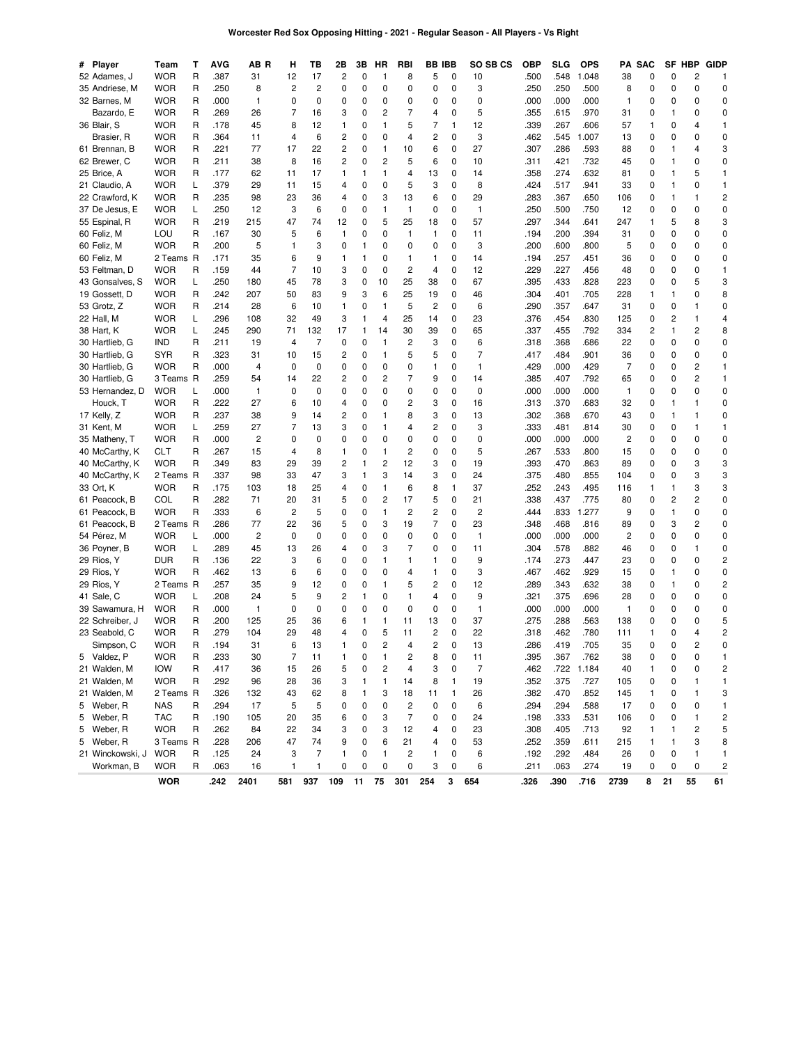| # Player         | Team       | т | AVG  | AB R           | н              | TВ           | 2В             | зв | HR             | <b>RBI</b>              |     | BB IBB       | SO SB CS       | <b>OBP</b> | SLG  | <b>OPS</b> |                | <b>PA SAC</b>  |    | SF HBP                  | <b>GIDP</b>             |
|------------------|------------|---|------|----------------|----------------|--------------|----------------|----|----------------|-------------------------|-----|--------------|----------------|------------|------|------------|----------------|----------------|----|-------------------------|-------------------------|
| 52 Adames, J     | <b>WOR</b> | R | .387 | 31             | 12             | 17           | 2              | 0  | 1              | 8                       | 5   | 0            | 10             | .500       | .548 | 1.048      | 38             | 0              | 0  | 2                       | 1                       |
| 35 Andriese, M   | <b>WOR</b> | R | .250 | 8              | $\overline{c}$ | 2            | 0              | 0  | 0              | 0                       | 0   | 0            | 3              | .250       | .250 | .500       | 8              | 0              | 0  | 0                       | 0                       |
| 32 Barnes, M     | WOR        | R | .000 | $\mathbf{1}$   | 0              | 0            | 0              | 0  | 0              | 0                       | 0   | 0            | 0              | .000       | .000 | .000       | $\mathbf{1}$   | 0              | 0  | 0                       | 0                       |
| Bazardo, E       | <b>WOR</b> | R | .269 | 26             | 7              | 16           | 3              | 0  | 2              | 7                       | 4   | 0            | 5              | .355       | .615 | .970       | 31             | 0              | 1  | 0                       | 0                       |
| 36 Blair, S      | WOR        | R | .178 | 45             | 8              | 12           | 1              | 0  | 1              | 5                       | 7   | 1            | 12             | .339       | .267 | .606       | 57             | 1              | 0  | 4                       | 1                       |
| Brasier, R       | WOR        | R | .364 | 11             | $\overline{4}$ | 6            | 2              | 0  | 0              | 4                       | 2   | 0            | 3              | .462       | .545 | 1.007      | 13             | 0              | 0  | 0                       | 0                       |
| 61 Brennan, B    | WOR        | R | .221 | 77             | 17             | 22           | $\overline{c}$ | 0  | 1              | 10                      | 6   | 0            | 27             | .307       | .286 | .593       | 88             | 0              | 1  | 4                       | 3                       |
| 62 Brewer, C     | WOR        | R | .211 | 38             | 8              | 16           | 2              | 0  | 2              | 5                       | 6   | 0            | 10             | .311       | .421 | .732       | 45             | 0              | 1  | 0                       | 0                       |
| 25 Brice, A      | WOR        | R | .177 | 62             | 11             | 17           | 1              | 1  | 1              | 4                       | 13  | 0            | 14             | .358       | .274 | .632       | 81             | 0              | 1  | 5                       | 1                       |
| 21 Claudio, A    | WOR        | L | .379 | 29             | 11             | 15           | 4              | 0  | 0              | 5                       | 3   | 0            | 8              | .424       | .517 | .941       | 33             | 0              | 1  | 0                       | $\mathbf{1}$            |
| 22 Crawford, K   | WOR        | R | .235 | 98             | 23             | 36           | 4              | 0  | 3              | 13                      | 6   | 0            | 29             | .283       | .367 | .650       | 106            | 0              | 1  | $\mathbf{1}$            | 2                       |
| 37 De Jesus, E   | WOR        | L | .250 | 12             | 3              | 6            | 0              | 0  | 1              | $\mathbf{1}$            | 0   | 0            | $\mathbf{1}$   | .250       | .500 | .750       | 12             | 0              | 0  | 0                       | 0                       |
| 55 Espinal, R    | WOR        | R | .219 | 215            | 47             | 74           | 12             | 0  | 5              | 25                      | 18  | 0            | 57             | .297       | .344 | .641       | 247            | 1              | 5  | 8                       | 3                       |
| 60 Feliz, M      | LOU        | R | .167 | 30             | 5              | 6            | $\mathbf{1}$   | 0  | $\mathbf 0$    | 1                       | 1   | 0            | 11             | .194       | .200 | .394       | 31             | 0              | 0  | 0                       | 0                       |
| 60 Feliz, M      | WOR        | R | .200 | 5              | -1             | 3            | 0              | 1  | 0              | 0                       | 0   | 0            | 3              | .200       | .600 | .800       | 5              | 0              | 0  | 0                       | 0                       |
| 60 Feliz, M      | 2 Teams R  |   | .171 | 35             | 6              | 9            | 1              | 1  | 0              | 1                       | 1   | 0            | 14             | .194       | .257 | .451       | 36             | 0              | 0  | 0                       | 0                       |
| 53 Feltman, D    | WOR        | R | .159 | 44             | 7              | 10           | 3              | 0  | 0              | 2                       | 4   | 0            | 12             | .229       | .227 | .456       | 48             | 0              | 0  | 0                       | 1                       |
| 43 Gonsalves, S  | <b>WOR</b> | L | .250 | 180            | 45             | 78           | 3              | 0  | 10             | 25                      | 38  | 0            | 67             | .395       | .433 | .828       | 223            | 0              | 0  | 5                       | 3                       |
| 19 Gossett, D    | WOR        | R | .242 | 207            | 50             | 83           | 9              | 3  | 6              | 25                      | 19  | 0            | 46             | .304       | .401 | .705       | 228            | 1              | 1  | 0                       | 8                       |
| 53 Grotz, Z      | WOR        | R | .214 | 28             | 6              | 10           | 1              | 0  | 1              | 5                       | 2   | 0            | 6              | .290       | .357 | .647       | 31             | 0              | 0  | $\mathbf{1}$            | 0                       |
| 22 Hall, M       | <b>WOR</b> | L | .296 | 108            | 32             | 49           | 3              | 1  | 4              | 25                      | 14  | 0            | 23             | .376       | .454 | .830       | 125            | 0              | 2  | $\mathbf{1}$            | 4                       |
| 38 Hart, K       | WOR        | L | .245 | 290            | 71             | 132          | 17             | 1  | 14             | 30                      | 39  | 0            | 65             | .337       | .455 | .792       | 334            | $\overline{c}$ | 1  | $\overline{c}$          | 8                       |
| 30 Hartlieb, G   | <b>IND</b> | R | .211 | 19             | $\overline{4}$ | 7            | 0              | 0  | 1              | $\overline{c}$          | 3   | 0            | 6              | .318       | .368 | .686       | 22             | 0              | 0  | 0                       | 0                       |
| 30 Hartlieb, G   | SYR        | R | .323 | 31             | 10             | 15           | 2              | 0  | 1              | 5                       | 5   | 0            | 7              | .417       | .484 | .901       | 36             | 0              | 0  | 0                       | 0                       |
| 30 Hartlieb, G   | WOR        | R | .000 | 4              | 0              | 0            | 0              | 0  | 0              | 0                       | 1   | 0            | 1              | .429       | .000 | .429       | 7              | 0              | 0  | 2                       | $\mathbf{1}$            |
| 30 Hartlieb, G   | 3 Teams R  |   | .259 | 54             | 14             | 22           | 2              | 0  | 2              | 7                       | 9   | 0            | 14             | .385       | .407 | .792       | 65             | 0              | 0  | $\overline{c}$          | $\mathbf{1}$            |
| 53 Hernandez, D  | <b>WOR</b> | L | .000 | $\mathbf{1}$   | 0              | 0            | 0              | 0  | 0              | 0                       | 0   | 0            | 0              | .000       | .000 | .000       | $\mathbf{1}$   | 0              | 0  | 0                       | 0                       |
|                  |            |   | .222 | 27             |                | 10           | 4              |    | 0              | 2                       | 3   | 0            |                |            |      | .683       |                | 0              | 1  | 1                       | 0                       |
| Houck, T         | WOR        | R |      |                | 6              |              |                | 0  |                |                         |     |              | 16             | .313       | .370 |            | 32             |                | 1  |                         |                         |
| 17 Kelly, Z      | WOR        | R | .237 | 38             | 9              | 14           | 2              | 0  | 1              | 8                       | 3   | 0            | 13             | .302       | .368 | .670       | 43             | 0              |    | 1                       | 0                       |
| 31 Kent, M       | WOR        | L | .259 | 27             | 7              | 13           | 3              | 0  | 1              | 4                       | 2   | 0            | 3              | .333       | .481 | .814       | 30             | 0              | 0  | 1                       | 1                       |
| 35 Matheny, T    | WOR        | R | .000 | $\overline{c}$ | 0              | 0            | 0              | 0  | 0              | 0                       | 0   | 0            | 0              | .000       | .000 | .000       | $\overline{c}$ | 0              | 0  | 0                       | 0                       |
| 40 McCarthy, K   | CLT        | R | .267 | 15             | 4              | 8            | 1              | 0  | 1              | 2                       | 0   | 0            | 5              | .267       | .533 | .800       | 15             | 0              | 0  | 0                       | 0                       |
| 40 McCarthy, K   | WOR        | R | .349 | 83             | 29             | 39           | 2              | 1  | $\overline{c}$ | 12                      | 3   | 0            | 19             | .393       | .470 | .863       | 89             | 0              | 0  | 3                       | 3                       |
| 40 McCarthy, K   | 2 Teams R  |   | .337 | 98             | 33             | 47           | 3              | 1  | 3              | 14                      | 3   | 0            | 24             | .375       | .480 | .855       | 104            | 0              | 0  | 3                       | 3                       |
| 33 Ort, K        | WOR        | R | .175 | 103            | 18             | 25           | 4              | 0  | 1              | 6                       | 8   | $\mathbf{1}$ | 37             | .252       | .243 | .495       | 116            | 1              | 1  | 3                       | 3                       |
| 61 Peacock, B    | COL        | R | .282 | 71             | 20             | 31           | 5              | 0  | 2              | 17                      | 5   | 0            | 21             | .338       | .437 | .775       | 80             | 0              | 2  | 2                       | 0                       |
| 61 Peacock, B    | WOR        | R | .333 | 6              | $\overline{c}$ | 5            | 0              | 0  | 1              | 2                       | 2   | 0            | $\overline{c}$ | .444       | .833 | 1.277      | 9              | 0              | 1  | 0                       | 0                       |
| 61 Peacock, B    | 2 Teams R  |   | .286 | 77             | 22             | 36           | 5              | 0  | 3              | 19                      | 7   | 0            | 23             | .348       | .468 | .816       | 89             | 0              | 3  | 2                       | 0                       |
| 54 Pérez, M      | WOR        | L | .000 | $\overline{c}$ | 0              | 0            | 0              | 0  | 0              | 0                       | 0   | 0            | $\mathbf{1}$   | .000       | .000 | .000       | $\overline{c}$ | 0              | 0  | 0                       | 0                       |
| 36 Poyner, B     | WOR        | L | .289 | 45             | 13             | 26           | 4              | 0  | 3              | 7                       | 0   | 0            | 11             | .304       | .578 | .882       | 46             | 0              | 0  | $\mathbf{1}$            | 0                       |
| 29 Ríos, Y       | DUR        | R | .136 | 22             | 3              | 6            | 0              | 0  | 1              | 1                       | 1   | 0            | 9              | .174       | .273 | .447       | 23             | 0              | 0  | 0                       | $\overline{\mathbf{c}}$ |
| 29 Ríos, Y       | <b>WOR</b> | R | .462 | 13             | 6              | 6            | 0              | 0  | 0              | 4                       | 1   | 0            | 3              | .467       | .462 | .929       | 15             | 0              | 1  | 0                       | 0                       |
| 29 Ríos, Y       | 2 Teams R  |   | .257 | 35             | 9              | 12           | 0              | 0  | 1              | 5                       | 2   | 0            | 12             | .289       | .343 | .632       | 38             | 0              | 1  | 0                       | 2                       |
| 41 Sale, C       | WOR        | L | .208 | 24             | 5              | 9            | 2              | 1  | 0              | 1                       | 4   | 0            | 9              | .321       | .375 | .696       | 28             | 0              | 0  | 0                       | 0                       |
| 39 Sawamura, H   | <b>WOR</b> | R | .000 | $\mathbf{1}$   | 0              | 0            | 0              | 0  | 0              | 0                       | 0   | 0            | $\mathbf{1}$   | .000       | .000 | .000       | $\mathbf{1}$   | 0              | 0  | 0                       | 0                       |
| 22 Schreiber, J  | WOR        | R | .200 | 125            | 25             | 36           | 6              | 1  | 1              | 11                      | 13  | 0            | 37             | .275       | .288 | .563       | 138            | 0              | 0  | 0                       | 5                       |
| 23 Seabold, C    | WOR        | R | .279 | 104            | 29             | 48           | 4              | 0  | 5              | 11                      | 2   | 0            | 22             | .318       | .462 | .780       | 111            | 1              | 0  | 4                       | 2                       |
| Simpson, C       | WOR        | R | .194 | 31             | 6              | 13           | 1              | 0  | $\overline{c}$ | 4                       | 2   | 0            | 13             | .286       | .419 | .705       | 35             | 0              | 0  | 2                       | 0                       |
| 5 Valdez, P      | Wor        | R | .233 | 30             | $\overline{7}$ | 11           | 1              | 0  | 1              | $\overline{\mathbf{c}}$ | 8   | 0            | $11$           | .395       | .367 | .762       | 38             | 0              | 0  | 0                       | 1                       |
| 21 Walden, M     | <b>IOW</b> | R | .417 | 36             | 15             | 26           | 5              | 0  | $\overline{c}$ | 4                       | 3   | 0            | 7              | .462       |      | .722 1.184 | 40             | $\mathbf{1}$   | 0  | 0                       | $\overline{\mathbf{c}}$ |
| 21 Walden, M     | WOR        | R | .292 | 96             | 28             | 36           | 3              | 1  | $\mathbf{1}$   | 14                      | 8   | 1            | 19             | .352       | .375 | .727       | 105            | 0              | 0  | 1                       | 1                       |
| 21 Walden, M     | 2 Teams R  |   | .326 | 132            | 43             | 62           | 8              | 1  | 3              | 18                      | 11  | $\mathbf{1}$ | 26             | .382       | .470 | .852       | 145            | 1              | 0  | $\mathbf{1}$            | 3                       |
| 5 Weber, R       | <b>NAS</b> | R | .294 | 17             | 5              | 5            | 0              | 0  | 0              | 2                       | 0   | 0            | 6              | .294       | .294 | .588       | 17             | 0              | 0  | 0                       | 1                       |
| 5 Weber, R       | TAC        | R | .190 | 105            | 20             | 35           | 6              | 0  | 3              | $\overline{7}$          | 0   | 0            | 24             | .198       | .333 | .531       | 106            | 0              | 0  | $\mathbf{1}$            | 2                       |
| 5 Weber, R       | <b>WOR</b> | R | .262 | 84             | 22             | 34           | 3              | 0  | 3              | 12                      | 4   | 0            | 23             | .308       | .405 | .713       | 92             | 1              | 1  | $\overline{\mathbf{c}}$ | 5                       |
| 5 Weber, R       | 3 Teams R  |   | .228 | 206            | 47             | 74           | 9              | 0  | 6              | 21                      | 4   | 0            | 53             | .252       | .359 | .611       | 215            | 1              | 1  | 3                       | 8                       |
| 21 Winckowski, J | <b>WOR</b> | R | .125 | 24             | 3              | 7            | 1              | 0  | 1              | 2                       | 1   | 0            | 6              | .192       | .292 | .484       | 26             | 0              | 0  | $\mathbf{1}$            | 1                       |
| Workman, B       | <b>WOR</b> | R | .063 | 16             | $\mathbf{1}$   | $\mathbf{1}$ | 0              | 0  | $\mathbf 0$    | 0                       | 3   | 0            | 6              | .211       | .063 | .274       | 19             | 0              | 0  | 0                       | $\overline{\mathbf{c}}$ |
|                  | <b>WOR</b> |   | .242 | 2401           | 581            | 937          | 109            | 11 | 75             | 301                     | 254 | 3            | 654            | .326       | .390 | .716       | 2739           | 8              | 21 | 55                      | 61                      |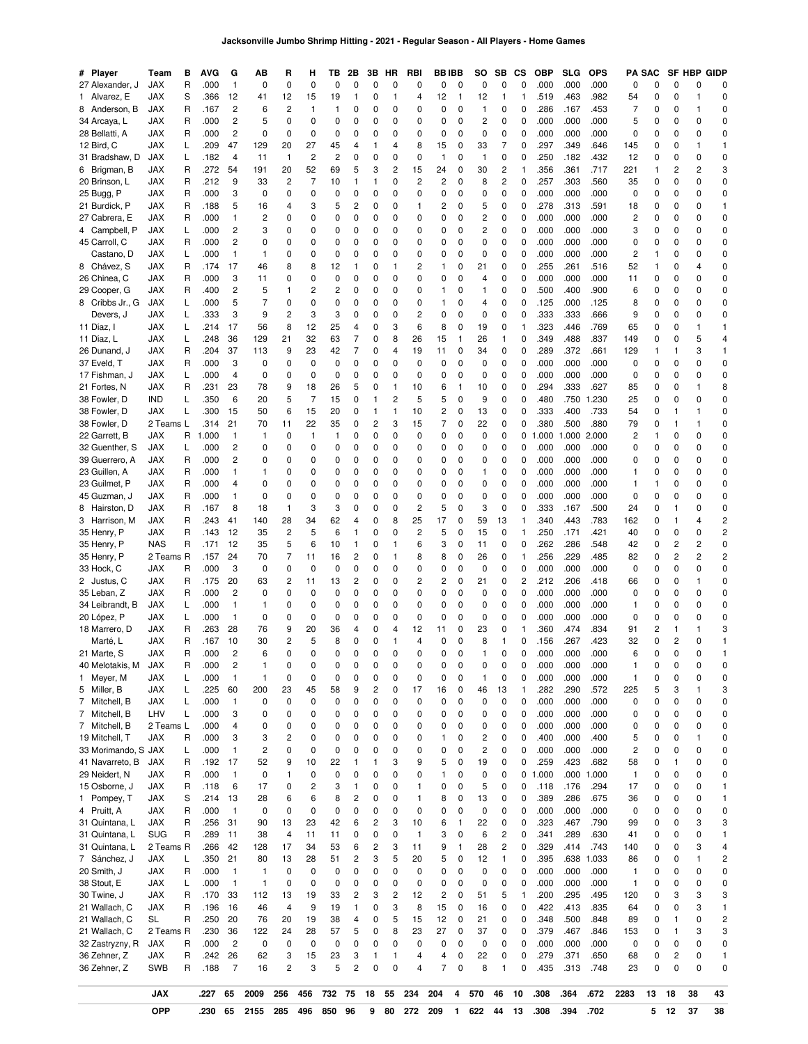| 36 Zehner, Z                       | <b>SWB</b>              | R      | .188          | 7                    | 16                  | 2                       | 3                    | 5                    | $\overline{c}$       | 0      | 0           | 4        | 7            | 0      | 8                             | 1              | 0      | .435         | .313         | .748          | 23           | 0          | 0      | 0      | 0              |
|------------------------------------|-------------------------|--------|---------------|----------------------|---------------------|-------------------------|----------------------|----------------------|----------------------|--------|-------------|----------|--------------|--------|-------------------------------|----------------|--------|--------------|--------------|---------------|--------------|------------|--------|--------|----------------|
| 32 Zastryzny, R<br>36 Zehner, Z    | <b>JAX</b><br>JAX       | R<br>R | .000<br>.242  | $\overline{c}$<br>26 | $\mathbf 0$<br>62   | 0<br>3                  | 0<br>15              | 0<br>23              | 0<br>3               | 0<br>1 | 0<br>1      | 0<br>4   | 0<br>4       | 0<br>0 | 0<br>22                       | 0<br>0         | 0<br>0 | .000<br>.279 | .000<br>.371 | .000<br>.650  | 0<br>68      | 0<br>0     | 0<br>2 | 0<br>0 | 0<br>1         |
| 21 Wallach, C                      | 2 Teams R               |        | .230          | 36                   | 122                 | 24                      | 28                   | 57                   | 5                    | 0      | 8           | 23       | 27           | 0      | 37                            | 0              | 0      | .379         | .467         | .846          | 153          | 0          | 1      | 3      | 3              |
| 21 Wallach, C<br>21 Wallach, C     | <b>JAX</b><br><b>SL</b> | R<br>R | .196<br>.250  | 16<br>20             | 46<br>76            | 4<br>20                 | 9<br>19              | 19<br>38             | 1<br>4               | 0<br>0 | 3<br>5      | 8<br>15  | 15<br>12     | 0<br>0 | 16<br>21                      | 0<br>0         | 0<br>0 | .422<br>.348 | .413<br>.500 | .835<br>.848  | 64<br>89     | 0<br>0     | 0<br>1 | 3<br>0 | 1<br>2         |
| 30 Twine, J                        | <b>JAX</b>              | R      | .170          | 33                   | 112                 | 13                      | 19                   | 33                   | 2                    | 3      | 2           | 12       | 2            | 0      | 51                            | 5              | 1      | .200         | .295         | .495          | 120          | 0          | 3      | 3      | 3              |
| 38 Stout, E                        | JAX                     | L      | .000          | $\mathbf{1}$         | $\mathbf{1}$        | 0                       | 0                    | 0                    | 0                    | 0      | 0           | 0        | 0            | 0      | 0                             | 0              | 0      | .000         | .000         | .000          | -1           | 0          | 0      | 0      | 0              |
| 7 Sánchez, J<br>20 Smith, J        | JAX<br>JAX              | L<br>R | .350<br>.000  | 21<br>$\mathbf{1}$   | 80<br>$\mathbf{1}$  | 13<br>0                 | 28<br>0              | 51<br>0              | 2<br>0               | 3<br>0 | 5<br>0      | 20<br>0  | 5<br>0       | 0<br>0 | 12<br>0                       | 1<br>0         | 0<br>0 | .395<br>.000 | .638<br>.000 | 1.033<br>.000 | 86<br>-1     | 0<br>0     | 0<br>0 | 1<br>0 | 2<br>0         |
| 31 Quintana, L                     | 2 Teams R               |        | .266          | 42                   | 128                 | 17                      | 34                   | 53                   | 6                    | 2      | 3           | 11       | 9            | 1      | 28                            | 2              | 0      | .329         | .414         | .743          | 140          | 0          | 0      | 3      | 4              |
| 31 Quintana, L                     | <b>SUG</b>              | R      | .289          | 11                   | 38                  | 4                       | 11                   | 11                   | 0                    | 0      | $\mathbf 0$ | 1        | 3            | 0      | 6                             | $\overline{c}$ | 0      | .341         | .289         | .630          | 41           | 0          | 0      | 0      | 1              |
| 4 Pruitt, A<br>31 Quintana, L      | JAX<br><b>JAX</b>       | R      | .256          | 31                   | 90                  | 13                      | 23                   | 42                   | 6                    | 2      | 3           | 10       | 6            | 1      | 22                            | 0              | 0      | .323         | .467         | .790          | 99           | 0          | 0      | 3      | 3              |
| 1 Pompey, T                        | <b>JAX</b>              | S<br>R | .214<br>.000  | 13<br>1              | 28<br>0             | 6<br>0                  | 6<br>0               | 8<br>0               | 2<br>0               | 0<br>0 | 0<br>0      | 1<br>0   | 8<br>0       | 0<br>0 | 13<br>0                       | 0<br>0         | 0<br>0 | .389<br>.000 | .286<br>.000 | .675<br>.000  | 36<br>0      | 0<br>0     | 0<br>0 | 0<br>0 | 1<br>0         |
| 15 Osborne, J                      | <b>JAX</b>              | R      | .118          | 6                    | 17                  | 0                       | 2                    | 3                    | 1                    | 0      | 0           | 1        | 0            | 0      | 5                             | 0              | 0      | .118         | .176         | .294          | 17           | 0          | 0      | 0      | 1              |
| 29 Neidert, N                      | JAX                     | R      | .000          | 1                    | 0                   | $\mathbf{1}$            | 0                    | 0                    | 0                    | 0      | 0           | 0        | 1            | 0      | 0                             | 0              | 0      | .000<br>-1   | .000         | 1.000         | $\mathbf{1}$ | 0          | 0      | 0      | 0              |
| 33 Morimando, S<br>41 Navarreto, B | JAX<br><b>JAX</b>       | L<br>R | .000<br>.192  | 1<br>17              | 2<br>52             | 0<br>9                  | 0<br>10              | 0<br>22              | 0<br>1               | 0<br>1 | 0<br>3      | 0<br>9   | 0<br>5       | 0<br>0 | $\overline{\mathbf{c}}$<br>19 | 0<br>0         | 0<br>0 | .000<br>.259 | .000<br>.423 | .000<br>.682  | 2<br>58      | 0<br>0     | 0<br>1 | 0<br>0 | 0<br>0         |
| 19 Mitchell, T                     | <b>JAX</b>              | R      | .000          | 3                    | 3                   | $\overline{\mathbf{c}}$ | 0                    | 0                    | 0                    | 0      | 0           | 0        | 1            | 0      | 2                             | 0              | 0      | .400         | .000         | .400          | 5            | 0          | 0      | 1      | 0              |
| 7 Mitchell, B                      | 2 Teams L               |        | .000          | 4                    | 0                   | 0                       | 0                    | 0                    | 0                    | 0      | 0           | 0        | 0            | 0      | 0                             | 0              | 0      | .000         | .000         | .000          | 0            | 0          | 0      | 0      | 0              |
| 7 Mitchell, B                      | LHV                     | L      | .000          | 3                    | 0                   | 0                       | 0                    | 0                    | 0                    | 0      | 0           | 0        | 0            | 0      | 0                             | 0              | 0      | .000         | .000         | .000          | 0            | 0          | 0      | 0      | 0              |
| 7 Mitchell, B                      | <b>JAX</b>              | L      | .000          | 1                    | 0                   | 0                       | 0                    | 0                    | 0                    | 0      | 0           | 0        | 0            | 0      | 0                             | 0              | 0      | .000         | .000         | .000          | 0            | 0          | 0      | 0      | 0              |
| 1 Meyer, M<br>5 Miller, B          | JAX<br><b>JAX</b>       | L<br>L | .000<br>.225  | 1<br>60              | $\mathbf{1}$<br>200 | 0<br>23                 | 0<br>45              | 0<br>58              | 0<br>9               | 0<br>2 | 0<br>0      | 0<br>17  | 0<br>16      | 0<br>0 | 1<br>46                       | 0<br>13        | 0<br>1 | .000<br>.282 | .000<br>.290 | .000<br>.572  | 1<br>225     | 0<br>5     | 0<br>3 | 0<br>1 | 0<br>3         |
| 40 Melotakis, M                    | JAX                     | R      | .000          | 2                    | 1                   | 0                       | 0                    | 0                    | 0                    | 0      | 0           | 0        | 0            | 0      | 0                             | 0              | 0      | .000         | .000         | .000          | 1            | 0          | 0      | 0      | 0              |
| 21 Marte, S                        | JAX                     | R      | .000          | 2                    | 6                   | 0                       | 0                    | 0                    | O                    | C      | n           | $\Omega$ | O            | 0      | 1                             | U              | O      | .000         | .000         | .000          | 6            | n          | 0      | O      | 1              |
| Marté, L                           | JAX                     | R      | .167          | 10                   | 30                  | 2                       | 5                    | 8                    | 0                    | 0      | -1          | 4        | O            | 0      | 8                             | 1              | O      | .156         | .267         | .423          | 32           | n          | 2      | 0      | 1              |
| 20 López, P<br>18 Marrero, D       | JAX                     | L<br>R | .263          | 28                   | 76                  | 9                       | 20                   | 36                   | 4                    | 0      | 4           | 12       | 11           | 0      | 23                            | 0              | 1      | .360         | .474         | .834          | 91           | 2          | 1      | 1      | 3              |
| 34 Leibrandt, B                    | JAX<br>JAX              | L      | .000<br>.000  | 1<br>1               | 1<br>0              | 0<br>0                  | 0<br>0               | 0<br>0               | 0<br>0               | 0<br>0 | 0<br>0      | 0<br>0   | 0<br>O       | 0<br>0 | 0<br>0                        | 0<br>0         | 0<br>0 | .000<br>.000 | .000<br>.000 | .000<br>.000  | 0            | 0<br>0     | 0<br>0 | 0<br>0 | 0<br>0         |
| 35 Leban, Z                        | JAX                     | R      | .000          | 2                    | 0                   | 0                       | 0                    | 0                    | 0                    | 0      | 0           | 0        | 0            | 0      | 0                             | 0              | 0      | .000         | .000         | .000          | 0            | 0          | 0      | 0      | 0              |
| 2 Justus, C                        | JAX                     | R      | .175          | 20                   | 63                  | 2                       | 11                   | 13                   | 2                    | 0      | 0           | 2        | 2            | 0      | 21                            | 0              | 2      | .212         | .206         | .418          | 66           | 0          | 0      | 1      | 0              |
| 33 Hock, C                         | <b>JAX</b>              | R      | .000          | 3                    | 0                   | 0                       | 0                    | 0                    | 0                    | 0      | 0           | 0        | 0            | 0      | 0                             | 0              | 0      | .000         | .000         | .000          | 0            | 0          | 0      | 0      | 0              |
| 35 Henry, P<br>35 Henry, P         | <b>NAS</b><br>2 Teams R | R      | .171<br>.157  | 12<br>24             | 35<br>70            | 5<br>7                  | 6<br>11              | 10<br>16             | 1<br>2               | 0<br>0 | 1           | 6<br>8   | 3<br>8       | 0<br>0 | 11<br>26                      | 0<br>0         | 0<br>1 | .262<br>.256 | .286<br>.229 | .548<br>.485  | 42<br>82     | 0<br>0     | 2<br>2 | 2<br>2 | 0<br>2         |
| 35 Henry, P                        | JAX                     | R      | .143          | 12                   | 35                  | $\overline{c}$          | 5                    | 6                    | 1                    | 0      | 0           | 2        | 5            | 0      | 15                            | 0              | 1      | .250         | .171         | .421          | 40           | 0          | 0      | 0      | $\overline{c}$ |
| 3 Harrison, M                      | <b>JAX</b>              | R      | .243          | 41                   | 140                 | 28                      | 34                   | 62                   | 4                    | 0      | 8           | 25       | 17           | 0      | 59                            | 13             | 1      | .340         | .443         | .783          | 162          | 0          | 1      | 4      | 2              |
| 8 Hairston, D                      | <b>JAX</b>              | R      | .167          | 8                    | 18                  | $\mathbf{1}$            | 3                    | 3                    | 0                    | 0      | 0           | 2        | 5            | 0      | 3                             | 0              | 0      | .333         | .167         | .500          | 24           | 0          | 1      | 0      | 0              |
| 23 Guilmet, P<br>45 Guzman, J      | JAX<br>JAX              | R<br>R | .000<br>.000  | 4<br>1               | 0<br>0              | 0<br>0                  | 0<br>0               | 0<br>0               | 0<br>0               | 0<br>0 | 0<br>0      | 0<br>0   | 0<br>0       | 0<br>0 | 0<br>0                        | 0<br>0         | 0<br>0 | .000<br>.000 | .000<br>.000 | .000<br>.000  | 0            | 1<br>0     | 0<br>0 | 0<br>0 | 0<br>0         |
| 23 Guillen, A                      | JAX                     | R      | .000          | 1                    | 1                   | 0                       | 0                    | 0                    | 0                    | 0      | 0           | 0        | 0            | 0      | 1                             | 0              | 0      | .000         | .000         | .000          |              | 0          | 0      | 0      | 0              |
| 39 Guerrero, A                     | <b>JAX</b>              | R      | .000          | 2                    | 0                   | 0                       | 0                    | 0                    | 0                    | 0      | 0           | 0        | 0            | 0      | 0                             | 0              | 0      | .000         | .000         | .000          | 0            | 0          | 0      | 0      | 0              |
| 32 Guenther, S                     | <b>JAX</b>              | L      | .000          | 2                    | 0                   | 0                       | 0                    | 0                    | 0                    | 0      | 0           | 0        | O            | 0      | 0                             | 0              | 0      | .000         | .000         | .000          | O            | 0          | 0      | 0      | 0              |
| 38 Fowler, D<br>22 Garrett. B      | 2 Teams L<br>JAX        | R      | .314<br>1.000 | 21<br>1              | 70<br>1             | 11<br>0                 | 22<br>1              | 35<br>1              | 0<br>$\Omega$        | 2<br>0 | 3<br>0      | 15<br>0  | 7<br>O       | 0<br>0 | 22<br>0                       | 0<br>0         | 0<br>0 | .380<br>.000 | .500<br>.000 | .880<br>2.000 | 79<br>2      | 0<br>1     | 1<br>0 | 1<br>0 | 0<br>0         |
| 38 Fowler, D                       | JAX                     | L      | .300          | 15                   | 50                  | 6                       | 15                   | 20                   | 0                    | 1      | 1           | 10       | 2            | 0      | 13                            | 0              | 0      | .333         | .400         | .733          | 54           | 0          | 1      | 1      | 0              |
| 38 Fowler, D                       | IND                     | L      | .350          | 6                    | 20                  | 5                       | 7                    | 15                   | 0                    | 1      | 2           | 5        | 5            | 0      | 9                             | 0              | 0      | .480         | .750         | 1.230         | 25           | 0          | 0      | 0      | 0              |
| 21 Fortes, N                       | JAX                     | R      | .231          | 23                   | 78                  | 9                       | 18                   | 26                   | 5                    | 0      |             | 10       | 6            | 1      | 10                            | 0              | 0      | .294         | .333         | .627          | 85           | 0          | 0      | 1      | 8              |
| 17 Fishman, J                      | JAX<br>JAX              | L      | .000          | 4                    | 0<br>0              | 0                       | 0                    | 0                    | 0                    | 0      | 0           | 0<br>0   | 0<br>0       | 0      | 0                             | 0<br>0         | 0      | .000         | .000         | .000          | 0            | 0<br>0     | 0      | 0      | 0              |
| 26 Dunand, J<br>37 Eveld, T        | <b>JAX</b>              | R<br>R | .204<br>.000  | 37<br>3              | 113                 | 9<br>0                  | 23<br>0              | 42<br>0              | 7<br>0               | 0<br>0 | 4<br>0      | 19       | 11           | 0<br>0 | 34<br>0                       | 0              | 0<br>0 | .289<br>.000 | .372<br>.000 | .661<br>.000  | 129<br>0     | 1          | 1<br>0 | 3<br>0 | 1<br>0         |
| 11 Díaz. L                         | JAX                     | L      | .248          | 36                   | 129                 | 21                      | 32                   | 63                   | 7                    | 0      | 8           | 26       | 15           | 1      | 26                            | 1              | 0      | .349         | .488         | .837          | 149          | 0          | 0      | 5      | 4              |
| 11 Díaz, I                         | JAX                     | L      | .214          | 17                   | 56                  | 8                       | 12                   | 25                   | 4                    | 0      | 3           | 6        | 8            | 0      | 19                            | 0              | 1      | .323         | .446         | .769          | 65           | 0          | 0      | 1      | 1              |
| Devers, J                          | JAX                     | L      | .333          | 3                    | 9                   | $\overline{c}$          | 3                    | 3                    | 0                    | 0      | 0           | 2        | 0            | 0      | 0                             | 0              | 0      | .333         | .333         | .666          | 9            | 0          | 0      | 0      | 0              |
| 29 Cooper, G<br>8 Cribbs Jr., G    | JAX<br><b>JAX</b>       | R<br>L | .400<br>.000  | 2<br>5               | 5<br>7              | 1<br>0                  | 2<br>0               | 2<br>0               | 0<br>0               | 0<br>0 | 0<br>0      | 0<br>0   | 1            | 0<br>0 | 1<br>4                        | 0<br>0         | 0      | .500<br>.125 | .400<br>.000 | .900<br>.125  | 6<br>8       | 0<br>0     | 0<br>0 | 0      | 0              |
| 26 Chinea, C                       | JAX                     | R      | .000          | 3                    | 11                  | 0                       | 0                    | 0                    | 0                    | 0      | 0           | 0        | 0            | 0      | 4                             | 0              | 0<br>0 | .000         | .000         | .000          | 11           | 0          | 0      | 0<br>0 | 0<br>0         |
| 8 Chávez, S                        | JAX                     | R      | .174          | 17                   | 46                  | 8                       | 8                    | 12                   | 1                    | 0      | 1           | 2        |              | 0      | 21                            | 0              | 0      | .255         | .261         | .516          | 52           | 1          | 0      | 4      | 0              |
| Castano, D                         | JAX                     | L      | .000          | 1                    | $\mathbf{1}$        | 0                       | 0                    | 0                    | 0                    | 0      | 0           | 0        | $\mathbf{0}$ | 0      | 0                             | 0              | 0      | .000         | .000         | .000          | 2            | 1          | 0      | 0      | 0              |
| 4 Campbell, P<br>45 Carroll, C     | JAX<br>JAX              | L<br>R | .000<br>.000  | 2<br>2               | 3<br>0              | 0<br>0                  | 0<br>0               | 0<br>0               | $\Omega$<br>$\Omega$ | 0<br>0 | 0<br>0      | 0<br>0   | O<br>O       | 0<br>0 | 2<br>0                        | 0<br>0         | 0<br>0 | .000<br>.000 | .000<br>.000 | .000<br>.000  | 3<br>0       | 0<br>0     | 0<br>0 | 0<br>0 | 0<br>0         |
| 27 Cabrera, E                      | <b>JAX</b>              | R      | .000          | 1                    | 2                   | 0                       | 0                    | 0                    | 0                    | 0      | 0           | 0        | 0            | 0      | 2                             | 0              | 0      | .000         | .000         | .000          | 2            | 0          | 0      | 0      | 0              |
| 21 Burdick, P                      | JAX                     | R      | .188          | 5                    | 16                  | 4                       | 3                    | 5                    | 2                    | 0      | 0           | 1        | 2            | 0      | 5                             | 0              | 0      | .278         | .313         | .591          | 18           | 0          | 0      | 0      | 1              |
| 25 Bugg, P                         | JAX                     | R      | .000          | 3                    | 0                   | 0                       | 0                    | 0                    | 0                    | 0      | 0           | 0        | 0            | 0      | 0                             | 0              | 0      | .000         | .000         | .000          | 0            | 0          | 0      | 0      | 0              |
| 20 Brinson, L                      | JAX                     | R      | .212          | 9                    | 33                  | $\overline{\mathbf{c}}$ | 7                    | 10                   |                      | 1      | 0           | 2        | 2            | 0      | 8                             | 2              | 0      | .257         | .303         | .560          | 35           | 0          | 0      | 0      | 0              |
| 31 Bradshaw, D<br>6 Brigman, B     | <b>JAX</b><br>JAX       | L<br>R | .182<br>.272  | 4<br>54              | 11<br>191           | $\mathbf{1}$<br>20      | $\overline{c}$<br>52 | $\overline{c}$<br>69 | 0<br>5               | 0<br>3 | 0<br>2      | 0<br>15  | 1<br>24      | 0<br>0 | 1<br>30                       | 0<br>2         | 0<br>1 | .250<br>.356 | .182<br>.361 | .432<br>.717  | 12<br>221    | 0<br>1     | 0<br>2 | 0<br>2 | 0<br>3         |
| 12 Bird, C                         | JAX                     | L      | .209          | 47                   | 129                 | 20                      | 27                   | 45                   | 4                    | 1      | 4           | 8        | 15           | 0      | 33                            | 7              | 0      | .297         | .349         | .646          | 145          | 0          | 0      | 1      | 1              |
| 28 Bellatti, A                     | JAX                     | R      | .000          | 2                    | 0                   | 0                       | 0                    | 0                    | 0                    | 0      | 0           | 0        | 0            | 0      | 0                             | 0              | 0      | .000         | .000         | .000          | 0            | 0          | 0      | 0      | 0              |
| 8 Anderson, B<br>34 Arcaya, L      | <b>JAX</b><br>JAX       | R<br>R | .167<br>.000  | 2<br>2               | 6<br>5              | 2<br>0                  | 1<br>0               | 1<br>0               | 0<br>0               | 0<br>0 | 0<br>0      | 0<br>0   | 0<br>0       | 0<br>0 | 1<br>2                        | 0<br>0         | 0<br>0 | .286<br>.000 | .167<br>.000 | .453<br>.000  | 7<br>5       | 0<br>0     | 0<br>0 | 1<br>0 | 0<br>0         |
| 1 Alvarez, E                       | JAX                     | S      | .366          | 12                   | 41                  | 12                      | 15                   | 19                   | 1                    | 0      | 1           | 4        | 12           | 1      | 12                            | 1              | 1      | .519         | .463         | .982          | 54           | 0          | 0      | 1      | 0              |
| 27 Alexander, J                    | JAX                     | R      | .000          | 1                    | $\mathbf 0$         | 0                       | 0                    | 0                    | $\Omega$             | C      | 0           | 0        | 0            | 0      | 0                             | 0              | 0      | .000         | .000         | .000          | 0            | 0          | 0      | 0      | 0              |
| # Player                           | Team                    | в      | AVG           | G                    | ΑВ                  | R                       | н                    | ΤВ                   | 2Β                   | 3В     | HR          | RBI      | <b>BBIBB</b> |        | so                            | SB             | СS     | <b>OBP</b>   | SLG          | OPS           | PА           | <b>SAC</b> |        | SF HBP | <b>GIDP</b>    |

**OPP .230 65 2155 285 496 850 96 9 80 272 209 1 622 44 13 .308 .394 .702 5 12 37 38**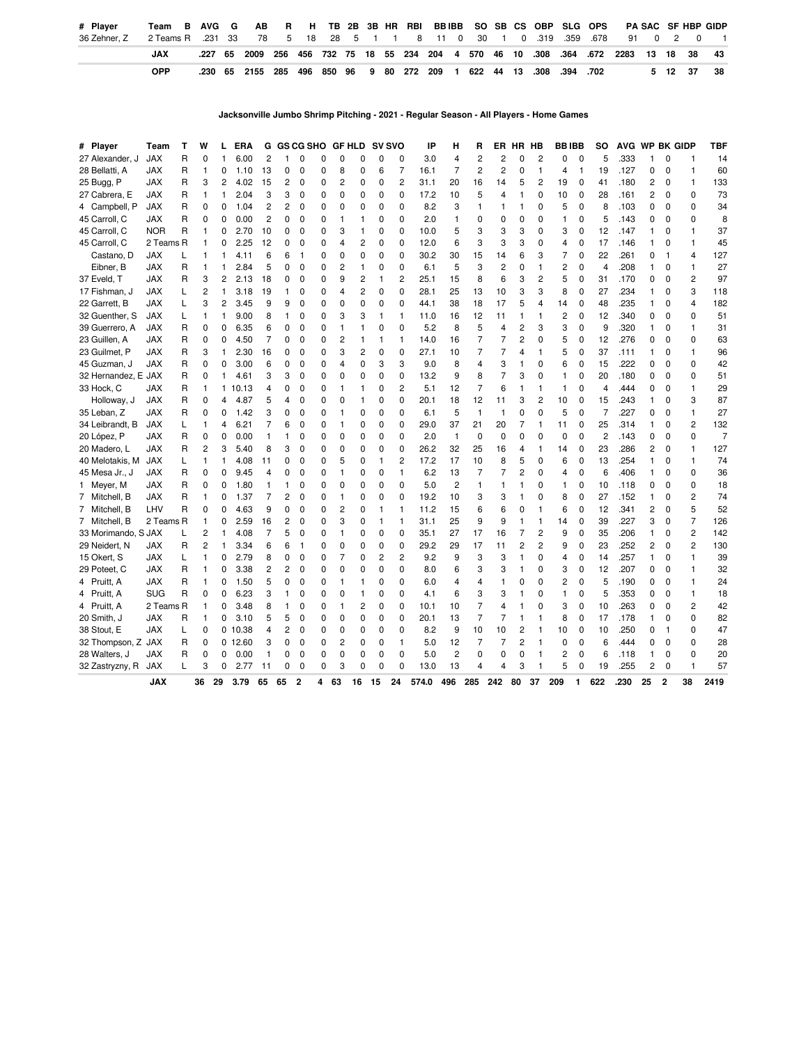| Player<br>#                 | Team            | в      | <b>AVG</b> |                     | G            | ΑВ             | R                   | н              |        | ΤВ                      | 2B             | 3В             | HR             | <b>RBI</b>                                                                            | <b>BBIBB</b>   | so             | SB      | СS             | <b>OBP</b>     | <b>SLG</b>              |         | <b>OPS</b>     | PA           | <b>SAC</b>          | SF           | HBP            | <b>GIDP</b>    |
|-----------------------------|-----------------|--------|------------|---------------------|--------------|----------------|---------------------|----------------|--------|-------------------------|----------------|----------------|----------------|---------------------------------------------------------------------------------------|----------------|----------------|---------|----------------|----------------|-------------------------|---------|----------------|--------------|---------------------|--------------|----------------|----------------|
| 36 Zehner, Z                | 2 Teams R       |        | .231       |                     | 33           | 78             | 5                   | 18             |        | 28                      | 5              |                | 1              | 8                                                                                     | 11             | 0<br>30        | 1       | 0              | .319           | .359                    |         | .678           | 91           | 0                   | 2            | 0              | 1              |
|                             | <b>JAX</b>      |        | .227       |                     | 65           | 2009           | 256                 | 456            | 732    | 75                      |                | 18             | 55             | 234<br>204                                                                            | 4              | 570            | 46      | 10             | .308           | .364                    |         | .672           | 2283         | 13                  | 18           | 38             | 43             |
|                             | <b>OPP</b>      |        | .230       |                     | 65           | 2155           | 285                 | 496            | 850    | 96                      |                | 9              | 80             | 209<br>272                                                                            | 1              | 622            | 44      | 13             | .308           | .394                    |         | .702           |              | 5                   | 12           | 37             | 38             |
|                             |                 |        |            |                     |              |                |                     |                |        |                         |                |                |                |                                                                                       |                |                |         |                |                |                         |         |                |              |                     |              |                |                |
|                             |                 |        |            |                     |              |                |                     |                |        |                         |                |                |                |                                                                                       |                |                |         |                |                |                         |         |                |              |                     |              |                |                |
|                             |                 |        |            |                     |              |                |                     |                |        |                         |                |                |                | Jacksonville Jumbo Shrimp Pitching - 2021 - Regular Season - All Players - Home Games |                |                |         |                |                |                         |         |                |              |                     |              |                |                |
|                             |                 |        |            |                     |              |                |                     |                |        |                         |                |                |                |                                                                                       |                |                |         |                |                |                         |         |                |              |                     |              |                |                |
|                             |                 |        |            |                     |              |                |                     |                |        |                         |                |                |                |                                                                                       |                |                |         |                |                |                         |         |                |              |                     |              |                |                |
| # Player                    | Team<br>т       |        | W          | L                   | ERA          |                |                     | G GS CG SHO    |        | <b>GF HLD</b>           |                |                | <b>SV SVO</b>  | IP                                                                                    | н              | R              |         | ER HR          | HВ             | BB IBB                  |         | so             | AVG WP BK    |                     |              | <b>GIDP</b>    | TBF            |
| 27 Alexander, J             | JAX             | R      | 0          | $\mathbf{1}$        | 6.00         | $\overline{c}$ | 1                   | $\Omega$       | O      | 0                       | 0              | 0              | 0              | 3.0                                                                                   | 4              | 2              | 2       | 0              | 2              | 0                       | 0       | 5              | .333         | 1                   | 0            | 1              | 14             |
| 28 Bellatti, A              | JAX             | R      | 1          | 0<br>$\overline{c}$ | 1.10<br>4.02 | 13<br>15       | 0<br>$\overline{c}$ | 0              | 0      | 8                       | 0<br>0         | 6<br>0         | 7<br>2         | 16.1<br>31.1                                                                          | 7              | 2              | 2<br>14 | 0              | 1<br>2         | 4                       | -1<br>0 | 19<br>41       | .127<br>.180 | 0<br>$\overline{c}$ | 0<br>0       | 1<br>1         | 60             |
| 25 Bugg, P<br>27 Cabrera, E | JAX<br>JAX      | R<br>R | 3<br>1     | 1                   | 2.04         | 3              | 3                   | 0<br>0         | 0<br>0 | 2<br>0                  | 0              | 0              | 0              | 17.2                                                                                  | 20<br>10       | 16<br>5        | 4       | 5<br>1         | 0              | 19<br>10                | 0       | 28             | .161         | 2                   | 0            | 0              | 133<br>73      |
| 4 Campbell, P               | JAX<br>R        |        | 0          | 0                   | 1.04         | 2              | 2                   | $\Omega$       | 0      | 0                       | 0              | 0              | 0              | 8.2                                                                                   | 3              | 1              | 1       | 1              | 0              | 5                       | 0       | 8              | .103         | 0                   | $\mathbf 0$  | 0              | 34             |
| 45 Carroll, C               | R<br>JAX        |        | 0          | 0                   | 0.00         | $\overline{c}$ | $\pmb{0}$           | 0              | 0      | 1                       | 1              | 0              | 0              | 2.0                                                                                   | 1              | 0              | 0       | 0              | 0              | 1                       | 0       | 5              | .143         | 0                   | 0            | 0              | 8              |
| 45 Carroll, C               | R<br><b>NOR</b> |        | 1          | 0                   | 2.70         | 10             | 0                   | 0              | 0      | 3                       | 1              | 0              | 0              | 10.0                                                                                  | 5              | 3              | 3       | 3              | 0              | 3                       | 0       | 12             | .147         | 1                   | 0            | 1              | 37             |
| 45 Carroll, C               | 2 Teams R       |        | 1          | 0                   | 2.25         | 12             | 0                   | 0              | 0      | 4                       | 2              | 0              | 0              | 12.0                                                                                  | 6              | 3              | 3       | 3              | 0              | 4                       | 0       | 17             | .146         | 1                   | 0            | 1              | 45             |
| Castano, D                  | JAX<br>L        |        | 1          | $\mathbf{1}$        | 4.11         | 6              | 6                   | 1              | 0      | 0                       | 0              | 0              | 0              | 30.2                                                                                  | 30             | 15             | 14      | 6              | 3              | $\overline{7}$          | 0       | 22             | .261         | 0                   | $\mathbf{1}$ | 4              | 127            |
| Eibner, B                   | JAX<br>R        |        | 1          | 1                   | 2.84         | 5              | 0                   | 0              | 0      | $\overline{\mathbf{c}}$ | 1              | 0              | 0              | 6.1                                                                                   | 5              | 3              | 2       | 0              | 1              | $\overline{\mathbf{c}}$ | 0       | 4              | .208         | 1                   | 0            | 1              | 27             |
| 37 Eveld, T                 | JAX             | R      | 3          | $\overline{c}$      | 2.13         | 18             | 0                   | 0              | 0      | 9                       | 2              | 1              | 2              | 25.1                                                                                  | 15             | 8              | 6       | 3              | $\overline{c}$ | 5                       | 0       | 31             | .170         | 0                   | 0            | $\overline{c}$ | 97             |
| 17 Fishman, J               | <b>JAX</b><br>L |        | 2          | 1                   | 3.18         | 19             | 1                   | 0              | 0      | 4                       | 2              | 0              | 0              | 28.1                                                                                  | 25             | 13             | 10      | 3              | 3              | 8                       | 0       | 27             | .234         | 1                   | $\mathbf 0$  | 3              | 118            |
| 22 Garrett, B               | JAX<br>L        |        | 3          | $\overline{c}$      | 3.45         | 9              | 9                   | 0              | 0      | 0                       | 0              | 0              | 0              | 44.1                                                                                  | 38             | 18             | 17      | 5              | 4              | 14                      | 0       | 48             | .235         | 1                   | 0            | 4              | 182            |
| 32 Guenther, S              | <b>JAX</b><br>L |        | 1          | 1                   | 9.00         | 8              | $\mathbf{1}$        | 0              | 0      | 3                       | 3              | $\mathbf{1}$   | 1              | 11.0                                                                                  | 16             | 12             | 11      | 1              | 1              | $\overline{c}$          | 0       | 12             | .340         | 0                   | 0            | 0              | 51             |
| 39 Guerrero, A              | JAX<br>R        |        | 0          | 0                   | 6.35         | 6              | 0                   | 0              | 0      | 1                       | 1              | 0              | 0              | 5.2                                                                                   | 8              | 5              | 4       | 2              | 3              | 3                       | 0       | 9              | 320          | 1                   | 0            | 1              | 31             |
| 23 Guillen, A               | JAX<br>R        |        | 0          | 0                   | 4.50         | 7              | 0                   | 0              | 0      | $\overline{c}$          | 1              | 1              | 1              | 14.0                                                                                  | 16             | $\overline{7}$ | 7       | 2              | 0              | 5                       | 0       | 12             | .276         | 0                   | 0            | 0              | 63             |
| 23 Guilmet, P               | <b>JAX</b>      | R      | 3          | 1                   | 2.30         | 16             | 0                   | 0              | 0      | 3                       | $\overline{c}$ | 0              | 0              | 27.1                                                                                  | 10             | 7              | 7       | 4              | 1              | 5                       | 0       | 37             | .111         | 1                   | 0            | 1              | 96             |
| 45 Guzman, J                | JAX             | R      | 0          | 0                   | 3.00         | 6              | 0                   | 0              | 0      | 4                       | 0              | 3              | 3              | 9.0                                                                                   | 8              | 4              | 3       | 1              | 0              | 6                       | 0       | 15             | .222         | 0                   | 0            | 0              | 42             |
| 32 Hernandez, E JAX         | R               |        | 0          | 1                   | 4.61         | 3              | 3                   | $\Omega$       | 0      | 0                       | 0              | 0              | 0              | 13.2                                                                                  | 9              | 8              | 7       | 3              | 0              | 1                       | 0       | 20             | .180         | 0                   | $\mathbf 0$  | 0              | 51             |
| 33 Hock, C                  | JAX             | R      | 1          | 1                   | -1<br>0.13   | 4              | $\mathbf 0$         | 0              | 0      | 1                       | 1              | 0              | $\overline{c}$ | 5.1                                                                                   | 12             | 7              | 6       | 1              | 1              | $\mathbf{1}$            | 0       | 4              | .444         | 0                   | $\mathbf 0$  | 1              | 29             |
| Holloway, J                 | <b>JAX</b><br>R |        | 0          | 4                   | 4.87         | 5              | 4                   | 0              | 0      | 0                       | 1              | 0              | 0              | 20.1                                                                                  | 18             | 12             | 11      | 3              | $\overline{c}$ | 10                      | 0       | 15             | .243         | 1                   | 0            | 3              | 87             |
| 35 Leban, Z                 | JAX             | R      | 0          | 0                   | 1.42         | 3              | 0                   | 0              | 0      | 1                       | 0              | 0              | 0              | 6.1                                                                                   | 5              | $\mathbf{1}$   | 1       | 0              | 0              | 5                       | 0       | $\overline{7}$ | .227         | 0                   | 0            | 1              | 27             |
| 34 Leibrandt, B             | <b>JAX</b><br>L |        | 1          | 4                   | 6.21         | 7              | 6                   | 0              | 0      | 1                       | 0              | 0              | 0              | 29.0                                                                                  | 37             | 21             | 20      | 7              | 1              | 11                      | 0       | 25             | .314         | 1                   | $\mathbf 0$  | 2              | 132            |
| 20 López, P                 | JAX<br>R        |        | 0          | 0                   | 0.00         | 1              | 1                   | 0              | 0      | 0                       | 0              | 0              | 0              | 2.0                                                                                   | 1              | 0              | 0       | 0              | 0              | 0                       | 0       | $\overline{c}$ | .143         | 0                   | 0            | 0              | $\overline{7}$ |
| 20 Madero, L                | R<br>JAX        |        | 2          | 3                   | 5.40         | 8              | 3                   | 0              | 0      | 0                       | 0              | 0              | 0              | 26.2                                                                                  | 32             | 25             | 16      | 4              | 1              | 14                      | 0       | 23             | .286         | $\overline{c}$      | 0            | 1              | 127            |
| 40 Melotakis, M             | <b>JAX</b><br>L |        | 1          | 1                   | 4.08         | 11             | 0                   | 0              | 0      | 5                       | 0              | 1              | 2              | 17.2                                                                                  | 17             | 10             | 8       | 5              | 0              | 6                       | 0       | 13             | .254         | 1                   | 0            | 1              | 74             |
| 45 Mesa Jr., J              | JAX             | R      | 0          | 0                   | 9.45         | 4              | 0                   | 0              | 0      | 1                       | 0              | 0              | 1              | 6.2                                                                                   | 13             | 7              | 7       | $\overline{c}$ | 0              | 4                       | 0       | 6              | .406         | 1                   | 0            | 0              | 36             |
| 1 Meyer, M                  | JAX<br>R        |        | 0          | 0                   | 1.80         | 1              | 1                   | 0              | 0      | 0                       | 0              | 0              | 0              | 5.0                                                                                   | $\overline{c}$ | $\mathbf{1}$   | 1       | 1              | 0              | 1                       | 0       | 10             | .118         | 0                   | 0            | 0              | 18             |
| 7 Mitchell, B               | JAX             | R      | 1          | 0                   | 1.37         | 7              | $\overline{c}$      | 0              | 0      | 1                       | 0              | 0              | 0              | 19.2                                                                                  | 10             | 3              | 3       | 1              | 0              | 8                       | 0       | 27             | .152         | 1                   | 0            | $\overline{c}$ | 74             |
| 7 Mitchell, B               | R<br>LHV        |        | 0          | 0                   | 4.63         | 9              | 0                   | 0              | 0      | 2                       | 0              | 1              | 1              | 11.2                                                                                  | 15             | 6              | 6       | 0              | 1              | 6                       | 0       | 12             | .341         | 2                   | $\mathbf 0$  | 5              | 52             |
| 7 Mitchell, B               | 2 Teams R       |        | 1          | 0                   | 2.59         | 16             | $\overline{c}$      | 0              | 0      | 3                       | 0              | 1              | $\mathbf{1}$   | 31.1                                                                                  | 25             | 9              | 9       | 1              | 1              | 14                      | 0       | 39             | .227         | 3                   | 0            | 7              | 126            |
| 33 Morimando,               | S JAX<br>L      |        | 2          | 1                   | 4.08         | $\overline{7}$ | 5                   | 0              | 0      | 1                       | 0              | 0              | 0              | 35.1                                                                                  | 27             | 17             | 16      | 7              | $\overline{c}$ | 9                       | 0       | 35             | .206         | 1                   | 0            | $\overline{c}$ | 142            |
| 29 Neidert, N               | JAX             | R      | 2          | 1                   | 3.34         | 6              | 6                   | 1              | 0      | 0                       | 0              | 0              | 0              | 29.2                                                                                  | 29             | 17             | 11      | 2              | 2              | 9                       | 0       | 23             | .252         | 2                   | 0            | 2              | 130            |
| 15 Okert, S                 | JAX<br>L        |        | 1          | 0                   | 2.79         | 8              | 0                   | 0              | 0      | 7                       | 0              | $\overline{c}$ | 2              | 9.2                                                                                   | 9              | 3              | 3       | 1              | 0              | 4                       | 0       | 14             | .257         | 1                   | 0            | 1              | 39             |
| 29 Poteet, C                | <b>JAX</b><br>R |        | 1          | 0                   | 3.38         | 2              | $\overline{c}$      | 0              | 0      | 0                       | 0              | 0              | 0              | 8.0                                                                                   | 6              | 3              | 3       | 1              | 0              | 3                       | 0       | 12             | .207         | $\pmb{0}$           | 0            | 1              | 32             |
| 4 Pruitt, A                 | <b>JAX</b>      | R      | 1          | 0                   | 1.50         | 5              | 0                   | 0              | 0      | 1                       | 1              | 0              | 0              | 6.0                                                                                   | 4              | 4              | 1       | 0              | 0              | $\overline{c}$          | 0       | 5              | .190         | 0                   | 0            | 1              | 24             |
| 4 Pruitt, A                 | <b>SUG</b><br>R |        | 0          | 0                   | 6.23         | 3              | 1                   | 0              | 0      | 0                       | 1              | $\Omega$       | 0              | 4.1                                                                                   | 6              | 3              | 3       | 1              | 0              | 1                       | 0       | 5              | 353          | 0                   | $\mathbf 0$  | 1              | 18             |
| 4 Pruitt, A                 | 2 Teams R       |        | 1          | 0                   | 3.48         | 8              | 1                   | 0              | 0      | 1                       | 2              | 0              | 0              | 10.1                                                                                  | 10             | $\overline{7}$ | 4       | 1              | 0              | 3                       | 0       | 10             | .263         | 0                   | 0            | $\overline{c}$ | 42             |
| 20 Smith, J                 | <b>JAX</b>      | R      | 1          | 0                   | 3.10         | 5              | 5                   | 0              | 0      | 0                       | 0              | 0              | 0              | 20.1                                                                                  | 13             | $\overline{7}$ | 7       | 1              | 1              | 8                       | 0       | 17             | .178         | 1                   | 0            | 0              | 82             |
| 38 Stout, E                 | JAX<br>L        |        | 0          |                     | 0 10.38      | 4              | 2                   | 0              | 0      | 0                       | 0              | 0              | 0              | 8.2                                                                                   | 9              | 10             | 10      | 2              | 1              | 10                      | 0       | 10             | .250         | 0                   | -1           | 0              | 47             |
| 32 Thompson, Z              | <b>JAX</b>      | R      | 0          | 0                   | 12.60        | 3              | 0                   | 0              | 0      | $\overline{c}$          | 0              | 0              | 1              | 5.0                                                                                   | 12             | 7              | 7       | 2              | 1              | 0                       | 0       | 6              | .444         | 0                   | 0            | 0              | 28             |
| 28 Walters, J               | JAX             | R      | 0          | 0                   | 0.00         | 1              | 0                   | 0              | 0      | 0                       | 0              | 0              | 0              | 5.0                                                                                   | 2              | 0              | 0       | 0              | 1              | 2                       | 0       | 6              | .118         | 1                   | 0            | 0              | 20             |
| 32 Zastryzny, R             | L<br><b>JAX</b> |        | 3          | 0                   | 2.77         | 11             | 0                   | 0              | 0      | 3                       | 0              | 0              | 0              | 13.0                                                                                  | 13             | $\overline{A}$ | 4       | 3              | 1              | 5                       | 0       | 19             | .255         | $\overline{c}$      | 0            | $\mathbf{1}$   | 57             |
|                             | JAX             |        | 36         | 29                  | 3.79         | 65             | 65                  | $\overline{2}$ | 4      | 63                      | 16             | 15             | 24             | 574.0                                                                                 | 496            | 285            | 242     | 80             | 37             | 209                     |         | 622            | .230         | 25                  | 2            | 38             | 2419           |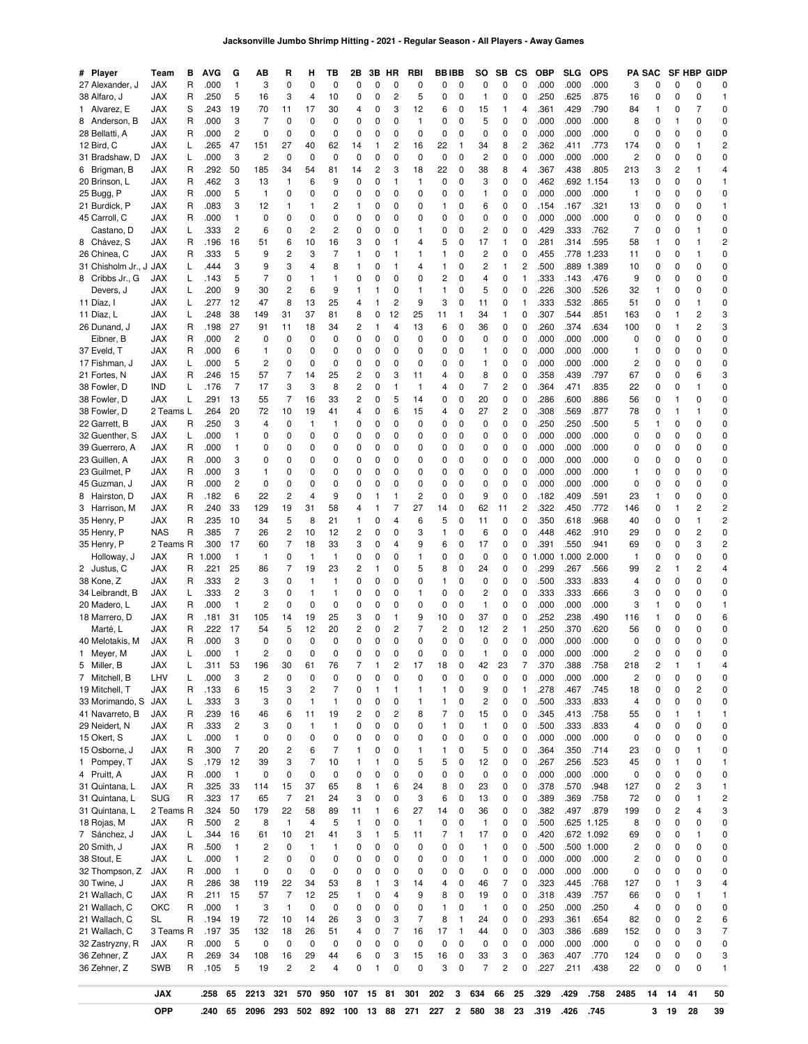|                                  | OPP                      |        | .240               | 65                           | 2096               | 293                     | 502                | 892 100            |              | 13     | 88                      | 271                  | 227     | 2                            | 580                     | 38     | 23                | .319         | .426         | .745          |                | 3                       | 19                           | 28                | 39                             |
|----------------------------------|--------------------------|--------|--------------------|------------------------------|--------------------|-------------------------|--------------------|--------------------|--------------|--------|-------------------------|----------------------|---------|------------------------------|-------------------------|--------|-------------------|--------------|--------------|---------------|----------------|-------------------------|------------------------------|-------------------|--------------------------------|
|                                  | JAX                      |        | .258               | 65                           | 2213               | 321                     | 570                | 950                | 107          | 15     | 81                      | 301                  | 202     | 3                            | 634                     | 66     | 25                | .329         | .429         | .758          | 2485           | 14                      | 14                           | 41                | 50                             |
| 36 Zehner, Z                     | <b>SWB</b>               | R      | .105               | 5                            | 19                 | $\overline{c}$          | $\overline{c}$     | 4                  | 0            | 1      | 0                       | 0                    | 3       | $\mathbf 0$                  | 7                       | 2      | 0                 | .227         | .211         | .438          | 22             | 0                       | 0                            | 0                 | $\mathbf{1}$                   |
| 36 Zehner, Z                     | JAX                      | R      | .269               | 34                           | 108                | 16                      | 29                 | 44                 | 6            | 0      | 3                       | 15                   | 16      | $\pmb{0}$                    | 33                      | 3      | 0                 | .363         | .407         | .770          | 124            | 0                       | 0                            | 0                 | 3                              |
| 32 Zastryzny, R                  | <b>JAX</b>               | R      | .000               | 5                            | 0                  | 0                       | 0                  | 0                  | 0            | 0      | 0                       | 0                    | 0       | $\mathbf 0$                  | 0                       | 0      | 0                 | .000         | .000         | .000          | 0              | 0                       | 0                            | 0                 | 0                              |
| 21 Wallach, C<br>21 Wallach, C   | SL<br>3 Teams R          | R      | .194<br>.197       | 19<br>35                     | 72<br>132          | 10<br>18                | 14<br>26           | 26<br>51           | 3<br>4       | 0<br>0 | 3<br>$\overline{7}$     | $\overline{7}$<br>16 | 8<br>17 | $\mathbf{1}$<br>$\mathbf{1}$ | 24<br>44                | 0<br>0 | 0<br>0            | .293<br>.303 | .361<br>.386 | .654<br>.689  | 82<br>152      | 0<br>0                  | 0<br>0                       | 2<br>3            | 6<br>$\overline{7}$            |
| 21 Wallach, C                    | OKC                      | R      | .000               | $\mathbf{1}$                 | 3                  | $\mathbf{1}$            | 0                  | 0                  | 0            | 0      | 0                       | 0                    | 1       | 0                            | $\mathbf{1}$            | 0      | 0                 | .250         | .000         | .250          | 4              | 0                       | 0                            | 0                 | 0                              |
| 21 Wallach, C                    | JAX                      | R      | .211               | 15                           | 57                 | 7                       | 12                 | 25                 | 1            | 0      | 4                       | 9                    | 8       | 0                            | 19                      | 0      | 0                 | .318         | .439         | .757          | 66             | 0                       | 0                            | 1                 | 1                              |
| 30 Twine, J                      | JAX                      | R      | .286               | 38                           | 119                | 22                      | 34                 | 53                 | 8            | 1      | 3                       | 14                   | 4       | 0                            | 46                      | 7      | 0                 | .323         | .445         | .768          | 127            | 0                       | $\mathbf{1}$                 | 3                 | 4                              |
| 38 Stout, E<br>32 Thompson, Z    | <b>JAX</b><br><b>JAX</b> | L<br>R | .000<br>.000       | $\mathbf{1}$<br>$\mathbf{1}$ | 2<br>0             | 0<br>0                  | 0<br>0             | 0<br>0             | 0<br>0       | 0<br>0 | 0<br>0                  | 0<br>0               | 0<br>0  | 0<br>0                       | 1<br>0                  | 0<br>0 | 0<br>0            | .000<br>.000 | .000<br>.000 | .000<br>.000  | 2<br>0         | 0<br>0                  | 0<br>0                       | 0<br>0            | 0<br>0                         |
| 20 Smith, J                      | <b>JAX</b>               | R      | .500               | 1                            | 2                  | 0                       | 1                  | 1                  | 0            | 0      | 0                       | 0                    | 0       | 0                            | 1                       | 0      | 0                 | .500         | .500         | 1.000         | 2              | 0                       | 0                            | 0                 | 0                              |
| 7 Sánchez, J                     | JAX                      | L      | .344               | 16                           | 61                 | 10                      | 21                 | 41                 | 3            | 1      | 5                       | 11                   | 7       | 1                            | 17                      | 0      | 0                 | .420         |              | .672 1.092    | 69             | 0                       | 0                            | $\mathbf{1}$      | 0                              |
| 18 Rojas, M                      | JAX                      | R      | .500               | $\overline{c}$               | 8                  | $\mathbf{1}$            | 4                  | 5                  | $\mathbf{1}$ | 0      | 0                       | $\mathbf{1}$         | 0       | 0                            | $\mathbf{1}$            | 0      | 0                 | .500         |              | .625 1.125    | 8              | 0                       | 0                            | 0                 | 0                              |
| 31 Quintana, L                   | 2 Teams R                |        | .324               | 50                           | 179                | 22                      | 58                 | 89                 | 11           | 1      | 6                       | 27                   | 14      | 0                            | 36                      | 0      | 0                 | .382         | .497         | .879          | 199            | 0                       | $\overline{\mathbf{c}}$      | 4                 | 3                              |
| 31 Quintana, L<br>31 Quintana, L | <b>JAX</b><br><b>SUG</b> | R<br>R | .325<br>.323       | 33<br>17                     | 114<br>65          | 15<br>7                 | 37<br>21           | 65<br>24           | 8<br>3       | 1<br>0 | 6<br>0                  | 24<br>3              | 8<br>6  | 0<br>0                       | 23<br>13                | 0<br>0 | 0<br>0            | .378<br>.389 | .570<br>.369 | .948<br>.758  | 127<br>72      | 0<br>0                  | $\overline{\mathbf{c}}$<br>0 | 3<br>$\mathbf{1}$ | $\mathbf{1}$<br>$\overline{c}$ |
| 4 Pruitt, A                      | <b>JAX</b>               | R      | .000               | $\mathbf{1}$                 | 0                  | 0                       | 0                  | 0                  | 0            | 0      | 0                       | 0                    | 0       | 0                            | 0                       | 0      | 0                 | .000         | .000         | .000          | 0              | 0                       | 0                            | 0                 | 0                              |
| 1 Pompey, T                      | JAX                      | S      | .179               | 12                           | 39                 | 3                       | 7                  | 10                 | 1            | 1      | 0                       | 5                    | 5       | 0                            | 12                      | 0      | 0                 | .267         | .256         | .523          | 45             | 0                       | $\mathbf{1}$                 | 0                 | $\mathbf{1}$                   |
| 15 Osborne, J                    | JAX                      | R      | .300               | 7                            | 20                 | $\overline{\mathbf{c}}$ | 6                  | 7                  | 1            | 0      | 0                       | 1                    | 1       | 0                            | 5                       | 0      | 0                 | .364         | .350         | .714          | 23             | 0                       | 0                            | 1                 | 0                              |
| 29 Neidert, N<br>15 Okert, S     | <b>JAX</b>               | L      | .000               | $\mathbf{1}$                 | 0                  | 0                       | 1<br>0             | 0                  | 0            | 0      | 0                       | 0                    | 0       | 0                            | 0                       | 0      | 0                 | .000         | .000         | .000          | 0              | 0                       | 0                            | 0                 | 0                              |
| 41 Navarreto, B                  | <b>JAX</b><br>JAX        | R<br>R | .239<br>.333       | 16<br>2                      | 46<br>3            | 6<br>0                  | 11                 | 19<br>1            | 2<br>0       | 0<br>0 | $\overline{c}$<br>0     | 8<br>0               | 7<br>1  | 0<br>0                       | 15<br>$\mathbf{1}$      | 0<br>0 | 0<br>0            | .345<br>.500 | .413<br>.333 | .758<br>.833  | 55<br>4        | 0<br>0                  | 1<br>0                       | 1<br>0            | $\mathbf{1}$<br>0              |
| 33 Morimando, S                  | <b>JAX</b>               | L      | .333               | 3                            | 3                  | 0                       | $\mathbf{1}$       | 1                  | 0            | 0      | 0                       | 1                    | 1       | 0                            | $\overline{\mathbf{c}}$ | 0      | 0                 | .500         | .333         | .833          | 4              | 0                       | 0                            | $\mathbf 0$       | 0                              |
| 19 Mitchell, T                   | JAX                      | R      | .133               | 6                            | 15                 | 3                       | $\overline{c}$     | 7                  | 0            | 1      | 1                       | 1                    | 1       | 0                            | 9                       | 0      | $\mathbf{1}$      | .278         | .467         | .745          | 18             | 0                       | 0                            | 2                 | 0                              |
| 7 Mitchell, B                    | LHV                      | L      | .000               | 3                            | 2                  | 0                       | 0                  | 0                  | 0            | 0      | 0                       | 0                    | 0       | 0                            | $\mathbf 0$             | 0      | $\mathbf 0$       | .000         | .000         | .000          | $\overline{c}$ | 0                       | 0                            | 0                 | 0                              |
| 5 Miller, B                      | <b>JAX</b>               | L      | 311                | 53                           | 196                | 30                      | 61                 | 76                 | 7            |        | $\overline{\mathbf{c}}$ | 17                   | 18      | 0                            | 42                      | 23     | 7                 | .370         | .388         | .758          | 218            | $\overline{\mathbf{c}}$ | 1                            | 1                 | 4                              |
| 1 Meyer, M                       | JAX                      | L      | .000               | 1                            | 2                  | 0                       | 0                  | 0                  | 0            | 0      | 0                       | 0                    | 0       | 0                            | 1                       | 0      | 0                 | .000         | .000         | .000          | 2              | 0                       | 0                            | $\Omega$          | C                              |
| Marté, L<br>40 Melotakis, M      | JAX<br><b>JAX</b>        | R<br>R | 222<br>.000        | 17<br>3                      | 54<br>0            | 5<br>0                  | 12<br>0            | 20<br>0            | 2<br>0       | 0<br>0 | 2<br>0                  | 7<br>0               | 2<br>0  | 0<br>0                       | 12<br>0                 | 2<br>0 | $\mathbf{1}$<br>0 | .250<br>.000 | .370<br>.000 | .620<br>.000  | 56<br>0        | 0<br>0                  | 0<br>0                       | 0<br>0            | 0<br>0                         |
| 18 Marrero, D                    | JAX                      | R      | .181               | 31                           | 105                | 14                      | 19                 | 25                 | 3            | 0      | 1                       | 9                    | 10      | 0                            | 37                      | 0      | 0                 | .252         | .238         | .490          | 116            |                         | 0                            | 0                 | 6                              |
| 20 Madero. L                     | JAX                      | R      | .000               | $\mathbf{1}$                 | 2                  | 0                       | 0                  | 0                  | 0            | 0      | 0                       | 0                    | 0       | 0                            | $\mathbf{1}$            | 0      | 0                 | .000         | .000         | .000          | 3              | 1                       | 0                            | $\mathbf 0$       | $\mathbf{1}$                   |
| 34 Leibrandt, B                  | <b>JAX</b>               | L      | .333               | 2                            | 3                  | 0                       | 1                  | 1                  | 0            | 0      | 0                       | 1                    | 0       | 0                            | 2                       | 0      | 0                 | .333         | .333         | .666          | 3              | 0                       | 0                            | 0                 | 0                              |
| 38 Kone, Z                       | JAX                      | R      | .333               | $\overline{c}$               | 3                  | 0                       | 1                  | 1                  | 0            | 0      | 0                       | 0                    | 1       | 0                            | 0                       | 0      | 0                 | .500         | .333         | .833          | 4              | 0                       | 0                            | 0                 | 0                              |
| Holloway, J<br>2 Justus, C       | <b>JAX</b><br><b>JAX</b> | R<br>R | .000<br>-1<br>.221 | $\overline{1}$<br>25         | $\mathbf{1}$<br>86 | 0<br>7                  | $\mathbf{1}$<br>19 | $\mathbf{1}$<br>23 | 0<br>2       | 0<br>1 | 0<br>0                  | 1<br>5               | 0<br>8  | 0<br>0                       | 0<br>24                 | 0<br>0 | 0<br>0            | .000<br>.299 | .000<br>.267 | 2.000<br>.566 | 1<br>99        | 0<br>$\overline{c}$     | 0<br>$\mathbf{1}$            | 0<br>2            | 0<br>4                         |
| 35 Henry, P                      | 2 Teams R                |        | 300                | 17                           | 60                 | 7                       | 18                 | 33                 | 3            | 0      | 4                       | 9                    | 6       | 0                            | 17                      | 0      | 0                 | .391         | .550         | .941          | 69             | 0                       | 0                            | 3                 | $\overline{c}$                 |
| 35 Henry, P                      | <b>NAS</b>               | R      | .385               | 7                            | 26                 | 2                       | 10                 | 12                 | 2            | 0      | 0                       | 3                    | 1       | 0                            | 6                       | 0      | 0                 | .448         | .462         | .910          | 29             | 0                       | 0                            | 2                 | 0                              |
| 35 Henry, P                      | JAX                      | R      | .235               | 10                           | 34                 | 5                       | 8                  | 21                 | 1            | 0      | 4                       | 6                    | 5       | 0                            | 11                      | 0      | 0                 | .350         | .618         | .968          | 40             | 0                       | 0                            | $\mathbf{1}$      | 2                              |
| 3 Harrison, M                    | JAX                      | R      | .240               | 33                           | 129                | 19                      | 31                 | 58                 | 4            | 1      | 7                       | 27                   | 14      | 0                            | 62                      | 11     | 2                 | .322         | .450         | .772          | 146            | 0                       | 1                            | 2                 | 2                              |
| 45 Guzman, J<br>8 Hairston, D    | <b>JAX</b><br>JAX        | R<br>R | .000<br>.182       | 6                            | 0<br>22            | 0<br>2                  | 4                  | 9                  | 0<br>0       | 1      | 1                       | 0<br>2               | 0       | 0                            | 0<br>9                  | 0      | 0                 | .000<br>.182 | .000<br>.409 | .000<br>.591  | 23             | 1                       | 0<br>0                       | 0                 | 0                              |
| 23 Guilmet, P                    | JAX                      | R      | .000               | 3<br>2                       | 1                  | 0                       | 0<br>0             | 0<br>0             | 0            | C<br>C | 0<br>0                  | 0                    | 0<br>0  | 0<br>0                       | 0                       | 0<br>0 | 0<br>0            | .000         | .000         | .000          | 1<br>0         | 0<br>0                  | 0                            | 0<br>0            | 0<br>0                         |
| 23 Guillen, A                    | JAX                      | R      | .000               | 3                            | 0                  | 0                       | 0                  | 0                  | 0            | 0      | 0                       | 0                    | 0       | 0                            | 0                       | 0      | 0                 | .000         | .000         | .000          | 0              | 0                       | 0                            | 0                 | 0                              |
| 39 Guerrero, A                   | JAX                      | R      | .000               | 1                            | 0                  | 0                       | 0                  | 0                  | 0            | C      | 0                       | 0                    | 0       | 0                            | 0                       | 0      | 0                 | .000         | .000         | .000          | 0              | 0                       | 0                            | 0                 | 0                              |
| 32 Guenther, S                   | JAX                      | L      | .000               | 1                            | 0                  | 0                       | 0                  | 0                  | 0            | 0      | 0                       | 0                    | 0       | 0                            | 0                       | 0      | 0                 | .000         | .000         | .000          | 0              | 0                       | 0                            | 0                 | 0                              |
| 22 Garrett, B                    | JAX                      | R      | .250               | 3                            | 4                  | 0                       | 1                  | 1                  | 0            | 0      | 0                       | 0                    | 0       | 0                            | 0                       | 0      | $\mathsf 0$       | .250         | .250         | .500          | 5              | 1                       | 0                            | 0                 | 0                              |
| 38 Fowler, D                     | 2 Teams L                |        | 264                | 20                           | 72                 | 10                      | 19                 | 41                 | 4            | 0      | 6                       | 15                   | 4       | 0                            | 27                      | 2      | 0                 | .308         | .569         | .877          | 78             | 0                       | 1                            | 1                 | 0                              |
| 38 Fowler, D<br>38 Fowler, D     | <b>IND</b><br>JAX        | L<br>L | .176<br>.291       | 7<br>13                      | 17<br>55           | 3<br>7                  | 3<br>16            | 8<br>33            | 2<br>2       | 0<br>0 | 1<br>5                  | 1<br>14              | 4<br>0  | 0<br>0                       | 7<br>20                 | 2<br>0 | 0<br>0            | .364<br>.286 | .471<br>.600 | .835<br>.886  | 22<br>56       | 0<br>0                  | 0<br>$\mathbf{1}$            | 1<br>0            | 0<br>0                         |
| 21 Fortes, N                     | <b>JAX</b>               | R      | .246               | 15                           | 57                 | 7                       | 14                 | 25                 | 2            | C      | 3                       | 11                   | 4       | 0                            | 8                       | 0      | 0                 | .358         | .439         | .797          | 67             | 0                       | 0                            | 6                 | 3                              |
| 17 Fishman, J                    | <b>JAX</b>               | L      | .000               | 5                            | 2                  | 0                       | 0                  | 0                  | 0            | 0      | 0                       | 0                    | 0       | 0                            | 1                       | 0      | 0                 | .000         | .000         | .000          | 2              | 0                       | 0                            | 0                 | 0                              |
| 37 Eveld. T                      | <b>JAX</b>               | R      | .000               | 6                            | 1                  | 0                       | 0                  | 0                  | 0            | 0      | 0                       | 0                    | 0       | 0                            | 1                       | 0      | 0                 | .000         | .000         | .000          | 1              | 0                       | 0                            | 0                 | 0                              |
| Eibner, B                        | <b>JAX</b>               | R      | .000               | 2                            | 0                  | 0                       | 0                  | 0                  | 0            | 0      | 0                       | 0                    | 0       | $\mathbf 0$                  | 0                       | 0      | 0                 | .000         | .000         | .000          | 0              | 0                       | 0                            | 0                 | 0                              |
| 26 Dunand, J                     | <b>JAX</b>               | R      | .198               | 27                           | 91                 | 11                      | 18                 | 34                 | 2            | 1      | 4                       | 13                   | 6       | 0                            | 36                      | 0      | 0                 | .260         | .374         | .634          | 100            | 0                       | 1                            | 2                 | 3                              |
| 11 Díaz, I<br>11 Díaz, L         | <b>JAX</b><br>JAX        | L<br>L | .277<br>248        | 12<br>38                     | 47<br>149          | 8<br>31                 | 13<br>37           | 25<br>81           | 4<br>8       | 0      | 2<br>12                 | 9<br>25              | 3<br>11 | 0<br>1                       | 11<br>34                | 0<br>1 | 1<br>0            | .333<br>.307 | .532<br>.544 | .865<br>.851  | 51<br>163      | 0<br>0                  | 0<br>1                       | 1<br>2            | 0<br>3                         |
| Devers, J                        | JAX                      | L      | .200               | 9                            | 30                 | $\overline{\mathbf{c}}$ | 6                  | 9                  | 1            |        | 0                       | 1                    | 1       | 0                            | 5                       | 0      | 0                 | .226         | .300         | .526          | 32             | 1                       | 0                            | 0                 | 0                              |
| 8 Cribbs Jr., G                  | <b>JAX</b>               | L      | .143               | 5                            | 7                  | 0                       | 1                  | 1                  | 0            | C      | 0                       | 0                    | 2       | 0                            | 4                       | 0      | $\mathbf{1}$      | .333         | .143         | .476          | 9              | 0                       | 0                            | 0                 | 0                              |
| 31 Chisholm Jr., J               | <b>JAX</b>               | L      | .444               | 3                            | 9                  | 3                       | 4                  | 8                  | 1            | C      | 1                       | 4                    | 1       | 0                            | $\overline{c}$          | 1      | $\overline{2}$    | .500         | .889         | 1.389         | 10             | 0                       | 0                            | 0                 | 0                              |
| 26 Chinea, C                     | JAX                      | R      | .333               | 5                            | 9                  | $\overline{\mathbf{c}}$ | 3                  | 7                  | 1            | C      | 1                       | 1                    | 1       | 0                            | $\overline{\mathbf{c}}$ | 0      | 0                 | .455         | .778         | 1.233         | 11             | 0                       | 0                            | 1                 | 0                              |
| Castano, D<br>8 Chávez, S        | JAX<br>JAX               | L<br>R | .333<br>.196       | 2<br>16                      | 6<br>51            | 0<br>6                  | 2<br>10            | 2<br>16            | 0<br>3       | 0<br>C | 0<br>1                  | 1<br>4               | 0<br>5  | 0<br>0                       | 2<br>17                 | 0<br>1 | 0<br>0            | .429<br>.281 | .333<br>.314 | .762<br>.595  | 7<br>58        | 0<br>1                  | 0<br>0                       | 1<br>1            | 0<br>$\overline{c}$            |
| 45 Carroll, C                    | JAX                      | R      | .000               | $\mathbf{1}$                 | 0                  | 0                       | 0                  | 0                  | 0            | C      | 0                       | 0                    | 0       | 0                            | 0                       | 0      | 0                 | .000         | .000         | .000          | 0              | 0                       | 0                            | 0                 | 0                              |
| 21 Burdick, P                    | JAX                      | R      | .083               | 3                            | 12                 | 1                       |                    | 2                  | 1            | 0      | 0                       | 0                    | 1       | 0                            | 6                       | 0      | 0                 | .154         | .167         | .321          | 13             | 0                       | 0                            | 0                 | 1                              |
| 25 Bugg, P                       | JAX                      | R      | .000               | 5                            | $\mathbf{1}$       | 0                       | 0                  | 0                  | 0            | 0      | 0                       | 0                    | 0       | 0                            | 1                       | 0      | 0                 | .000         | .000         | .000          | 1              | 0                       | 0                            | 0                 | 0                              |
| 20 Brinson, L                    | <b>JAX</b>               | R      | .462               | 3                            | 13                 | $\mathbf{1}$            | 6                  | 9                  | 0            | 0      | 1                       | 1                    | 0       | 0                            | 3                       | 0      | 0                 | .462         | .692         | 1.154         | 13             | 0                       | 0                            | 0                 | 1                              |
| 6 Brigman, B                     | <b>JAX</b>               | R      | .292               | 50                           | 185                | 34                      | 54                 | 81                 | 14           | 2      | 3                       | 18                   | 22      | 0                            | 38                      | 8      | 4                 | .367         | .438         | .805          | 213            | 3                       | $\overline{\mathbf{c}}$      | 1                 | 4                              |
| 31 Bradshaw, D                   | <b>JAX</b>               | L      | .000               | 3                            | 2                  | 0                       | 0                  | 0                  | 0            | 0      | 0                       | 0                    | 0       | 0                            | $\overline{\mathbf{c}}$ | 0      | 0                 | .000         | .000         | .000          | 2              | 0                       | 0                            | 0                 | 0                              |
| 28 Bellatti, A<br>12 Bird, C     | <b>JAX</b><br>JAX        | R<br>L | .000<br>.265       | 2<br>47                      | 0<br>151           | 0<br>27                 | 0<br>40            | 0<br>62            | 0<br>14      | 0<br>1 | 0<br>2                  | 0<br>16              | 0<br>22 | 0<br>1                       | 0<br>34                 | 0<br>8 | 0<br>2            | .000<br>.362 | .000<br>.411 | .000<br>.773  | 0<br>174       | 0<br>0                  | 0<br>0                       | 0<br>1            | 0<br>$\overline{c}$            |
| 8 Anderson, B                    | <b>JAX</b>               | R      | .000               | 3                            | 7                  | 0                       | 0                  | 0                  | 0            | 0      | 0                       | 1                    | 0       | 0                            | 5                       | 0      | 0                 | .000         | .000         | .000          | 8              | 0                       | 1                            | 0                 | 0                              |
| 1 Alvarez, E                     | JAX                      | S      | .243               | 19                           | 70                 | 11                      | 17                 | 30                 | 4            | 0      | 3                       | 12                   | 6       | 0                            | 15                      | 1      | 4                 | .361         | .429         | .790          | 84             | 1                       | 0                            | 7                 | 0                              |
| 38 Alfaro, J                     | <b>JAX</b>               | R      | .250               | 5                            | 16                 | 3                       | 4                  | 10                 | 0            | 0      | 2                       | 5                    | 0       | 0                            | $\mathbf{1}$            | 0      | 0                 | .250         | .625         | .875          | 16             | 0                       | 0                            | 0                 | $\mathbf{1}$                   |
| 27 Alexander, J                  | JAX                      | R      | .000               | $\mathbf{1}$                 | 3                  | 0                       | 0                  | 0                  | 0            | C      | 0                       | 0                    | 0       | 0                            | 0                       | 0      | 0                 | .000         | .000         | .000          | 3              | 0                       | 0                            | 0                 | 0                              |
| # Player                         | Team                     | в      | AVG                | G                            | AВ                 | R                       | н                  | ΤВ                 | 2В           | 3В     | нн                      | RBI                  | BB IBB  |                              | so                      | SB     | СS                | ОВР          | SLG          | <b>OPS</b>    |                | PA SAC                  |                              | SF HBP            | <b>GIDP</b>                    |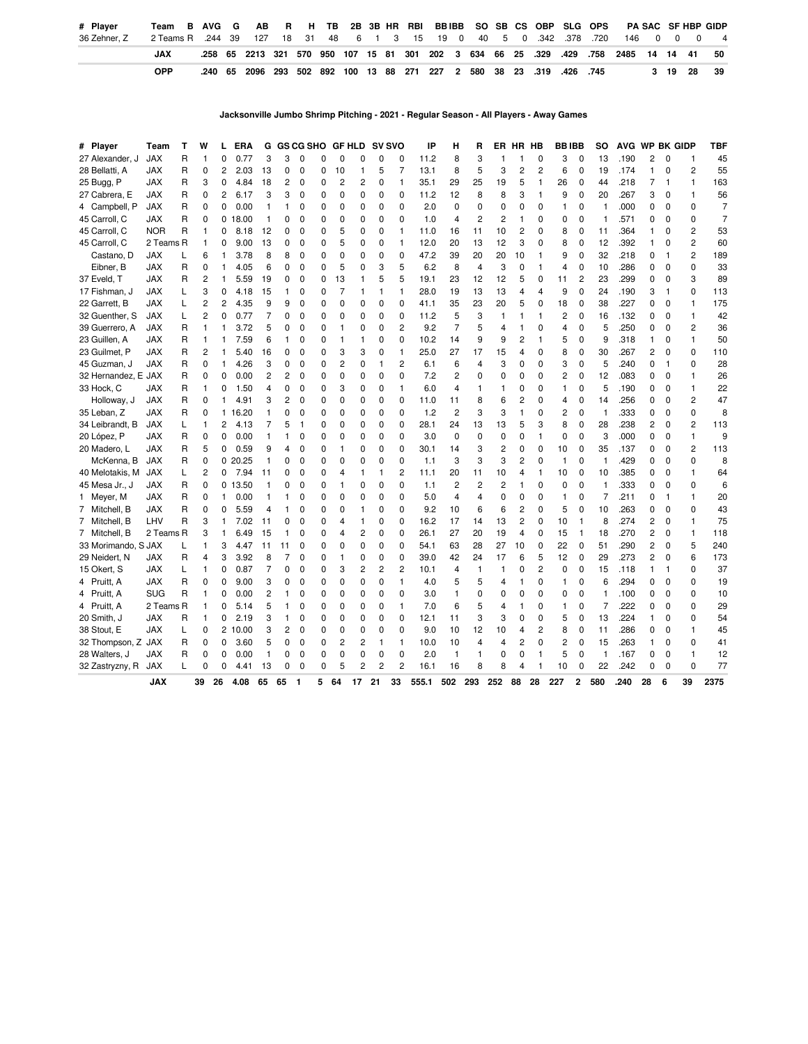| Player<br>#                       | Team       | в      |                | AVG                 | G            | AB             | R                       | н                | ΤВ       |                | 2Β     | 3В             | HR                      | <b>RBI</b>                                                                            | <b>BBIBB</b> |                | so                               | SB             | CS                  | <b>OBP</b>       |                | <b>SLG</b>                 | <b>OPS</b>          |              | PA SAC         |              | <b>SF HBP</b>  | <b>GIDP</b>    |
|-----------------------------------|------------|--------|----------------|---------------------|--------------|----------------|-------------------------|------------------|----------|----------------|--------|----------------|-------------------------|---------------------------------------------------------------------------------------|--------------|----------------|----------------------------------|----------------|---------------------|------------------|----------------|----------------------------|---------------------|--------------|----------------|--------------|----------------|----------------|
| 36 Zehner, Z                      | 2 Teams R  |        |                | .244                | 39           | 127            | 18                      | 31               |          | 48             | 6      | 1              | 3                       | 15                                                                                    | 19           | 0              | 40                               | 5              | 0                   | .342             |                | .378                       | .720                | 146          | 0              | 0            | 0              | Δ              |
|                                   | JAX        |        | .258           |                     | 65           | 2213           | 321                     | 570              | 950      |                | 107    | 15             | 81                      | 301                                                                                   | 202          | 3              | 634                              | 66             | 25                  | .329             | .429           |                            | .758                | 2485         | 14             | 14           | 41             | 50             |
|                                   | <b>OPP</b> |        | .240           |                     | 65           | 2096           | 293                     | 502              | 892      |                | 100    | 13             | 88                      | 271                                                                                   | 227          | 2              | 580                              | 38             | 23                  | .319             | .426           |                            | .745                |              | 3              | 19           | 28             | 39             |
|                                   |            |        |                |                     |              |                |                         |                  |          |                |        |                |                         |                                                                                       |              |                |                                  |                |                     |                  |                |                            |                     |              |                |              |                |                |
|                                   |            |        |                |                     |              |                |                         |                  |          |                |        |                |                         |                                                                                       |              |                |                                  |                |                     |                  |                |                            |                     |              |                |              |                |                |
|                                   |            |        |                |                     |              |                |                         |                  |          |                |        |                |                         | Jacksonville Jumbo Shrimp Pitching - 2021 - Regular Season - All Players - Away Games |              |                |                                  |                |                     |                  |                |                            |                     |              |                |              |                |                |
|                                   |            |        |                |                     |              |                |                         |                  |          |                |        |                |                         |                                                                                       |              |                |                                  |                |                     |                  |                |                            |                     |              |                |              |                |                |
| # Player                          | Team       | т      | w              | L                   | ERA          | G              |                         | <b>GS CG SHO</b> |          | <b>GF HLD</b>  |        |                | <b>SV SVO</b>           | IP                                                                                    |              | н              | R                                | ER.            | <b>HR</b>           | HB               | <b>BBIBB</b>   |                            | so                  | <b>AVG</b>   | <b>WP BK</b>   |              | <b>GIDP</b>    | TBF            |
| 27 Alexander, J<br>28 Bellatti, A | JAX<br>JAX | R      | 1<br>0         | 0<br>$\overline{c}$ | 0.77<br>2.03 | 3<br>13        | 3<br>0                  | 0<br>$\mathbf 0$ | 0<br>0   | 0<br>10        | 0<br>1 | 0<br>5         | 0<br>7                  | 11.2<br>13.1                                                                          |              | 8<br>8         | 3<br>5                           | 1<br>3         | 1<br>$\overline{c}$ | 0<br>2           | 3<br>6         | $\mathbf 0$<br>$\mathbf 0$ | 13<br>19            | .190<br>.174 | 2<br>1         | 0<br>0       | 1<br>2         | 45<br>55       |
| 25 Bugg, P                        | JAX        | R<br>R | 3              | 0                   | 4.84         | 18             | $\overline{c}$          | 0                | 0        | $\overline{c}$ | 2      | 0              | $\mathbf{1}$            | 35.1                                                                                  |              | 29             | 25                               | 19             | 5                   | 1                | 26             | 0                          | 44                  | .218         | 7              | $\mathbf{1}$ | 1              | 163            |
| 27 Cabrera, E                     | JAX        | R      | 0              | $\overline{c}$      | 6.17         | 3              | 3                       | 0                | 0        | 0              | 0      | 0              | 0                       | 11.2                                                                                  |              | 12             | 8                                | 8              | 3                   | 1                | 9              | 0                          | 20                  | .267         | 3              | 0            | 1              | 56             |
| 4 Campbell, P                     | JAX        | R      | 0              | 0                   | 0.00         | 1              | 1                       | 0                | 0        | 0              | 0      | 0              | 0                       | 2.0                                                                                   |              | 0              | 0                                | 0              | 0                   | 0                | 1              | 0                          | 1                   | .000         | 0              | 0            | 0              | 7              |
| 45 Carroll, C                     | JAX        | R      | 0              | 0                   | 18.00        | 1              | 0                       | 0                | 0        | 0              | 0      | 0              | 0                       | 1.0                                                                                   |              | 4              | $\overline{c}$                   | $\overline{c}$ | 1                   | 0                | 0              | 0                          | 1                   | 571          | 0              | 0            | 0              | $\overline{7}$ |
| 45 Carroll, C                     | <b>NOR</b> | R      | 1              | 0                   | 8.18         | 12             | 0                       | 0                | 0        | 5              | 0      | 0              | $\mathbf{1}$            | 11.0                                                                                  |              | 16             | 11                               | 10             | 2                   | 0                | 8              | 0                          | 11                  | .364         | 1              | 0            | 2              | 53             |
| 45 Carroll, C                     | 2 Teams R  |        | 1              | 0                   | 9.00         | 13             | 0                       | 0                | 0        | 5              | 0      | 0              | $\mathbf{1}$            | 12.0                                                                                  |              | 20             | 13                               | 12             | 3                   | 0                | 8              | 0                          | 12                  | .392         | 1              | $\mathbf 0$  | $\overline{c}$ | 60             |
| Castano, D                        | JAX        | L      | 6              | 1                   | 3.78         | 8              | 8                       | 0                | 0        | 0              | 0      | 0              | 0                       | 47.2                                                                                  |              | 39             | 20                               | 20             | 10                  | 1                | 9              | 0                          | 32                  | .218         | 0              | 1            | $\overline{c}$ | 189            |
| Eibner, B                         | JAX        | R      | 0              | 1                   | 4.05         | 6              | $\mathbf 0$             | 0                | 0        | 5              | 0      | 3              | 5                       | 6.2                                                                                   |              | 8              | 4                                | 3              | 0                   | 1                | 4              | 0                          | 10                  | .286         | 0              | 0            | 0              | 33             |
| 37 Eveld, T                       | JAX        | R      | 2              | 1                   | 5.59         | 19             | 0                       | 0                | 0        | 13             | 1      | 5              | 5                       | 19.1                                                                                  |              | 23             | 12                               | 12             | 5                   | 0                | 11             | 2                          | 23                  | .299         | 0              | 0            | 3              | 89             |
| 17 Fishman, J                     | JAX        | L      | 3              | $\mathbf 0$         | 4.18         | 15             | 1                       | 0                | 0        | 7              | 1      | $\mathbf{1}$   | 1                       | 28.0                                                                                  |              | 19             | 13                               | 13             | 4                   | 4                | 9              | 0                          | 24                  | .190         | 3              | -1           | 0              | 113            |
| 22 Garrett, B                     | JAX        | L      | $\overline{c}$ | $\overline{c}$      | 4.35         | 9              | 9                       | 0                | 0        | 0              | 0      | 0              | 0                       | 41.1                                                                                  |              | 35             | 23                               | 20             | 5                   | 0                | 18             | 0                          | 38                  | .227         | 0              | 0            | 1              | 175            |
| 32 Guenther, S                    | <b>JAX</b> | L      | 2              | 0                   | 0.77         | 7              | 0                       | 0                | 0        | 0              | 0      | 0              | 0                       | 11.2                                                                                  |              | 5              | 3                                | 1              | 1                   | 1                | 2              | 0                          | 16                  | .132         | $\pmb{0}$      | 0            | 1              | 42             |
| 39 Guerrero, A                    | JAX        | R      | 1              | 1                   | 3.72         | 5              | 0                       | 0                | 0        | 1              | 0      | 0              | 2                       | 9.2                                                                                   |              | $\overline{7}$ | 5                                | 4              | 1                   | 0                | 4              | 0                          | 5                   | .250         | 0              | 0            | $\overline{c}$ | 36             |
| 23 Guillen, A                     | JAX        | R      | 1              | 1                   | 7.59         | 6              | 1                       | $\Omega$         | $\Omega$ | 1              | 1      | $\Omega$       | 0                       | 10.2                                                                                  |              | 14             | 9                                | 9              | 2                   | 1                | 5              | 0                          | 9                   | 318          | 1              | $\mathbf 0$  | 1              | 50             |
| 23 Guilmet, P                     | JAX        | R      | $\overline{c}$ | 1                   | 5.40         | 16             | $\mathbf 0$             | 0                | 0        | 3              | 3      | 0              | $\mathbf{1}$            | 25.0                                                                                  |              | 27             | 17                               | 15             | 4                   | 0                | 8              | 0                          | 30                  | .267         | $\overline{c}$ | 0            | 0              | 110            |
| 45 Guzman, J                      | <b>JAX</b> | R      | 0              | $\mathbf{1}$        | 4.26         | 3              | 0                       | 0                | 0        | $\overline{c}$ | 0      | $\mathbf{1}$   | $\overline{2}$          | 6.1                                                                                   |              | 6              | 4                                | 3              | 0                   | 0                | 3              | 0                          | 5                   | .240         | 0              | $\mathbf{1}$ | 0              | 28             |
| 32 Hernandez, E                   | JAX        | R      | 0              | 0                   | 0.00         | 2              | $\overline{c}$          | $\Omega$         | 0        | 0              | 0      | 0              | $\Omega$                | 7.2                                                                                   |              | 2              | 0                                | 0              | 0                   | 0                | $\overline{c}$ | 0                          | 12                  | .083         | 0              | 0            | 1              | 26             |
| 33 Hock, C                        | JAX        | R      | 1              | 0                   | 1.50         | 4              | 0                       | 0                | 0        | 3              | 0      | 0              | 1                       | 6.0                                                                                   |              | 4              | $\mathbf{1}$                     | 1              | 0                   | 0                | 1              | 0                          | 5                   | .190         | 0              | 0            | 1              | 22             |
| Holloway, J                       | JAX        | R      | 0              | 1                   | 4.91         | 3              | $\overline{\mathbf{c}}$ | 0                | 0        | 0              | 0      | 0              | 0                       | 11.0                                                                                  |              | 11             | 8                                | 6              | $\overline{c}$      | 0                | 4              | 0                          | 14                  | .256         | 0              | 0            | $\overline{c}$ | 47             |
| 35 Leban, Z                       | JAX        | R      | 0              | 1                   | 6.20<br>-1   | 1              | 0                       | 0                | 0        | 0              | 0      | 0              | 0                       | 1.2                                                                                   |              | $\overline{c}$ | 3                                | 3              | 1                   | 0                | $\overline{c}$ | 0                          | $\mathbf{1}$        | .333         | 0              | 0            | 0              | 8              |
| 34 Leibrandt, B                   | <b>JAX</b> | L      | 1              | $\overline{c}$      | 4.13         | 7              | 5                       | $\mathbf{1}$     | $\Omega$ | 0              | 0      | $\Omega$       | 0                       | 28.1                                                                                  |              | 24             | 13                               | 13             | 5                   | 3                | 8              | 0                          | 28                  | .238         | 2              | 0            | 2              | 113            |
| 20 López, P                       | JAX        | R      | 0              | 0                   | 0.00         | 1              | $\mathbf{1}$            | 0                | 0        | 0              | 0      | 0              | 0                       | 3.0                                                                                   |              | 0              | $\mathbf 0$                      | 0              | 0                   | 1                | 0              | 0                          | 3                   | .000         | 0              | $\mathbf 0$  | 1              | 9              |
| 20 Madero, L                      | JAX        | R      | 5              | 0                   | 0.59         | 9              | 4                       | 0                | 0        | 1              | 0      | 0              | 0                       | 30.1                                                                                  |              | 14             | 3                                | 2              | 0                   | 0                | 10             | 0                          | 35                  | .137         | 0              | 0            | $\overline{c}$ | 113            |
| McKenna, B                        | JAX        | R      | 0              |                     | 020.25       | $\mathbf{1}$   | $\mathbf 0$             | 0                | 0        | 0              | 0      | 0              | 0                       | 1.1                                                                                   |              | 3              | 3                                | 3              | $\overline{c}$      | 0                | $\mathbf{1}$   | 0                          | $\mathbf{1}$        | 429          | $\pmb{0}$      | 0            | 0              | 8              |
| 40 Melotakis, M                   | JAX        | Г      | 2              | 0                   | 7.94         | 11             | 0                       | 0                | 0        | 4              | 1      | 1              | $\overline{c}$          | 11.1                                                                                  |              | 20             | 11                               | 10             | 4                   | 1                | 10             | 0                          | 10                  | 385          | 0              | 0            | 1              | 64             |
| 45 Mesa Jr., J                    | JAX        | R      | 0              |                     | 0 13.50      | 1              | 0                       | 0                | 0        | $\mathbf{1}$   | 0      | 0              | 0<br>0                  | 1.1                                                                                   |              | 2<br>4         | $\overline{c}$<br>$\overline{4}$ | 2<br>0         | 1<br>0              | 0<br>$\mathbf 0$ | 0              | 0                          | 1<br>$\overline{7}$ | .333         | 0              | 0            | 0              | 6<br>20        |
| 1 Meyer, M                        | JAX        | R<br>R | 0<br>0         | $\mathbf{1}$<br>0   | 0.00<br>5.59 | 1<br>4         | 1<br>1                  | 0<br>0           | 0<br>0   | 0<br>0         | 0<br>1 | 0<br>0         | 0                       | 5.0<br>9.2                                                                            |              | 10             | 6                                | 6              | $\overline{c}$      | 0                | 1<br>5         | 0<br>0                     | 10                  | .211<br>263  | 0<br>0         | 1<br>0       | 1<br>0         | 43             |
| 7 Mitchell, B                     | JAX<br>LHV | R      | 3              | 1                   | 7.02         | 11             | 0                       | 0                | 0        | 4              | 1      | 0              | 0                       | 16.2                                                                                  |              | 17             | 14                               | 13             | $\overline{c}$      | 0                | 10             | 1                          | 8                   | .274         | $\overline{c}$ | 0            | 1              | 75             |
| 7 Mitchell, B<br>7 Mitchell, B    | 2 Teams R  |        | 3              | $\mathbf{1}$        | 6.49         | 15             | 1                       | 0                | 0        | 4              | 2      | 0              | 0                       | 26.1                                                                                  |              | 27             | 20                               | 19             | 4                   | 0                | 15             | 1                          | 18                  | .270         | 2              | 0            | 1              | 118            |
| 33 Morimando,                     | S JAX      | L      | 1              | 3                   | 4.47         | 11             | 11                      | 0                | 0        | 0              | 0      | 0              | 0                       | 54.1                                                                                  |              | 63             | 28                               | 27             | 10                  | 0                | 22             | 0                          | 51                  | 290          | $\overline{c}$ | 0            | 5              | 240            |
| 29 Neidert, N                     | JAX        | R      | 4              | 3                   | 3.92         | 8              | 7                       | 0                | 0        | 1              | 0      | 0              | 0                       | 39.0                                                                                  |              | 42             | 24                               | 17             | 6                   | 5                | 12             | 0                          | 29                  | .273         | $\overline{c}$ | 0            | 6              | 173            |
| 15 Okert, S                       | JAX        | L      | 1              | 0                   | 0.87         | $\overline{7}$ | 0                       | 0                | 0        | 3              | 2      | $\overline{c}$ | $\overline{\mathbf{c}}$ | 10.1                                                                                  |              | 4              | $\mathbf{1}$                     | 1              | 0                   | $\overline{c}$   | 0              | 0                          | 15                  | .118         | 1              | $\mathbf{1}$ | 0              | 37             |
| 4 Pruitt, A                       | JAX        | R      | 0              | 0                   | 9.00         | 3              | $\mathbf 0$             | 0                | 0        | 0              | 0      | $\mathbf 0$    | $\mathbf{1}$            | 4.0                                                                                   |              | 5              | 5                                | 4              | 1                   | 0                | 1              | 0                          | 6                   | 294          | 0              | $\mathbf 0$  | 0              | 19             |
| 4 Pruitt, A                       | SUG        | R      | 1              | 0                   | 0.00         | 2              | 1                       | 0                | 0        | 0              | 0      | 0              | 0                       | 3.0                                                                                   |              | 1              | $\mathbf 0$                      | 0              | 0                   | 0                | 0              | $\mathbf 0$                | 1                   | .100         | 0              | $\mathbf 0$  | 0              | 10             |
| 4 Pruitt, A                       | 2 Teams R  |        | 1              | 0                   | 5.14         | 5              | 1                       | 0                | 0        | 0              | 0      | 0              | 1                       | 7.0                                                                                   |              | 6              | 5                                | 4              | 1                   | 0                | $\mathbf{1}$   | 0                          | $\overline{7}$      | .222         | 0              | 0            | 0              | 29             |
| 20 Smith, J                       | <b>JAX</b> | R      | 1              | 0                   | 2.19         | 3              | 1                       | 0                | 0        | 0              | 0      | 0              | 0                       | 12.1                                                                                  |              | 11             | 3                                | 3              | 0                   | 0                | 5              | 0                          | 13                  | .224         | 1              | 0            | 0              | 54             |
| 38 Stout, E                       | JAX        | L      | 0              |                     | 2 10.00      | 3              | $\overline{c}$          | 0                | 0        | 0              | 0      | 0              | 0                       | 9.0                                                                                   |              | 10             | 12                               | 10             | 4                   | 2                | 8              | 0                          | 11                  | 286          | 0              | $\mathbf 0$  | 1              | 45             |
| 32 Thompson, Z                    | <b>JAX</b> | R      | 0              | 0                   | 3.60         | 5              | $\mathbf 0$             | 0                | 0        | 2              | 2      | 1              | 1                       | 10.0                                                                                  |              | 10             | $\overline{4}$                   | 4              | $\overline{c}$      | 0                | $\overline{c}$ | $\mathbf 0$                | 15                  | .263         | 1              | $\mathbf 0$  | 0              | 41             |
| 28 Walters, J                     | JAX        | R      | 0              | 0                   | 0.00         | 1              | 0                       | 0                | 0        | 0              | 0      | 0              | 0                       | 2.0                                                                                   |              | $\mathbf{1}$   | $\mathbf{1}$                     | 0              | 0                   | 1                | 5              | 0                          | 1                   | .167         | 0              | 0            | 1              | 12             |
| 32 Zastryzny, R                   | <b>JAX</b> | L      | 0              | 0                   | 4.41         | 13             | 0                       | $\Omega$         | O        | 5              | 2      | $\overline{c}$ | 2                       | 16.1                                                                                  |              | 16             | 8                                | 8              | 4                   | 1                | 10             | 0                          | 22                  | .242         | 0              | 0            | $\Omega$       | 77             |
|                                   | JAX        |        | 39             | 26                  | 4.08         | 65             | 65                      | 1                | 5        | 64             | 17     | 21             | 33                      | 555.1                                                                                 | 502          |                | 293                              | 252            | 88                  | 28               | 227            | $\overline{2}$             | 580                 | 240          | 28             | 6            | 39             | 2375           |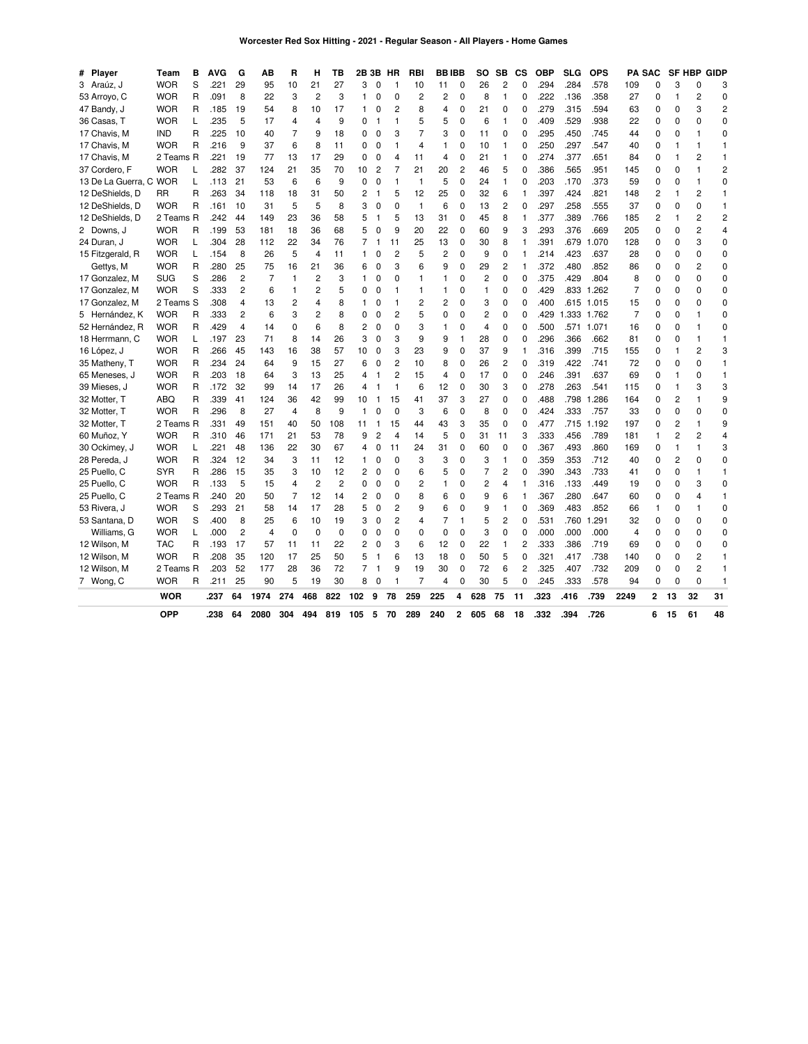| # | <b>Player</b>          | Team       | в              | AVG  | G              | АB             | R        | н              | ΤВ             | 2B  | 3В           | НR             | RBI            |          | <b>BBIBB</b>   | SO                      | <b>SB</b>      | CS             | <b>OBP</b> | <b>SLG</b> | <b>OPS</b>  |                | <b>PA SAC</b> |                | SF HBP         | <b>GIDP</b>    |
|---|------------------------|------------|----------------|------|----------------|----------------|----------|----------------|----------------|-----|--------------|----------------|----------------|----------|----------------|-------------------------|----------------|----------------|------------|------------|-------------|----------------|---------------|----------------|----------------|----------------|
|   | 3 Araúz, J             | <b>WOR</b> | S              | 221  | 29             | 95             | 10       | 21             | 27             | 3   | $\mathbf 0$  | 1              | 10             | 11       | 0              | 26                      | 2              | $\mathbf 0$    | 294        | .284       | .578        | 109            | 0             | 3              | $\Omega$       | 3              |
|   | 53 Arroyo, C           | <b>WOR</b> | R              | 091  | 8              | 22             | 3        | 2              | 3              | 1   | 0            | 0              | $\overline{2}$ | 2        | 0              | 8                       | 1              | $\Omega$       | .222       | .136       | .358        | 27             | 0             | $\mathbf{1}$   | $\overline{2}$ | $\Omega$       |
|   | 47 Bandy, J            | <b>WOR</b> | R              | .185 | 19             | 54             | 8        | 10             | 17             | 1   | 0            | $\overline{c}$ | 8              | 4        | 0              | 21                      | 0              | $\Omega$       | 279        | .315       | .594        | 63             | $\mathbf 0$   | $\mathbf 0$    | 3              | $\overline{2}$ |
|   | 36 Casas, T            | <b>WOR</b> | L              | 235  | 5              | 17             | 4        | 4              | 9              | 0   | $\mathbf{1}$ | 1              | 5              | 5        | 0              | 6                       | 1              | 0              | .409       | .529       | .938        | 22             | 0             | $\mathbf 0$    | $\Omega$       | $\Omega$       |
|   | 17 Chavis, M           | <b>IND</b> | R              | 225  | 10             | 40             | 7        | 9              | 18             | 0   | $\mathbf 0$  | 3              | 7              | 3        | $\Omega$       | 11                      | 0              | $\Omega$       | .295       | .450       | .745        | 44             | 0             | 0              | 1              | $\Omega$       |
|   | 17 Chavis, M           | <b>WOR</b> | R              | 216  | 9              | 37             | 6        | 8              | 11             | 0   | $\mathbf 0$  |                | 4              | 1        | 0              | 10                      | 1              | $\Omega$       | 250        | .297       | .547        | 40             | 0             | 1              | 1              | 1              |
|   | 17 Chavis, M           | 2 Teams R  |                | 221  | 19             | 77             | 13       | 17             | 29             | 0   | 0            | 4              | 11             | 4        | 0              | 21                      | 1              | 0              | 274        | .377       | 651         | 84             | 0             | $\mathbf{1}$   | 2              | $\mathbf{1}$   |
|   | 37 Cordero, F          | <b>WOR</b> | L              | 282  | 37             | 124            | 21       | 35             | 70             | 10  | 2            | 7              | 21             | 20       | 2              | 46                      | 5              | 0              | .386       | .565       | .951        | 145            | 0             | 0              | $\mathbf{1}$   | $\overline{c}$ |
|   | 13 De La Guerra, C WOR |            | L              | .113 | 21             | 53             | 6        | 6              | 9              | 0   | $\mathbf 0$  | 1              | $\mathbf{1}$   | 5        | $\Omega$       | 24                      | 1              | 0              | .203       | .170       | .373        | 59             | 0             | 0              | $\mathbf{1}$   | $\Omega$       |
|   | 12 DeShields, D        | RR         | R              | 263  | 34             | 118            | 18       | 31             | 50             | 2   | 1            | 5              | 12             | 25       | 0              | 32                      | 6              | $\mathbf{1}$   | .397       | .424       | .821        | 148            | 2             | 1              | 2              | 1              |
|   | 12 DeShields, D        | <b>WOR</b> | R              | .161 | 10             | 31             | 5        | 5              | 8              | 3   | 0            | 0              | $\mathbf{1}$   | 6        | 0              | 13                      | $\overline{c}$ | 0              | .297       | 258        | .555        | 37             | 0             | 0              | $\mathbf 0$    | $\mathbf{1}$   |
|   | 12 DeShields, D        | 2 Teams R  |                | .242 | 44             | 149            | 23       | 36             | 58             | 5   | $\mathbf{1}$ | 5              | 13             | 31       | 0              | 45                      | 8              | 1              | 377        | .389       | .766        | 185            | 2             | 1              | $\overline{2}$ | $\overline{2}$ |
|   | 2 Downs, J             | <b>WOR</b> | R              | .199 | 53             | 181            | 18       | 36             | 68             | 5   | 0            | 9              | 20             | 22       | 0              | 60                      | 9              | 3              | .293       | .376       | .669        | 205            | 0             | 0              | $\overline{c}$ | $\overline{4}$ |
|   | 24 Duran, J            | <b>WOR</b> | L              | 304  | 28             | 112            | 22       | 34             | 76             | 7   | 1            | 11             | 25             | 13       | 0              | 30                      | 8              | $\mathbf{1}$   | .391       | .679       | 1.070       | 128            | 0             | 0              | 3              | 0              |
|   | 15 Fitzgerald, R       | <b>WOR</b> | L              | .154 | 8              | 26             | 5        | $\overline{4}$ | 11             | 1   | 0            | $\overline{c}$ | 5              | 2        | 0              | 9                       | 0              | $\mathbf{1}$   | 214        | .423       | .637        | 28             | 0             | $\mathbf 0$    | $\mathbf 0$    | $\Omega$       |
|   | Gettys, M              | <b>WOR</b> | R              | 280  | 25             | 75             | 16       | 21             | 36             | 6   | 0            | 3              | 6              | 9        | 0              | 29                      | 2              | $\mathbf{1}$   | 372        | .480       | .852        | 86             | 0             | 0              | $\overline{2}$ | 0              |
|   | 17 Gonzalez, M         | <b>SUG</b> | S              | 286  | 2              | 7              | 1        | 2              | 3              |     | 0            | 0              | 1              | 1        | 0              | 2                       | 0              | 0              | .375       | .429       | .804        | 8              | 0             | 0              | $\Omega$       | 0              |
|   | 17 Gonzalez, M         | <b>WOR</b> | S              | 333  | $\overline{c}$ | 6              | 1        | $\overline{c}$ | 5              | 0   | $\mathbf 0$  | 1              | 1              | 1        | 0              | 1                       | 0              | $\Omega$       | 429        | .833       | 1.262       | $\overline{7}$ | $\Omega$      | $\mathbf 0$    | $\Omega$       | $\Omega$       |
|   | 17 Gonzalez, M         | 2 Teams S  |                | 308  | 4              | 13             | 2        | 4              | 8              |     | 0            | 1              | 2              | 2        | 0              | 3                       | 0              | 0              | .400       | .615       | 1.015       | 15             | 0             | 0              | 0              | 0              |
|   | 5 Hernández, K         | <b>WOR</b> | R              | 333  | 2              | 6              | 3        | 2              | 8              | 0   | $\mathbf 0$  | 2              | 5              | $\Omega$ | $\Omega$       | 2                       | 0              | 0              | .429       |            | 1.333 1.762 | $\overline{7}$ | 0             | 0              |                | $\Omega$       |
|   | 52 Hernández, R        | <b>WOR</b> | R              | 429  | 4              | 14             | 0        | 6              | 8              | 2   | $\mathbf 0$  | 0              | 3              | 1        | 0              | $\overline{\mathbf{4}}$ | 0              | $\Omega$       | 500        | .571       | 1.071       | 16             | 0             | 0              | 1              | $\Omega$       |
|   | 18 Herrmann, C         | <b>WOR</b> | L              | .197 | 23             | 71             | 8        | 14             | 26             | 3   | 0            | 3              | 9              | 9        | 1              | 28                      | 0              | 0              | .296       | .366       | .662        | 81             | 0             | 0              | 1              | $\mathbf{1}$   |
|   | 16 López, J            | <b>WOR</b> | R              | 266  | 45             | 143            | 16       | 38             | 57             | 10  | 0            | 3              | 23             | 9        | 0              | 37                      | 9              | 1              | 316        | .399       | .715        | 155            | 0             | 1              | 2              | 3              |
|   | 35 Matheny, T          | <b>WOR</b> | $\overline{R}$ | 234  | 24             | 64             | 9        | 15             | 27             | 6   | 0            | $\overline{c}$ | 10             | 8        | 0              | 26                      | $\overline{c}$ | 0              | 319        | .422       | .741        | 72             | 0             | $\mathbf 0$    | $\mathbf 0$    | $\mathbf{1}$   |
|   | 65 Meneses, J          | <b>WOR</b> | R              | 203  | 18             | 64             | 3        | 13             | 25             | 4   | 1            | 2              | 15             | 4        | 0              | 17                      | 0              | 0              | 246        | .391       | .637        | 69             | 0             | 1              | 0              | 1              |
|   | 39 Mieses, J           | <b>WOR</b> | R              | .172 | 32             | 99             | 14       | 17             | 26             | 4   |              | 1              | 6              | 12       | 0              | 30                      | 3              | 0              | .278       | .263       | .541        | 115            | 0             | $\mathbf{1}$   | 3              | 3              |
|   | 32 Motter, T           | <b>ABQ</b> | R              | 339  | 41             | 124            | 36       | 42             | 99             | 10  | 1            | 15             | 41             | 37       | 3              | 27                      | 0              | 0              | .488       | .798       | 1.286       | 164            | 0             | $\overline{c}$ | $\mathbf{1}$   | 9              |
|   | 32 Motter, T           | <b>WOR</b> | R              | 296  | 8              | 27             | 4        | 8              | 9              | 1   | O            | 0              | 3              | 6        | 0              | 8                       | 0              | 0              | 424        | .333       | .757        | 33             | 0             | 0              | $\Omega$       | 0              |
|   | 32 Motter, T           | 2 Teams R  |                | 331  | 49             | 151            | 40       | 50             | 108            | 11  | 1            | 15             | 44             | 43       | 3              | 35                      | $\mathbf 0$    | 0              | 477        | .715       | 1.192       | 197            | 0             | $\overline{2}$ | $\mathbf{1}$   | 9              |
|   | 60 Muñoz, Y            | <b>WOR</b> | R              | 310  | 46             | 171            | 21       | 53             | 78             | 9   | 2            | 4              | 14             | 5        | 0              | 31                      | 11             | 3              | .333       | .456       | .789        | 181            | $\mathbf{1}$  | 2              | 2              | 4              |
|   | 30 Ockimey, J          | <b>WOR</b> | L              | 221  | 48             | 136            | 22       | 30             | 67             | 4   | 0            | 11             | 24             | 31       | 0              | 60                      | 0              | 0              | .367       | .493       | .860        | 169            | 0             | $\mathbf{1}$   | $\mathbf{1}$   | 3              |
|   | 28 Pereda, J           | <b>WOR</b> | R              | 324  | 12             | 34             | 3        | 11             | 12             | 1   | 0            | 0              | 3              | 3        | $\Omega$       | 3                       | 1              | $\Omega$       | 359        | .353       | .712        | 40             | 0             | 2              | $\Omega$       | $\Omega$       |
|   | 25 Puello, C           | <b>SYR</b> | R              | 286  | 15             | 35             | 3        | 10             | 12             | 2   | 0            | 0              | 6              | 5        | 0              | 7                       | 2              | 0              | .390       | .343       | .733        | 41             | 0             | 0              | 1              | $\mathbf{1}$   |
|   | 25 Puello, C           | <b>WOR</b> | R              | .133 | 5              | 15             | 4        | $\overline{c}$ | $\overline{2}$ | 0   | 0            | 0              | 2              | 1        | 0              | 2                       | 4              | $\mathbf{1}$   | .316       | .133       | .449        | 19             | 0             | 0              | 3              | $\Omega$       |
|   | 25 Puello, C           | 2 Teams R  |                | 240  | 20             | 50             | 7        | 12             | 14             | 2   | 0            | 0              | 8              | 6        | $\Omega$       | 9                       | 6              | $\mathbf{1}$   | 367        | .280       | .647        | 60             | 0             | $\mathbf 0$    | $\overline{A}$ | $\overline{1}$ |
|   | 53 Rivera, J           | <b>WOR</b> | S              | 293  | 21             | 58             | 14       | 17             | 28             | 5   | 0            | 2              | 9              | 6        | 0              | 9                       | 1              | 0              | .369       | .483       | .852        | 66             | 1             | 0              | $\mathbf{1}$   | 0              |
|   | 53 Santana, D          | <b>WOR</b> | S              | 400  | 8              | 25             | 6        | 10             | 19             | 3   | 0            | $\overline{c}$ | 4              | 7        | 1              | 5                       | $\overline{c}$ | 0              | .531       | .760       | 1.291       | 32             | 0             | 0              | 0              | $\Omega$       |
|   | Williams, G            | <b>WOR</b> | L              | .000 | $\overline{c}$ | $\overline{4}$ | $\Omega$ | $\Omega$       | $\mathbf 0$    | 0   | $\mathbf 0$  | 0              | $\Omega$       | $\Omega$ | 0              | 3                       | 0              | 0              | .000       | .000       | .000        | 4              | 0             | $\mathbf 0$    | $\Omega$       | $\Omega$       |
|   | 12 Wilson, M           | <b>TAC</b> | R              | .193 | 17             | 57             | 11       | 11             | 22             | 2   | 0            | 3              | 6              | 12       | 0              | 22                      | 1              | $\overline{2}$ | .333       | .386       | .719        | 69             | 0             | 0              | $\mathbf 0$    | $\Omega$       |
|   | 12 Wilson, M           | <b>WOR</b> | R              | 208  | 35             | 120            | 17       | 25             | 50             | 5   | 1            | 6              | 13             | 18       | 0              | 50                      | 5              | 0              | .321       | .417       | .738        | 140            | 0             | 0              | 2              | 1              |
|   | 12 Wilson, M           | 2 Teams R  |                | 203  | 52             | 177            | 28       | 36             | 72             | 7   | $\mathbf{1}$ | 9              | 19             | 30       | 0              | 72                      | 6              | $\overline{2}$ | .325       | .407       | .732        | 209            | 0             | $\mathbf 0$    | $\overline{2}$ | 1              |
|   | 7 Wong, C              | <b>WOR</b> | R              | .211 | 25             | 90             | 5        | 19             | 30             | 8   | 0            | 1              | 7              | 4        | 0              | 30                      | 5              | $\Omega$       | .245       | .333       | .578        | 94             | 0             | $\Omega$       | $\Omega$       | 1              |
|   |                        | <b>WOR</b> |                | .237 | 64             | 1974           | 274      | 468            | 822            | 102 | g            | 78             | 259            | 225      |                | 628                     | 75             | 11             | .323       | .416       | .739        | 2249           | 2             | 13             | 32             | 31             |
|   |                        | OPP        |                | .238 | 64             | 2080           | 304      | 494            | 819            | 105 | 5            | 70             | 289            | 240      | $\overline{2}$ | 605                     | 68             | 18             | .332       | .394       | .726        |                | 6             | 15             | 61             | 48             |
|   |                        |            |                |      |                |                |          |                |                |     |              |                |                |          |                |                         |                |                |            |            |             |                |               |                |                |                |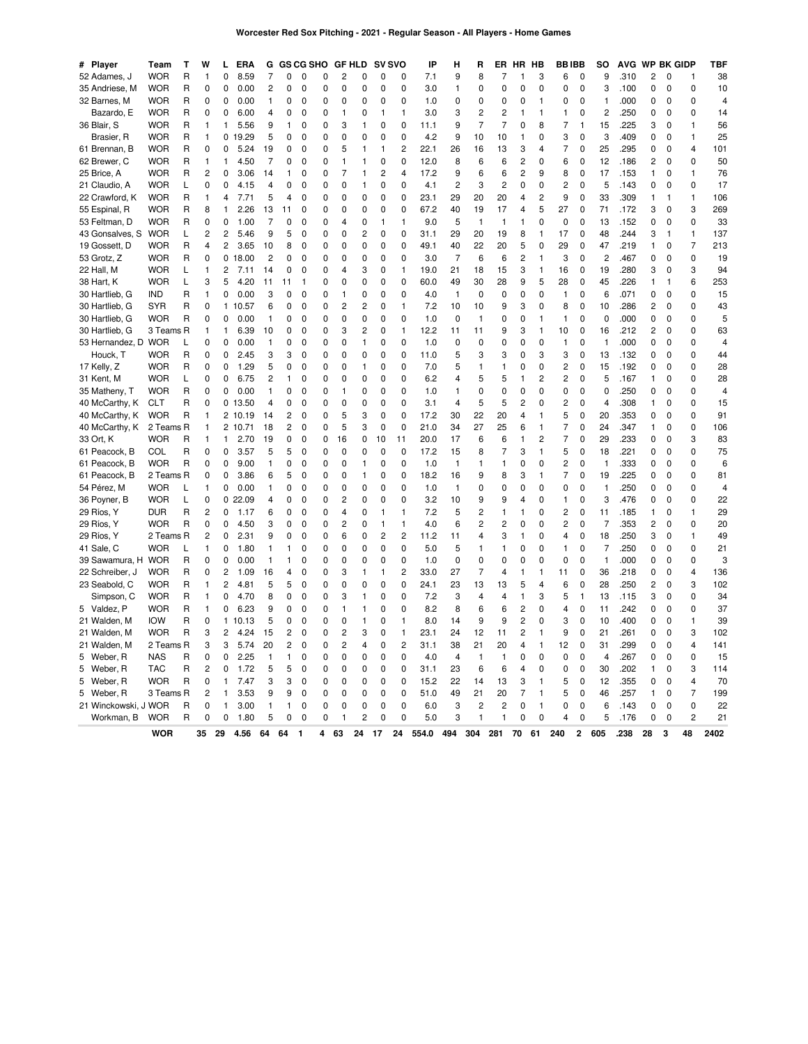| # Player             | Team            | т | W              | L  | ERA   | G  | GS             | CG SHO      |   | <b>GF HLD</b>           |              |                | <b>SV SVO</b>  | IP    | H              | R              | ER             | HR             | нв            | BB IBB                  |                | so                      | AVG  | <b>WP BK GIDP</b>       |             |                     | TBF      |
|----------------------|-----------------|---|----------------|----|-------|----|----------------|-------------|---|-------------------------|--------------|----------------|----------------|-------|----------------|----------------|----------------|----------------|---------------|-------------------------|----------------|-------------------------|------|-------------------------|-------------|---------------------|----------|
| 52 Adames, J         | <b>WOR</b>      | R | 1              | 0  | 8.59  | 7  | 0              | 0           | 0 | $\overline{\mathbf{c}}$ | 0            | 0              | 0              | 7.1   | 9              | 8              | 7              | 1              | 3             | 6                       | 0              | 9                       | .310 | $\overline{\mathbf{c}}$ | 0           | 1                   | 38       |
| 35 Andriese, M       | <b>WOR</b>      | R | 0              | 0  | 0.00  | 2  | 0              | 0           | 0 | 0                       | 0            | 0              | 0              | 3.0   | $\mathbf{1}$   | 0              | 0              | 0              | 0             | 0                       | 0              | 3                       | .100 | 0                       | 0           | 0                   | 10       |
| 32 Barnes, M         | <b>WOR</b>      | R | 0              | 0  | 0.00  | 1  | 0              | $\mathbf 0$ | 0 | 0                       | 0            | 0              | 0              | 1.0   | 0              | 0              | 0              | 0              | 1             | 0                       | $\mathbf 0$    | 1                       | .000 | 0                       | 0           | $\mathbf 0$         | 4        |
| Bazardo, E           | <b>WOR</b>      | R | 0              | 0  | 6.00  | 4  | 0              | 0           | 0 | 1                       | 0            | 1              | 1              | 3.0   | 3              | 2              | $\overline{c}$ | 1              | 1             | 1                       | $\pmb{0}$      | $\overline{\mathbf{c}}$ | .250 | 0                       | 0           | 0                   | 14       |
| 36 Blair, S          | <b>WOR</b>      | R | 1              | 1  | 5.56  | 9  | 1              | 0           | 0 | 3                       | 1            | 0              | 0              | 11.1  | 9              | 7              | 7              | 0              | 8             | 7                       | 1              | 15                      | .225 | 3                       | 0           | $\mathbf{1}$        | 56       |
| Brasier, R           | <b>WOR</b>      | R | 1              | 0  | 19.29 | 5  | 0              | 0           | 0 | 0                       | 0            | 0              | 0              | 4.2   | 9              | 10             | 10             | 1              | 0             | 3                       | 0              | 3                       | .409 | 0                       | 0           | 1                   | 25       |
| 61 Brennan, B        | <b>WOR</b>      | R | 0              | 0  | 5.24  | 19 | 0              | 0           | 0 | 5                       | 1            | 1              | 2              | 22.1  | 26             | 16             | 13             | 3              | 4             | 7                       | 0              | 25                      | .295 | 0                       | 0           | 4                   | 101      |
| 62 Brewer, C         | WOR             | R | 1              | 1  | 4.50  | 7  | 0              | 0           | 0 | $\mathbf{1}$            | 1            | 0              | 0              | 12.0  | 8              | 6              | 6              | $\overline{c}$ | 0             | 6                       | 0              | 12                      | .186 | $\overline{c}$          | 0           | 0                   | 50       |
| 25 Brice, A          | <b>WOR</b>      | R | 2              | 0  | 3.06  | 14 |                | $\mathbf 0$ | 0 | 7                       | 1            | $\overline{c}$ | 4              | 17.2  | 9              | 6              | 6              | 2              | 9             | 8                       | $\mathbf 0$    | 17                      | .153 | 1                       | 0           | 1                   | 76       |
| 21 Claudio, A        | <b>WOR</b><br>L |   | 0              | 0  | 4.15  | 4  | 0              | 0           | 0 | 0                       | 1            | 0              | 0              | 4.1   | $\overline{c}$ | 3              | $\overline{c}$ | 0              | 0             | 2                       | 0              | 5                       | .143 | 0                       | 0           | 0                   | 17       |
| 22 Crawford, K       | <b>WOR</b>      | R | 1              | 4  | 7.71  | 5  | 4              | 0           | 0 | 0                       | 0            | 0              | 0              | 23.1  | 29             | 20             | 20             | 4              | 2             | 9                       | 0              | 33                      | .309 | 1                       | 1           | $\mathbf{1}$        | 106      |
| 55 Espinal, R        | WOR             | R | 8              | 1  | 2.26  | 13 | 11             | 0           | 0 | 0                       | 0            | 0              | 0              | 67.2  | 40             | 19             | 17             | 4              | 5             | 27                      | 0              | 71                      | .172 | 3                       | 0           | 3                   | 269      |
| 53 Feltman, D        | <b>WOR</b>      | R | 0              | 0  | 1.00  | 7  | 0              | 0           | 0 | 4                       | 0            | 1              | 1              | 9.0   | 5              | 1              | 1              | 1              | 0             | 0                       | 0              | 13                      | .152 | 0                       | 0           | 0                   | 33       |
| 43 Gonsalves, S      | <b>WOR</b><br>L |   | 2              | 2  | 5.46  | 9  | 5              | 0           | 0 | 0                       | 2            | 0              | 0              | 31.1  | 29             | 20             | 19             | 8              | 1             | 17                      | 0              | 48                      | .244 | 3                       | 1           | $\mathbf{1}$        | 137      |
| 19 Gossett, D        | WOR             | R | 4              | 2  | 3.65  | 10 | 8              | 0           | 0 | 0                       | 0            | 0              | 0              | 49.1  | 40             | 22             | 20             | 5              | 0             | 29                      | 0              | 47                      | .219 | 1                       | $\mathbf 0$ | $\overline{7}$      | 213      |
|                      |                 | R |                |    | 18.00 | 2  | 0              |             | 0 |                         |              |                | 0              | 3.0   | 7              |                |                | 2              | 1             |                         | 0              | $\overline{c}$          | .467 |                         | 0           | 0                   |          |
| 53 Grotz, Z          | <b>WOR</b>      |   | 0              | 0  |       |    |                | 0           |   | 0                       | 0            | 0              |                |       |                | 6              | 6              |                |               | 3                       |                |                         |      | 0                       |             |                     | 19       |
| 22 Hall, M           | <b>WOR</b><br>L |   | 1              | 2  | 7.11  | 14 | O              | 0           | 0 | 4                       | 3            | 0              | 1              | 19.0  | 21             | 18             | 15             | 3              | 1             | 16                      | 0              | 19                      | .280 | 3                       | 0           | 3                   | 94       |
| 38 Hart, K           | WOR<br>L        |   | 3              | 5  | 4.20  | 11 | 11             | 1           | 0 | 0                       | 0            | 0              | 0              | 60.0  | 49             | 30             | 28             | 9              | 5             | 28                      | 0              | 45                      | .226 | 1                       | 1           | 6                   | 253      |
| 30 Hartlieb, G       | <b>IND</b>      | R | 1              | 0  | 0.00  | 3  | 0              | 0           | 0 | 1                       | 0            | 0              | 0              | 4.0   | $\overline{1}$ | 0              | 0              | 0              | 0             | 1                       | 0              | 6                       | .071 | 0                       | 0           | 0                   | 15       |
| 30 Hartlieb, G       | <b>SYR</b>      | R | 0              | 1  | 0.57  | 6  | 0              | 0           | 0 | $\overline{c}$          | 2            | 0              | 1              | 7.2   | 10             | 10             | 9              | 3              | 0             | 8                       | $\mathbf 0$    | 10                      | .286 | 2                       | 0           | 0                   | 43       |
| 30 Hartlieb, G       | <b>WOR</b>      | R | 0              | 0  | 0.00  | 1  | 0              | 0           | 0 | 0                       | 0            | 0              | 0              | 1.0   | $\mathbf 0$    | 1              | 0              | 0              | 1             | 1                       | 0              | $\mathbf 0$             | .000 | 0                       | 0           | 0                   | 5        |
| 30 Hartlieb, G       | 3 Teams R       |   | 1              | 1  | 6.39  | 10 | 0              | 0           | 0 | 3                       | 2            | 0              | 1              | 12.2  | 11             | 11             | 9              | 3              | 1             | 10                      | 0              | 16                      | .212 | 2                       | 0           | 0                   | 63       |
| 53 Hernandez, D      | <b>WOR</b><br>L |   | 0              | 0  | 0.00  | 1  | 0              | 0           | 0 | 0                       | 1            | 0              | 0              | 1.0   | 0              | 0              | 0              | 0              | 0             | 1                       | 0              | $\mathbf{1}$            | .000 | 0                       | 0           | 0                   | 4        |
| Houck, T             | WOR             | R | 0              | 0  | 2.45  | 3  | 3              | 0           | 0 | 0                       | 0            | 0              | 0              | 11.0  | 5              | 3              | 3              | 0              | 3             | 3                       | 0              | 13                      | .132 | 0                       | 0           | 0                   | 44       |
| 17 Kelly, Z          | <b>WOR</b>      | R | 0              | 0  | 1.29  | 5  | 0              | 0           | 0 | 0                       | 1            | 0              | 0              | 7.0   | 5              | 1              | 1              | 0              | 0             | 2                       | 0              | 15                      | .192 | 0                       | 0           | 0                   | 28       |
| 31 Kent, M           | <b>WOR</b><br>L |   | 0              | 0  | 6.75  | 2  | 1              | 0           | 0 | 0                       | 0            | 0              | 0              | 6.2   | $\overline{4}$ | 5              | 5              | 1              | 2             | 2                       | $\mathbf 0$    | 5                       | .167 | 1                       | 0           | 0                   | 28       |
| 35 Matheny, T        | <b>WOR</b>      | R | 0              | 0  | 0.00  | 1  | 0              | 0           | 0 | 1                       | 0            | 0              | 0              | 1.0   | $\mathbf{1}$   | 0              | 0              | 0              | 0             | 0                       | 0              | 0                       | .250 | 0                       | 0           | $\mathbf 0$         | 4        |
| 40 McCarthy, K       | CLT             | R | 0              | 0  | 13.50 | 4  | 0              | 0           | 0 | 0                       | 0            | 0              | 0              | 3.1   | $\overline{4}$ | 5              | 5              | 2              | 0             | 2                       | 0              | 4                       | .308 | 1                       | 0           | 0                   | 15       |
| 40 McCarthy, K       | <b>WOR</b>      | R | 1              | 2  | 10.19 | 14 | $\overline{c}$ | 0           | 0 | 5                       | 3            | 0              | 0              | 17.2  | 30             | 22             | 20             | 4              | 1             | 5                       | 0              | 20                      | .353 | 0                       | 0           | 0                   | 91       |
| 40 McCarthy, K       | 2 Teams R       |   | 1              | 2  | 10.71 | 18 | $\overline{c}$ | 0           | 0 | 5                       | 3            | 0              | 0              | 21.0  | 34             | 27             | 25             | 6              | 1             | 7                       | 0              | 24                      | .347 | 1                       | 0           | 0                   | 106      |
| 33 Ort, K            | <b>WOR</b>      | R | 1              | 1  | 2.70  | 19 | 0              | 0           | 0 | 16                      | 0            | 10             | 11             | 20.0  | 17             | 6              | 6              | 1              | 2             | 7                       | 0              | 29                      | .233 | 0                       | 0           | 3                   | 83       |
| 61 Peacock, B        | COL             | R | 0              | 0  | 3.57  | 5  | 5              | 0           | 0 | 0                       | 0            | 0              | $\mathbf 0$    | 17.2  | 15             | 8              | 7              | 3              | 1             | 5                       | $\mathbf 0$    | 18                      | .221 | 0                       | 0           | 0                   | 75       |
| 61 Peacock, B        | <b>WOR</b>      | R | 0              | 0  | 9.00  | 1  | 0              | 0           | 0 | 0                       | 1            | 0              | 0              | 1.0   | $\mathbf{1}$   | 1              | 1              | 0              | 0             | $\overline{\mathbf{c}}$ | 0              | 1                       | .333 | 0                       | 0           | $\mathbf 0$         | 6        |
| 61 Peacock, B        | 2 Teams R       |   | 0              | 0  | 3.86  | 6  | 5              | 0           | 0 | 0                       | 1            | 0              | 0              | 18.2  | 16             | 9              | 8              | 3              | 1             | 7                       | 0              | 19                      | .225 | 0                       | 0           | 0                   | 81       |
| 54 Pérez, M          | WOR<br>L        |   | 1              | 0  | 0.00  | 1  | 0              | 0           | 0 | 0                       | 0            | 0              | 0              | 1.0   | $\mathbf{1}$   | 0              | 0              | 0              | 0             | 0                       | 0              | $\mathbf{1}$            | .250 | 0                       | 0           | 0                   | $\Delta$ |
| 36 Poyner, B         | WOR<br>L        |   | 0              | 0  | 22.09 | 4  | 0              | 0           | 0 | $\overline{c}$          | 0            | 0              | 0              | 3.2   | 10             | 9              | 9              | 4              | 0             | 1                       | 0              | 3                       | .476 | 0                       | 0           | 0                   | 22       |
| 29 Ríos, Y           | <b>DUR</b>      | R | $\overline{c}$ | 0  | 1.17  | 6  | 0              | 0           | 0 | $\overline{4}$          | 0            | $\mathbf{1}$   | 1              | 7.2   | 5              | 2              | 1              | $\mathbf{1}$   | 0             | 2                       | 0              | 11                      | .185 | 1                       | 0           | $\mathbf{1}$        | 29       |
| 29 Ríos, Y           | <b>WOR</b>      | R | $\mathbf 0$    | 0  | 4.50  | 3  | 0              | 0           | 0 | $\overline{\mathbf{c}}$ | 0            | 1              | 1              | 4.0   | 6              | $\overline{c}$ | $\overline{c}$ | 0              | 0             | 2                       | $\mathbf 0$    | 7                       | .353 | 2                       | 0           | 0                   | 20       |
| 29 Ríos, Y           | 2 Teams R       |   | 2              | 0  | 2.31  | 9  | 0              | 0           | 0 | 6                       | 0            | $\overline{c}$ | $\overline{c}$ | 11.2  | 11             | 4              | 3              | 1              | 0             | 4                       | 0              | 18                      | .250 | 3                       | 0           | $\mathbf{1}$        | 49       |
| 41 Sale, C           | <b>WOR</b><br>L |   | 1              | 0  | 1.80  | 1  | 1              | 0           | 0 | 0                       | 0            | 0              | 0              | 5.0   | 5              | 1              | 1              | 0              | 0             | 1                       | 0              | 7                       | .250 | 0                       | 0           | 0                   | 21       |
| 39 Sawamura, H       | <b>WOR</b>      | R | 0              | 0  | 0.00  | 1  |                | 0           | 0 | 0                       | 0            | 0              | 0              | 1.0   | 0              | 0              | 0              | 0              | 0             | 0                       | 0              | -1                      | .000 | 0                       | 0           | 0                   | 3        |
| 22 Schreiber, J      | WOR             | R | 0              | 2  | 1.09  | 16 | 4              | 0           | 0 | 3                       | 1            | $\mathbf{1}$   | 2              | 33.0  | 27             | 7              | 4              | 1              | 1             | 11                      | 0              | 36                      | .218 | 0                       | 0           | 4                   | 136      |
| 23 Seabold, C        | <b>WOR</b>      | R | 1              | 2  | 4.81  | 5  | 5              | 0           | 0 | 0                       | 0            | 0              | 0              | 24.1  | 23             | 13             | 13             | 5              | 4             | 6                       | $\mathbf 0$    | 28                      | .250 | 2                       | 0           | 3                   | 102      |
| Simpson, C           | <b>WOR</b>      | R | 1              | 0  | 4.70  | 8  | 0              | 0           | 0 | 3                       | $\mathbf{1}$ | 0              | 0              | 7.2   | 3              | 4              | 4              | 1              | 3             | 5                       | $\mathbf{1}$   | 13                      | .115 | 3                       | 0           | 0                   | 34       |
| 5 Valdez, P          | <b>WOR</b>      | R | 1              | 0  | 6.23  | 9  | 0              | 0           | 0 | 1                       | 1            | 0              | 0              | 8.2   | 8              | 6              | 6              | 2              | 0             | 4                       | 0              | 11                      | .242 | 0                       | 0           | 0                   | 37       |
| 21 Walden, M         | <b>IOW</b>      | R | 0              | 1  | 10.13 | 5  | 0              | 0           | 0 | 0                       | 1            | 0              | 1              | 8.0   | 14             | 9              | 9              | $\overline{c}$ | 0             | 3                       | 0              | 10                      | .400 | 0                       | 0           | $\mathbf{1}$        | 39       |
| 21 Walden, M         | <b>WOR</b>      | R | 3              | 2  | 4.24  | 15 | $\overline{c}$ | 0           | 0 | $\overline{c}$          | 3            | 0              | 1              | 23.1  | 24             | 12             | 11             | 2              | 1             | 9                       | 0              | 21                      | .261 | 0                       | 0           | 3                   | 102      |
| 21 Walden, M         | 2 Teams R       |   | 3              | 3  | 5.74  | 20 | $\overline{c}$ | 0           | 0 | $\overline{c}$          | 4            | 0              | $\overline{c}$ | 31.1  | 38             | 21             | 20             | 4              | $\mathbf{1}$  | 12                      | 0              | 31                      | .299 | 0                       | 0           | 4                   | 141      |
| 5 Weber, R           | <b>NAS</b>      | R | 0              | 0  | 2.25  | 1  | 1              | 0           | 0 | 0                       | 0            | 0              | $\mathbf 0$    | 4.0   | $\overline{4}$ | 1              | 1              | 0              | 0             | 0                       | 0              | 4                       | .267 | 0                       | 0           | $\mathbf 0$         | 15       |
| 5 Weber, R           | <b>TAC</b>      | R | 2              | 0  | 1.72  | 5  | 5              | 0           | 0 | 0                       | 0            | 0              | 0              | 31.1  | 23             | 6              | 6              | 4              | 0             | 0                       | 0              | 30                      | .202 | 1                       | 0           | 3                   | 114      |
|                      |                 | R |                |    |       |    |                |             |   |                         |              |                |                |       |                |                |                |                |               | 5                       |                |                         |      |                         |             |                     |          |
| 5 Weber, R           | <b>WOR</b>      |   | 0<br>2         | 1  | 7.47  | 3  | 3              | 0           | 0 | 0                       | 0            | 0              | 0              | 15.2  | 22             | 14             | 13             | 3<br>7         | 1             | 5                       | 0              | 12                      | .355 | 0                       | 0           | 4                   | 70       |
| 5 Weber, R           | 3 Teams R       |   |                | 1  | 3.53  | 9  | 9              | 0           | 0 | 0                       | 0            | 0              | 0              | 51.0  | 49             | 21             | 20             |                | 1             |                         | 0              | 46                      | .257 | 1                       | 0           | 7                   | 199      |
| 21 Winckowski, J WOR |                 | R | 0              | 1  | 3.00  | 1  |                | 0           | 0 | 0                       | 0            | $\mathbf 0$    | 0              | 6.0   | 3              | 2<br>1         | 2<br>1         | 0              | 1<br>$\Omega$ | 0<br>4                  | 0              | 6                       | .143 | 0<br>0                  | $\mathbf 0$ | 0<br>$\overline{c}$ | 22       |
| Workman, B           | <b>WOR</b>      | R | 0              | 0  | 1.80  | 5  | 0              | $\mathbf 0$ | 0 | $\mathbf{1}$            | 2            | $\mathbf 0$    | 0              | 5.0   | 3              |                |                | 0              |               |                         | $\mathbf 0$    | 5                       | .176 |                         | $\mathbf 0$ |                     | 21       |
|                      | <b>WOR</b>      |   | 35             | 29 | 4.56  | 64 | 64             | 1           | 4 | 63                      | 24           | 17             | 24             | 554.0 | 494            | 304            | 281            | 70             | 61            | 240                     | $\overline{2}$ | 605                     | .238 | 28                      | 3           | 48                  | 2402     |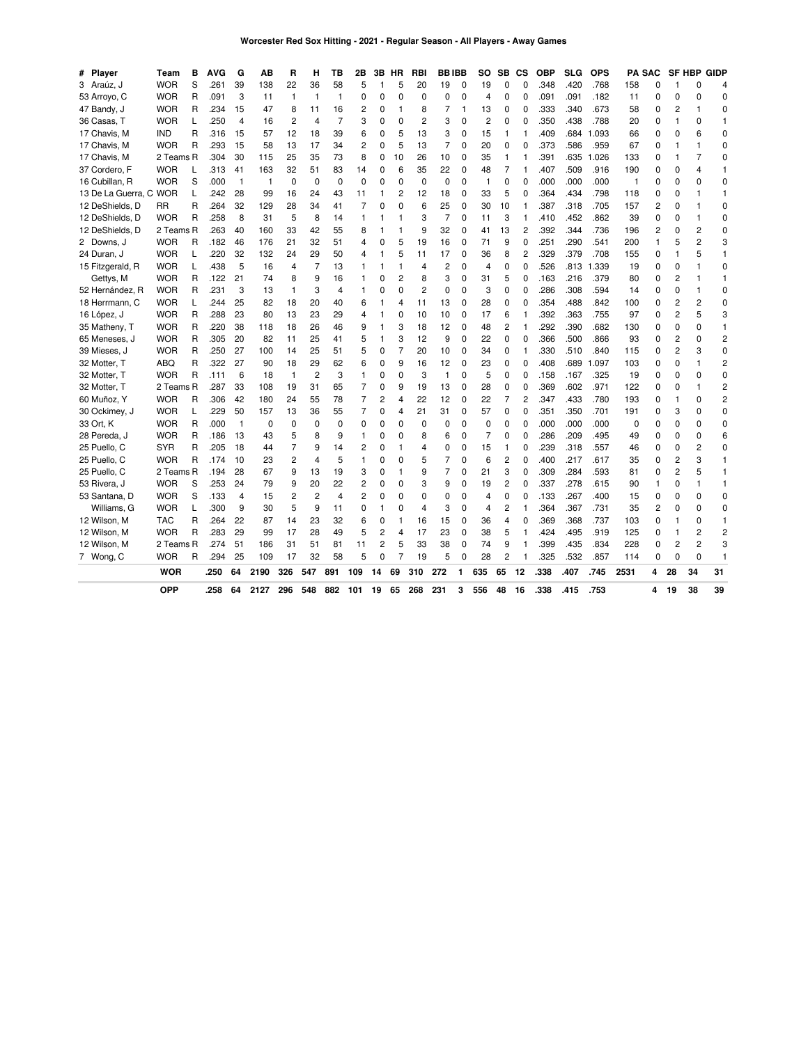| Player             | Team       | в                       | AVG  | G              | AB   | R              | н              | ΤВ             | 2Β           | 3В       | HR             | RBI            |                | <b>BBIBB</b> | SO  | SB       | СS             | <b>OBP</b> | SLG  | <b>OPS</b> |      | <b>PA SAC</b> |                |                | SF HBP GIDP    |
|--------------------|------------|-------------------------|------|----------------|------|----------------|----------------|----------------|--------------|----------|----------------|----------------|----------------|--------------|-----|----------|----------------|------------|------|------------|------|---------------|----------------|----------------|----------------|
| 3 Araúz. J         | <b>WOR</b> | S                       | .261 | 39             | 138  | 22             | 36             | 58             | 5            | 1        | 5              | 20             | 19             | 0            | 19  | 0        | 0              | .348       | .420 | .768       | 158  | 0             |                | $\Omega$       | Δ              |
| 53 Arroyo, C       | <b>WOR</b> | R                       | .091 | 3              | 11   | $\mathbf{1}$   | $\mathbf{1}$   | 1              | 0            | 0        | 0              | $\mathbf 0$    | 0              | 0            | 4   | 0        | 0              | .091       | .091 | .182       | 11   | 0             | 0              | $\Omega$       | $\Omega$       |
| 47 Bandy, J        | <b>WOR</b> | R                       | 234  | 15             | 47   | 8              | 11             | 16             | 2            | 0        | 1              | 8              | 7              | 1            | 13  | 0        | $\Omega$       | .333       | .340 | .673       | 58   | 0             | 2              | 1              | O              |
| 36 Casas, T        | <b>WOR</b> | L                       | .250 | $\overline{4}$ | 16   | 2              | $\overline{4}$ | $\overline{7}$ | 3            | 0        | 0              | $\overline{c}$ | 3              | 0            | 2   | 0        | C              | .350       | .438 | .788       | 20   | 0             | 1              | 0              | 1              |
| 17 Chavis, M       | <b>IND</b> | R                       | .316 | 15             | 57   | 12             | 18             | 39             | 6            | 0        | 5              | 13             | 3              | 0            | 15  | 1        |                | .409       | .684 | 1.093      | 66   | 0             | 0              | 6              | $\Omega$       |
| 17 Chavis, M       | <b>WOR</b> | $\overline{\mathsf{R}}$ | .293 | 15             | 58   | 13             | 17             | 34             | 2            | 0        | 5              | 13             | 7              | $\mathbf 0$  | 20  | 0        | 0              | .373       | .586 | .959       | 67   | 0             | 1              | 1              | $\Omega$       |
| 17 Chavis, M       | 2 Teams R  |                         | .304 | 30             | 115  | 25             | 35             | 73             | 8            | 0        | 10             | 26             | 10             | 0            | 35  | 1        |                | .391       | .635 | 1.026      | 133  | 0             | 1              | 7              | $\Omega$       |
| 37 Cordero, F      | <b>WOR</b> |                         | 313  | 41             | 163  | 32             | 51             | 83             | 14           | $\Omega$ | 6              | 35             | 22             | 0            | 48  | 7        |                | .407       | .509 | .916       | 190  | 0             | 0              | 4              | 1              |
| 16 Cubillan, R     | <b>WOR</b> | S                       | .000 | $\overline{1}$ | 1    | $\mathbf 0$    | $\mathbf 0$    | 0              | $\mathbf 0$  | 0        | 0              | $\mathbf 0$    | 0              | 0            | 1   | 0        | $\Omega$       | .000       | .000 | .000       | 1    | 0             | 0              | 0              | $\Omega$       |
| 13 De La Guerra, C | <b>WOR</b> | L                       | .242 | 28             | 99   | 16             | 24             | 43             | 11           | 1        | 2              | 12             | 18             | 0            | 33  | 5        | 0              | .364       | .434 | .798       | 118  | 0             | 0              | 1              | $\overline{1}$ |
| 12 DeShields, D    | <b>RR</b>  | R                       | .264 | 32             | 129  | 28             | 34             | 41             | 7            | 0        | 0              | 6              | 25             | 0            | 30  | 10       | 1              | .387       | .318 | .705       | 157  | 2             | 0              | 1              | $\Omega$       |
| 12 DeShields, D    | <b>WOR</b> | R                       | .258 | 8              | 31   | 5              | 8              | 14             | $\mathbf{1}$ | 1        | 1              | 3              | 7              | 0            | 11  | 3        |                | .410       | .452 | .862       | 39   | 0             | 0              | 1              | $\Omega$       |
| 12 DeShields, D    | 2 Teams R  |                         | .263 | 40             | 160  | 33             | 42             | 55             | 8            |          | 1              | 9              | 32             | 0            | 41  | 13       | $\overline{2}$ | .392       | .344 | .736       | 196  | 2             | 0              | $\overline{c}$ | $\Omega$       |
| 2 Downs, J         | <b>WOR</b> | R                       | .182 | 46             | 176  | 21             | 32             | 51             | 4            | 0        | 5              | 19             | 16             | 0            | 71  | 9        | $\Omega$       | 251        | .290 | .541       | 200  | 1             | 5              | $\overline{c}$ | 3              |
| 24 Duran, J        | <b>WOR</b> | L                       | 220  | 32             | 132  | 24             | 29             | 50             | 4            |          | 5              | 11             | 17             | 0            | 36  | 8        | $\overline{2}$ | 329        | .379 | .708       | 155  | 0             |                | 5              | 1              |
| 15 Fitzgerald, R   | <b>WOR</b> | L                       | .438 | 5              | 16   | 4              | 7              | 13             | 1            |          | 1              | $\overline{4}$ | 2              | 0            | 4   | $\Omega$ | 0              | 526        | .813 | 1.339      | 19   | 0             | 0              | 1              | $\Omega$       |
| Gettys, M          | <b>WOR</b> | R                       | .122 | 21             | 74   | 8              | 9              | 16             | 1            | 0        | 2              | 8              | 3              | 0            | 31  | 5        | 0              | .163       | .216 | .379       | 80   | 0             | 2              | 1              | $\mathbf{1}$   |
| 52 Hernández, R    | <b>WOR</b> | R                       | .231 | 3              | 13   | $\mathbf{1}$   | 3              | 4              | 1            | $\Omega$ | $\mathbf 0$    | $\overline{c}$ | 0              | 0            | 3   | 0        | $\Omega$       | .286       | .308 | .594       | 14   | 0             | $\mathbf 0$    | $\mathbf{1}$   | $\Omega$       |
| 18 Herrmann, C     | <b>WOR</b> | L                       | .244 | 25             | 82   | 18             | 20             | 40             | 6            | 1        | 4              | 11             | 13             | 0            | 28  | 0        | C              | 354        | .488 | .842       | 100  | 0             | 2              | 2              | $\Omega$       |
| 16 López, J        | <b>WOR</b> | R                       | 288  | 23             | 80   | 13             | 23             | 29             | 4            | 1        | $\Omega$       | 10             | 10             | 0            | 17  | 6        | 1              | 392        | .363 | .755       | 97   | 0             | 2              | 5              | 3              |
| 35 Matheny, T      | <b>WOR</b> | R                       | .220 | 38             | 118  | 18             | 26             | 46             | 9            | 1        | 3              | 18             | 12             | 0            | 48  | 2        | 1              | .292       | .390 | .682       | 130  | 0             | 0              | 0              | $\mathbf{1}$   |
| 65 Meneses, J      | <b>WOR</b> | R                       | 305  | 20             | 82   | 11             | 25             | 41             | 5            | 1        | 3              | 12             | 9              | 0            | 22  | 0        | $\Omega$       | .366       | .500 | .866       | 93   | 0             | 2              | $\Omega$       | $\overline{2}$ |
| 39 Mieses, J       | <b>WOR</b> | R                       | .250 | 27             | 100  | 14             | 25             | 51             | 5            | 0        | $\overline{7}$ | 20             | 10             | $\Omega$     | 34  | $\Omega$ | 1              | .330       | .510 | .840       | 115  | 0             | 2              | 3              | $\Omega$       |
| 32 Motter. T       | <b>ABQ</b> | R                       | .322 | 27             | 90   | 18             | 29             | 62             | 6            | 0        | 9              | 16             | 12             | 0            | 23  | $\Omega$ | 0              | 408        | .689 | 1.097      | 103  | 0             | 0              | 1              | $\overline{c}$ |
| 32 Motter, T       | <b>WOR</b> | R                       | .111 | 6              | 18   | $\overline{1}$ | $\overline{2}$ | 3              | 1            | 0        | 0              | 3              | 1              | 0            | 5   | 0        | 0              | .158       | .167 | .325       | 19   | 0             | 0              | 0              | $\Omega$       |
| 32 Motter, T       | 2 Teams R  |                         | .287 | 33             | 108  | 19             | 31             | 65             | 7            | 0        | 9              | 19             | 13             | 0            | 28  | 0        | 0              | .369       | .602 | .971       | 122  | 0             | 0              | 1              | $\overline{2}$ |
| 60 Muñoz, Y        | <b>WOR</b> | R                       | .306 | 42             | 180  | 24             | 55             | 78             | 7            | 2        | 4              | 22             | 12             | 0            | 22  | 7        | 2              | .347       | .433 | .780       | 193  | 0             | 1              | 0              | $\overline{2}$ |
| 30 Ockimey, J      | <b>WOR</b> | L                       | .229 | 50             | 157  | 13             | 36             | 55             | 7            | $\Omega$ | 4              | 21             | 31             | 0            | 57  | $\Omega$ | $\Omega$       | .351       | .350 | .701       | 191  | 0             | 3              | 0              | $\Omega$       |
| 33 Ort, K          | <b>WOR</b> | R                       | .000 | $\overline{1}$ | 0    | $\mathbf 0$    | $\mathbf{0}$   | 0              | 0            | 0        | 0              | $\mathbf 0$    | 0              | 0            | 0   | 0        | $\Omega$       | .000       | .000 | .000       | 0    | 0             | 0              | 0              | $\Omega$       |
| 28 Pereda, J       | <b>WOR</b> | R                       | .186 | 13             | 43   | 5              | 8              | 9              | 1            | $\Omega$ | $\Omega$       | 8              | 6              | 0            | 7   | 0        | $\Omega$       | .286       | .209 | .495       | 49   | 0             | 0              | $\Omega$       | 6              |
| 25 Puello, C       | <b>SYR</b> | R                       | .205 | 18             | 44   | $\overline{7}$ | 9              | 14             | 2            | 0        | 1              | 4              | 0              | 0            | 15  | 1        | 0              | .239       | .318 | .557       | 46   | 0             | 0              | 2              | $\Omega$       |
| 25 Puello, C       | <b>WOR</b> | R                       | .174 | 10             | 23   | 2              | $\overline{4}$ | 5              | 1            | $\Omega$ | 0              | 5              | 7              | 0            | 6   | 2        | 0              | .400       | .217 | .617       | 35   | 0             | 2              | 3              | 1              |
| 25 Puello, C       | 2 Teams R  |                         | .194 | 28             | 67   | 9              | 13             | 19             | 3            | $\Omega$ | 1              | 9              | $\overline{7}$ | 0            | 21  | 3        | $\Omega$       | .309       | .284 | .593       | 81   | 0             | $\overline{c}$ | 5              | 1              |
| 53 Rivera, J       | <b>WOR</b> | S                       | .253 | 24             | 79   | 9              | 20             | 22             | 2            | 0        | 0              | 3              | 9              | 0            | 19  | 2        | $\Omega$       | .337       | .278 | .615       | 90   | 1             | 0              | 1              | 1              |
| 53 Santana, D      | <b>WOR</b> | S                       | .133 | 4              | 15   | 2              | $\overline{c}$ | 4              | 2            | $\Omega$ | 0              | $\Omega$       | 0              | 0            | 4   | $\Omega$ | O              | .133       | .267 | .400       | 15   | 0             | 0              | 0              | $\Omega$       |
| Williams, G        | <b>WOR</b> | L                       | .300 | 9              | 30   | 5              | 9              | 11             | 0            | 1        | 0              | $\overline{4}$ | 3              | 0            | 4   | 2        | 1              | .364       | .367 | .731       | 35   | 2             | 0              | 0              | $\Omega$       |
| 12 Wilson, M       | <b>TAC</b> | R                       | 264  | 22             | 87   | 14             | 23             | 32             | 6            | 0        | 1              | 16             | 15             | 0            | 36  | 4        | C              | .369       | .368 | .737       | 103  | 0             | 1              | 0              | $\mathbf{1}$   |
| 12 Wilson, M       | <b>WOR</b> | R                       | 283  | 29             | 99   | 17             | 28             | 49             | 5            | 2        | 4              | 17             | 23             | 0            | 38  | 5        |                | .424       | .495 | .919       | 125  | 0             | 1              | 2              | $\overline{c}$ |
| 12 Wilson, M       | 2 Teams R  |                         | .274 | 51             | 186  | 31             | 51             | 81             | 11           | 2        | 5              | 33             | 38             | 0            | 74  | 9        |                | .399       | .435 | .834       | 228  | 0             | 2              | $\overline{c}$ | 3              |
| 7 Wong, C          | <b>WOR</b> | R                       | .294 | 25             | 109  | 17             | 32             | 58             | 5            | $\Omega$ | $\overline{7}$ | 19             | 5              | 0            | 28  | 2        |                | .325       | .532 | .857       | 114  | 0             | $\Omega$       | $\Omega$       | $\overline{1}$ |
|                    | <b>WOR</b> |                         | .250 | 64             | 2190 | 326            | 547            | 891            | 109          | 14       | 69             | 310            | 272            |              | 635 | 65       | 12             | .338       | .407 | .745       | 2531 | 4             | 28             | 34             | 31             |
|                    | <b>OPP</b> |                         | .258 | 64             | 2127 | 296            | 548            | 882            | 101          | 19       | 65             | 268            | 231            | 3            | 556 | 48       | 16             | .338       | .415 | .753       |      | 4             | 19             | 38             | 39             |
|                    |            |                         |      |                |      |                |                |                |              |          |                |                |                |              |     |          |                |            |      |            |      |               |                |                |                |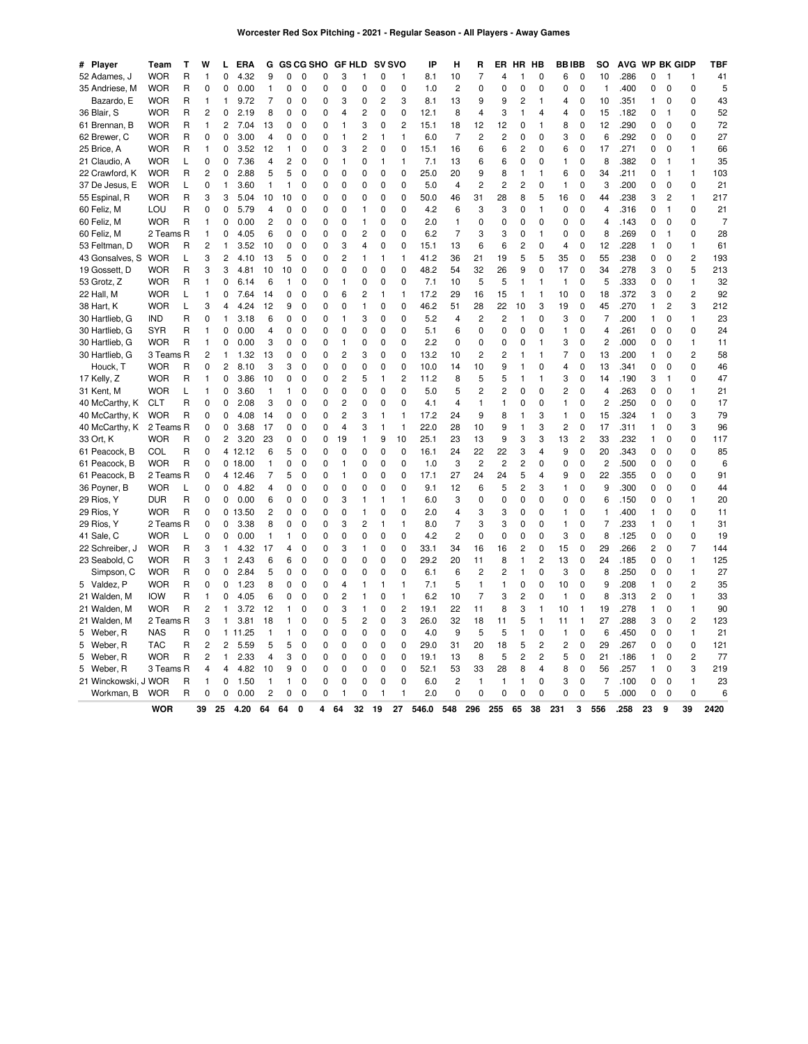| # Player             | Team       | т              | w  | L              | ERA     | G              |              | <b>GS CG SHO</b> |   |                         | GF HLD         |    | <b>SV SVO</b>  | IP    | н              | R              | ER                      | HR.          | HB             | <b>BBIBB</b>   |                | so             | AVG  | <b>WP BK GIDP</b> |                     |                | <b>TBF</b> |
|----------------------|------------|----------------|----|----------------|---------|----------------|--------------|------------------|---|-------------------------|----------------|----|----------------|-------|----------------|----------------|-------------------------|--------------|----------------|----------------|----------------|----------------|------|-------------------|---------------------|----------------|------------|
| 52 Adames, J         | <b>WOR</b> | R              | 1  | 0              | 4.32    | 9              | ŋ            | 0                | 0 | 3                       | -1             | 0  | -1             | 8.1   | 10             | 7              | 4                       | 1            | 0              | 6              | 0              | 10             | .286 | 0                 | -1                  | 1              | 41         |
| 35 Andriese, M       | <b>WOR</b> | R              | 0  | 0              | 0.00    | 1              | 0            | 0                | 0 | 0                       | 0              | 0  | $\mathbf 0$    | 1.0   | 2              | 0              | 0                       | 0            | 0              | 0              | 0              | 1              | .400 | 0                 | $\mathbf 0$         | 0              | 5          |
| Bazardo, E           | <b>WOR</b> | R              | 1  | 1              | 9.72    | 7              | 0            | 0                | 0 | 3                       | 0              | 2  | 3              | 8.1   | 13             | 9              | 9                       | 2            | $\mathbf{1}$   | 4              | 0              | 10             | 351  | 1                 | 0                   | 0              | 43         |
| 36 Blair, S          | <b>WOR</b> | R              | 2  | 0              | 2.19    | 8              | 0            | 0                | 0 | 4                       | 2              | 0  | 0              | 12.1  | 8              | 4              | 3                       | 1            | 4              | 4              | 0              | 15             | .182 | 0                 | $\mathbf{1}$        | 0              | 52         |
| 61 Brennan, B        | <b>WOR</b> | R              | 1  | 2              | 7.04    | 13             | 0            | 0                | 0 | 1                       | 3              | 0  | $\overline{c}$ | 15.1  | 18             | 12             | 12                      | 0            | 1              | 8              | 0              | 12             | .290 | 0                 | 0                   | 0              | 72         |
| 62 Brewer, C         | <b>WOR</b> | R              | 0  | 0              | 3.00    | $\overline{4}$ | 0            | 0                | 0 | 1                       | 2              | 1  | $\mathbf{1}$   | 6.0   | $\overline{7}$ | $\overline{c}$ | $\overline{c}$          | $\Omega$     | $\Omega$       | 3              | 0              | 6              | 292  | 0                 | $\mathbf 0$         | 0              | 27         |
| 25 Brice, A          | <b>WOR</b> | R              | 1  | 0              | 3.52    | 12             | 1            | 0                | 0 | 3                       | $\overline{c}$ | 0  | 0              | 15.1  | 16             | 6              | 6                       | 2            | 0              | 6              | 0              | 17             | .271 | 0                 | 0                   | 1              | 66         |
| 21 Claudio, A        | <b>WOR</b> | L              | 0  | 0              | 7.36    | 4              | 2            | 0                | 0 | 1                       | 0              | 1  | $\mathbf{1}$   | 7.1   | 13             | 6              | 6                       | 0            | 0              | 1              | 0              | 8              | .382 | 0                 | $\mathbf{1}$        | 1              | 35         |
| 22 Crawford, K       | <b>WOR</b> | R              | 2  | 0              | 2.88    | 5              | 5            | 0                | 0 | 0                       | 0              | 0  | $\mathbf 0$    | 25.0  | 20             | 9              | 8                       | 1            | 1              | 6              | 0              | 34             | .211 | 0                 | 1                   | 1              | 103        |
| 37 De Jesus, E       | <b>WOR</b> | L              | 0  | $\mathbf{1}$   | 3.60    | $\mathbf{1}$   | 1            | 0                | 0 | 0                       | 0              | 0  | $\Omega$       | 5.0   | 4              | $\overline{c}$ | $\overline{\mathbf{c}}$ | 2            | 0              | 1              | $\Omega$       | 3              | .200 | 0                 | 0                   | 0              | 21         |
| 55 Espinal, R        | <b>WOR</b> | R              | 3  | 3              | 5.04    | 10             | 10           | 0                | 0 | 0                       | 0              | 0  | 0              | 50.0  | 46             | 31             | 28                      | 8            | 5              | 16             | 0              | 44             | 238  | 3                 | $\overline{c}$      | 1              | 217        |
| 60 Feliz, M          | LOU        | R              | 0  | 0              | 5.79    | $\overline{4}$ | 0            | 0                | 0 | 0                       | 1              | 0  | $\mathbf 0$    | 4.2   | 6              | 3              | 3                       | 0            | $\mathbf{1}$   | 0              | 0              | $\overline{4}$ | .316 | 0                 | $\mathbf{1}$        | 0              | 21         |
| 60 Feliz, M          | <b>WOR</b> | $\mathsf{R}$   | 1  | 0              | 0.00    | $\overline{c}$ | O            | 0                | 0 | 0                       | 1              | 0  | 0              | 2.0   | 1              | 0              | 0                       | 0            | 0              | 0              | 0              | 4              | .143 | 0                 | 0                   | 0              | 7          |
| 60 Feliz, M          | 2 Teams R  |                | 1  | 0              | 4.05    | 6              | 0            | 0                | 0 | 0                       | 2              | 0  | $\Omega$       | 6.2   | 7              | 3              | 3                       | 0            | 1              | 0              | 0              | 8              | .269 | 0                 | $\mathbf{1}$        | 0              | 28         |
| 53 Feltman, D        | <b>WOR</b> | R              | 2  | 1              | 3.52    | 10             | 0            | 0                | 0 | 3                       | 4              | 0  | $\mathbf{0}$   | 15.1  | 13             | 6              | 6                       | 2            | 0              | 4              | 0              | 12             | 228  | 1                 | $\mathbf 0$         | 1              | 61         |
| 43 Gonsalves, S      | <b>WOR</b> | L              | 3  | 2              | 4.10    | 13             | 5            | 0                | 0 | 2                       | 1              | 1  | 1              | 41.2  | 36             | 21             | 19                      | 5            | 5              | 35             | 0              | 55             | 238  | 0                 | 0                   | 2              | 193        |
| 19 Gossett, D        | WOR        | R              | 3  | 3              | 4.81    | 10             | 10           | 0                | 0 | 0                       | 0              | 0  | $\mathbf 0$    | 48.2  | 54             | 32             | 26                      | 9            | 0              | 17             | 0              | 34             | .278 | 3                 | 0                   | 5              | 213        |
| 53 Grotz, Z          | <b>WOR</b> | R              | 1  | 0              | 6.14    | 6              | 1            | 0                | 0 | 1                       | 0              | 0  | $\mathbf 0$    | 7.1   | 10             | 5              | 5                       | 1            | $\mathbf{1}$   | $\mathbf{1}$   | 0              | 5              | .333 | 0                 | 0                   | 1              | 32         |
|                      | <b>WOR</b> |                | 1  | 0              | 7.64    | 14             | 0            | 0                | 0 |                         | 2              | 1  | $\mathbf{1}$   | 17.2  | 29             |                | 15                      | 1            | $\mathbf{1}$   | 10             | $\Omega$       | 18             | .372 | 3                 |                     | $\overline{c}$ | 92         |
| 22 Hall, M           |            | L              |    |                | 4.24    |                |              |                  |   | 6                       |                |    | $\pmb{0}$      | 46.2  | 51             | 16<br>28       | 22                      |              |                | 19             |                |                | .270 | 1                 | 0<br>$\overline{c}$ | 3              | 212        |
| 38 Hart, K           | <b>WOR</b> | L              | 3  | 4              |         | 12             | 9            | 0                | 0 | 0                       | 1              | 0  |                |       |                |                |                         | 10           | 3              |                | 0              | 45             |      | 1                 |                     |                |            |
| 30 Hartlieb, G       | <b>IND</b> | R              | 0  | 1              | 3.18    | 6              | 0            | 0                | 0 | 1                       | 3              | 0  | $\mathbf 0$    | 5.2   | $\overline{4}$ | 2              | 2                       | 1            | $\mathbf 0$    | 3              | 0              | $\overline{7}$ | 200  |                   | 0                   | 1              | 23         |
| 30 Hartlieb, G       | <b>SYR</b> | R              | 1  | 0              | 0.00    | $\overline{4}$ | 0            | 0                | 0 | 0                       | 0              | 0  | 0              | 5.1   | 6              | 0              | 0                       | 0            | 0              | 1              | 0              | 4              | 261  | 0                 | 0                   | 0              | 24         |
| 30 Hartlieb, G       | <b>WOR</b> | $\overline{R}$ | 1  | 0              | 0.00    | 3              | 0            | 0                | 0 | 1                       | 0              | 0  | $\mathbf 0$    | 2.2   | 0              | 0              | 0                       | 0            | -1             | 3              | 0              | $\overline{c}$ | .000 | 0                 | 0                   | 1              | 11         |
| 30 Hartlieb, G       | 3 Teams R  |                | 2  | 1              | 1.32    | 13             | 0            | 0                | 0 | 2                       | 3              | 0  | $\mathbf 0$    | 13.2  | 10             | 2              | 2                       | 1            | 1              | 7              | 0              | 13             | .200 | 1                 | 0                   | $\overline{c}$ | 58         |
| Houck, T             | <b>WOR</b> | R              | 0  | 2              | 8.10    | 3              | 3            | 0                | 0 | 0                       | 0              | 0  | $\mathbf 0$    | 10.0  | 14             | 10             | 9                       | 1            | 0              | 4              | 0              | 13             | .341 | 0                 | 0                   | 0              | 46         |
| 17 Kelly, Z          | <b>WOR</b> | R              | 1  | 0              | 3.86    | 10             | 0            | 0                | 0 | $\overline{c}$          | 5              | 1  | $\overline{c}$ | 11.2  | 8              | 5              | 5                       | 1            | $\mathbf{1}$   | 3              | 0              | 14             | .190 | 3                 | 1                   | 0              | 47         |
| 31 Kent, M           | <b>WOR</b> | L              | 1  | $\mathbf 0$    | 3.60    | 1              | 1            | 0                | 0 | 0                       | 0              | 0  | $\Omega$       | 5.0   | 5              | 2              | 2                       | 0            | 0              | 2              | 0              | 4              | 263  | 0                 | 0                   | 1              | 21         |
| 40 McCarthy, K       | <b>CLT</b> | R              | 0  | 0              | 2.08    | 3              | 0            | 0                | 0 | $\overline{\mathbf{c}}$ | 0              | 0  | 0              | 4.1   | 4              | 1              | $\mathbf{1}$            | $\Omega$     | 0              | 1              | 0              | $\overline{2}$ | .250 | 0                 | $\mathbf 0$         | $\mathbf 0$    | 17         |
| 40 McCarthy, K       | <b>WOR</b> | R              | 0  | 0              | 4.08    | 14             | 0            | 0                | 0 | $\overline{\mathbf{c}}$ | 3              | 1  | 1              | 17.2  | 24             | 9              | 8                       | 1            | 3              | 1              | 0              | 15             | .324 | 1                 | 0                   | 3              | 79         |
| 40 McCarthy, K       | 2 Teams R  |                | 0  | 0              | 3.68    | 17             | 0            | 0                | 0 | 4                       | 3              | 1  | $\mathbf{1}$   | 22.0  | 28             | 10             | 9                       | 1            | 3              | $\overline{2}$ | 0              | 17             | .311 | 1                 | 0                   | 3              | 96         |
| 33 Ort, K            | <b>WOR</b> | R              | 0  | 2              | 3.20    | 23             | 0            | 0                | 0 | 19                      | 1              | 9  | 10             | 25.1  | 23             | 13             | 9                       | 3            | 3              | 13             | $\overline{c}$ | 33             | .232 | 1                 | $\mathbf 0$         | 0              | 117        |
| 61 Peacock, B        | COL        | R              | 0  |                | 4 12.12 | 6              | 5            | 0                | 0 | 0                       | 0              | 0  | $\mathbf 0$    | 16.1  | 24             | 22             | 22                      | 3            | $\overline{4}$ | 9              | $\mathbf 0$    | 20             | 343  | 0                 | 0                   | 0              | 85         |
| 61 Peacock, B        | <b>WOR</b> | R              | 0  |                | 0.18.00 | 1              | 0            | 0                | 0 | 1                       | 0              | 0  | 0              | 1.0   | 3              | $\overline{c}$ | $\overline{c}$          | 2            | 0              | 0              | 0              | $\overline{c}$ | .500 | 0                 | 0                   | 0              | 6          |
| 61 Peacock, B        | 2 Teams R  |                | 0  |                | 4 12.46 | $\overline{7}$ | 5            | 0                | 0 | 1                       | 0              | 0  | $\mathbf 0$    | 17.1  | 27             | 24             | 24                      | 5            | $\overline{4}$ | 9              | 0              | 22             | .355 | 0                 | 0                   | 0              | 91         |
| 36 Poyner, B         | <b>WOR</b> | L              | 0  | 0              | 4.82    | $\overline{4}$ | 0            | 0                | 0 | 0                       | 0              | 0  | $\mathbf 0$    | 9.1   | 12             | 6              | 5                       | 2            | 3              | 1              | 0              | 9              | .300 | 0                 | 0                   | 0              | 44         |
| 29 Ríos, Y           | <b>DUR</b> | R              | 0  | 0              | 0.00    | 6              | 0            | 0                | 0 | 3                       | 1              | 1  | 1              | 6.0   | 3              | 0              | 0                       | 0            | 0              | 0              | 0              | 6              | .150 | 0                 | $\mathbf 0$         | 1              | 20         |
| 29 Ríos, Y           | <b>WOR</b> | $\overline{R}$ | 0  | 0              | 13.50   | $\overline{2}$ | 0            | 0                | 0 | 0                       | 1              | 0  | $\mathbf 0$    | 2.0   | 4              | 3              | 3                       | 0            | $\mathbf 0$    | 1              | 0              | $\mathbf{1}$   | .400 | 1                 | 0                   | 0              | 11         |
| 29 Ríos, Y           | 2 Teams R  |                | 0  | 0              | 3.38    | 8              | 0            | 0                | 0 | 3                       | 2              | 1  | 1              | 8.0   | 7              | 3              | 3                       | 0            | 0              | 1              | 0              | $\overline{7}$ | 233  | 1                 | 0                   | 1              | 31         |
| 41 Sale, C           | <b>WOR</b> | L              | 0  | 0              | 0.00    | $\mathbf{1}$   | 1            | 0                | 0 | 0                       | 0              | 0  | $\mathbf 0$    | 4.2   | $\overline{c}$ | 0              | 0                       | 0            | 0              | 3              | 0              | 8              | .125 | 0                 | 0                   | $\mathbf 0$    | 19         |
| 22 Schreiber, J      | <b>WOR</b> | R              | 3  | 1              | 4.32    | 17             | 4            | 0                | 0 | 3                       | 1              | 0  | $\Omega$       | 33.1  | 34             | 16             | 16                      | 2            | $\mathbf 0$    | 15             | 0              | 29             | 266  | 2                 | $\mathbf 0$         | 7              | 144        |
| 23 Seabold, C        | <b>WOR</b> | R              | 3  | 1              | 2.43    | 6              | 6            | 0                | 0 | 0                       | 0              | 0  | 0              | 29.2  | 20             | 11             | 8                       | 1            | $\overline{c}$ | 13             | 0              | 24             | .185 | 0                 | 0                   | 1              | 125        |
| Simpson, C           | <b>WOR</b> | R              | 0  | 0              | 2.84    | 5              | 0            | 0                | 0 | 0                       | 0              | 0  | $\mathbf 0$    | 6.1   | 6              | 2              | 2                       | 1            | 0              | 3              | 0              | 8              | .250 | 0                 | 0                   | 1              | 27         |
| 5 Valdez, P          | <b>WOR</b> | R              | 0  | 0              | 1.23    | 8              | 0            | 0                | 0 | 4                       | $\mathbf{1}$   | 1  | 1              | 7.1   | 5              | 1              | 1                       | 0            | 0              | 10             | 0              | 9              | 208  | 1                 | 0                   | $\overline{c}$ | 35         |
| 21 Walden, M         | <b>IOW</b> | R              | 1  | 0              | 4.05    | 6              | 0            | 0                | 0 | $\overline{\mathbf{c}}$ | 1              | 0  | $\mathbf{1}$   | 6.2   | 10             | 7              | 3                       | 2            | 0              | $\mathbf{1}$   | 0              | 8              | 313  | 2                 | 0                   | 1              | 33         |
| 21 Walden, M         | <b>WOR</b> | R              | 2  | 1              | 3.72    | 12             | 1            | 0                | 0 | 3                       | 1              | 0  | $\overline{2}$ | 19.1  | 22             | 11             | 8                       | 3            | 1              | 10             | 1              | 19             | .278 | 1                 | $\mathbf 0$         | 1              | 90         |
| 21 Walden, M         | 2 Teams R  |                | 3  | 1              | 3.81    | 18             | 1            | 0                | 0 | 5                       | 2              | 0  | 3              | 26.0  | 32             | 18             | 11                      | 5            | $\mathbf{1}$   | 11             | 1              | 27             | .288 | 3                 | 0                   | 2              | 123        |
| 5 Weber, R           | <b>NAS</b> | R              | 0  |                | 1 11.25 | $\overline{1}$ | $\mathbf{1}$ | 0                | 0 | 0                       | 0              | 0  | $\mathbf 0$    | 4.0   | 9              | 5              | 5                       | $\mathbf{1}$ | 0              | 1              | 0              | 6              | .450 | 0                 | 0                   | $\mathbf{1}$   | 21         |
| 5 Weber, R           | <b>TAC</b> | R              | 2  | $\overline{c}$ | 5.59    | 5              | 5            | 0                | 0 | 0                       | 0              | 0  | $\mathbf 0$    | 29.0  | 31             | 20             | 18                      | 5            | $\overline{c}$ | 2              | 0              | 29             | .267 | 0                 | 0                   | 0              | 121        |
| 5 Weber, R           | <b>WOR</b> | R              | 2  | 1              | 2.33    | $\overline{4}$ | 3            | 0                | 0 | 0                       | 0              | 0  | $\mathbf 0$    | 19.1  | 13             | 8              | 5                       | 2            | $\overline{2}$ | 5              | $\Omega$       | 21             | .186 | 1                 | $\mathbf 0$         | $\overline{c}$ | 77         |
| 5 Weber, R           | 3 Teams R  |                | 4  | 4              | 4.82    | 10             | 9            | 0                | 0 | 0                       | 0              | 0  | 0              | 52.1  | 53             | 33             | 28                      | 8            | $\overline{4}$ | 8              | 0              | 56             | .257 | 1                 | 0                   | 3              | 219        |
| 21 Winckowski, J WOR |            | R              | 1  | 0              | 1.50    | 1              | 1            | 0                | 0 | 0                       | 0              | 0  | $\Omega$       | 6.0   | 2              | 1              | 1                       | 1            | 0              | 3              | 0              | 7              | .100 | 0                 | 0                   | 1              | 23         |
| Workman, B           | <b>WOR</b> | R              | 0  | $\mathbf 0$    | 0.00    | $\overline{2}$ | 0            | 0                | 0 | 1                       | 0              | 1  | 1              | 2.0   | $\Omega$       | $\Omega$       | 0                       | 0            | $\Omega$       | 0              | $\mathbf 0$    | 5              | .000 | 0                 | $\mathbf 0$         | 0              | 6          |
|                      | <b>WOR</b> |                | 39 | 25             | 4.20    | 64             | 64           | O                | 4 | 64                      | 32             | 19 | 27             | 546.0 | 548            | 296            | 255                     | 65           | 38             | 231            | ٩              | 556            | .258 | 23                | 9                   | 39             | 2420       |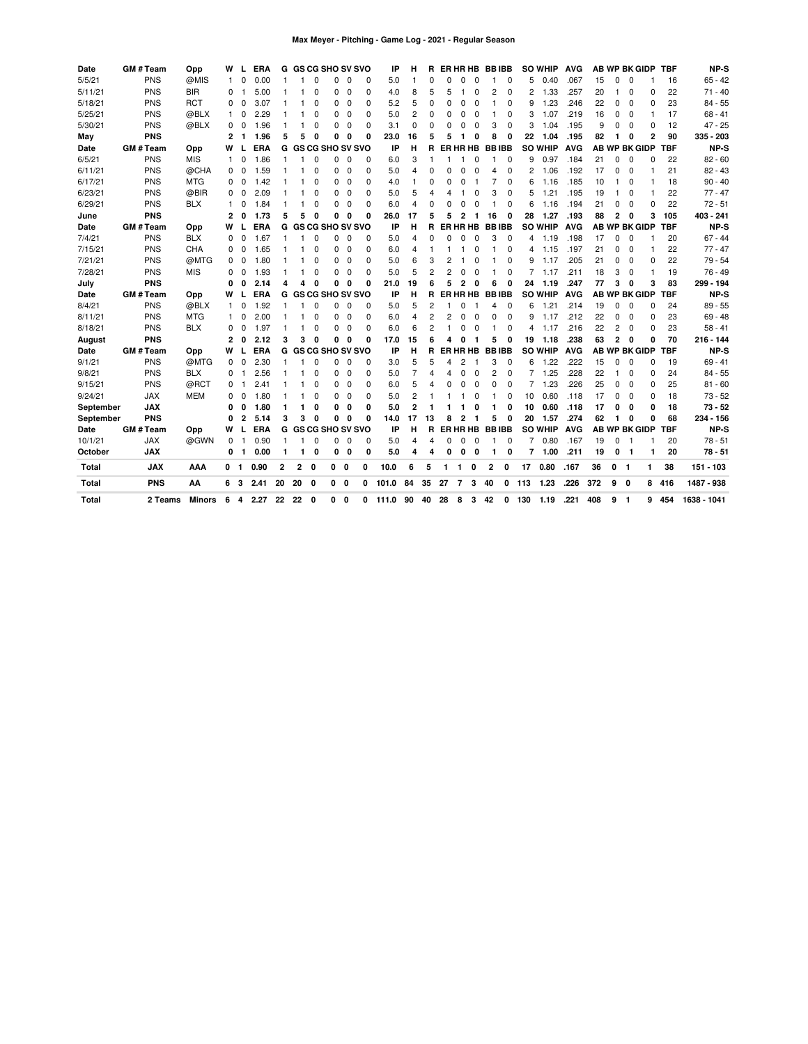| Date      | <b>GM#Team</b> | Opp        | w           | L              | ERA  | G              |                |              |          |             | <b>GS CG SHO SV SVO</b>   | IP    | н              | R              |    |                |                |             | ER HR HB BB IBB |             |     | <b>SO WHIP</b> | <b>AVG</b> |     |                |              | <b>AB WP BK GIDP</b> | TBF        | NP-S        |
|-----------|----------------|------------|-------------|----------------|------|----------------|----------------|--------------|----------|-------------|---------------------------|-------|----------------|----------------|----|----------------|----------------|-------------|-----------------|-------------|-----|----------------|------------|-----|----------------|--------------|----------------------|------------|-------------|
| 5/5/21    | PNS            | @MIS       | -1          | $\Omega$       | 0.00 |                |                | $\Omega$     | $\Omega$ | $\mathbf 0$ | $\Omega$                  | 5.0   | 1              | $\Omega$       |    | U              | $\Omega$       | $\Omega$    |                 | 0           | 5   | 0.40           | .067       | 15  | $\Omega$       | 0            |                      | 16         | $65 - 42$   |
| 5/11/21   | <b>PNS</b>     | BIR        | 0           | 1              | 5.00 |                | 1              | 0            | 0        | $\mathbf 0$ | $\Omega$                  | 4.0   | 8              | 5              |    | 5              | 1              | $\mathbf 0$ | $\overline{c}$  | 0           | 2   | 1.33           | .257       | 20  | -1             | 0            | 0                    | 22         | $71 - 40$   |
| 5/18/21   | PNS            | <b>RCT</b> | $\Omega$    | 0              | 3.07 |                | 1              | $\mathbf 0$  | 0        | 0           | $\Omega$                  | 5.2   | 5              | $\Omega$       |    | 0              | 0              | $\mathbf 0$ |                 | $\mathbf 0$ | 9   | 1.23           | .246       | 22  | 0              | 0            | 0                    | 23         | $84 - 55$   |
| 5/25/21   | <b>PNS</b>     | @BLX       | 1           | 0              | 2.29 |                |                | $\Omega$     | 0        | $\mathbf 0$ | $\Omega$                  | 5.0   | $\overline{c}$ | 0              |    | 0              | $\Omega$       | $\mathbf 0$ |                 | $\Omega$    | 3   | 1.07           | .219       | 16  | $\mathbf 0$    | $\Omega$     |                      | 17         | $68 - 41$   |
| 5/30/21   | <b>PNS</b>     | @BLX       | $\Omega$    | $\Omega$       | 1.96 |                |                | 0            | 0        | $\mathbf 0$ | O                         | 3.1   | $\Omega$       | $\Omega$       |    | 0              | $\Omega$       | 0           | 3               | $\Omega$    | 3   | 1.04           | .195       | 9   | $\mathbf 0$    | $\Omega$     | O                    | 12         | $47 - 25$   |
| May       | <b>PNS</b>     |            | 2           | 1              | 1.96 | 5              | 5              |              | 0        | O           | O                         | 23.0  | 16             | 5              |    | 5              | $\mathbf{1}$   | 0           | 8               | 0           | 22  | 1.04           | .195       | 82  | $\mathbf{1}$   | 0            | 2                    | 90         | 335 - 203   |
| Date      | <b>GM#Team</b> | Opp        | w           |                | ERA  | G              |                |              |          |             | <b>GS CG SHO SV SVO</b>   | IP    | н              | R              |    | ER HR HB       |                |             | <b>BBIBB</b>    |             |     | <b>SO WHIP</b> | <b>AVG</b> |     |                |              | <b>AB WP BK GIDP</b> | <b>TBF</b> | NP-S        |
| 6/5/21    | <b>PNS</b>     | <b>MIS</b> | 1           | 0              | 1.86 |                |                | $\Omega$     | 0        | 0           | 0                         | 6.0   | 3              |                |    |                |                | 0           | 1               | 0           | 9   | 0.97           | .184       | 21  | 0              | 0            | 0                    | 22         | $82 - 60$   |
| 6/11/21   | <b>PNS</b>     | @CHA       | $\mathbf 0$ | 0              | 1.59 |                |                | 0            | 0        | 0           | 0                         | 5.0   | 4              | 0              |    | 0              | 0              | 0           | $\overline{4}$  | 0           | 2   | 1.06           | .192       | 17  | 0              | 0            |                      | 21         | $82 - 43$   |
| 6/17/21   | PNS            | <b>MTG</b> | 0           | 0              | 1.42 |                |                | 0            | 0        | 0           | 0                         | 4.0   | 1              | 0              |    | 0              | $\Omega$       |             | 7               | 0           | 6   | 1.16           | .185       | 10  | -1             | 0            |                      | 18         | $90 - 40$   |
| 6/23/21   | PNS            | @BIR       | 0           | 0              | 2.09 | 1              |                | $\Omega$     | 0        | 0           | O                         | 5.0   | 5              | 4              |    | 4              |                | 0           | 3               | 0           | 5   | 1.21           | .195       | 19  | $\mathbf{1}$   | 0            | 1                    | 22         | $77 - 47$   |
| 6/29/21   | <b>PNS</b>     | <b>BLX</b> | 1           | 0              | 1.84 | 1              | 1              | 0            | 0        | $\mathbf 0$ | $\Omega$                  | 6.0   | 4              | 0              |    | 0              | $\Omega$       | $\Omega$    | $\mathbf{1}$    | 0           | 6   | 1.16           | .194       | 21  | 0              | 0            | 0                    | 22         | $72 - 51$   |
| June      | <b>PNS</b>     |            | 2           | 0              | 1.73 | 5              | 5              | O            | 0        | 0           | 0                         | 26.0  | 17             | 5              |    | 5              | $\overline{2}$ | 1           | 16              | 0           | 28  | 1.27           | .193       | 88  | $\mathbf{2}$   | 0            | 3                    | 105        | $403 - 241$ |
| Date      | GM # Team      | Opp        | w           |                | ERA  | G              |                |              |          |             | <b>GS CG SHO SV SVO</b>   | IP    | н              | R              |    | ER HR HB       |                |             | <b>BBIBB</b>    |             |     | <b>SO WHIP</b> | <b>AVG</b> |     |                |              | <b>AB WP BK GIDP</b> | <b>TBF</b> | NP-S        |
| 7/4/21    | <b>PNS</b>     | <b>BLX</b> | $\mathbf 0$ | 0              | 1.67 | 1              | 1              | $\Omega$     | 0        | 0           | $\Omega$                  | 5.0   | 4              | O              |    | U              | $\Omega$       | $\Omega$    | 3               | 0           | 4   | 1.19           | .198       | 17  | 0              | 0            |                      | 20         | $67 - 44$   |
| 7/15/21   | <b>PNS</b>     | <b>CHA</b> | $\mathbf 0$ | 0              | 1.65 |                |                | 0            | 0        | 0           | $\Omega$                  | 6.0   | 4              | 1              |    |                |                | 0           | 1               | 0           | 4   | 1.15           | .197       | 21  | 0              | 0            |                      | 22         | $77 - 47$   |
| 7/21/21   | <b>PNS</b>     | @MTG       | $\Omega$    | $\Omega$       | 1.80 |                |                | n            | 0        | $\mathbf 0$ | O                         | 5.0   | 6              | 3              |    | 2              |                | 0           |                 | $\Omega$    | g   | 1.17           | .205       | 21  | 0              | $\Omega$     | O                    | 22         | 79 - 54     |
| 7/28/21   | <b>PNS</b>     | <b>MIS</b> | $\Omega$    | $\Omega$       | 1.93 |                | 1              | n            | $\Omega$ | $\Omega$    | O                         | 5.0   | 5              | 2              |    | 2              | $\Omega$       | 0           | -1              | $\Omega$    | 7   | 1.17           | .211       | 18  | 3              | $\Omega$     |                      | 19         | 76 - 49     |
| July      | <b>PNS</b>     |            | 0           | 0              | 2.14 | 4              | 4              |              | 0        | O           | O                         | 21.0  | 19             | 6              |    | 5              | $\overline{2}$ | $\Omega$    | 6               | 0           | 24  | 1.19           | .247       | 77  | 3              | O            | 3                    | 83         | 299 - 194   |
| Date      | <b>GM#Team</b> | Opp        | w           | L              | ERA  |                |                |              |          |             | <b>G GS CG SHO SV SVO</b> | IP    | н              | R              |    | ER HR HB       |                |             | <b>BBIBB</b>    |             |     | <b>SO WHIP</b> | <b>AVG</b> |     |                |              | <b>AB WP BK GIDP</b> | <b>TBF</b> | NP-S        |
| 8/4/21    | <b>PNS</b>     | @BLX       | 1           | 0              | 1.92 |                |                | $\Omega$     | $\Omega$ | 0           | $\Omega$                  | 5.0   | 5              | 2              |    |                | $\Omega$       |             | 4               | $\mathbf 0$ | 6   | 1.21           | .214       | 19  | 0              | $\Omega$     | $\Omega$             | 24         | $89 - 55$   |
| 8/11/21   | <b>PNS</b>     | <b>MTG</b> | 1           | $\Omega$       | 2.00 |                |                | 0            | 0        | $\mathbf 0$ | $\Omega$                  | 6.0   | 4              | $\overline{c}$ |    | 2              | $\Omega$       | 0           | $\Omega$        | $\Omega$    | 9   | 1.17           | .212       | 22  | 0              | $\Omega$     | 0                    | 23         | $69 - 48$   |
| 8/18/21   | <b>PNS</b>     | <b>BLX</b> | $\Omega$    | $\Omega$       | 1.97 |                |                | 0            | 0        | 0           | $\Omega$                  | 6.0   | 6              | $\overline{c}$ |    |                | $\Omega$       | 0           | 1               | $\Omega$    | 4   | 1.17           | .216       | 22  | $\overline{c}$ | $\Omega$     | 0                    | 23         | $58 - 41$   |
| August    | <b>PNS</b>     |            | 2           | 0              | 2.12 | 3              | 3              | 0            | 0        | 0           | 0                         | 17.0  | 15             | 6              |    | Δ.             | $\Omega$       | -1          | 5               | 0           | 19  | 1.18           | .238       | 63  | $\mathbf{2}$   | 0            | 0                    | 70         | $216 - 144$ |
| Date      | <b>GM#Team</b> | Opp        | w           | L              | ERA  |                |                |              |          |             | G GS CG SHO SV SVO        | IP    | н              | R              |    | ER HR HB       |                |             | <b>BBIBB</b>    |             |     | <b>SO WHIP</b> | <b>AVG</b> |     |                |              | <b>AB WP BK GIDP</b> | <b>TBF</b> | NP-S        |
| 9/1/21    | <b>PNS</b>     | @MTG       | $\mathbf 0$ | 0              | 2.30 | 1              | 1              | $\Omega$     | 0        | 0           | $\Omega$                  | 3.0   | 5              | 5              |    | Δ              | $\overline{c}$ |             | 3               | $\mathbf 0$ | 6   | 1.22           | .222       | 15  | 0              | 0            | 0                    | 19         | $69 - 41$   |
| 9/8/21    | PNS            | <b>BLX</b> | 0           | 1              | 2.56 |                | 1              | 0            | 0        | 0           | $\Omega$                  | 5.0   | 7              | 4              |    | 4              | 0              | 0           | 2               | 0           | 7   | 1.25           | .228       | 22  | -1             | 0            | 0                    | 24         | $84 - 55$   |
| 9/15/21   | PNS            | @RCT       | 0           |                | 2.41 |                |                | $\mathbf 0$  | 0        | $\mathbf 0$ | 0                         | 6.0   | 5              | 4              |    | U              | 0              | 0           | 0               | 0           | 7   | 1.23           | .226       | 25  | 0              | 0            | 0                    | 25         | $81 - 60$   |
| 9/24/21   | <b>JAX</b>     | <b>MEM</b> | $\Omega$    | 0              | 1.80 |                |                | 0            | 0        | $\mathbf 0$ | O                         | 5.0   | 2              |                |    |                |                | 0           |                 | 0           | 10  | 0.60           | .118       | 17  | 0              | 0            | O                    | 18         | $73 - 52$   |
| September | <b>JAX</b>     |            | O           | 0              | 1.80 | 1              | 1              | O            | 0        | 0           | O                         | 5.0   | $\overline{2}$ |                |    |                |                | 0           | -1              | 0           | 10  | 0.60           | .118       | 17  | 0              | 0            | O                    | 18         | $73 - 52$   |
| September | <b>PNS</b>     |            | 0           | $\overline{2}$ | 5.14 | 3              | 3              |              | 0        | $\Omega$    | 0                         | 14.0  | 17             | 13             |    | 8              | 2              |             | 5               | 0           | 20  | 1.57           | .274       | 62  | 1              | O            | n                    | 68         | 234 - 156   |
| Date      | <b>GM#Team</b> | Opp        | W           |                | ERA  | G              |                |              |          |             | <b>GS CG SHO SV SVO</b>   | IP    | н              | R              |    | ER HR HB       |                |             | <b>BBIBB</b>    |             |     | <b>SO WHIP</b> | <b>AVG</b> |     |                |              | <b>AB WP BK GIDP</b> | <b>TBF</b> | NP-S        |
| 10/1/21   | <b>JAX</b>     | @GWN       | $\mathbf 0$ |                | 0.90 |                | 1              |              | 0        | 0           | $\Omega$                  | 5.0   | 4              | 4              |    | 0              | $\Omega$       | 0           | 1               | 0           | 7   | 0.80           | .167       | 19  | 0              |              |                      | 20         | $78 - 51$   |
| October   | <b>JAX</b>     |            | 0           | 1              | 0.00 | 1              | 1              | 0            | 0        | 0           | 0                         | 5.0   | 4              | 4              |    | 0              | 0              | 0           | 1               | 0           | 7   | 1.00           | .211       | 19  | 0              | 1            | 1                    | 20         | $78 - 51$   |
| Total     | <b>JAX</b>     | AAA        | 0           |                | 0.90 | $\overline{2}$ | $\overline{2}$ | 0            | 0        | 0           | 0                         | 10.0  | 6              | 5              |    | 1<br>1         | 0              |             | 2               | 0           | 17  | 0.80           | .167       | 36  | 0              | -1           | 1                    | 38         | $151 - 103$ |
| Total     | <b>PNS</b>     | AA         | 6           | 3              | 2.41 | 20             | 20             | $\mathbf{0}$ |          | $0\quad 0$  | 0                         | 101.0 | 84             | 35             | 27 | $\overline{7}$ | 3              |             | 40              | 0           | 113 | 1.23           | .226       | 372 | 9              | $\mathbf{0}$ | 8                    | 416        | 1487 - 938  |
| Total     | 2 Teams        | Minors     | 6           | 4              | 2.27 | 22             | 22             | 0            | 0        | $\Omega$    | 0                         | 111.0 | 90             | 40             | 28 | 8              | 3              |             | 42              | 0           | 130 | 1.19           | .221       | 408 | 9              | $\mathbf{1}$ | g                    | 454        | 1638 - 1041 |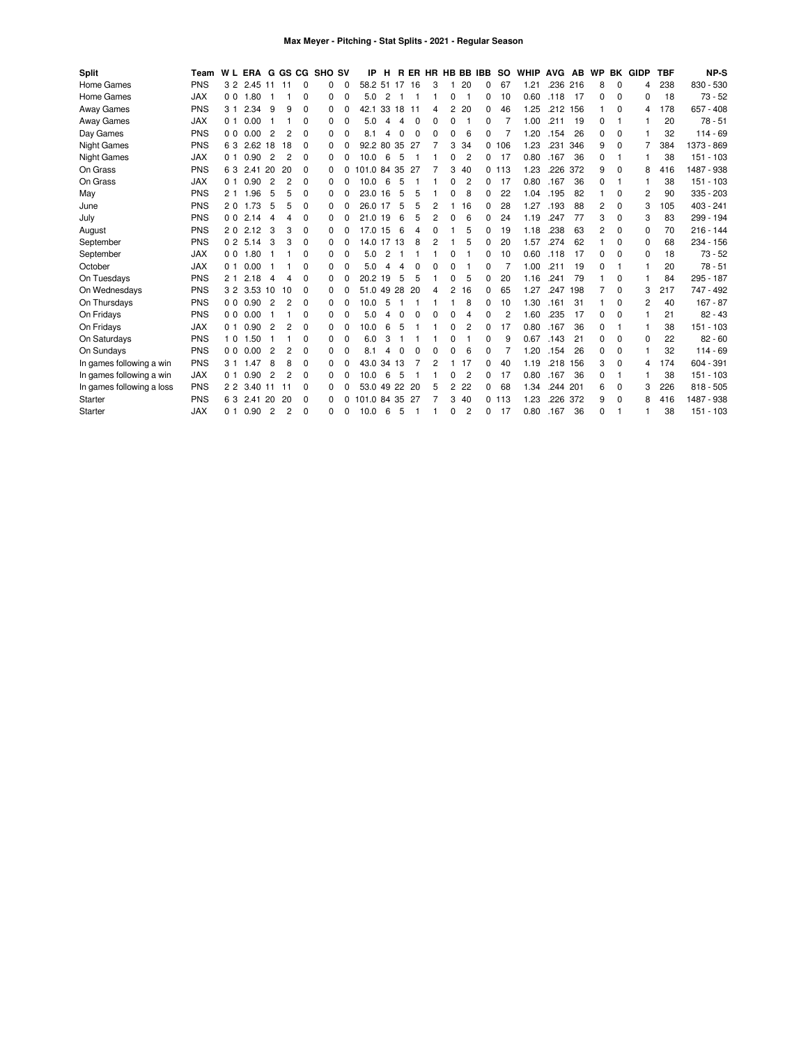| <b>Split</b>              | Team       |                |      |                |                |              | W L ERA G GS CG SHO SV |          | IP             |                |                |     |   |                |                | H RER HR HB BB IBB | <b>SO</b> | <b>WHIP AVG</b> |      | <b>AB</b> | <b>WP</b> |          | <b>BK GIDP</b> | <b>TBF</b> | <b>NP-S</b> |
|---------------------------|------------|----------------|------|----------------|----------------|--------------|------------------------|----------|----------------|----------------|----------------|-----|---|----------------|----------------|--------------------|-----------|-----------------|------|-----------|-----------|----------|----------------|------------|-------------|
| Home Games                | <b>PNS</b> | 3 2            | 2.45 | 11             | 11             | 0            | 0                      | 0        | 58.2 51        |                | 17             | 16  | 3 | 1              | 20             | 0                  | 67        | 1.21            | .236 | 216       | 8         | $\Omega$ | 4              | 238        | 830 - 530   |
| Home Games                | <b>JAX</b> | 00             | 1.80 |                |                | 0            | 0                      | 0        | 5.0            | 2              |                |     |   | 0              |                | 0                  | 10        | 0.60            | .118 | 17        | $\Omega$  | $\Omega$ | 0              | 18         | $73 - 52$   |
| Away Games                | <b>PNS</b> | 3 <sub>1</sub> | 2.34 | 9              | 9              | 0            | 0                      | 0        | 42.1           |                | 33 18          | 11  | 4 | 2              | -20            | $\Omega$           | 46        | 1.25            | .212 | 156       | 1         | $\Omega$ | 4              | 178        | $657 - 408$ |
| Away Games                | <b>JAX</b> | 0 <sub>1</sub> | 0.00 |                |                | 0            | 0                      | 0        | 5.0            | 4              | 4              | 0   | 0 | 0              |                | 0                  |           | 1.00            | .211 | 19        | 0         |          |                | 20         | $78 - 51$   |
| Day Games                 | <b>PNS</b> | 0 <sub>0</sub> | 0.00 | 2              | 2              | 0            | 0                      | 0        | 8.1            | 4              | 0              | 0   | 0 | 0              | 6              | 0                  |           | 1.20            | .154 | 26        | 0         | $\Omega$ |                | 32         | $114 - 69$  |
| <b>Night Games</b>        | <b>PNS</b> | 63             | 2.62 | 18             | 18             | 0            | 0                      | 0        | 92.2           | 80             | 35             | -27 |   | 3              | 34             | 0                  | 106       | 1.23            | .231 | 346       | 9         | $\Omega$ |                | 384        | 1373 - 869  |
| <b>Night Games</b>        | <b>JAX</b> | 0 <sub>1</sub> | 0.90 | $\overline{2}$ | $\overline{2}$ | $\Omega$     | 0                      | 0        | 10.0           | 6              | 5              |     |   | 0              | $\overline{2}$ | 0                  | 17        | 0.80            | .167 | 36        | 0         |          |                | 38         | $151 - 103$ |
| On Grass                  | <b>PNS</b> | 63             | 2.41 | 20             | 20             | 0            | 0                      | 0        | 101.0          |                | 84 35          | -27 |   | 3              | 40             | 0                  | 113       | 1.23            | .226 | 372       | 9         | $\Omega$ | 8              | 416        | 1487 - 938  |
| On Grass                  | <b>JAX</b> | 0 <sub>1</sub> | 0.90 | 2              | 2              | $\Omega$     | 0                      | 0        | 10.0           | 6              | 5              |     |   | 0              | 2              | 0                  | 17        | 0.80            | .167 | 36        | 0         |          |                | 38         | $151 - 103$ |
| May                       | <b>PNS</b> | 21             | 1.96 | 5              | 5              | 0            | 0                      | 0        | 23.0           | 16             | 5              | 5   |   | 0              | 8              | 0                  | 22        | 1.04            | .195 | 82        |           | 0        | 2              | 90         | $335 - 203$ |
| June                      | <b>PNS</b> | 20             | 1.73 | 5              | 5              | 0            | 0                      | 0        | 26.0 17        |                | 5              | 5   | 2 | 1              | 16             | 0                  | 28        | 1.27            | .193 | 88        | 2         | $\Omega$ | 3              | 105        | $403 - 241$ |
| July                      | <b>PNS</b> | 0 <sub>0</sub> | 2.14 | 4              | 4              | 0            | 0                      | 0        | 21.0 19        |                | 6              | 5   | 2 | 0              | 6              | 0                  | 24        | 1.19            | .247 | 77        | 3         | 0        | 3              | 83         | 299 - 194   |
| August                    | <b>PNS</b> | 20             | 2.12 | 3              | 3              | $\Omega$     | 0                      | 0        | 17.0           | 15             | 6              | 4   | 0 | 1              | 5              | 0                  | 19        | 1.18            | .238 | 63        | 2         | $\Omega$ | $\Omega$       | 70         | $216 - 144$ |
| September                 | <b>PNS</b> | 0 <sub>2</sub> | 5.14 | 3              | 3              | 0            | 0                      | 0        | 14.0 17 13     |                |                | 8   | 2 | 1              | 5              | 0                  | 20        | 1.57            | .274 | 62        | 1         | 0        | 0              | 68         | $234 - 156$ |
| September                 | <b>JAX</b> | 0 <sub>0</sub> | 1.80 |                |                | $\Omega$     | 0                      | $\Omega$ | 5.0            | $\overline{c}$ |                |     |   | 0              |                | 0                  | 10        | 0.60            | .118 | 17        | $\Omega$  | $\Omega$ | $\Omega$       | 18         | $73 - 52$   |
| October                   | <b>JAX</b> | 0 <sub>1</sub> | 0.00 |                |                | $\Omega$     | 0                      | $\Omega$ | 5.0            | 4              | $\overline{4}$ | 0   | 0 | 0              |                | 0                  |           | 1.00            | .211 | 19        | $\Omega$  |          |                | 20         | $78 - 51$   |
| On Tuesdays               | <b>PNS</b> | 21             | 2.18 | 4              | Δ              | <sup>0</sup> | 0                      | 0        | 20.2           | 19             | 5              | 5   |   | 0              | 5              | 0                  | 20        | 1.16            | .241 | 79        |           | $\Omega$ |                | 84         | 295 - 187   |
| On Wednesdays             | <b>PNS</b> | 3 2            | 3.53 | 10             | 10             | 0            | 0                      | 0        | 51.0           |                | 49 28          | 20  | 4 | $\overline{2}$ | 16             | 0                  | 65        | 1.27            | .247 | 198       | 7         | $\Omega$ | 3              | 217        | 747 - 492   |
| On Thursdays              | <b>PNS</b> | 0 <sub>0</sub> | 0.90 | $\overline{2}$ | $\overline{2}$ | 0            | 0                      | 0        | 10.0           | 5              |                |     |   |                | 8              | 0                  | 10        | 1.30            | .161 | 31        |           | 0        | 2              | 40         | $167 - 87$  |
| On Fridays                | <b>PNS</b> | 0 <sub>0</sub> | 0.00 |                |                | 0            | 0                      | 0        | 5.0            | 4              | 0              | 0   | 0 | 0              |                | 0                  | 2         | 1.60            | .235 | 17        | 0         | $\Omega$ |                | 21         | $82 - 43$   |
| On Fridays                | <b>JAX</b> | 0 <sub>1</sub> | 0.90 | 2              | 2              | 0            | 0                      | 0        | 10.0           | 6              | 5              |     |   | 0              | 2              | 0                  | 17        | 0.80            | .167 | 36        | 0         |          | 1              | 38         | $151 - 103$ |
| On Saturdays              | <b>PNS</b> | 10             | 1.50 |                |                | $\Omega$     | 0                      | $\Omega$ | 6.0            | 3              |                |     |   | 0              |                | 0                  | 9         | 0.67            | .143 | 21        | 0         | 0        | $\Omega$       | 22         | $82 - 60$   |
| On Sundays                | <b>PNS</b> | 0 <sub>0</sub> | 0.00 | 2              | 2              | 0            | 0                      | 0        | 8.1            | 4              | $\Omega$       | 0   | 0 | 0              | 6              | 0                  |           | 1.20            | .154 | 26        | $\Omega$  | $\Omega$ |                | 32         | $114 - 69$  |
| In games following a win  | <b>PNS</b> | 31             | 1.47 | 8              | 8              | 0            | 0                      | 0        | 43.0           | 34 13          |                | 7   | 2 | 1              | 17             | 0                  | 40        | 1.19            | .218 | 156       | 3         | $\Omega$ | 4              | 174        | $604 - 391$ |
| In games following a win  | <b>JAX</b> | 0 <sub>1</sub> | 0.90 | 2              | $\overline{2}$ | 0            | 0                      | 0        | 10.0           | 6              | 5              |     |   | 0              | $\overline{2}$ | 0                  | 17        | 0.80            | .167 | 36        | 0         |          |                | 38         | $151 - 103$ |
| In games following a loss | <b>PNS</b> | 22             | 3.40 | 11             | 11             | 0            | 0                      | 0        | 53.0           | 49             | 22             | 20  | 5 | $\overline{c}$ | 22             | 0                  | 68        | 1.34            | .244 | 201       | 6         | 0        | 3              | 226        | $818 - 505$ |
| Starter                   | <b>PNS</b> | 63             | 2.41 | -20            | 20             | 0            | 0                      | 0        | 101.0 84 35 27 |                |                |     |   | 3              | 40             |                    | 0, 113    | 1.23            | .226 | 372       | 9         | $\Omega$ | 8              | 416        | 1487 - 938  |
| Starter                   | <b>JAX</b> | 0 <sub>1</sub> | 0.90 | $\overline{2}$ | $\overline{2}$ | $\Omega$     | O                      | 0        | 10.0           | 6              | 5              |     |   | 0              | 2              | 0                  | 17        | 0.80            | .167 | 36        | $\Omega$  |          |                | 38         | $151 - 103$ |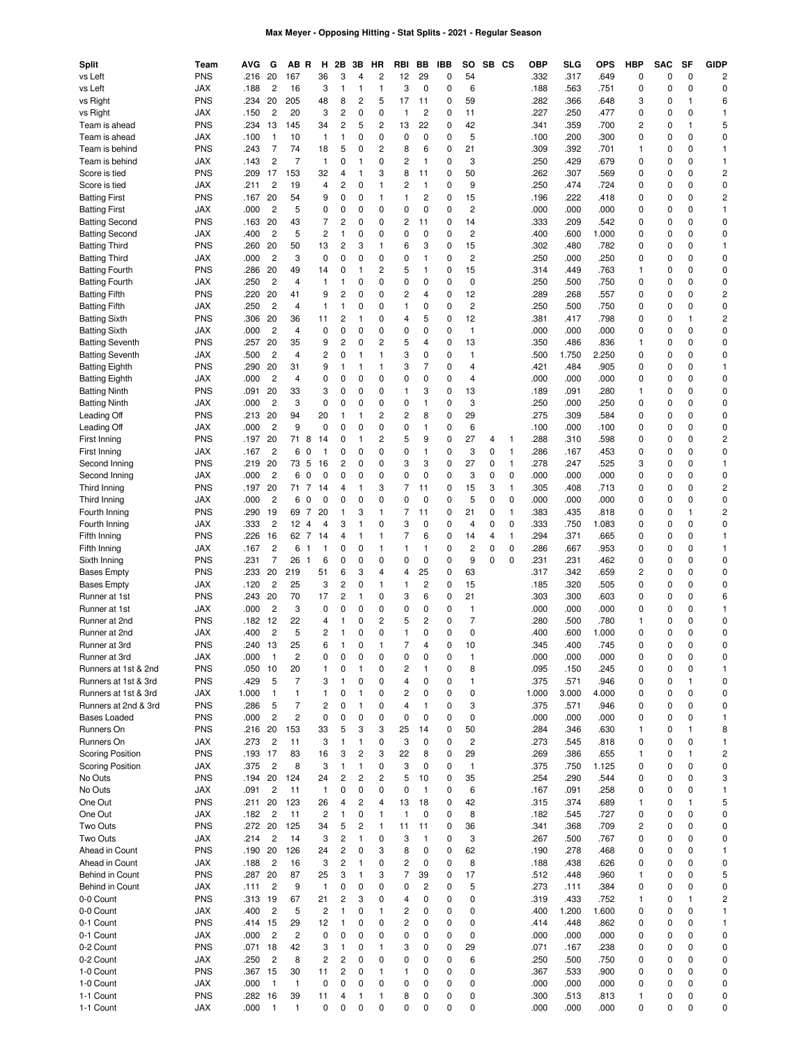| <b>Split</b>            | Team       | <b>AVG</b> | G              | AB R           |                | н  | 2Β             | 3Β             | HR             | RBI                     | BВ             | IBB         | so             | SB CS |   | ОВР   | SLG   | <b>OPS</b> | HBP | <b>SAC</b> | SF          | <b>GIDP</b>             |
|-------------------------|------------|------------|----------------|----------------|----------------|----|----------------|----------------|----------------|-------------------------|----------------|-------------|----------------|-------|---|-------|-------|------------|-----|------------|-------------|-------------------------|
| vs Left                 | <b>PNS</b> | .216       | 20             | 167            |                | 36 | 3              | 4              | $\overline{c}$ | 12                      | 29             | 0           | 54             |       |   | .332  | .317  | .649       | 0   | 0          | 0           | $\overline{c}$          |
| vs Left                 | <b>JAX</b> | .188       | $\overline{c}$ | 16             |                | 3  | 1              | 1              | $\overline{1}$ | 3                       | 0              | 0           | 6              |       |   | .188  | .563  | .751       | 0   | 0          | 0           | 0                       |
| vs Right                | <b>PNS</b> | .234       | 20             | 205            |                | 48 | 8              | $\overline{c}$ | 5              | 17                      | 11             | 0           | 59             |       |   | .282  | .366  | .648       | 3   | 0          | 1           | 6                       |
| vs Right                | JAX        | .150       | $\overline{c}$ | 20             |                | 3  | 2              | 0              | $\mathbf 0$    | 1                       | 2              | 0           | 11             |       |   | .227  | .250  | .477       | 0   | 0          | 0           | $\mathbf{1}$            |
| Team is ahead           | <b>PNS</b> | .234       | 13             | 145            |                | 34 | 2              | 5              | $\overline{c}$ | 13                      | 22             | 0           | 42             |       |   | .341  | .359  | .700       | 2   | 0          | 1           | 5                       |
| Team is ahead           | JAX        | .100       | $\mathbf{1}$   | 10             |                | 1  | 1              | 0              | $\mathbf 0$    | 0                       | 0              | 0           | 5              |       |   | .100  | .200  | .300       | 0   | 0          | 0           | 0                       |
| Team is behind          | <b>PNS</b> | .243       | 7              | 74             |                | 18 | 5              | 0              | $\overline{c}$ | 8                       | 6              | 0           | 21             |       |   | .309  | .392  | .701       | 1   | 0          | 0           | 1                       |
| Team is behind          | JAX        | .143       | $\overline{c}$ | 7              |                | 1  | 0              | $\mathbf{1}$   | $\mathbf 0$    | 2                       | 1              | 0           | 3              |       |   | .250  | .429  | .679       | 0   | 0          | 0           | $\mathbf{1}$            |
| Score is tied           | <b>PNS</b> | .209       | 17             | 153            |                | 32 | 4              | 1              | 3              | 8                       | 11             | 0           | 50             |       |   | .262  | .307  | .569       | 0   | 0          | 0           | $\overline{\mathbf{c}}$ |
| Score is tied           | <b>JAX</b> | .211       | $\overline{c}$ | 19             |                | 4  | $\overline{c}$ | $\mathbf 0$    | $\mathbf{1}$   | 2                       | $\mathbf{1}$   | 0           | 9              |       |   | .250  | .474  | .724       | 0   | 0          | 0           | 0                       |
| <b>Batting First</b>    | <b>PNS</b> | .167       | 20             | 54             |                | 9  | 0              | 0              | $\mathbf{1}$   | 1                       | 2              | 0           | 15             |       |   | .196  | .222  | .418       | 0   | 0          | 0           | $\overline{\mathbf{c}}$ |
| <b>Batting First</b>    | JAX        | .000       | $\overline{c}$ | 5              |                | 0  | 0              | 0              | $\mathbf 0$    | 0                       | 0              | $\mathbf 0$ | $\overline{c}$ |       |   | .000  | .000  | .000       | 0   | 0          | 0           | $\mathbf{1}$            |
| <b>Batting Second</b>   | <b>PNS</b> | .163       | 20             | 43             |                | 7  | 2              | 0              | 0              | 2                       | 11             | $\mathbf 0$ | 14             |       |   | .333  | .209  | .542       | 0   | 0          | $\Omega$    | $\mathbf 0$             |
| <b>Batting Second</b>   | JAX        | .400       | $\overline{c}$ | 5              |                | 2  | 1              | $\mathbf 0$    | 0              | 0                       | 0              | $\mathbf 0$ | $\overline{c}$ |       |   | .400  | .600  | 1.000      | 0   | 0          | $\Omega$    | 0                       |
| <b>Batting Third</b>    | <b>PNS</b> | .260       | 20             | 50             |                | 13 | 2              | 3              | $\mathbf{1}$   | 6                       | 3              | 0           | 15             |       |   | .302  | .480  | .782       | 0   | 0          | 0           | 1                       |
| <b>Batting Third</b>    | JAX        | .000       | $\overline{c}$ | 3              |                | 0  | 0              | 0              | 0              | 0                       | $\mathbf{1}$   | 0           | $\overline{c}$ |       |   | .250  | .000  | .250       | 0   | 0          | 0           | 0                       |
| <b>Batting Fourth</b>   | <b>PNS</b> | .286       | 20             | 49             |                | 14 | 0              | $\mathbf{1}$   | $\overline{c}$ | 5                       | 1              | 0           | 15             |       |   | .314  | .449  | .763       | 1   | 0          | 0           | 0                       |
| <b>Batting Fourth</b>   | JAX        | .250       | $\overline{c}$ | 4              |                | 1  | 1              | 0              | $\mathbf 0$    | 0                       | 0              | 0           | 0              |       |   | .250  | .500  | .750       | 0   | 0          | 0           | 0                       |
| <b>Batting Fifth</b>    | <b>PNS</b> | .220       | 20             | 41             |                | 9  | $\overline{c}$ | 0              | 0              | $\overline{\mathbf{c}}$ | 4              | 0           | 12             |       |   | .289  | .268  | .557       | 0   | 0          | 0           | 2                       |
| <b>Batting Fifth</b>    | JAX        | .250       | $\overline{c}$ | 4              |                | 1  | 1              | 0              | 0              | 1                       | 0              | 0           | $\overline{c}$ |       |   | .250  | .500  | .750       | 0   | 0          | 0           | 0                       |
| <b>Batting Sixth</b>    | <b>PNS</b> | .306       | 20             | 36             |                | 11 | 2              | 1              | 0              | 4                       | 5              | 0           | 12             |       |   | .381  | .417  | .798       | 0   | 0          | 1           | $\overline{\mathbf{c}}$ |
| <b>Batting Sixth</b>    | JAX        | .000       | $\overline{c}$ | 4              |                | 0  | 0              | 0              | 0              | 0                       | 0              | 0           | 1              |       |   | .000  | .000  | .000       | 0   | 0          | 0           | 0                       |
| <b>Batting Seventh</b>  | <b>PNS</b> | .257       | 20             | 35             |                | 9  | $\overline{c}$ | 0              | $\overline{c}$ | 5                       | 4              | 0           | 13             |       |   | .350  | .486  | .836       | 1   | 0          | 0           | 0                       |
| <b>Batting Seventh</b>  | JAX        | .500       | $\overline{2}$ | 4              |                | 2  | 0              | 1              | $\mathbf{1}$   | 3                       | 0              | 0           | 1              |       |   | .500  | 1.750 | 2.250      | 0   | 0          | 0           | 0                       |
| <b>Batting Eighth</b>   | <b>PNS</b> | .290       | 20             | 31             |                | 9  | 1              | 1              | $\mathbf{1}$   | 3                       | $\overline{7}$ | 0           | 4              |       |   | .421  | .484  | .905       | 0   | 0          | 0           | 1                       |
| <b>Batting Eighth</b>   | JAX        | .000       | $\overline{c}$ | 4              |                | 0  | 0              | 0              | $\mathbf 0$    | 0                       | 0              | 0           | 4              |       |   | .000  | .000  | .000       | 0   | 0          | 0           | $\mathbf 0$             |
| <b>Batting Ninth</b>    | <b>PNS</b> | .091       | 20             | 33             |                | 3  | 0              | 0              | 0              | 1                       | 3              | 0           | 13             |       |   | .189  | .091  | .280       | 1   | 0          | 0           | 0                       |
| <b>Batting Ninth</b>    | JAX        | .000       | $\overline{c}$ | 3              |                | 0  | 0              | 0              | 0              | 0                       | 1              | 0           | 3              |       |   | .250  | .000  | .250       | 0   | 0          | 0           | 0                       |
| Leading Off             | <b>PNS</b> | .213       | 20             | 94             |                | 20 | 1              | 1              | $\overline{c}$ | $\overline{c}$          | 8              | 0           | 29             |       |   | .275  | .309  | .584       | 0   | 0          | 0           | 0                       |
| Leading Off             | JAX        | .000       | $\overline{c}$ | 9              |                | 0  | 0              | 0              | $\mathbf 0$    | 0                       | 1              | 0           | 6              |       |   | .100  | .000  | .100       | 0   | 0          | $\Omega$    | 0                       |
| First Inning            | <b>PNS</b> | .197       | 20             | 71             | 8              | 14 | 0              | 1              | $\overline{c}$ | 5                       | 9              | 0           | 27             | 4     | 1 | .288  | .310  | .598       | 0   | 0          | $\Omega$    | $\overline{\mathbf{c}}$ |
| <b>First Inning</b>     | JAX        | .167       | $\overline{c}$ | 6              | $\mathbf 0$    | 1  | 0              | 0              | 0              | 0                       | 1              | 0           | 3              | 0     | 1 | .286  | .167  | .453       | 0   | 0          | $\Omega$    | 0                       |
| Second Inning           | <b>PNS</b> | .219       | 20             | 73             | -5             | 16 | 2              | 0              | 0              | 3                       | 3              | 0           | 27             | 0     | 1 | .278  | .247  | .525       | 3   | 0          | 0           | $\mathbf{1}$            |
|                         | JAX        | .000       | $\overline{c}$ | 6              | $\mathbf 0$    | 0  | 0              | 0              | 0              | 0                       | 0              | 0           | 3              | 0     | 0 | .000  | .000  | .000       | 0   | 0          | 0           | 0                       |
| Second Inning           | <b>PNS</b> | .197       | 20             | 71             | 7              |    |                | 1              | 3              | 7                       | 11             | 0           | 15             | 3     | 1 | .305  | .408  | .713       | 0   | 0          | 0           | $\overline{\mathbf{c}}$ |
| Third Inning            |            |            | $\overline{c}$ |                |                | 14 | 4              | $\mathbf 0$    |                | 0                       |                |             |                | 0     |   |       |       |            |     | 0          | 0           |                         |
| Third Inning            | <b>JAX</b> | .000       |                | 6              | $\mathbf 0$    | 0  | 0              |                | 0              |                         | 0              | 0           | 5              |       | 0 | .000  | .000  | .000       | 0   |            | 1           | 0                       |
| Fourth Inning           | <b>PNS</b> | .290       | 19             | 69             | $\overline{7}$ | 20 | 1              | 3              | $\mathbf{1}$   | 7                       | 11             | 0           | 21             | 0     | 1 | .383  | .435  | .818       | 0   | 0          |             | $\overline{\mathbf{c}}$ |
| Fourth Inning           | JAX        | .333       | $\overline{c}$ | 12             | 4              | 4  | 3              | 1              | 0              | 3                       | 0              | 0           | 4              | 0     | 0 | .333  | .750  | 1.083      | 0   | 0          | 0           | 0                       |
| Fifth Inning            | <b>PNS</b> | .226       | 16             | 62             | $\overline{7}$ | 14 | 4              | 1              | $\mathbf{1}$   | 7                       | 6              | 0           | 14             | 4     | 1 | .294  | .371  | .665       | 0   | 0          | 0           | $\mathbf{1}$            |
| Fifth Inning            | JAX        | .167       | $\overline{c}$ | 6              | -1             | 1  | 0              | 0              | $\mathbf{1}$   | 1                       | $\mathbf{1}$   | 0           | 2              | 0     | 0 | .286  | .667  | .953       | 0   | 0          | 0           | $\mathbf{1}$            |
| Sixth Inning            | <b>PNS</b> | .231       | 7              | 26             | -1             | 6  | 0              | 0              | 0              | 0                       | 0              | 0           | 9              | 0     | 0 | .231  | .231  | .462       | 0   | 0          | 0           | 0                       |
| <b>Bases Empty</b>      | <b>PNS</b> | .233       | 20             | 219            |                | 51 | 6              | 3              | 4              | 4                       | 25             | 0           | 63             |       |   | .317  | .342  | .659       | 2   | 0          | 0           | 0                       |
| <b>Bases Empty</b>      | JAX        | .120       | $\overline{c}$ | 25             |                | 3  | $\overline{c}$ | 0              | $\mathbf{1}$   | 1                       | 2              | 0           | 15             |       |   | .185  | .320  | .505       | 0   | 0          | 0           | 0                       |
| Runner at 1st           | <b>PNS</b> | .243       | 20             | 70             |                | 17 | $\overline{c}$ | 1              | $\mathbf 0$    | 3                       | 6              | 0           | 21             |       |   | .303  | .300  | .603       | 0   | 0          | 0           | 6                       |
| Runner at 1st           | JAX        | .000       | $\overline{2}$ | 3              |                | 0  | 0              | 0              | 0              | $\Omega$                | 0              | 0           | 1              |       |   | .000  | .000  | .000       | 0   | 0          | 0           | 1                       |
| Runner at 2nd           | <b>PNS</b> | .182       | 12             | 22             |                | 4  | 1              | $\mathbf 0$    | $\overline{c}$ | 5                       | 2              | 0           | $\overline{7}$ |       |   | .280  | .500  | .780       | 1   | 0          | 0           | 0                       |
| Runner at 2nd           | JAX        | .400       | $\overline{c}$ | 5              |                | 2  | 1              | $\Omega$       | $\Omega$       | 1                       | $\Omega$       | $\Omega$    | $\Omega$       |       |   | .400  | .600  | 1.000      | 0   | $\Omega$   | 0           | 0                       |
| Runner at 3rd           | PNS        | .240       | 3              | 25             |                | 6  |                |                |                |                         |                | 0           | ۱0             |       |   | .345  | .400  | .745       |     |            |             | O                       |
| Runner at 3rd           | JAX        | .000       | $\mathbf{1}$   | $\overline{c}$ |                | 0  | 0              | 0              | 0              | 0                       | 0              | 0           | 1              |       |   | .000  | .000  | .000       | 0   | 0          | $\mathbf 0$ | 0                       |
| Runners at 1st & 2nd    | <b>PNS</b> | .050       | 10             | 20             |                | 1  | 0              | 1              | 0              | 2                       | $\mathbf{1}$   | 0           | 8              |       |   | .095  | .150  | .245       | 0   | 0          | 0           | 1                       |
| Runners at 1st & 3rd    | <b>PNS</b> | .429       | 5              | $\overline{7}$ |                | 3  | 1              | 0              | 0              | 4                       | 0              | 0           | 1              |       |   | .375  | .571  | .946       | 0   | 0          | 1           | 0                       |
| Runners at 1st & 3rd    | JAX        | 1.000      | $\mathbf{1}$   | $\mathbf{1}$   |                | 1  | 0              | 1              | $\mathbf 0$    | $\overline{c}$          | 0              | 0           | 0              |       |   | 1.000 | 3.000 | 4.000      | 0   | 0          | 0           | 0                       |
| Runners at 2nd & 3rd    | <b>PNS</b> | .286       | 5              | $\overline{7}$ |                | 2  | 0              | 1              | 0              | 4                       | $\mathbf{1}$   | 0           | 3              |       |   | .375  | .571  | .946       | 0   | 0          | 0           | 0                       |
| <b>Bases Loaded</b>     | <b>PNS</b> | .000       | $\overline{c}$ | $\overline{c}$ |                | 0  | 0              | 0              | $\mathbf 0$    | 0                       | $\mathbf 0$    | 0           | 0              |       |   | .000  | .000  | .000       | 0   | 0          | 0           | $\mathbf{1}$            |
| Runners On              | <b>PNS</b> | .216       | 20             | 153            |                | 33 | 5              | 3              | 3              | 25                      | 14             | 0           | 50             |       |   | .284  | .346  | .630       | 1   | 0          | 1           | 8                       |
| Runners On              | JAX        | .273       | $\overline{c}$ | 11             |                | 3  | 1              | 1              | 0              | 3                       | $\mathbf 0$    | 0           | 2              |       |   | .273  | .545  | .818       | 0   | 0          | 0           | $\mathbf{1}$            |
| <b>Scoring Position</b> | <b>PNS</b> | .193       | 17             | 83             |                | 16 | 3              | 2              | 3              | 22                      | 8              | 0           | 29             |       |   | .269  | .386  | .655       | 1   | 0          | 1           | 2                       |
| <b>Scoring Position</b> | JAX        | .375       | $\overline{c}$ | 8              |                | 3  | 1              | 1              | 0              | 3                       | 0              | 0           | 1              |       |   | .375  | .750  | 1.125      | 0   | 0          | 0           | 0                       |
| No Outs                 | <b>PNS</b> | .194       | 20             | 124            |                | 24 | $\overline{c}$ | $\overline{c}$ | $\overline{c}$ | 5                       | 10             | 0           | 35             |       |   | .254  | .290  | .544       | 0   | 0          | 0           | 3                       |
| No Outs                 | JAX        | .091       | $\overline{c}$ | 11             |                | 1  | 0              | 0              | $\mathbf 0$    | 0                       | $\mathbf{1}$   | 0           | 6              |       |   | .167  | .091  | .258       | 0   | 0          | 0           | 1                       |
| One Out                 | <b>PNS</b> | .211       | 20             | 123            |                | 26 | 4              | $\overline{c}$ | 4              | 13                      | 18             | 0           | 42             |       |   | .315  | .374  | .689       | 1   | 0          | 1           | 5                       |
| One Out                 | JAX        | .182       | $\overline{c}$ | 11             |                | 2  | 1              | 0              | $\mathbf{1}$   | $\mathbf{1}$            | $\mathbf 0$    | 0           | 8              |       |   | .182  | .545  | .727       | 0   | 0          | 0           | 0                       |
| Two Outs                | <b>PNS</b> | .272       | 20             | 125            |                | 34 | 5              | $\overline{c}$ | $\mathbf{1}$   | 11                      | 11             | 0           | 36             |       |   | .341  | .368  | .709       | 2   | 0          | 0           | 0                       |
| Two Outs                | JAX        | .214       | $\overline{c}$ | 14             |                | 3  | 2              | 1              | $\mathbf 0$    | 3                       | $\mathbf{1}$   | 0           | 3              |       |   | .267  | .500  | .767       | 0   | 0          | $\Omega$    | 0                       |
| Ahead in Count          | <b>PNS</b> | .190       | 20             | 126            |                | 24 | $\overline{c}$ | 0              | 3              | 8                       | $\mathbf 0$    | 0           | 62             |       |   | .190  | .278  | .468       | 0   | 0          | $\Omega$    | $\mathbf{1}$            |
| Ahead in Count          | JAX        | .188       | $\overline{2}$ | 16             |                | 3  | 2              | 1              | 0              | 2                       | 0              | 0           | 8              |       |   | .188  | .438  | .626       | 0   | 0          | 0           | 0                       |
| Behind in Count         | <b>PNS</b> | .287       | 20             | 87             |                | 25 | 3              | 1              | 3              | 7                       | 39             | 0           | 17             |       |   | .512  | .448  | .960       | 1   | 0          | 0           | 5                       |
| <b>Behind in Count</b>  | <b>JAX</b> | .111       | $\overline{2}$ | 9              |                | 1  | 0              | 0              | 0              | 0                       | 2              | 0           | 5              |       |   | .273  | .111  | .384       | 0   | 0          | 0           | 0                       |
| 0-0 Count               | <b>PNS</b> | .313       | 19             | 67             |                | 21 | $\overline{c}$ | 3              | 0              | 4                       | 0              | 0           | 0              |       |   | .319  | .433  | .752       | 1   | 0          | 1           | 2                       |
| 0-0 Count               | JAX        | .400       | $\overline{2}$ | 5              |                | 2  | 1              | 0              | $\mathbf{1}$   | $\overline{c}$          | 0              | 0           | 0              |       |   | .400  | 1.200 | 1.600      | 0   | 0          | 0           | 1                       |
| 0-1 Count               | <b>PNS</b> | .414       | 15             | 29             |                | 12 | 1              | 0              | 0              | $\overline{c}$          | 0              | 0           | 0              |       |   | .414  | .448  | .862       | 0   | 0          | 0           | $\mathbf{1}$            |
| 0-1 Count               | JAX        | .000       | $\overline{c}$ | $\overline{c}$ |                | 0  | 0              | $\mathbf 0$    | 0              | 0                       | 0              | 0           | 0              |       |   | .000  | .000  | .000       | 0   | 0          | 0           | 0                       |
| 0-2 Count               | <b>PNS</b> | .071       | 18             | 42             |                | 3  | 1              | 0              | $\mathbf{1}$   | 3                       | 0              | 0           | 29             |       |   | .071  | .167  | .238       | 0   | 0          | 0           | 0                       |
| 0-2 Count               | JAX        | .250       | $\overline{2}$ | 8              |                | 2  | $\overline{c}$ | 0              | 0              | 0                       | 0              | 0           | 6              |       |   | .250  | .500  | .750       | 0   | 0          | 0           | 0                       |
| 1-0 Count               | <b>PNS</b> | .367       | 15             | 30             |                | 11 | 2              | 0              | $\mathbf{1}$   | 1                       | 0              | 0           | 0              |       |   | .367  | .533  | .900       | 0   | 0          | 0           | 0                       |
| 1-0 Count               | JAX        | .000       | $\overline{1}$ | $\mathbf{1}$   |                | 0  | 0              | 0              | 0              | 0                       | 0              | 0           | 0              |       |   | .000  | .000  | .000       | 0   | 0          | 0           | 0                       |
| 1-1 Count               | <b>PNS</b> | .282       | 16             | 39             |                | 11 | 4              | 1              | $\mathbf{1}$   | 8                       | 0              | 0           | 0              |       |   | .300  | .513  | .813       | 1   | 0          | 0           | 0                       |
| 1-1 Count               | JAX        | .000       | $\mathbf{1}$   | $\mathbf{1}$   |                | 0  | 0              | 0              | $\mathbf 0$    | 0                       | 0              | 0           | 0              |       |   | .000  | .000  | .000       | 0   | 0          | 0           | 0                       |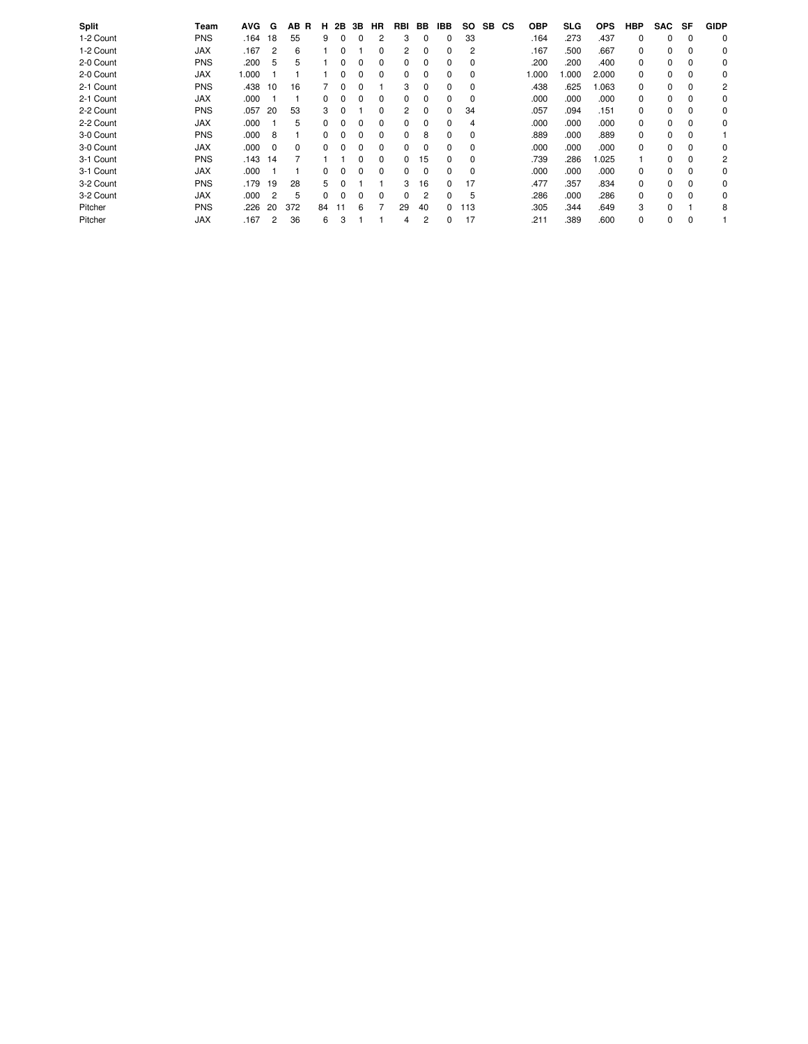| <b>Split</b> | Team       | <b>AVG</b> | G        | АΒ<br>R  | н  | 2Β | 3В | НR       | RBI      | BB | IBB      | so          | <b>SB</b> | <b>CS</b> | OBP   | SLG   | <b>OPS</b> | HBP | <b>SAC</b> | SF       | <b>GIDP</b>    |
|--------------|------------|------------|----------|----------|----|----|----|----------|----------|----|----------|-------------|-----------|-----------|-------|-------|------------|-----|------------|----------|----------------|
| 1-2 Count    | <b>PNS</b> | .164       | 18       | 55       | 9  | 0  | 0  |          | 3        | 0  | 0        | 33          |           |           | .164  | .273  | .437       | 0   | 0          | 0        | $\Omega$       |
| 1-2 Count    | <b>JAX</b> | .167       | 2        | 6        |    | 0  |    |          | 2        | 0  | 0        | 2           |           |           | .167  | .500  | .667       | 0   | 0          | 0        | 0              |
| 2-0 Count    | <b>PNS</b> | .200       | 5        | 5        |    | 0  | 0  |          | 0        | 0  | 0        | 0           |           |           | .200  | .200  | .400       | 0   | 0          | 0        | 0              |
| 2-0 Count    | <b>JAX</b> | 1.000      |          |          |    | 0  | 0  | $\Omega$ | $\Omega$ | 0  | $\Omega$ | 0           |           |           | 1.000 | 000.1 | 2.000      | 0   | 0          | $\Omega$ | 0              |
| 2-1 Count    | <b>PNS</b> | .438       | 10       | 16       |    | 0  | 0  |          | 3        | 0  | 0        | 0           |           |           | .438  | .625  | .063       | 0   | 0          | 0        | 2              |
| 2-1 Count    | <b>JAX</b> | .000       |          |          | 0  | 0  | 0  | 0        | 0        | 0  | 0        | 0           |           |           | .000  | .000  | .000       | 0   | 0          | $\Omega$ | 0              |
| 2-2 Count    | <b>PNS</b> | .057       | 20       | 53       | 3  | 0  |    |          | 2        | 0  | $\Omega$ | 34          |           |           | .057  | .094  | .151       | 0   | 0          | $\Omega$ | 0              |
| 2-2 Count    | <b>JAX</b> | .000       |          | 5        | 0  | 0  | 0  |          | 0        | 0  | 0        | 4           |           |           | .000  | .000  | .000       | 0   | 0          | 0        | 0              |
| 3-0 Count    | <b>PNS</b> | .000       | 8        |          | 0  | 0  | 0  | $\Omega$ | 0        | 8  | 0        | $\mathbf 0$ |           |           | .889  | .000  | .889       | 0   | 0          | 0        |                |
| 3-0 Count    | <b>JAX</b> | .000       | $\Omega$ | $\Omega$ | 0  | 0  | 0  | $\Omega$ | 0        | 0  | 0        | 0           |           |           | .000  | .000  | .000       | 0   | 0          | 0        | 0              |
| 3-1 Count    | <b>PNS</b> | .143       | 14       |          |    |    | 0  | $\Omega$ | 0        | 15 | $\Omega$ | 0           |           |           | .739  | .286  | 1.025      |     | 0          | $\Omega$ | $\overline{2}$ |
| 3-1 Count    | <b>JAX</b> | .000       |          |          | 0  | 0  | 0  | $\Omega$ | 0        | 0  | $\Omega$ | 0           |           |           | .000  | .000  | .000       | 0   | 0          | $\Omega$ | 0              |
| 3-2 Count    | <b>PNS</b> | .179       | 19       | 28       | 5  | O  |    |          | 3        | 16 | $\Omega$ | 17          |           |           | .477  | .357  | .834       | 0   | 0          | $\Omega$ | 0              |
| 3-2 Count    | <b>JAX</b> | .000       |          | 5        | 0  | 0  | 0  |          | 0        | 2  | 0        | 5           |           |           | 286   | .000  | .286       | 0   | 0          | 0        | 0              |
| Pitcher      | <b>PNS</b> | .226       | 20       | 372      | 84 |    | 6  |          | 29       | 40 | $\Omega$ | 113         |           |           | .305  | .344  | .649       | 3   | 0          |          | 8              |
| Pitcher      | <b>JAX</b> | .167       | 2        | 36       | 6  | 3  |    |          | 4        | 2  | 0        | 17          |           |           | .211  | .389  | .600       | 0   | 0          | 0        |                |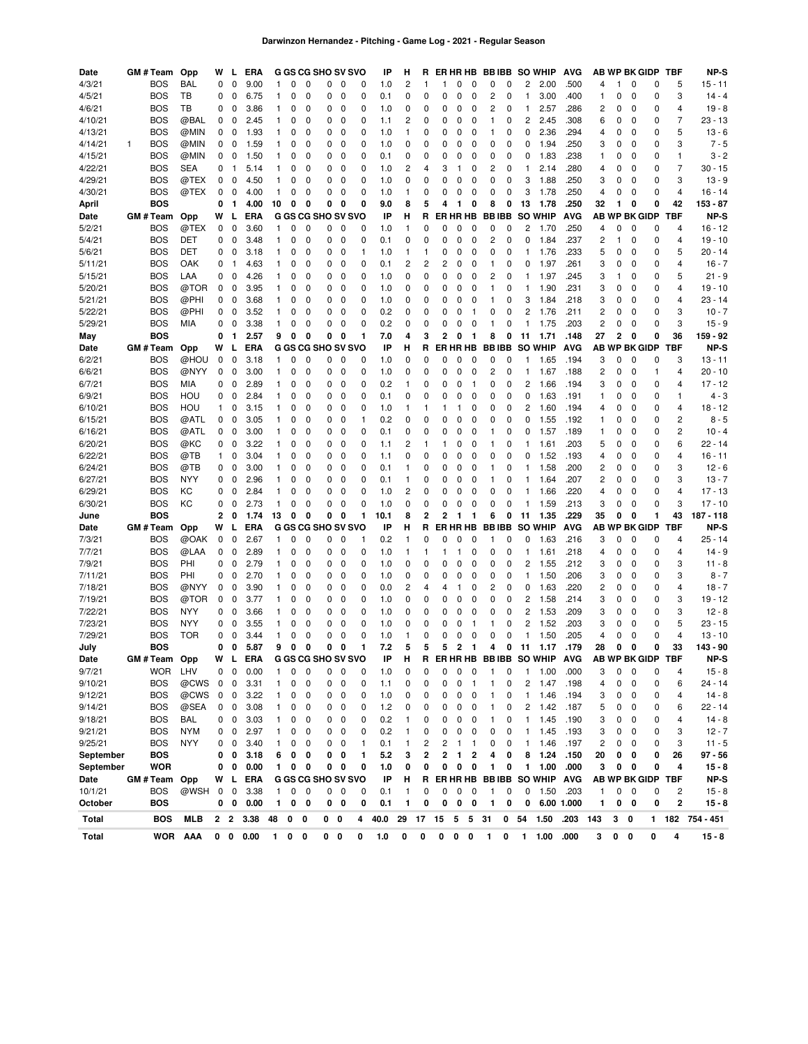| Date         | <b>GM#Team</b>             | Opp        | W                       | L            | ERA        |              |         |             |         |             | G GS CG SHO SV SVO        | IP   | н              | R,           |                         | ER HR HB                        |              | <b>BBIBB</b>      |             |                         | <b>SO WHIP</b>          | <b>AVG</b> |                |                         |                         | <b>AB WP BK GIDP</b>      | TBF            | NP-S          |
|--------------|----------------------------|------------|-------------------------|--------------|------------|--------------|---------|-------------|---------|-------------|---------------------------|------|----------------|--------------|-------------------------|---------------------------------|--------------|-------------------|-------------|-------------------------|-------------------------|------------|----------------|-------------------------|-------------------------|---------------------------|----------------|---------------|
| 4/3/21       | <b>BOS</b>                 | BAL        | 0                       | $\mathbf 0$  | 9.00       | $\mathbf{1}$ | 0       | $\mathbf 0$ | 0       | 0           | 0                         | 1.0  | $\overline{2}$ | 1            | 1                       | 0                               | $\mathbf 0$  | 0                 | 0           | 2                       | 2.00                    | .500       | 4              | 1                       | $\mathbf 0$             | 0                         | 5              | $15 - 11$     |
| 4/5/21       | <b>BOS</b>                 | TB         | 0                       | $\mathbf 0$  | 6.75       | $\mathbf{1}$ | 0       | 0           | 0       | $\mathbf 0$ | 0                         | 0.1  | 0              | 0            | $\mathbf{0}$            | 0                               | 0            | $\overline{c}$    | 0           | $\mathbf{1}$            | 3.00                    | .400       | $\mathbf{1}$   | 0                       | $\mathbf 0$             | 0                         | 3              | $14 - 4$      |
| 4/6/21       | <b>BOS</b>                 | TB         | 0                       | 0            | 3.86       | $\mathbf{1}$ | 0       | 0           | 0       | 0           | $\mathbf 0$               | 1.0  | 0              | $\mathbf 0$  | 0                       | 0                               | 0            | 2                 | 0           | 1                       | 2.57                    | .286       | 2              | 0                       | 0                       | 0                         | 4              | $19 - 8$      |
| 4/10/21      | <b>BOS</b>                 | @BAL       | 0                       | 0            | 2.45       | $\mathbf{1}$ | 0       | 0           | 0       | 0           | 0                         | 1.1  | 2              | 0            | 0                       | 0                               | 0            | $\mathbf{1}$      | 0           | $\overline{c}$          | 2.45                    | .308       | 6              | 0                       | 0                       | 0                         | $\overline{7}$ | 23 - 13       |
| 4/13/21      | <b>BOS</b>                 | @MIN       | 0                       | 0            | 1.93       | $\mathbf{1}$ | 0       | 0           | 0       | 0           | 0                         | 1.0  | 1              | 0            | 0                       | 0                               | 0            | $\mathbf{1}$      | 0           | 0                       | 2.36                    | .294       | 4              | 0                       | 0                       | 0                         | 5              | $13 - 6$      |
| 4/14/21      | <b>BOS</b><br>$\mathbf{1}$ | @MIN       | 0                       | 0            | 1.59       | 1            | 0       | 0           | 0       | 0           | 0                         | 1.0  | 0              | 0            | 0                       | 0                               | 0            | 0                 | $\mathbf 0$ | 0                       | 1.94                    | .250       | 3              | 0                       | 0                       | 0                         | 3              | $7 - 5$       |
| 4/15/21      | <b>BOS</b>                 | @MIN       | 0                       | 0            | 1.50       | $\mathbf{1}$ | 0       | 0           | 0       | 0           | 0                         | 0.1  | 0              | 0            | 0                       | 0                               | 0            | 0                 | 0           | 0                       | 1.83                    | .238       | 1              | 0                       | 0                       | 0                         | 1              | $3 - 2$       |
| 4/22/21      | <b>BOS</b>                 | <b>SEA</b> | 0                       | 1            | 5.14       | 1            | 0       | 0           | 0       | 0           | 0                         | 1.0  | 2              | 4            | 3                       | 1                               | 0            | $\overline{c}$    | 0           | 1                       | 2.14                    | .280       | 4              | 0                       | 0                       | 0                         | $\overline{7}$ | $30 - 15$     |
|              |                            |            |                         |              |            |              |         |             |         |             | 0                         |      |                |              |                         | 0                               |              |                   |             | 3                       |                         | .250       |                | 0                       |                         |                           | 3              | $13 - 9$      |
| 4/29/21      | <b>BOS</b>                 | @TEX       | 0                       | 0            | 4.50       | 1            | 0       | 0           | 0       | 0           |                           | 1.0  | 0              | 0            | 0                       |                                 | 0            | 0                 | 0           |                         | 1.88                    |            | 3              |                         | 0                       | 0                         |                |               |
| 4/30/21      | <b>BOS</b>                 | @TEX       | 0                       | 0            | 4.00       | $\mathbf{1}$ | 0       | 0           | 0       | 0           | 0                         | 1.0  | 1              | 0            | 0                       | 0                               | 0            | 0                 | 0           | 3                       | 1.78                    | .250       | 4              | 0                       | 0                       | 0                         | $\overline{4}$ | $16 - 14$     |
| April        | <b>BOS</b>                 |            | 0                       | $\mathbf{1}$ | 4.00       | 10           | 0       | 0           | 0       | 0           | 0                         | 9.0  | 8              | 5            | 4                       | 1                               | 0            | 8                 | 0           | 13                      | 1.78                    | .250       | 32             | 1                       | 0                       | 0                         | 42             | 153 - 87      |
| Date         | GM # Team                  | Opp        | w                       | L            | ERA        |              |         |             |         |             | <b>G GS CG SHO SV SVO</b> | IP   | н              | R            |                         | ER HR HB                        |              | <b>BBIBB</b>      |             |                         | <b>SO WHIP</b>          | <b>AVG</b> |                |                         |                         | <b>AB WP BK GIDP</b>      | TBF            | NP-S          |
| 5/2/21       | <b>BOS</b>                 | @TEX       | 0                       | 0            | 3.60       | 1            | 0       | 0           | 0       | 0           | 0                         | 1.0  | 1              | 0            | 0                       | 0                               | 0            | 0                 | 0           | $\overline{c}$          | 1.70                    | .250       | 4              | 0                       | 0                       | 0                         | 4              | $16 - 12$     |
| 5/4/21       | <b>BOS</b>                 | DET        | 0                       | 0            | 3.48       | $\mathbf{1}$ | 0       | 0           | 0       | 0           | 0                         | 0.1  | 0              | $\mathbf 0$  | $\mathbf 0$             | 0                               | 0            | $\overline{c}$    | 0           | $\mathbf 0$             | 1.84                    | .237       | 2              | 1                       | 0                       | 0                         | 4              | $19 - 10$     |
| 5/6/21       | <b>BOS</b>                 | DET        | 0                       | 0            | 3.18       | 1            | 0       | 0           | 0       | 0           | 1                         | 1.0  | 1              | 1            | 0                       | 0                               | 0            | $\mathbf 0$       | 0           | $\mathbf{1}$            | 1.76                    | .233       | 5              | 0                       | $\mathbf 0$             | 0                         | 5              | $20 - 14$     |
| 5/11/21      | <b>BOS</b>                 | OAK        | 0                       | 1            | 4.63       | $\mathbf{1}$ | 0       | 0           | 0       | 0           | 0                         | 0.1  | 2              | 2            | $\overline{2}$          | 0                               | 0            | $\mathbf{1}$      | 0           | 0                       | 1.97                    | .261       | 3              | 0                       | 0                       | 0                         | 4              | $16 - 7$      |
| 5/15/21      | <b>BOS</b>                 | LAA        | 0                       | 0            | 4.26       | $\mathbf{1}$ | 0       | 0           | 0       | 0           | 0                         | 1.0  | 0              | $\mathbf 0$  | $\mathbf 0$             | 0                               | 0            | $\overline{c}$    | 0           | $\mathbf{1}$            | 1.97                    | .245       | 3              | 1                       | $\mathbf 0$             | 0                         | 5              | $21 - 9$      |
| 5/20/21      | <b>BOS</b>                 | @TOR       | 0                       | 0            | 3.95       | $\mathbf{1}$ | 0       | $\mathbf 0$ | 0       | 0           | 0                         | 1.0  | 0              | $\mathbf 0$  | $\mathbf 0$             | 0                               | 0            | $\mathbf{1}$      | 0           | 1                       | 1.90                    | .231       | 3              | 0                       | 0                       | 0                         | 4              | 19 - 10       |
| 5/21/21      | <b>BOS</b>                 | @PHI       | 0                       | 0            | 3.68       | $\mathbf{1}$ | 0       | 0           | 0       | 0           | $\mathbf 0$               | 1.0  | 0              | 0            | 0                       | 0                               | 0            | $\mathbf{1}$      | 0           | 3                       | 1.84                    | .218       | 3              | 0                       | $\mathbf 0$             | 0                         | 4              | 23 - 14       |
| 5/22/21      | <b>BOS</b>                 | @PHI       | 0                       | 0            | 3.52       | $\mathbf{1}$ | 0       | 0           | 0       | 0           | $\mathbf 0$               | 0.2  | 0              | $\mathbf 0$  | 0                       | 0                               | 1            | 0                 | 0           | $\overline{2}$          | 1.76                    | .211       | $\overline{c}$ | 0                       | 0                       | 0                         | 3              | $10 - 7$      |
| 5/29/21      | <b>BOS</b>                 | MIA        | 0                       | 0            | 3.38       | $\mathbf{1}$ | 0       | 0           | 0       | 0           | $\mathbf 0$               | 0.2  | 0              | 0            | 0                       | 0                               | 0            | $\mathbf{1}$      | 0           | $\mathbf{1}$            | 1.75                    | .203       | $\overline{c}$ | 0                       | 0                       | 0                         | 3              | $15 - 9$      |
| May          | <b>BOS</b>                 |            | 0                       | 1            | 2.57       | 9            | 0       | $\mathbf 0$ | 0       | $\mathbf 0$ | 1                         | 7.0  | 4              | 3            | $\overline{2}$          | 0                               | $\mathbf{1}$ | 8                 | 0           | 11                      | 1.71                    | .148       | 27             | $\overline{\mathbf{2}}$ | 0                       | 0                         | 36             | 159 - 92      |
| Date         | GM # Team                  | Opp        | w                       | L            | ERA        |              |         |             |         |             | G GS CG SHO SV SVO        | IP   | н              | R.           |                         | ER HR HB                        |              | <b>BBIBB</b>      |             |                         | <b>SO WHIP</b>          | <b>AVG</b> |                |                         |                         | <b>AB WP BK GIDP</b>      | <b>TBF</b>     | NP-S          |
| 6/2/21       | <b>BOS</b>                 | @HOU       | 0                       | 0            | 3.18       | $\mathbf{1}$ | 0       | $\mathbf 0$ | 0       | $\mathbf 0$ | 0                         | 1.0  | 0              | 0            | $\Omega$                | 0                               | 0            | 0                 | 0           | 1                       | 1.65                    | .194       | 3              | 0                       | $\mathbf 0$             | 0                         | 3              | $13 - 11$     |
| 6/6/21       | <b>BOS</b>                 | @NYY       | 0                       | 0            | 3.00       | $\mathbf{1}$ | 0       | $\mathbf 0$ | 0       | $\mathbf 0$ | $\mathbf 0$               | 1.0  | 0              | 0            | 0                       | 0                               | 0            | $\overline{c}$    | $\mathbf 0$ | $\mathbf{1}$            | 1.67                    | .188       | 2              | 0                       | 0                       | 1                         | 4              | $20 - 10$     |
| 6/7/21       | <b>BOS</b>                 | MIA        | 0                       | 0            | 2.89       | $\mathbf{1}$ | 0       | 0           | 0       | 0           | $\mathbf 0$               | 0.2  | 1              | 0            | 0                       | 0                               | 1            | 0                 | 0           | 2                       | 1.66                    | .194       | 3              | 0                       | $\mathbf 0$             | 0                         | 4              | $17 - 12$     |
| 6/9/21       | <b>BOS</b>                 | HOU        | 0                       | 0            | 2.84       | $\mathbf{1}$ | 0       | 0           | 0       | 0           | $\mathbf 0$               | 0.1  | 0              | $\mathbf 0$  | 0                       | 0                               | 0            | 0                 | 0           | $\mathbf 0$             | 1.63                    | .191       | 1              | 0                       | 0                       | 0                         | 1              | $4 - 3$       |
| 6/10/21      | <b>BOS</b>                 | HOU        | 1                       | 0            | 3.15       | $\mathbf{1}$ | 0       | 0           | 0       | 0           | $\mathbf 0$               | 1.0  | 1              | 1            | 1                       | 1                               | 0            | 0                 | 0           | 2                       | 1.60                    | .194       | 4              | 0                       | 0                       | 0                         | 4              | $18 - 12$     |
| 6/15/21      | <b>BOS</b>                 | @ATL       | 0                       | 0            | 3.05       | $\mathbf{1}$ | 0       | 0           | 0       | $\mathbf 0$ | 1                         | 0.2  | 0              | 0            | 0                       | 0                               | 0            | 0                 | 0           | 0                       | 1.55                    | .192       | 1              | 0                       | 0                       | 0                         | $\overline{c}$ | $8 - 5$       |
| 6/16/21      | <b>BOS</b>                 | @ATL       | 0                       | 0            | 3.00       | $\mathbf{1}$ | 0       | 0           | 0       | 0           | $\mathbf 0$               | 0.1  | 0              | 0            | 0                       | 0                               | 0            | $\mathbf{1}$      | $\mathbf 0$ | 0                       | 1.57                    | .189       | 1              | 0                       | 0                       | 0                         | $\overline{c}$ | $10 - 4$      |
| 6/20/21      | <b>BOS</b>                 | @KC        | 0                       | 0            | 3.22       | $\mathbf{1}$ | 0       | 0           | 0       | $\mathbf 0$ | $\mathbf 0$               | 1.1  | $\overline{c}$ | 1            | 1                       | 0                               | 0            | $\mathbf{1}$      | 0           | $\mathbf{1}$            | 1.61                    | .203       | 5              | 0                       | 0                       | 0                         | 6              | $22 - 14$     |
| 6/22/21      | <b>BOS</b>                 | @TB        | 1                       | 0            | 3.04       | $\mathbf{1}$ | 0       | 0           | 0       | 0           | $\mathbf 0$               | 1.1  | 0              | 0            | 0                       | 0                               | 0            | 0                 | 0           | 0                       | 1.52                    | .193       | 4              | 0                       | 0                       | 0                         | 4              | $16 - 11$     |
| 6/24/21      | <b>BOS</b>                 | @TB        | 0                       | 0            | 3.00       | $\mathbf{1}$ | 0       | 0           | 0       | 0           | $\mathbf 0$               | 0.1  | 1              | 0            | 0                       | 0                               | 0            | $\mathbf{1}$      | 0           | $\mathbf{1}$            | 1.58                    | .200       | 2              | 0                       | 0                       | 0                         | 3              | $12 - 6$      |
| 6/27/21      | <b>BOS</b>                 | <b>NYY</b> | 0                       | 0            | 2.96       | $\mathbf{1}$ | 0       | 0           | 0       | 0           | $\mathbf 0$               | 0.1  | 1              | 0            | 0                       | 0                               | 0            | $\mathbf{1}$      | 0           | 1                       | 1.64                    | .207       | $\overline{c}$ | 0                       | $\mathbf 0$             | 0                         | 3              | $13 - 7$      |
| 6/29/21      | <b>BOS</b>                 | КC         | 0                       | 0            | 2.84       | $\mathbf{1}$ | 0       | 0           | 0       | 0           | 0                         | 1.0  | $\overline{c}$ | 0            | 0                       | 0                               | 0            | 0                 | 0           | 1                       | 1.66                    | .220       | 4              | 0                       | 0                       | 0                         | 4              | $17 - 13$     |
| 6/30/21      | <b>BOS</b>                 | КC         | 0                       | 0            | 2.73       | $\mathbf{1}$ | 0       | 0           | 0       | 0           | $\mathbf{0}$              | 1.0  | 0              | 0            | $\mathbf{0}$            | 0                               | 0            | 0                 | 0           | $\mathbf{1}$            | 1.59                    | .213       | 3              | 0                       | $\mathbf 0$             | 0                         | 3              | $17 - 10$     |
| June         | <b>BOS</b>                 |            | 2                       | 0            | 1.74       | 13           | 0       | 0           | 0       | 0           | 1                         | 10.1 | 8              | $\mathbf{2}$ | 2                       | 1                               | 1            | 6                 | 0           | 11                      | 1.35                    | .229       | 35             | 0                       | 0                       | 1                         | 43             | $187 - 118$   |
| Date         | GM # Team                  | Opp        | w                       | L            | ERA        |              |         |             |         |             | G GS CG SHO SV SVO        | IP   | н              | R            |                         | ER HR HB                        |              | <b>BBIBB</b>      |             |                         | <b>SO WHIP</b>          | <b>AVG</b> |                |                         |                         | <b>AB WP BK GIDP</b>      | TBF            | NP-S          |
| 7/3/21       | <b>BOS</b>                 | @OAK       | 0                       | 0            | 2.67       | $\mathbf{1}$ | 0       | 0           | 0       | 0           | 1                         | 0.2  | 1              | 0            | 0                       | 0                               | 0            | 1                 | 0           | 0                       | 1.63                    | .216       | 3              | 0                       | 0                       | 0                         | 4              | $25 - 14$     |
| 7/7/21       | <b>BOS</b>                 | @LAA       | 0                       | 0            | 2.89       | $\mathbf{1}$ | 0       | 0           | 0       | 0           | 0                         | 1.0  | 1              | 1            | 1                       | 1                               | 0            | 0                 | 0           | 1                       | 1.61                    | .218       | 4              | $\mathbf 0$             | 0                       | 0                         | 4              | $14 - 9$      |
| 7/9/21       | <b>BOS</b>                 | PHI        | 0                       | 0            | 2.79       | 1            | 0       | 0           | 0       | 0           | 0                         | 1.0  | 0              | 0            | 0                       | 0                               | 0            | 0                 | 0           | $\overline{c}$          | 1.55                    | .212       | 3              | 0                       | 0                       | 0                         | 3              | $11 - 8$      |
|              | <b>BOS</b>                 | PHI        | 0                       | 0            |            | 1            | 0       | 0           | 0       | 0           | 0                         | 1.0  | 0              | 0            | 0                       | 0                               | 0            | 0                 | 0           | $\mathbf{1}$            | 1.50                    | .206       |                | 0                       | 0                       | 0                         | 3              | $8 - 7$       |
| 7/11/21      |                            | @NYY       |                         |              | 2.70       |              |         |             |         |             |                           |      |                |              |                         |                                 |              |                   |             |                         |                         |            | 3              |                         |                         |                           |                |               |
| 7/18/21      | <b>BOS</b>                 |            | 0                       | 0            | 3.90       | 1            | 0       | 0           | 0       | 0           | 0                         | 0.0  | 2              | 4            | 4                       | 1                               | 0            | $\overline{c}$    | 0           | 0                       | 1.63                    | .220       | $\overline{c}$ | 0                       | 0                       | 0                         | 4              | $18 - 7$      |
| 7/19/21      | <b>BOS</b>                 | @TOR       | 0                       | 0            | 3.77       | 1            | 0       | 0           | 0       | 0           | $\mathbf 0$               | 1.0  | 0              | 0            | 0                       | 0                               | 0            | 0                 | 0           | $\overline{c}$          | 1.58                    | .214       | 3              | 0                       | 0                       | 0                         | 3              | $19 - 12$     |
| 7/22/21      | <b>BOS</b>                 | <b>NYY</b> | 0                       | 0            | 3.66       | 1            | 0       | 0           | 0       | 0           | 0                         | 1.0  | 0              | 0            | 0                       | 0                               | 0            | 0                 | 0           | 2                       | 1.53                    | .209       | 3              | 0                       | 0                       | 0                         | 3              | $12 - 8$      |
| 7/23/21      | <b>BOS</b>                 | <b>NYY</b> | 0                       | 0            | 3.55       | $\mathbf{1}$ | 0       | 0           | 0       | 0           | 0                         | 1.0  | 0              | 0            | 0                       | 0                               | 1            | 1                 | 0           | $\overline{c}$          | 1.52                    | .203       | 3              | 0                       | $\mathbf 0$             | 0                         | 5              | 23 - 15       |
| 7/29/21      | <b>BOS</b>                 | <b>TOR</b> | 0                       | 0            | 3.44       | 1            | 0       | 0           | 0       | 0           | 0                         | 1.0  | 1              | 0            | $\mathbf 0$             | 0                               | 0            | $\Omega$          | $\mathbf 0$ | $\mathbf{1}$            | 1.50                    | .205       | 4              | 0                       | 0                       | 0                         | $\overline{4}$ | $13 - 10$     |
| July         | <b>BOS</b>                 |            | 0                       | 0            | 5.87<br>ER | 9            | 0<br>cс | 0<br>CC.    | 0<br>cц | 0           | 1                         | 7.2  | 5              | 5            | 5                       | $\mathbf{2}$<br><b>ED UD UR</b> | 1            | 4<br><b>RRIRR</b> | 0           | 11                      | 1.17<br><b>SO WHIP</b>  | .179       | 28             | 0                       | 0                       | 0<br><b>AR WP RK GIDP</b> | 33             | 143 - 90      |
| Date         | GM # Team                  | Opp        | W L                     |              |            | G            |         |             |         |             | <b>O SV SVO</b>           | IP   | н              | R            |                         |                                 |              |                   |             |                         |                         | <b>AVG</b> |                |                         |                         |                           | <b>TBF</b>     | NP-S          |
| 9/7/21       | <b>WOR</b>                 | LHV        | 0                       | 0            | 0.00       | $\mathbf{1}$ | 0       | $\mathbf 0$ | 0       | $\mathbf 0$ | 0                         | 1.0  | 0              | 0            | 0                       | 0                               | 0            | 1                 | 0           | $\mathbf{1}$            | 1.00                    | .000       | 3              | 0                       | 0                       | 0                         | 4              | $15 - 8$      |
| 9/10/21      | <b>BOS</b>                 | @CWS       | $\mathbf 0$             | 0            | 3.31       | 1            | 0       | 0           | 0       | $\mathbf 0$ | 0                         | 1.1  | 0              | 0            | 0                       | 0                               | $\mathbf{1}$ | 1                 | 0           | $\overline{\mathbf{c}}$ | 1.47                    | .198       | 4              | 0                       | 0                       | 0                         | 6              | 24 - 14       |
| 9/12/21      | <b>BOS</b>                 | @CWS       | $\overline{\mathbf{0}}$ | 0            | 3.22       | 1            | 0       | 0           | 0       | 0           | 0                         | 1.0  | 0              | 0            | 0                       | 0                               | 0            | 1                 | 0           | $\mathbf{1}$            | 1.46                    | .194       | 3              | 0                       | 0                       | 0                         | 4              | $14 - 8$      |
| 9/14/21      | <b>BOS</b>                 | @SEA       | 0                       | 0            | 3.08       | $\mathbf{1}$ | 0       | 0           | 0       | 0           | 0                         | 1.2  | 0              | 0            | 0                       | 0                               | 0            | $\mathbf{1}$      | 0           | 2                       | 1.42                    | .187       | 5              | 0                       | 0                       | 0                         | 6              | 22 - 14       |
| 9/18/21      | <b>BOS</b>                 | BAL        | 0                       | 0            | 3.03       | 1            | 0       | 0           | 0       | 0           | 0                         | 0.2  | 1              | 0            | 0                       | 0                               | 0            | $\mathbf{1}$      | 0           | $\mathbf{1}$            | 1.45                    | .190       | 3              | 0                       | 0                       | 0                         | 4              | $14 - 8$      |
| 9/21/21      | <b>BOS</b>                 | <b>NYM</b> | 0                       | 0            | 2.97       | 1            | 0       | 0           | 0       | 0           | 0                         | 0.2  | 1              | 0            | 0                       | 0                               | 0            | 0                 | 0           | 1                       | 1.45                    | .193       | 3              | 0                       | 0                       | 0                         | 3              | $12 - 7$      |
| 9/25/21      | <b>BOS</b>                 | <b>NYY</b> | 0                       | 0            | 3.40       | 1            | 0       | 0           | 0       | 0           | 1                         | 0.1  | 1              | 2            | $\overline{\mathbf{c}}$ | 1                               | 1            | 0                 | 0           | 1                       | 1.46                    | .197       | 2              | 0                       | 0                       | 0                         | 3              | $11 - 5$      |
| September    | <b>BOS</b>                 |            | 0                       | 0            | 3.18       | 6            | 0       | 0           | 0       | 0           | 1                         | 5.2  | 3              | $\mathbf 2$  | 2                       | $\mathbf{1}$                    | 2            | 4                 | 0           | 8                       | 1.24                    | .150       | 20             | 0                       | 0                       | 0                         | 26             | 97 - 56       |
| September    | <b>WOR</b>                 |            | 0                       | 0            | 0.00       | $\mathbf 1$  |         | $0\quad 0$  |         | $0\quad 0$  | 0                         | 1.0  | 0              | 0            | 0                       | 0                               | $\mathbf 0$  | 1                 | 0           | 1                       | 1.00                    | .000       | 3              | 0                       | $\overline{\mathbf{0}}$ | 0                         | 4              | $15 - 8$      |
| Date         | GM # Team                  | Opp        | W                       | <b>L</b>     | <b>ERA</b> |              |         |             |         |             | G GS CG SHO SV SVO        | IP   | н              | R            |                         |                                 |              |                   |             |                         | ER HR HB BB IBB SO WHIP | <b>AVG</b> |                |                         |                         | <b>AB WP BK GIDP</b>      | TBF            | NP-S          |
| 10/1/21      | <b>BOS</b>                 | @WSH 0     |                         | 0            | 3.38       |              |         | $1 \t0 \t0$ |         | $0\quad 0$  | 0                         | 0.1  | 1              | 0            | 0                       | $\mathbf 0$                     | $\mathbf 0$  | 1                 | $\pmb{0}$   | 0                       | 1.50                    | .203       | 1              | 0                       | $\overline{\mathbf{0}}$ | 0                         | 2              | $15 - 8$      |
| October      | <b>BOS</b>                 |            | 0                       | 0            | 0.00       | 1            | 0       | 0           |         | $0\quad 0$  | 0                         | 0.1  | $\mathbf{1}$   | 0            | 0                       | $\mathbf 0$                     | 0            | 1                 | 0           | 0                       |                         | 6.00 1.000 | 1              | 0                       | $\overline{\mathbf{0}}$ | 0                         | 2              | $15 - 8$      |
| <b>Total</b> | <b>BOS</b>                 | <b>MLB</b> | 2 <sub>2</sub>          |              | 3.38       | 48           | 0       | 0           |         | $0\quad 0$  | 4                         | 40.0 | 29             |              | 17 15                   | 5                               | 5            | - 31              | 0           | 54                      | 1.50                    | .203       | 143            | 3                       | 0                       | 1.                        |                | 182 754 - 451 |
| Total        | WOR                        | AAA        |                         | $0\quad 0$   | 0.00       | $\mathbf 1$  |         | $0\quad 0$  |         | $0\quad 0$  | 0                         | 1.0  | 0              | 0            | 0                       | $0\quad 0$                      |              | $\overline{1}$    | 0           |                         | 1 1.00                  | .000       | 3              | $0\quad 0$              |                         | 0                         | 4              | $15 - 8$      |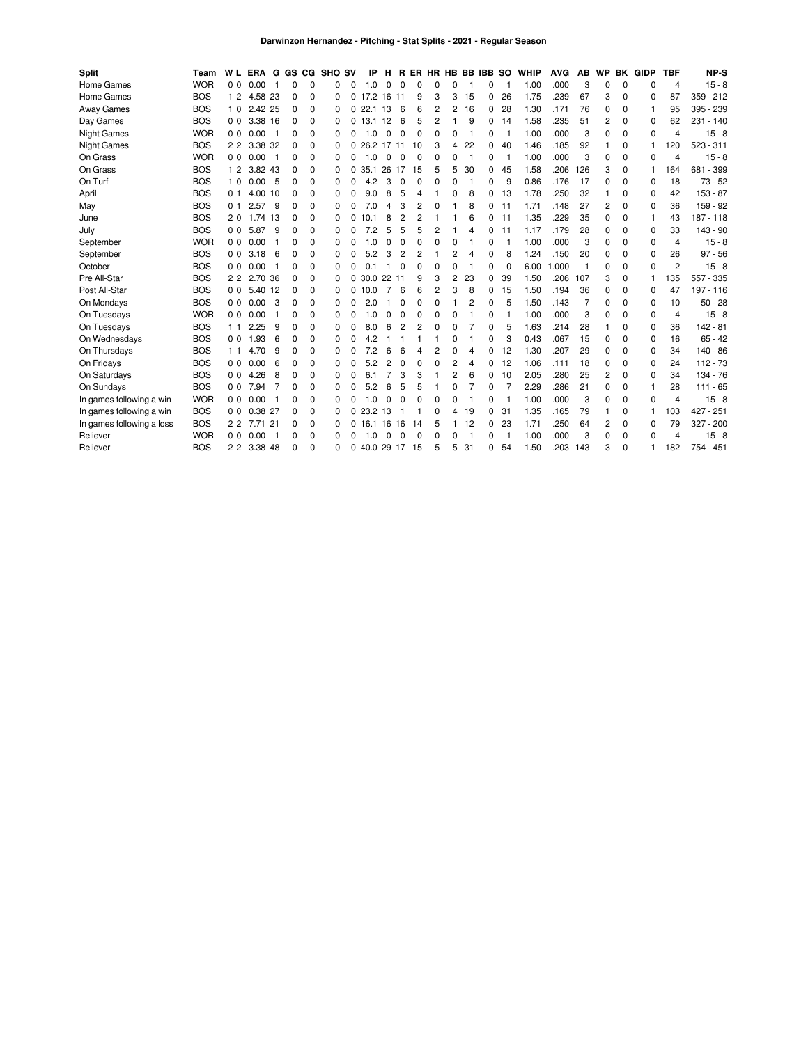| <b>Split</b>              | Team       | W L            | <b>ERA</b> | G   |          |          | GS CG SHO SV |              | IP         | н              | R        |                |          |                |    | ER HR HB BB IBB SO |    | <b>WHIP</b> | <b>AVG</b> | AB             | <b>WP</b> |             | <b>BK GIDP</b> | <b>TBF</b>     | NP-S        |
|---------------------------|------------|----------------|------------|-----|----------|----------|--------------|--------------|------------|----------------|----------|----------------|----------|----------------|----|--------------------|----|-------------|------------|----------------|-----------|-------------|----------------|----------------|-------------|
| Home Games                | <b>WOR</b> | 0 <sub>0</sub> | 0.00       |     | $\Omega$ | $\Omega$ | 0            | $\Omega$     | $\Omega$   | $\Omega$       | $\Omega$ | 0              | 0        | 0              |    | 0                  |    | 1.00        | .000       | 3              | $\Omega$  | $\Omega$    | 0              | $\overline{4}$ | $15 - 8$    |
| Home Games                | <b>BOS</b> | 12             | 4.58 23    |     | $\Omega$ | 0        | 0            | 0            | 17.2 16 11 |                |          | 9              | 3        | 3              | 15 | 0                  | 26 | 1.75        | .239       | 67             | 3         | $\Omega$    | 0              | 87             | $359 - 212$ |
| Away Games                | <b>BOS</b> | 10             | 2.42 25    |     | 0        | 0        | 0            | 0            | 22.1 13    |                | 6        | 6              | 2        | 2              | 16 | 0                  | 28 | 1.30        | .171       | 76             | 0         | 0           | 1              | 95             | 395 - 239   |
| Day Games                 | <b>BOS</b> | 0 <sub>0</sub> | 3.38 16    |     | 0        | 0        | 0            | 0            | 13.1 12    |                | 6        | 5              | 2        |                | 9  | 0                  | 14 | 1.58        | .235       | 51             | 2         | 0           | 0              | 62             | $231 - 140$ |
| <b>Night Games</b>        | <b>WOR</b> | 0 <sub>0</sub> | 0.00       |     | $\Omega$ | 0        | 0            | $\Omega$     | $\Omega$   | $\Omega$       | $\Omega$ | $\Omega$       | $\Omega$ | $\Omega$       |    | 0                  |    | 1.00        | .000       | 3              | 0         | $\Omega$    | 0              | $\overline{4}$ | $15 - 8$    |
| <b>Night Games</b>        | <b>BOS</b> | 2 <sub>2</sub> | 3.38 32    |     | 0        | 0        | 0            | 0            | 26.2 17 11 |                |          | 10             | 3        | 4              | 22 | 0                  | 40 | 1.46        | .185       | 92             |           | 0           | 1              | 120            | $523 - 311$ |
| On Grass                  | <b>WOR</b> | 0 <sub>0</sub> | 0.00       | -1  | $\Omega$ | 0        | 0            | 0            | .0<br>1    | $\Omega$       | 0        | 0              | $\Omega$ | 0              | 1  | 0                  |    | 1.00        | .000       | 3              | 0         | 0           | 0              | 4              | $15 - 8$    |
| On Grass                  | <b>BOS</b> | 12             | 3.82       | -43 | $\Omega$ | 0        | 0            | 0            | 35.1       | 26             | 17       | 15             | 5        | 5              | 30 | $\Omega$           | 45 | 1.58        | .206       | 126            | 3         | 0           |                | 164            | 681 - 399   |
| On Turf                   | <b>BOS</b> | 10             | 0.00       | 5   | 0        | 0        | 0            | 0            | 4.2        | 3              | 0        | 0              | 0        | 0              |    | 0                  | 9  | 0.86        | .176       | 17             | 0         | 0           | 0              | 18             | $73 - 52$   |
| April                     | <b>BOS</b> | 0 <sub>1</sub> | 4.00 10    |     | 0        | 0        | 0            | 0            | 9.0        | 8              | 5        | 4              |          | 0              | 8  | 0                  | 13 | 1.78        | .250       | 32             |           | 0           | 0              | 42             | $153 - 87$  |
| May                       | <b>BOS</b> | 0 <sub>1</sub> | 2.57       | 9   | $\Omega$ | 0        | 0            | $\Omega$     | 7.0        | 4              | 3        | $\overline{c}$ | O        |                | 8  | 0                  | 11 | 1.71        | .148       | 27             | 2         | $\mathbf 0$ | 0              | 36             | 159 - 92    |
| June                      | <b>BOS</b> | 20             | 1.74 13    |     | $\Omega$ | 0        | 0            | 0            | 01         | 8              | 2        | $\overline{c}$ |          |                | 6  | 0                  | 11 | 1.35        | .229       | 35             | $\Omega$  | $\Omega$    | 1              | 43             | $187 - 118$ |
| July                      | <b>BOS</b> | 0 <sub>0</sub> | 5.87       | 9   | $\Omega$ | 0        | 0            | 0            | 7.2        | 5              | 5        | 5              | 2        |                | 4  | 0                  | 11 | 1.17        | .179       | 28             | 0         | 0           | 0              | 33             | $143 - 90$  |
| September                 | <b>WOR</b> | 0 <sub>0</sub> | 0.00       |     | $\Omega$ | 0        | 0            | 0            | $\Omega$   | 0              | $\Omega$ | $\mathbf 0$    | 0        | 0              |    | 0                  |    | 1.00        | .000       | 3              | 0         | 0           | 0              | $\overline{4}$ | $15 - 8$    |
| September                 | <b>BOS</b> | 0 <sub>0</sub> | 3.18       | 6   | $\Omega$ | 0        | 0            | $\Omega$     | 5.2        | 3              | 2        | $\overline{c}$ |          | 2              | 4  | 0                  | 8  | 1.24        | .150       | 20             | $\Omega$  | $\Omega$    | 0              | 26             | $97 - 56$   |
| October                   | <b>BOS</b> | 0 <sub>0</sub> | 0.00       |     | O        | 0        | 0            | 0            | 01         |                | $\Omega$ | $\Omega$       | 0        | 0              |    | 0                  | 0  | 6.00        | .000       | 1              | $\Omega$  | 0           | 0              | $\overline{2}$ | $15 - 8$    |
| Pre All-Star              | <b>BOS</b> | 2 <sub>2</sub> | 2.70 36    |     | $\Omega$ | 0        | 0            | 0            | 30.0 22    |                | 11       | 9              | 3        | $\overline{c}$ | 23 | 0                  | 39 | 1.50        | .206       | 107            | 3         | $\Omega$    |                | 135            | 557 - 335   |
| Post All-Star             | <b>BOS</b> | 0 <sub>0</sub> | 5.40 12    |     | $\Omega$ | 0        | 0            | 0            | 10.0       |                | 6        | 6              | 2        | 3              | 8  | 0                  | 15 | 1.50        | .194       | 36             | $\Omega$  | $\Omega$    | 0              | 47             | 197 - 116   |
| On Mondays                | <b>BOS</b> |                | 00000      | 3   | 0        | 0        | 0            | $\Omega$     | 2.0        |                | $\Omega$ | 0              | 0        |                | 2  | 0                  | 5  | 1.50        | .143       | $\overline{7}$ | $\Omega$  | 0           | 0              | 10             | $50 - 28$   |
| On Tuesdays               | <b>WOR</b> | 0 <sub>0</sub> | 0.00       |     | $\Omega$ | 0        | 0            | $\Omega$     | 1.0        | $\Omega$       | $\Omega$ | 0              | 0        | 0              |    | 0                  |    | 1.00        | .000       | 3              | $\Omega$  | $\Omega$    | 0              | $\overline{4}$ | $15 - 8$    |
| On Tuesdays               | <b>BOS</b> | 11             | 2.25       | 9   | $\Omega$ | 0        | 0            | 0            | 8.0        | 6              | 2        | 2              | 0        | 0              | 7  | 0                  | 5  | 1.63        | .214       | 28             |           | 0           | 0              | 36             | 142 - 81    |
| On Wednesdays             | <b>BOS</b> | 0 <sub>0</sub> | 1.93       | 6   | 0        | 0        | 0            | $\Omega$     | 4.2        |                |          |                |          | 0              |    | 0                  | 3  | 0.43        | .067       | 15             | $\Omega$  | 0           | 0              | 16             | $65 - 42$   |
| On Thursdays              | <b>BOS</b> | 11             | 4.70       | 9   | 0        | 0        | 0            | 0            | 7.2        | 6              | 6        | 4              | 2        | 0              | 4  | 0                  | 12 | 1.30        | .207       | 29             | 0         | 0           | 0              | 34             | $140 - 86$  |
| On Fridays                | <b>BOS</b> | 0 <sub>0</sub> | 0.00       | 6   | $\Omega$ | 0        | $\Omega$     | $\Omega$     | 5.2        | 2              | $\Omega$ | $\Omega$       | 0        | 2              | 4  | 0                  | 12 | 1.06        | .111       | 18             | $\Omega$  | $\Omega$    | 0              | 24             | $112 - 73$  |
| On Saturdays              | <b>BOS</b> | 0 <sub>0</sub> | 4.26       | 8   | $\Omega$ | 0        | $\Omega$     | $\Omega$     | 6.1        | $\overline{7}$ | 3        | 3              |          | 2              | 6  | 0                  | 10 | 2.05        | .280       | 25             | 2         | $\Omega$    | 0              | 34             | $134 - 76$  |
| On Sundays                | <b>BOS</b> | 0 <sub>0</sub> | 7.94       |     | O        | 0        | 0            | 0            | 5.2        | 6              | 5        | 5              |          | 0              |    | 0                  |    | 2.29        | 286        | 21             | 0         | 0           | 1              | 28             | $111 - 65$  |
| In games following a win  | <b>WOR</b> | 0 <sub>0</sub> | 0.00       | -1  | $\Omega$ | 0        | $\Omega$     | $\Omega$     | $\Omega$   | $\Omega$       | $\Omega$ | 0              | 0        | $\Omega$       |    | 0                  |    | 1.00        | .000       | 3              | $\Omega$  | $\Omega$    | 0              | $\overline{4}$ | $15 - 8$    |
| In games following a win  | <b>BOS</b> | 0 <sub>0</sub> | 0.38       | 27  | $\Omega$ | 0        | 0            | 0            | 23.2       | 13             |          |                | 0        | 4              | 19 | 0                  | 31 | 1.35        | .165       | 79             |           | 0           |                | 103            | $427 - 251$ |
| In games following a loss | <b>BOS</b> | 22             | 7.71 21    |     | O        | 0        | 0            | 0            | 16.1 16    |                | 16       | 14             | 5        | 1              | 12 | 0                  | 23 | 1.71        | .250       | 64             | 2         | 0           | 0              | 79             | $327 - 200$ |
| Reliever                  | <b>WOR</b> | 0 <sub>0</sub> | 0.00       | -1  | O        | 0        | 0            | 0            | 1.0        | $\Omega$       | 0        | $\Omega$       | $\Omega$ | 0              |    | 0                  |    | 1.00        | .000       | 3              | $\Omega$  | $\Omega$    | 0              | 4              | $15 - 8$    |
| Reliever                  | <b>BOS</b> | 22             | 3.38 48    |     | $\Omega$ | $\Omega$ | 0            | <sup>0</sup> | 40.0 29 17 |                |          | 15             | 5        | 5              | 31 | 0                  | 54 | 1.50        | .203       | 143            | 3         | $\Omega$    |                | 182            | 754 - 451   |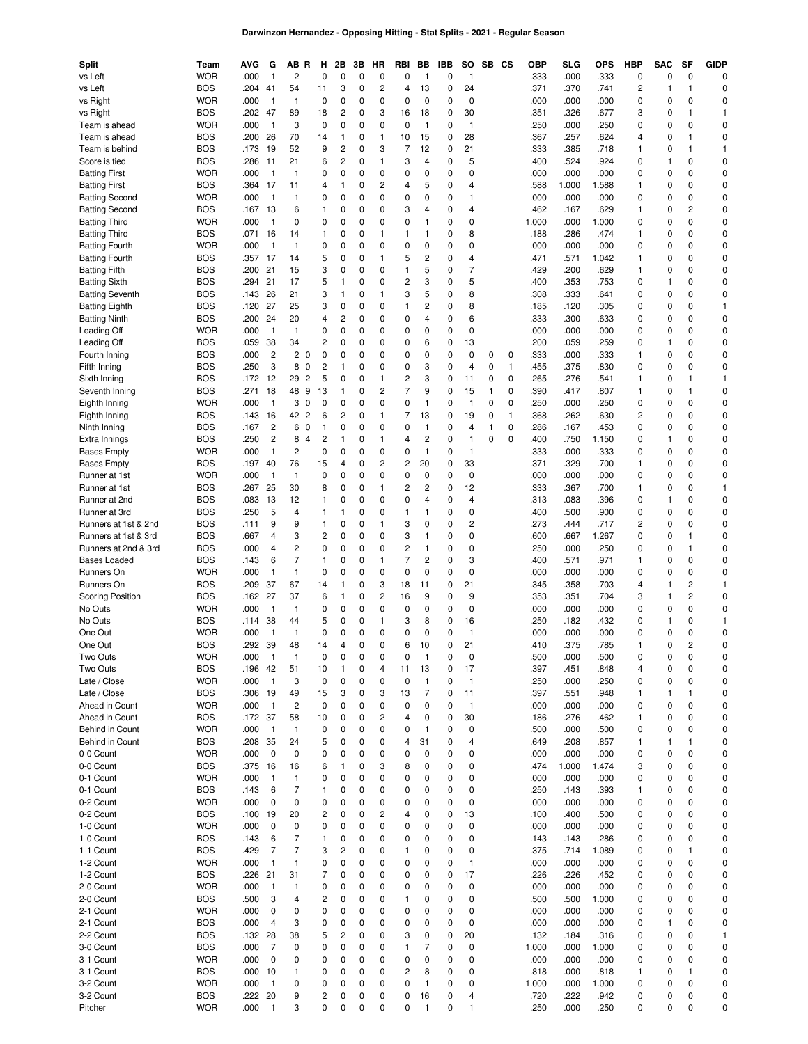## **Darwinzon Hernandez - Opposing Hitting - Stat Splits - 2021 - Regular Season**

| Split                               | Team                     | <b>AVG</b>   | G                    | AB.              | R<br>н                           | 2Β                      | 3В                         | HR             | RBI                 | BВ             | IBB                        | so                 | SB | cs           | ОВР           | SLG          | OPS          | HBP    | SAC                         | SF                   | <b>GIDP</b>       |
|-------------------------------------|--------------------------|--------------|----------------------|------------------|----------------------------------|-------------------------|----------------------------|----------------|---------------------|----------------|----------------------------|--------------------|----|--------------|---------------|--------------|--------------|--------|-----------------------------|----------------------|-------------------|
| vs Left                             | <b>WOR</b>               | .000         | $\mathbf{1}$         | 2                | 0                                | 0                       | 0                          | 0              | 0                   | 1              | $\mathbf 0$                | $\mathbf{1}$       |    |              | .333          | .000         | .333         | 0      | 0                           | 0                    | 0                 |
| vs Left                             | <b>BOS</b>               | .204         | 41                   | 54               | 11                               | 3                       | 0                          | 2              | 4                   | 13             | $\mathbf 0$                | 24                 |    |              | .371          | .370         | .741         | 2      | $\mathbf{1}$                | 1                    | 0                 |
| vs Right                            | <b>WOR</b>               | .000         | $\overline{1}$       | $\mathbf{1}$     | 0                                | 0                       | 0                          | 0              | 0                   | 0              | $\mathbf 0$                | 0                  |    |              | .000          | .000         | .000         | 0      | 0                           | 0                    | 0                 |
| vs Right                            | <b>BOS</b><br><b>WOR</b> | .202         | 47                   | 89<br>3          | 18                               | 2                       | 0                          | 3<br>0         | 16<br>$\mathbf 0$   | 18             | $\mathbf 0$                | 30                 |    |              | .351          | .326         | .677         | 3      | 0                           | 1<br>0               | $\mathbf{1}$      |
| Team is ahead<br>Team is ahead      | <b>BOS</b>               | .000<br>.200 | $\overline{1}$<br>26 | 70               | 0<br>14                          | 0<br>1                  | 0<br>0                     | 1              | 10                  | 1<br>15        | $\mathbf 0$<br>$\mathbf 0$ | $\mathbf{1}$<br>28 |    |              | .250<br>.367  | .000<br>.257 | .250<br>.624 | 0<br>4 | 0<br>0                      | 1                    | 0<br>0            |
| Team is behind                      | <b>BOS</b>               | .173         | 19                   | 52               | 9                                | $\overline{\mathbf{c}}$ | $\mathbf 0$                | 3              | 7                   | 12             | $\mathbf 0$                | 21                 |    |              | .333          | .385         | .718         | 1      | 0                           | 1                    | $\mathbf{1}$      |
| Score is tied                       | <b>BOS</b>               | .286         | 11                   | 21               | 6                                | $\overline{\mathbf{c}}$ | 0                          | 1              | 3                   | 4              | $\mathbf 0$                | 5                  |    |              | .400          | .524         | .924         | 0      | $\mathbf{1}$                | 0                    | 0                 |
| <b>Batting First</b>                | <b>WOR</b>               | .000         | $\overline{1}$       | $\mathbf{1}$     | 0                                | 0                       | 0                          | 0              | 0                   | 0              | $\mathbf 0$                | 0                  |    |              | .000          | .000         | .000         | 0      | 0                           | 0                    | $\pmb{0}$         |
| <b>Batting First</b>                | <b>BOS</b>               | .364         | 17                   | 11               | 4                                | 1                       | 0                          | $\overline{c}$ | 4                   | 5              | $\mathbf 0$                | $\overline{4}$     |    |              | .588          | 1.000        | 1.588        | 1      | 0                           | 0                    | 0                 |
| <b>Batting Second</b>               | <b>WOR</b>               | .000         | $\overline{1}$       | 1                | 0                                | 0                       | 0                          | 0              | 0                   | 0              | 0                          | $\mathbf{1}$       |    |              | .000          | .000         | .000         | 0      | 0                           | 0                    | 0                 |
| <b>Batting Second</b>               | <b>BOS</b>               | .167         | 13                   | 6                | 1                                | 0                       | 0                          | 0              | 3                   | 4              | $\mathbf 0$                | 4                  |    |              | .462          | .167         | .629         | 1      | 0                           | $\overline{c}$       | 0                 |
| <b>Batting Third</b>                | <b>WOR</b>               | .000         | $\mathbf{1}$         | 0                | 0                                | 0                       | $\mathbf 0$                | 0              | 0                   | 1              | $\mathbf 0$                | 0                  |    |              | 1.000         | .000         | 1.000        | 0      | 0                           | 0                    | 0                 |
| <b>Batting Third</b>                | <b>BOS</b>               | .071         | 16                   | 14               | 1                                | 0                       | $\mathbf 0$                | 1              | 1                   | 1              | $\mathbf 0$                | 8                  |    |              | .188          | .286         | .474         | 1      | 0                           | 0                    | 0                 |
| <b>Batting Fourth</b>               | <b>WOR</b>               | .000         | $\overline{1}$       | $\mathbf{1}$     | 0                                | 0                       | $\mathbf 0$                | 0              | 0                   | 0              | $\mathbf 0$                | 0                  |    |              | .000          | .000         | .000         | 0      | 0                           | 0                    | 0                 |
| <b>Batting Fourth</b>               | <b>BOS</b>               | .357         | 17                   | 14               | 5                                | 0                       | $\mathbf 0$                | 1              | 5                   | $\overline{2}$ | $\mathbf 0$                | 4                  |    |              | .471          | .571         | 1.042        | 1      | 0                           | 0                    | $\pmb{0}$         |
| <b>Batting Fifth</b>                | <b>BOS</b>               | .200         | 21                   | 15               | 3                                | 0                       | $\mathbf 0$                | 0              | 1                   | 5              | 0                          | $\overline{7}$     |    |              | .429          | .200         | .629         | 1      | $\mathbf 0$                 | $\Omega$             | $\pmb{0}$         |
| <b>Batting Sixth</b>                | <b>BOS</b>               | .294         | 21                   | 17               | 5                                | 1                       | $\mathbf 0$                | 0              | 2                   | 3              | $\mathbf 0$                | 5                  |    |              | .400          | .353         | .753         | 0      | $\mathbf{1}$                | 0                    | $\pmb{0}$         |
| <b>Batting Seventh</b>              | <b>BOS</b>               | .143         | 26                   | 21               | 3                                | 1                       | 0                          | 1<br>0         | 3<br>1              | 5              | 0                          | 8<br>8             |    |              | .308          | .333         | .641         | 0      | 0                           | 0<br>0               | 0                 |
| <b>Batting Eighth</b>               | <b>BOS</b><br><b>BOS</b> | .120<br>.200 | 27<br>24             | 25<br>20         | 3<br>4                           | 0<br>2                  | 0<br>0                     | 0              | 0                   | 2<br>4         | $\mathbf 0$<br>$\mathbf 0$ | 6                  |    |              | .185<br>.333  | .120<br>.300 | .305<br>.633 | 0<br>0 | 0<br>0                      | 0                    | $\mathbf{1}$<br>0 |
| <b>Batting Ninth</b><br>Leading Off | <b>WOR</b>               | .000         | $\overline{1}$       | $\mathbf{1}$     | 0                                | 0                       | 0                          | 0              | 0                   | 0              | $\mathbf 0$                | 0                  |    |              | .000          | .000         | .000         | 0      | 0                           | 0                    | 0                 |
| Leading Off                         | <b>BOS</b>               | .059         | 38                   | 34               | $\overline{c}$                   | 0                       | 0                          | 0              | 0                   | 6              | 0                          | 13                 |    |              | .200          | .059         | .259         | 0      | $\mathbf{1}$                | 0                    | 0                 |
| Fourth Inning                       | <b>BOS</b>               | .000         | $\overline{c}$       | 2                | 0<br>0                           | 0                       | 0                          | 0              | 0                   | 0              | $\mathbf 0$                | 0                  | 0  | 0            | .333          | .000         | .333         | 1      | 0                           | $\mathbf 0$          | $\pmb{0}$         |
| Fifth Inning                        | <b>BOS</b>               | .250         | 3                    | 8                | $\overline{c}$<br>$\mathbf 0$    | 1                       | 0                          | 0              | 0                   | 3              | $\mathbf 0$                | $\overline{4}$     | 0  | $\mathbf{1}$ | .455          | .375         | .830         | 0      | 0                           | 0                    | 0                 |
| Sixth Inning                        | <b>BOS</b>               | .172         | 12                   | 29               | $\overline{c}$<br>5              | 0                       | 0                          | 1              | 2                   | 3              | 0                          | 11                 | 0  | 0            | .265          | .276         | .541         | 1      | 0                           | 1                    | 1                 |
| Seventh Inning                      | <b>BOS</b>               | .271         | 18                   | 48               | 9<br>13                          | 1                       | 0                          | $\overline{c}$ | $\overline{7}$      | 9              | 0                          | 15                 | 1  | 0            | .390          | .417         | .807         | 1      | 0                           | 1                    | 0                 |
| Eighth Inning                       | <b>WOR</b>               | .000         | $\overline{1}$       | 3                | $\mathbf 0$<br>0                 | 0                       | 0                          | 0              | 0                   | 1              | 0                          | 1                  | 0  | 0            | .250          | .000         | .250         | 0      | 0                           | 0                    | 0                 |
| Eighth Inning                       | <b>BOS</b>               | .143         | 16                   | 42               | $\overline{c}$<br>6              | 2                       | 0                          | 1              | $\overline{7}$      | 13             | 0                          | 19                 | 0  | $\mathbf{1}$ | .368          | .262         | .630         | 2      | 0                           | 0                    | 0                 |
| Ninth Inning                        | <b>BOS</b>               | .167         | $\overline{c}$       | 6                | 0<br>1                           | 0                       | 0                          | 0              | 0                   | 1              | $\mathbf 0$                | 4                  | 1  | $\mathbf 0$  | .286          | .167         | .453         | 0      | 0                           | 0                    | 0                 |
| Extra Innings                       | <b>BOS</b>               | .250         | $\overline{c}$       | 8                | $\overline{c}$<br>$\overline{4}$ | 1                       | 0                          | 1              | 4                   | 2              | $\mathbf 0$                | $\mathbf{1}$       | 0  | 0            | .400          | .750         | 1.150        | 0      | $\mathbf{1}$                | 0                    | 0                 |
| <b>Bases Empty</b>                  | <b>WOR</b>               | .000         | $\mathbf{1}$         | 2                | 0                                | 0                       | $\mathbf 0$                | 0              | 0                   | 1              | $\mathbf 0$                | $\mathbf{1}$       |    |              | .333          | .000         | .333         | 0      | 0                           | 0                    | 0                 |
| <b>Bases Empty</b>                  | <b>BOS</b>               | .197         | 40                   | 76               | 15                               | 4                       | 0                          | $\overline{c}$ | $\overline{c}$      | 20             | $\mathbf 0$                | 33                 |    |              | .371          | .329         | .700         | 1      | 0                           | 0                    | $\pmb{0}$         |
| Runner at 1st                       | <b>WOR</b><br><b>BOS</b> | .000         | $\overline{1}$       | $\mathbf{1}$     | 0                                | 0<br>0                  | $\mathbf 0$<br>$\mathbf 0$ | 0              | 0                   | 0              | $\mathbf 0$                | 0                  |    |              | .000          | .000         | .000         | 0      | $\mathbf 0$                 | $\Omega$<br>$\Omega$ | 0                 |
| Runner at 1st                       | <b>BOS</b>               | .267<br>.083 | 25<br>13             | 30<br>12         | 8                                | 0                       | 0                          | 1<br>0         | 2<br>0              | 2<br>4         | $\mathbf 0$<br>0           | 12<br>4            |    |              | .333<br>.313  | .367<br>.083 | .700<br>.396 | 1<br>0 | 0<br>$\mathbf{1}$           | 0                    | 1<br>0            |
| Runner at 2nd<br>Runner at 3rd      | <b>BOS</b>               | .250         | 5                    | 4                | 1<br>1                           | 1                       | 0                          | 0              | 1                   | 1              | $\mathbf 0$                | 0                  |    |              | .400          | .500         | .900         | 0      | 0                           | 0                    | 0                 |
| Runners at 1st & 2nd                | <b>BOS</b>               | .111         | 9                    | 9                | 1                                | 0                       | 0                          | 1              | 3                   | 0              | $\mathbf 0$                | 2                  |    |              | .273          | .444         | .717         | 2      | 0                           | 0                    | 0                 |
| Runners at 1st & 3rd                | <b>BOS</b>               | .667         | 4                    | 3                | $\overline{c}$                   | 0                       | 0                          | 0              | 3                   | 1              | $\mathbf 0$                | 0                  |    |              | .600          | .667         | 1.267        | 0      | 0                           | 1                    | 0                 |
| Runners at 2nd & 3rd                | <b>BOS</b>               | .000         | 4                    | 2                | 0                                | 0                       | 0                          | 0              | 2                   | 1              | $\mathbf 0$                | 0                  |    |              | .250          | .000         | .250         | 0      | $\mathbf 0$                 | 1                    | 0                 |
| <b>Bases Loaded</b>                 | <b>BOS</b>               | .143         | 6                    | $\overline{7}$   | $\mathbf{1}$                     | 0                       | 0                          | 1              | $\overline{7}$      | $\overline{c}$ | $\mathbf 0$                | 3                  |    |              | .400          | .571         | .971         | 1      | 0                           | $\mathbf 0$          | $\pmb{0}$         |
| Runners On                          | <b>WOR</b>               | .000         | $\mathbf{1}$         | $\mathbf{1}$     | 0                                | 0                       | 0                          | 0              | 0                   | 0              | $\mathbf 0$                | $\mathbf 0$        |    |              | .000          | .000         | .000         | 0      | 0                           | 0                    | $\pmb{0}$         |
| Runners On                          | <b>BOS</b>               | .209         | 37                   | 67               | 14                               | 1                       | 0                          | 3              | 18                  | 11             | 0                          | 21                 |    |              | .345          | .358         | .703         | 4      | $\mathbf{1}$                | $\overline{c}$       | 1                 |
| <b>Scoring Position</b>             | <b>BOS</b>               | .162         | 27                   | 37               | 6                                | 1                       | 0                          | $\overline{c}$ | 16                  | 9              | $\mathbf 0$                | 9                  |    |              | .353          | .351         | .704         | 3      | $\mathbf{1}$                | $\overline{c}$       | 0                 |
| No Outs                             | <b>WOR</b>               | .000         | $\overline{1}$       | $\mathbf{1}$     | 0                                | 0                       | 0                          | 0              | 0                   | 0              | 0                          | 0                  |    |              | .000          | .000         | .000         | 0      | 0                           | 0                    | 0                 |
| No Outs                             | <b>BOS</b>               | .114         | 38                   | 44               | 5                                | 0<br>0                  | 0<br>$\mathbf 0$           | 1<br>0         | 3                   | 8<br>0         | 0                          | 16<br>$\mathbf{1}$ |    |              | .250          | .182         | .432         | 0      | $\mathbf{1}$<br>$\mathbf 0$ | 0<br>0               | $\mathbf{1}$      |
| One Out<br>One Out                  | <b>WOR</b><br><b>BOS</b> | .000<br>.292 | $\mathbf{1}$<br>39   | 1<br>48          | 0<br>14                          | 4                       | $\mathbf 0$                | 0              | 0<br>6              | 10             | 0<br>0                     | 21                 |    |              | .000<br>.410  | .000<br>.375 | .000<br>.785 | 0<br>1 | 0                           | $\overline{c}$       | 0<br>0            |
| Two Outs                            | <b>WOR</b>               | .000         | $\mathbf{1}$         | 1                | 0                                | 0                       | $\pmb{0}$                  | 0              | 0                   | 1              | $\pmb{0}$                  | $\mathbf 0$        |    |              | .500          | .000         | .500         | 0      | 0                           | 0                    | 0                 |
| Two Outs                            | <b>BOS</b>               | .196         | 42                   | 51               | 10                               | 1                       | 0                          | 4              | 11                  | 13             | $\mathbf 0$                | 17                 |    |              | .397          | .451         | .848         | 4      | $\mathbf 0$                 | 0                    | 0                 |
| Late / Close                        | <b>WOR</b>               | .000         | $\overline{1}$       | 3                | 0                                | 0                       | 0                          | 0              | 0                   | 1              | $\mathbf 0$                | $\mathbf{1}$       |    |              | .250          | .000         | .250         | 0      | 0                           | 0                    | 0                 |
| Late / Close                        | <b>BOS</b>               | .306         | 19                   | 49               | 15                               | 3                       | 0                          | 3              | 13                  | $\overline{7}$ | $\mathbf 0$                | 11                 |    |              | .397          | .551         | .948         | 1      | $\mathbf{1}$                | 1                    | $\pmb{0}$         |
| Ahead in Count                      | <b>WOR</b>               | .000         | $\overline{1}$       | $\overline{c}$   | 0                                | 0                       | 0                          | 0              | 0                   | 0              | 0                          | $\mathbf{1}$       |    |              | .000          | .000         | .000         | 0      | 0                           | 0                    | 0                 |
| Ahead in Count                      | <b>BOS</b>               | .172         | 37                   | 58               | 10                               | 0                       | 0                          | $\overline{c}$ | 4                   | 0              | $\mathbf 0$                | 30                 |    |              | .186          | .276         | .462         | 1      | 0                           | 0                    | 0                 |
| Behind in Count                     | <b>WOR</b>               | .000         | $\overline{1}$       | $\mathbf{1}$     | 0                                | 0                       | 0                          | 0              | 0                   | 1              | 0                          | 0                  |    |              | .500          | .000         | .500         | 0      | 0                           | 0                    | 0                 |
| <b>Behind in Count</b>              | <b>BOS</b>               | .208         | 35                   | 24               | 5                                | 0                       | 0                          | 0              | 4                   | 31             | $\mathbf 0$                | 4                  |    |              | .649          | .208         | .857         | 1      | $\mathbf{1}$                | 1                    | 0                 |
| 0-0 Count                           | <b>WOR</b>               | .000         | $\mathbf 0$          | $\mathbf 0$      | 0                                | 0                       | 0                          | 0              | 0                   | 0              | $\mathbf 0$                | 0                  |    |              | .000          | .000         | .000         | 0      | 0                           | 0                    | 0                 |
| 0-0 Count                           | <b>BOS</b>               | .375         | 16                   | 16               | 6                                | 1                       | 0                          | 3              | 8                   | 0              | 0                          | 0                  |    |              | .474          | 1.000        | 1.474        | 3      | 0                           | $\mathbf 0$          | $\pmb{0}$         |
| 0-1 Count                           | <b>WOR</b>               | .000         | $\overline{1}$       | $\mathbf{1}$     | 0                                | 0                       | 0                          | 0              | 0                   | 0              | $\mathbf 0$                | 0                  |    |              | .000          | .000         | .000         | 0      | 0                           | $\mathbf 0$          | $\pmb{0}$         |
| 0-1 Count<br>0-2 Count              | <b>BOS</b><br><b>WOR</b> | .143<br>.000 | 6<br>0               | 7<br>$\mathbf 0$ | 1<br>0                           | 0<br>0                  | 0<br>0                     | 0<br>0         | 0<br>0              | 0<br>0         | 0<br>$\mathbf 0$           | 0<br>0             |    |              | .250<br>.000  | .143<br>.000 | .393<br>.000 | 1<br>0 | 0<br>0                      | $\mathbf 0$<br>0     | 0<br>0            |
| 0-2 Count                           | <b>BOS</b>               | .100         | 19                   | 20               | 2                                | 0                       | 0                          | 2              | 4                   | 0              | 0                          | 13                 |    |              | .100          | .400         | .500         | 0      | 0                           | 0                    | 0                 |
| 1-0 Count                           | <b>WOR</b>               | .000         | 0                    | $\mathbf 0$      | 0                                | 0                       | $\mathbf 0$                | 0              | 0                   | 0              | $\mathbf 0$                | 0                  |    |              | .000          | .000         | .000         | 0      | 0                           | 0                    | 0                 |
| 1-0 Count                           | <b>BOS</b>               | .143         | 6                    | 7                | 1                                | 0                       | 0                          | 0              | 0                   | 0              | $\mathbf 0$                | 0                  |    |              | .143          | .143         | .286         | 0      | 0                           | 0                    | 0                 |
| 1-1 Count                           | <b>BOS</b>               | .429         | $\overline{7}$       | 7                | 3                                | $\overline{c}$          | 0                          | 0              | 1                   | 0              | $\mathbf 0$                | 0                  |    |              | .375          | .714         | 1.089        | 0      | 0                           | 1                    | 0                 |
| 1-2 Count                           | <b>WOR</b>               | .000         | $\overline{1}$       | 1                | 0                                | 0                       | 0                          | 0              | 0                   | 0              | $\mathbf 0$                | $\mathbf{1}$       |    |              | .000          | .000         | .000         | 0      | 0                           | 0                    | 0                 |
| 1-2 Count                           | <b>BOS</b>               | .226         | 21                   | 31               | 7                                | 0                       | $\mathbf 0$                | 0              | 0                   | 0              | $\mathbf 0$                | 17                 |    |              | .226          | .226         | .452         | 0      | $\pmb{0}$                   | 0                    | $\pmb{0}$         |
| 2-0 Count                           | <b>WOR</b>               | .000         | $\overline{1}$       | 1                | 0                                | 0                       | 0                          | 0              | 0                   | 0              | 0                          | 0                  |    |              | .000          | .000         | .000         | 0      | 0                           | 0                    | 0                 |
| 2-0 Count                           | <b>BOS</b>               | .500         | 3                    | 4                | $\overline{\mathbf{c}}$          | 0                       | 0                          | 0              | 1                   | 0              | $\mathbf 0$                | 0                  |    |              | .500          | .500         | 1.000        | 0      | 0                           | 0                    | $\pmb{0}$         |
| 2-1 Count                           | <b>WOR</b>               | .000         | 0                    | 0                | 0                                | 0                       | 0                          | 0              | 0                   | 0              | 0                          | 0                  |    |              | .000          | .000         | .000         | 0      | 0                           | 0                    | 0                 |
| 2-1 Count                           | <b>BOS</b>               | .000         | $\overline{4}$       | 3                | 0                                | 0                       | 0                          | 0              | 0                   | 0              | $\mathbf 0$                | 0                  |    |              | .000          | .000         | .000         | 0      | $\mathbf{1}$                | 0                    | $\pmb{0}$         |
| 2-2 Count                           | <b>BOS</b>               | .132         | 28                   | 38               | 5                                | 2                       | 0                          | 0              | 3                   | 0              | $\mathbf 0$                | 20                 |    |              | .132          | .184         | .316         | 0      | 0                           | 0                    | $\mathbf{1}$      |
| 3-0 Count                           | <b>BOS</b>               | .000         | 7                    | 0                | 0                                | 0                       | 0                          | 0              | 1                   | 7              | 0                          | 0                  |    |              | 1.000         | .000         | 1.000        | 0      | 0                           | $\mathbf 0$          | 0                 |
| 3-1 Count                           | <b>WOR</b><br><b>BOS</b> | .000<br>.000 | $\mathbf 0$<br>10    | 0<br>1           | 0<br>0                           | 0<br>0                  | 0<br>0                     | 0<br>0         | 0<br>$\overline{c}$ | 0<br>8         | $\mathbf 0$<br>0           | 0<br>0             |    |              | .000          | .000<br>.000 | .000<br>.818 | 0<br>1 | 0<br>0                      | 0<br>1               | 0<br>0            |
| 3-1 Count<br>3-2 Count              | <b>WOR</b>               | .000         | $\overline{1}$       | 0                | 0                                | 0                       | 0                          | 0              | 0                   | 1              | $\mathbf 0$                | 0                  |    |              | .818<br>1.000 | .000         | 1.000        | 0      | 0                           | $\pmb{0}$            | 0                 |
| 3-2 Count                           | <b>BOS</b>               | .222         | 20                   | 9                | 2                                | 0                       | 0                          | 0              | 0                   | 16             | 0                          | 4                  |    |              | .720          | .222         | .942         | 0      | 0                           | 0                    | 0                 |
| Pitcher                             | <b>WOR</b>               | .000         | $\overline{1}$       | 3                | 0                                | 0                       | 0                          | $\pmb{0}$      | 0                   | $\mathbf{1}$   | 0                          | $\mathbf{1}$       |    |              | .250          | .000         | .250         | 0      | 0                           | $\pmb{0}$            | 0                 |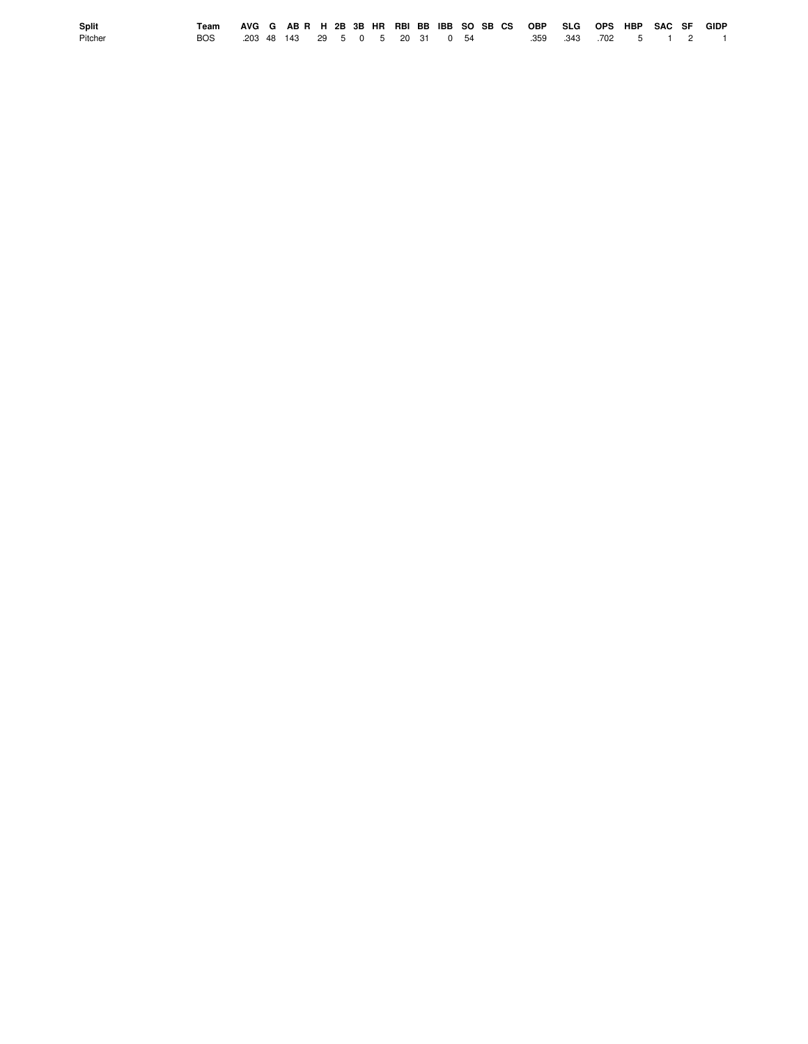| Split   | Team AVG G AB R H 2B 3B HR RBI BB IBB SO SB CS OBP SLG OPS HBP SAC SF GIDP |  |  |  |  |  |  |                        |  |  |  |
|---------|----------------------------------------------------------------------------|--|--|--|--|--|--|------------------------|--|--|--|
| Pitcher | BOS .203 48 143 29 5 0 5 20 31 0 54                                        |  |  |  |  |  |  | .359 .343 .702 5 1 2 1 |  |  |  |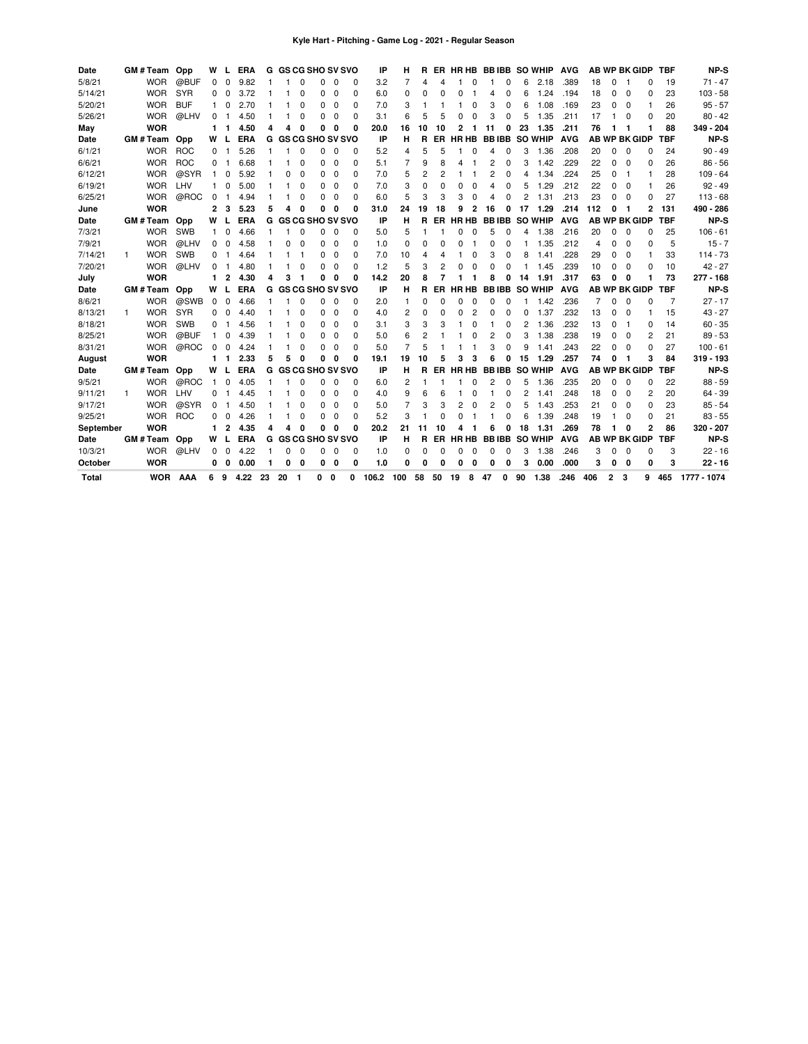| Date      |    | GM # Team   | Opp        | w            | L            | <b>ERA</b> |   |   |   | <b>G GS CG SHO SV SVO</b> |          |          | IP   | н  | R        |     |              |              |              |   |    | ER HR HB BB IBB SO WHIP | <b>AVG</b> |     |          |                      | <b>AB WP BK GIDP</b> | <b>TBF</b> | NP-S        |
|-----------|----|-------------|------------|--------------|--------------|------------|---|---|---|---------------------------|----------|----------|------|----|----------|-----|--------------|--------------|--------------|---|----|-------------------------|------------|-----|----------|----------------------|----------------------|------------|-------------|
| 5/8/21    |    | <b>WOR</b>  | @BUF       | $\Omega$     | $\Omega$     | 9.82       |   |   | O | $\Omega$                  | $\Omega$ | $\Omega$ | 3.2  | 7  |          | 4   |              | ŋ            |              | 0 | 6  | 2.18                    | .389       | 18  | $\Omega$ |                      | O                    | 19         | $71 - 47$   |
| 5/14/21   |    | <b>WOR</b>  | <b>SYR</b> | 0            | $\Omega$     | 3.72       |   |   | 0 | $\Omega$                  | $\Omega$ | $\Omega$ | 6.0  | 0  | $\Omega$ |     |              |              | 4            | O | 6  | 1.24                    | .194       | 18  | $\Omega$ | $\Omega$             | O                    | 23         | $103 - 58$  |
| 5/20/21   |    | <b>WOR</b>  | <b>BUF</b> |              | $\Omega$     | 2.70       |   |   | 0 | $\Omega$                  | $\Omega$ | $\Omega$ | 7.0  | 3  |          |     |              | 0            | 3            | 0 | 6  | 1.08                    | .169       | 23  | 0        | $\Omega$             |                      | 26         | $95 - 57$   |
| 5/26/21   |    | <b>WOR</b>  | @LHV       | 0            | -1           | 4.50       |   |   | O | $\Omega$                  | $\Omega$ | $\Omega$ | 3.1  | 6  |          |     |              | ŋ            | 3            |   | 5  | 1.35                    | .211       | 17  |          | $\Omega$             | O                    | 20         | $80 - 42$   |
| May       |    | <b>WOR</b>  |            | 1            | -1           | 4.50       | 4 | Δ |   | 0                         | 0        | o        | 20.0 | 16 | 10       | 10  | 2            | -1           | 11           | 0 | 23 | 1.35                    | .211       | 76  |          | 1                    |                      | 88         | 349 - 204   |
| Date      |    | GM#Team Opp |            | w            |              | <b>ERA</b> |   |   |   | <b>G GS CG SHO SV SVO</b> |          |          | IP   | н  | R        |     | ER HRHB      |              | <b>BBIBB</b> |   |    | <b>SO WHIP</b>          | <b>AVG</b> |     |          |                      | <b>AB WP BK GIDP</b> | <b>TBF</b> | NP-S        |
| 6/1/21    |    | <b>WOR</b>  | <b>ROC</b> | 0            |              | 5.26       |   |   | C | 0                         | 0        | $\Omega$ | 5.2  | 4  | 5        | 5   |              | ŋ            | 4            |   | 3  | 1.36                    | .208       | 20  | 0        | 0                    | O                    | 24         | $90 - 49$   |
| 6/6/21    |    | <b>WOR</b>  | <b>ROC</b> | 0            | -1           | 6.68       |   |   | 0 | 0                         | 0        | $\Omega$ | 5.1  | 7  | 9        | 8   | 4            |              | 2            |   | 3  | 1.42                    | .229       | 22  | 0        | 0                    | O                    | 26         | $86 - 56$   |
| 6/12/21   |    | <b>WOR</b>  | @SYR       | 1            | 0            | 5.92       |   | C | 0 | 0                         | 0        | $\Omega$ | 7.0  | 5  | 2        | 2   |              | -1           | 2            | 0 | 4  | 1.34                    | .224       | 25  | 0        | -1                   | 1                    | 28         | $109 - 64$  |
| 6/19/21   |    | <b>WOR</b>  | LHV        | 1            | $\Omega$     | 5.00       |   |   | 0 | $\Omega$                  | $\Omega$ | $\Omega$ | 7.0  | 3  | $\Omega$ | 0   | O            | 0            | 4            | 0 | 5  | 1.29                    | .212       | 22  | 0        | $\Omega$             | 1                    | 26         | $92 - 49$   |
| 6/25/21   |    | <b>WOR</b>  | @ROC       | 0            | -1           | 4.94       |   |   | 0 | 0                         | 0        | $\Omega$ | 6.0  | 5  | 3        | 3   | 3            | $\Omega$     | 4            | 0 | 2  | 1.31                    | .213       | 23  | 0        | 0                    | $\Omega$             | 27         | $113 - 68$  |
| June      |    | <b>WOR</b>  |            | 2            | 3            | 5.23       | 5 | 4 | o | 0                         | 0        | o        | 31.0 | 24 | 19       | 18  | 9            | 2            | 16           | o | 17 | 1.29                    | .214       | 112 | 0        | -1                   | 2                    | 131        | 490 - 286   |
| Date      |    | GM # Team   | Opp        | W            | L            | <b>ERA</b> |   |   |   | <b>G GS CG SHO SV SVO</b> |          |          | IP   | н  | R        | ER. | HR HB        |              | <b>BBIBB</b> |   |    | <b>SO WHIP</b>          | <b>AVG</b> |     |          |                      | <b>AB WP BK GIDP</b> | <b>TBF</b> | NP-S        |
| 7/3/21    |    | <b>WOR</b>  | <b>SWB</b> | 1            | 0            | 4.66       |   |   | 0 | 0                         | 0        | 0        | 5.0  | 5  |          |     | $\Omega$     | 0            | 5            |   | 4  | 1.38                    | .216       | 20  | 0        | 0                    | O                    | 25         | $106 - 61$  |
| 7/9/21    |    | <b>WOR</b>  | @LHV       | 0            | 0            | 4.58       |   | 0 | 0 | 0                         | 0        | $\Omega$ | 1.0  | 0  | $\Omega$ | 0   | 0            |              | 0            | 0 |    | 1.35                    | .212       | 4   | 0        | 0                    | 0                    | 5          | $15 - 7$    |
| 7/14/21   | -1 | <b>WOR</b>  | <b>SWB</b> | 0            | -1           | 4.64       |   |   |   | 0                         | 0        | 0        | 7.0  | 10 | 4        | 4   |              | 0            | 3            | 0 | 8  | 1.41                    | .228       | 29  | 0        | $\Omega$             | -1                   | 33         | $114 - 73$  |
| 7/20/21   |    | <b>WOR</b>  | @LHV       | 0            |              | 4.80       |   |   | 0 | 0                         | 0        | 0        | 1.2  | 5  | 3        | 2   | 0            | 0            | 0            | O |    | 1.45                    | .239       | 10  | 0        | 0                    | O                    | 10         | $42 - 27$   |
| July      |    | <b>WOR</b>  |            |              | 2            | 4.30       | 4 | 3 |   | 0                         | 0        | o        | 14.2 | 20 |          |     |              |              | 8            |   | 14 | 1.91                    | .317       | 63  | 0        | 0                    |                      | 73         | $277 - 168$ |
| Date      |    |             |            |              |              | <b>ERA</b> |   |   |   | <b>G GS CG SHO SV SVO</b> |          |          | IP   |    | R        |     | ER HRHB      |              | <b>BBIBB</b> |   |    | <b>SO WHIP</b>          | <b>AVG</b> |     |          | <b>AB WP BK GIDP</b> |                      |            | NP-S        |
|           |    | GM # Team   | Opp        | W            |              |            |   |   |   |                           |          |          |      | н  |          |     |              |              |              |   |    |                         |            |     |          |                      |                      | <b>TBF</b> |             |
| 8/6/21    |    | <b>WOR</b>  | @SWB       | 0            | $\Omega$     | 4.66       |   |   | C | $\Omega$                  | C        | $\Omega$ | 2.0  | 1  | O        |     | <sup>0</sup> | 0            | ŋ            |   |    | 1.42                    | .236       | 7   | $\Omega$ | $\Omega$             | n                    | 7          | $27 - 17$   |
| 8/13/21   | 1  | <b>WOR</b>  | <b>SYR</b> | 0            | 0            | 4.40       |   |   | 0 | $\Omega$                  | 0        | $\Omega$ | 4.0  | 2  | O        | C   | $\Omega$     | 2            | 0            |   | 0  | 1.37                    | .232       | 13  | 0        | $\Omega$             |                      | 15         | $43 - 27$   |
| 8/18/21   |    | <b>WOR</b>  | <b>SWB</b> | 0            | -1           | 4.56       |   |   | 0 | 0                         | 0        | 0        | 3.1  | 3  | 3        | З   |              | 0            |              | 0 | 2  | 1.36                    | .232       | 13  | 0        | $\mathbf{1}$         | 0                    | 14         | $60 - 35$   |
| 8/25/21   |    | <b>WOR</b>  | @BUF       |              | 0            | 4.39       |   |   | 0 | 0                         | 0        | 0        | 5.0  | 6  | 2        |     |              | 0            | 2            | 0 | 3  | 1.38                    | .238       | 19  | 0        | 0                    | 2                    | 21         | $89 - 53$   |
| 8/31/21   |    | <b>WOR</b>  | @ROC       | 0            | $\Omega$     | 4.24       |   |   | 0 | 0                         | 0        | $\Omega$ | 5.0  | 7  | 5        |     |              |              | 3            | 0 | 9  | 1.41                    | .243       | 22  | 0        | $\Omega$             | $\Omega$             | 27         | $100 - 61$  |
| August    |    | <b>WOR</b>  |            | 1            | -1           | 2.33       | 5 | 5 | 0 | 0                         | 0        | 0        | 19.1 | 19 | 10       |     | 3            | 3            | 6            | O | 15 | 1.29                    | .257       | 74  | 0        | -1                   | з                    | 84         | $319 - 193$ |
| Date      |    | GM # Team   | Opp        | W            | L            | <b>ERA</b> |   |   |   | <b>G GS CG SHO SV SVO</b> |          |          | IP   | н  | R        |     | ER HRHB      |              | <b>BBIBB</b> |   |    | <b>SO WHIP</b>          | <b>AVG</b> |     |          |                      | <b>AB WP BK GIDP</b> | <b>TBF</b> | NP-S        |
| 9/5/21    |    | <b>WOR</b>  | @ROC       | $\mathbf{1}$ | 0            | 4.05       |   |   | 0 | $\Omega$                  | $\Omega$ | 0        | 6.0  | 2  |          |     |              | <sup>0</sup> | 2            | 0 | 5  | 1.36                    | .235       | 20  | 0        | $\Omega$             | 0                    | 22         | $88 - 59$   |
| 9/11/21   | 1  | <b>WOR</b>  | LHV        | 0            | $\mathbf{1}$ | 4.45       |   |   | 0 | $\Omega$                  | $\Omega$ | $\Omega$ | 4.0  | 9  | 6        | 6   |              | 0            | 1            | 0 | 2  | 1.41                    | .248       | 18  | $\Omega$ | $\Omega$             | 2                    | 20         | $64 - 39$   |
| 9/17/21   |    | <b>WOR</b>  | @SYR       | 0            | -1           | 4.50       |   |   | 0 | 0                         | 0        | 0        | 5.0  | 7  | 3        | 3   | 2            | $\Omega$     | 2            | 0 | 5  | 1.43                    | .253       | 21  | 0        | 0                    | $\Omega$             | 23         | $85 - 54$   |
| 9/25/21   |    | <b>WOR</b>  | <b>ROC</b> | 0            | $\Omega$     | 4.26       |   |   | 0 | 0                         | 0        | $\Omega$ | 5.2  | 3  |          | O   | O            |              |              | 0 | 6  | 1.39                    | .248       | 19  | 1        | 0                    | O                    | 21         | $83 - 55$   |
| September |    | <b>WOR</b>  |            | 1            | 2            | 4.35       | 4 | 4 | 0 | 0                         | 0        | 0        | 20.2 | 21 | 11       | 10  | 4            |              | 6            | 0 | 18 | 1.31                    | .269       | 78  | 1        | 0                    | $\overline{2}$       | 86         | 320 - 207   |
| Date      |    | GM # Team   | Opp        | W            |              | <b>ERA</b> |   |   |   | <b>G GS CG SHO SV SVO</b> |          |          | IP   | н  | R        | ER. | HR HB        |              | <b>BBIBB</b> |   |    | <b>SO WHIP</b>          | <b>AVG</b> |     |          |                      | <b>AB WP BK GIDP</b> | <b>TBF</b> | NP-S        |
| 10/3/21   |    | <b>WOR</b>  | @LHV       | ŋ            | 0            | 4.22       |   | ŋ | C | $\Omega$                  | C        | $\Omega$ | 1.0  | 0  |          |     |              | ŋ            | ŋ            |   | 3  | 1.38                    | .246       | 3   | 0        | 0                    | O                    | 3          | $22 - 16$   |
| October   |    | <b>WOR</b>  |            | 0            | 0            | 0.00       | 1 | 0 | 0 | 0                         | 0        | 0        | 1.0  | O  | O        |     | O            | 0            | 0            |   | 3  | 0.00                    | .000       | 3   | 0        | 0                    | 0                    | 3          | $22 - 16$   |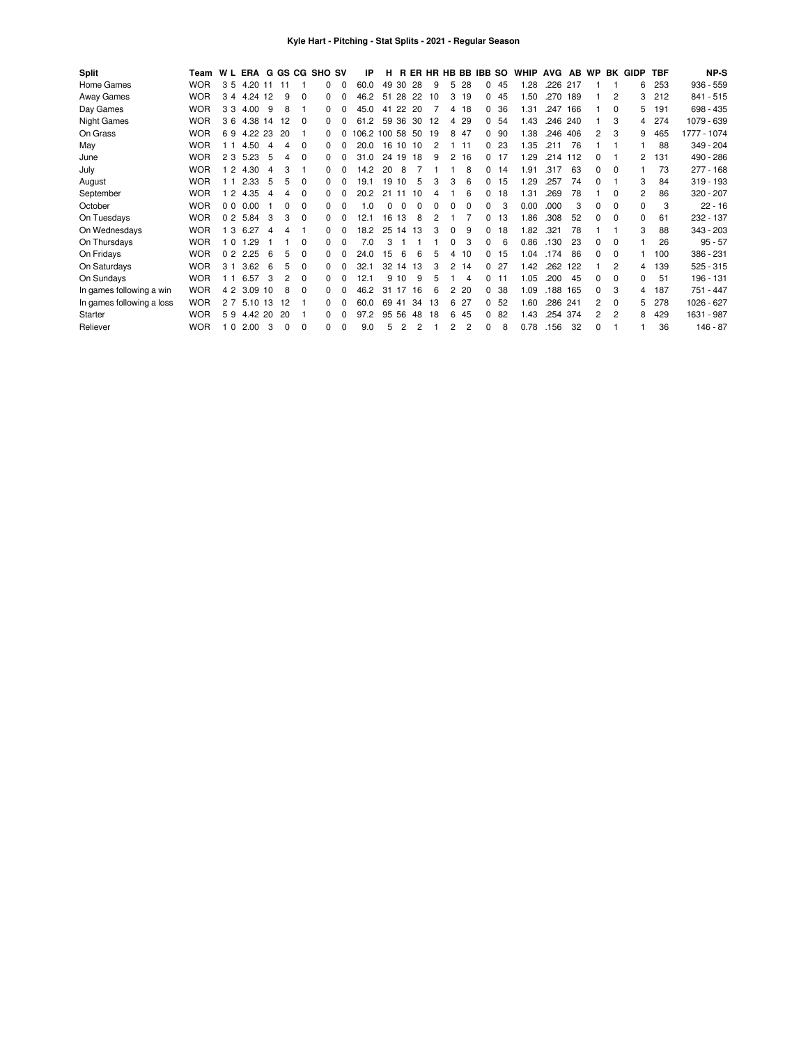| <b>Split</b>              | Team       |                |      |     |     |          | W L ERA G GS CG SHO SV |          | ΙP       | н      |          |    |    |          |          | R ER HR HB BB IBB SO |    | <b>WHIP</b> | <b>AVG</b> | AB WP |          |                | <b>BK GIDP</b> | <b>TBF</b> | <b>NP-S</b> |
|---------------------------|------------|----------------|------|-----|-----|----------|------------------------|----------|----------|--------|----------|----|----|----------|----------|----------------------|----|-------------|------------|-------|----------|----------------|----------------|------------|-------------|
| Home Games                | <b>WOR</b> | 35             | 4.20 | 11  | -11 |          | 0                      | O        | 60.0     | 49     | 30       | 28 | 9  | 5        | 28       | 0                    | 45 | .28         | .226       | 217   |          |                | 6              | 253        | $936 - 559$ |
| Away Games                | <b>WOR</b> | 34             | 4.24 | -12 | 9   | 0        | 0                      | $\Omega$ | 46.2     | 51     | 28       | 22 | 10 | 3        | 19       | 0                    | 45 | 1.50        | .270       | 189   |          | 2              |                | 212        | $841 - 515$ |
| Day Games                 | <b>WOR</b> | 33             | 4.00 | 9   | 8   |          |                        |          | 45.0     | 41     | 22       | 20 |    | 4        | 18       | 0                    | 36 | 1.31        | .247       | 166   |          | 0              | 5              | 191        | 698 - 435   |
| <b>Night Games</b>        | <b>WOR</b> | 36             | 4.38 | 14  | 12  | 0        |                        |          | .2<br>61 | 59     | 36       | 30 | 12 | 4        | 29       | 0                    | 54 | 1.43        | .246       | 240   |          | 3              | 4              | 274        | 1079 - 639  |
| On Grass                  | <b>WOR</b> | 69             | 4.22 | 23  | 20  |          |                        |          | 106.2    | 100 58 |          | 50 | 19 | 8        | 47       | 0                    | 90 | 1.38        | .246       | 406   | 2        | 3              | 9              | 465        | 1777 - 1074 |
| May                       | <b>WOR</b> | 11             | 4.50 | 4   | 4   | 0        |                        |          | 20.0     | 16     | 10       | 10 | 2  |          | 11       | 0                    | 23 | 1.35        | .211       | 76    |          |                |                | 88         | 349 - 204   |
| June                      | <b>WOR</b> | 23             | 5.23 | 5   | 4   | 0        |                        |          | 31.0     | 24     | 19       | 18 | 9  | 2        | 16       | 0                    | 17 | .29         | .214       | 112   |          |                |                | 131        | 490 - 286   |
| July                      | <b>WOR</b> | $\overline{2}$ | 4.30 | 4   | 3   |          |                        | $\Omega$ | 14.2     | 20     | 8        |    |    |          | 8        | 0                    | 14 | 1.91        | .317       | 63    | 0        | 0              |                | 73         | $277 - 168$ |
| August                    | <b>WOR</b> | -1             | 2.33 | 5   | 5   | 0        |                        | 0        | 19.1     | 19     | 10       | 5  | З  | 3        | 6        | $\Omega$             | 15 | .29         | .257       | 74    | 0        |                | 3              | 84         | $319 - 193$ |
| September                 | <b>WOR</b> | $\overline{2}$ | 4.35 |     | 4   | 0        |                        |          | 20.2     | 21     | 11       | 10 |    |          | 6        | 0                    | 18 | 1.31        | .269       | 78    |          | 0              | 2              | 86         | $320 - 207$ |
| October                   | <b>WOR</b> | 0 <sub>0</sub> | 0.00 |     | 0   | 0        | <sup>0</sup>           | $\Omega$ | 1.0      |        | $\Omega$ | 0  | 0  | $\Omega$ | $\Omega$ | 0                    | 3  | 0.00        | .000       | 3     | 0        | $\Omega$       | 0              | 3          | $22 - 16$   |
| On Tuesdays               | <b>WOR</b> | 0 <sub>2</sub> | 5.84 | З   | 3   | $\Omega$ |                        | O        | 12.1     | 16     | 13       |    |    |          |          | 0                    | 13 | 1.86        | .308       | 52    | $\Omega$ | 0              | 0              | 61         | 232 - 137   |
| On Wednesdays             | <b>WOR</b> | 3              | 6.27 | 4   | 4   |          |                        | 0        | 18.2     | 25     | 14       | 13 | 3  | $\Omega$ | 9        | 0                    | 18 | 1.82        | .321       | 78    |          |                | 3              | 88         | 343 - 203   |
| On Thursdays              | <b>WOR</b> | 10             | 1.29 |     |     | 0        | <sup>0</sup>           | $\Omega$ | 7.0      |        |          |    |    | 0        | 3        | 0                    | 6  | 0.86        | .130       | 23    | 0        | 0              |                | 26         | $95 - 57$   |
| On Fridays                | <b>WOR</b> | 0 <sub>2</sub> | 2.25 | 6   | 5   | 0        |                        |          | 24.0     | 15     | 6        | 6  | 5  | 4        | 10       | $\Omega$             | 15 | 1.04        | .174       | 86    | $\Omega$ | $\Omega$       |                | 100        | 386 - 231   |
| On Saturdays              | <b>WOR</b> | 3 <sub>1</sub> | 3.62 | 6   | 5   | $\Omega$ |                        |          | 32.1     | 32     | 14       | 13 | 3  | 2        | 14       | $\Omega$             | 27 | .42         | .262       | 122   |          | 2              | 4              | 139        | $525 - 315$ |
| On Sundays                | <b>WOR</b> | 11             | 6.57 | 3   |     | $\Omega$ |                        | 0        | 12.1     | 9      | 10       | 9  | 5  |          | 4        | $\Omega$             | 11 | 1.05        | .200       | 45    | $\Omega$ | $\Omega$       | 0              | 51         | 196 - 131   |
| In games following a win  | <b>WOR</b> | 4 2            | 3.09 | 10  | 8   | $\Omega$ |                        |          | 46.2     | 31     |          | 16 | 6  | 2        | 20       | $\Omega$             | 38 | 1.09        | .188       | 165   | 0        | 3              | 4              | 187        | 751 - 447   |
| In games following a loss | <b>WOR</b> | 27             | 5.10 | 13  | 12  |          |                        |          | 60.0     | 69     | -41      | 34 | 13 | 6        | -27      | 0                    | 52 | 1.60        | .286       | 241   | 2        | $\Omega$       | 5              | 278        | 1026 - 627  |
| Starter                   | <b>WOR</b> | 59             | 4.42 | 20  | 20  |          |                        |          | 97.2     |        | 95 56    | 48 | 18 | 6        | 45       | 0                    | 82 | .43         | .254       | 374   | 2        | $\overline{2}$ | 8              | 429        | 1631 - 987  |
| Reliever                  | <b>WOR</b> | $\mathbf 0$    | 2.00 | 3   | 0   | 0        |                        | $\Omega$ | 9.0      | 5      | 2        | 2  |    |          | 2        | 0                    | 8  | 0.78        | .156       | 32    | $\Omega$ |                |                | 36         | $146 - 87$  |